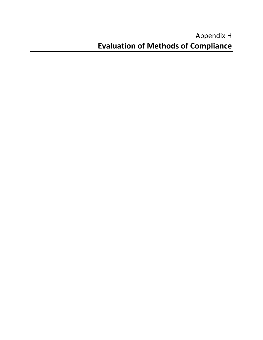# Appendix H **Evaluation of Methods of Compliance**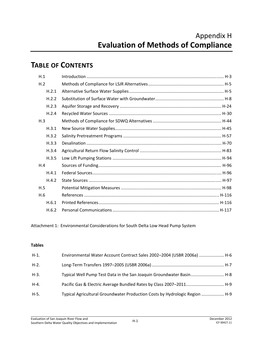## **TABLE OF CONTENTS**

| H.1   |  |
|-------|--|
| H.2   |  |
| H.2.1 |  |
| H.2.2 |  |
| H.2.3 |  |
| H.2.4 |  |
| H.3   |  |
| H.3.1 |  |
| H.3.2 |  |
| H.3.3 |  |
| H.3.4 |  |
| H.3.5 |  |
| H.4   |  |
| H.4.1 |  |
| H.4.2 |  |
| H.5   |  |
| H.6   |  |
| H.6.1 |  |
| H.6.2 |  |

Attachment 1: Environmental Considerations for South Delta Low Head Pump System

#### **Tables**

| H-1.    | Environmental Water Account Contract Sales 2002-2004 (USBR 2006a)  H-6      |  |
|---------|-----------------------------------------------------------------------------|--|
| $H-2.$  |                                                                             |  |
| $H-3$ . | Typical Well Pump Test Data in the San Joaquin Groundwater Basin H-8        |  |
| H-4.    | Pacific Gas & Electric Average Bundled Rates by Class 2007-2011 H-9         |  |
| H-5.    | Typical Agricultural Groundwater Production Costs by Hydrologic Region  H-9 |  |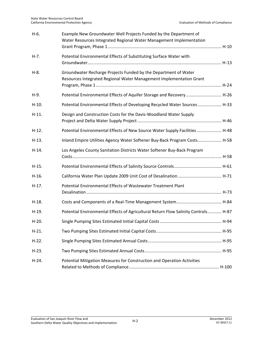| $H-6.$  | Example New Groundwater Well Projects Funded by the Department of<br>Water Resources Integrated Regional Water Management Implementation |  |
|---------|------------------------------------------------------------------------------------------------------------------------------------------|--|
|         |                                                                                                                                          |  |
| $H-7.$  | Potential Environmental Effects of Substituting Surface Water with                                                                       |  |
| $H-8.$  | Groundwater Recharge Projects Funded by the Department of Water<br>Resources Integrated Regional Water Management Implementation Grant   |  |
| $H-9.$  | Potential Environmental Effects of Aquifer Storage and Recovery H-26                                                                     |  |
| $H-10.$ | Potential Environmental Effects of Developing Recycled Water Sources  H-33                                                               |  |
| $H-11.$ | Design and Construction Costs for the Davis-Woodland Water Supply                                                                        |  |
| $H-12.$ | Potential Environmental Effects of New Source Water Supply Facilities H-48                                                               |  |
| $H-13.$ | Inland Empire Utilities Agency Water Softener Buy-Back Program Costs H-58                                                                |  |
| $H-14.$ | Los Angeles County Sanitation Districts Water Softener Buy-Back Program                                                                  |  |
| $H-15.$ |                                                                                                                                          |  |
| $H-16.$ |                                                                                                                                          |  |
| $H-17.$ | Potential Environmental Effects of Wastewater Treatment Plant                                                                            |  |
| $H-18.$ |                                                                                                                                          |  |
| $H-19.$ | Potential Environmental Effects of Agricultural Return Flow Salinity Controls H-87                                                       |  |
| $H-20.$ |                                                                                                                                          |  |
| $H-21.$ |                                                                                                                                          |  |
| $H-22.$ |                                                                                                                                          |  |
| $H-23.$ |                                                                                                                                          |  |
| $H-24.$ | Potential Mitigation Measures for Construction and Operation Activities                                                                  |  |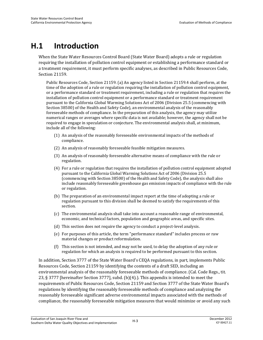# **H.1 Introduction**

When the State Water Resources Control Board (State Water Board) adopts a rule or regulation requiring the installation of pollution control equipment or establishing a performance standard or a treatment requirement, it must perform specific analyses, as described in Public Resources Code, Section 21159.

Public Resources Code, Section 21159. (a) An agency listed in Section 21159.4 shall perform, at the time of the adoption of a rule or regulation requiring the installation of pollution control equipment, or a performance standard or treatment requirement, including a rule or regulation that requires the installation of pollution control equipment or a performance standard or treatment requirement pursuant to the California Global Warming Solutions Act of 2006 (Division 25.5 (commencing with Section 38500) of the Health and Safety Code), an environmental analysis of the reasonably foreseeable methods of compliance. In the preparation of this analysis, the agency may utilize numerical ranges or averages where specific data is not available; however, the agency shall not be required to engage in speculation or conjecture. The environmental analysis shall, at minimum, include all of the following:

- (1) An analysis of the reasonably foreseeable environmental impacts of the methods of compliance.
- (2) An analysis of reasonably foreseeable feasible mitigation measures.
- (3) An analysis of reasonably foreseeable alternative means of compliance with the rule or regulation.
- (4) For a rule or regulation that requires the installation of pollution control equipment adopted pursuant to the California Global Warming Solutions Act of 2006 (Division 25.5 (commencing with Section 38500) of the Health and Safety Code), the analysis shall also include reasonably foreseeable greenhouse gas emission impacts of compliance with the rule or regulation.
- (b) The preparation of an environmental impact report at the time of adopting a rule or regulation pursuant to this division shall be deemed to satisfy the requirements of this section.
- (c) The environmental analysis shall take into account a reasonable range of environmental, economic, and technical factors, population and geographic areas, and specific sites.
- (d) This section does not require the agency to conduct a project-level analysis.
- (e) For purposes of this article, the term "performance standard" includes process or raw material changes or product reformulation.
- (f) This section is not intended, and may not be used, to delay the adoption of any rule or regulation for which an analysis is required to be performed pursuant to this section.

In addition, Section 3777 of the State Water Board's CEQA regulations, in part, implements Public Resources Code, Section 21159 by identifying the contents of a draft SED, including an environmental analysis of the reasonably foreseeable methods of compliance. (Cal. Code Regs., tit. 23, § 3777 [hereinafter Section 3777], subd. (b)(4).). This appendix is intended to meet the requirements of Public Resources Code, Section 21159 and Section 3777 of the State Water Board's regulations by identifying the reasonably foreseeable methods of compliance and analyzing the reasonably foreseeable significant adverse environmental impacts associated with the methods of compliance, the reasonably foreseeable mitigation measures that would minimize or avoid any such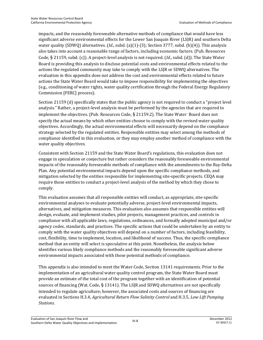impacts, and the reasonably foreseeable alternative methods of compliance that would have less significant adverse environmental effects for the Lower San Joaquin River (LSJR) and southern Delta water quality (SDWQ) alternatives. (*Id*., subd. (a)(1)-(3); Section 3777, subd. (b)(4)). This analysis also takes into account a reasonable range of factors, including economic factors. (Pub. Resources Code, § 21159, subd. (c)). A project-level analysis is not required. (*Id*., subd. (d)). The State Water Board is providing this analysis to disclose potential costs and environmental effects related to the actions the regulated community may take to comply with the LSJR or SDWQ alternatives. The evaluation in this appendix does not address the cost and environmental effects related to future actions the State Water Board would take to impose responsibility for implementing the objectives (e.g., conditioning of water rights, water quality certification through the Federal Energy Regulatory Commission [FERC] process).

Section 21159 (d) specifically states that the public agency is not required to conduct a "project level analysis." Rather, a project-level analysis must be performed by the agencies that are required to implement the objectives. (Pub. Resources Code, § 21159.2). The State Water Board does not specify the actual means by which other entities choose to comply with the revised water quality objectives. Accordingly, the actual environmental effects will necessarily depend on the compliance strategy selected by the regulated entities. Responsible entities may select among the methods of compliance identified in this evaluation, or they may employ another method of compliance with the water quality objectives.

Consistent with Section 21159 and the State Water Board's regulations, this evaluation does not engage in speculation or conjecture but rather considers the reasonably foreseeable environmental impacts of the reasonably foreseeable methods of compliance with the amendments to the Bay-Delta Plan. Any potential environmental impacts depend upon the specific compliance methods, and mitigation selected by the entities responsible for implementing site-specific projects. CEQA may require those entities to conduct a project-level analysis of the method by which they chose to comply.

This evaluation assumes that all responsible entities will conduct, as appropriate, site-specific environmental analyses to evaluate potentially adverse, project-level environmental impacts, alternatives, and mitigation measures. This evaluation also assumes that responsible entities will design, evaluate, and implement studies, pilot projects, management practices, and controls in compliance with all applicable laws, regulations, ordinances, and formally adopted municipal and/or agency codes, standards, and practices. The specific actions that could be undertaken by an entity to comply with the water quality objectives will depend on a number of factors, including feasibility, cost, flexibility, time to implement, location, and likelihood of success. Thus, the specific compliance method that an entity will select is speculative at this point. Nonetheless, the analysis below identifies various likely compliance methods and the reasonably foreseeable significant adverse environmental impacts associated with those potential methods of compliance.

This appendix is also intended to meet the Water Code, Section 13141 requirements. Prior to the implementation of an agricultural water quality control program, the State Water Board must provide an estimate of the total cost of the program together with an identification of potential sources of financing (Wat. Code, § 13141). The LSJR and SDWQ alternatives are not specifically intended to regulate agriculture; however, the associated costs and sources of financing are evaluated in Sections H.3.4, *Agricultural Return Flow Salinity Control* and H.3.5, *Low Lift Pumping Stations*.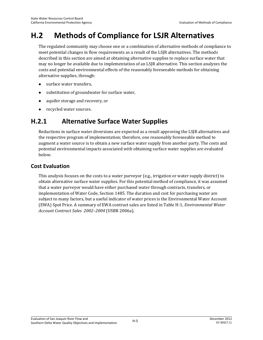# **H.2 Methods of Compliance for LSJR Alternatives**

The regulated community may choose one or a combination of alternative methods of compliance to meet potential changes in flow requirements as a result of the LSJR alternatives. The methods described in this section are aimed at obtaining alternative supplies to replace surface water that may no longer be available due to implementation of an LSJR alternative. This section analyzes the costs and potential environmental effects of the reasonably foreseeable methods for obtaining alternative supplies, through:

- surface water transfers,
- substitution of groundwater for surface water,
- aquifer storage and recovery, or
- recycled water sources.

## **H.2.1 Alternative Surface Water Supplies**

Reductions in surface water diversions are expected as a result approving the LSJR alternatives and the respective program of implementation; therefore, one reasonably foreseeable method to augment a water source is to obtain a new surface water supply from another party. The costs and potential environmental impacts associated with obtaining surface water supplies are evaluated below.

## **Cost Evaluation**

This analysis focuses on the costs to a water purveyor (e.g., irrigation or water supply district) to obtain alternative surface water supplies. For this potential method of compliance, it was assumed that a water purveyor would have either purchased water through contracts, transfers, or implementation of Water Code, Section 1485. The duration and cost for purchasing water are subject to many factors, but a useful indicator of water prices is the Environmental Water Account (EWA) Spot Price. A summary of EWA contract sales are listed in Table H-1, *Environmental Water Account Contract Sales 2002–2004* (USBR 2006a).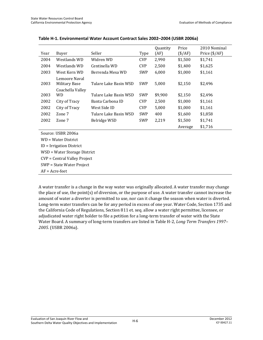|                                     |                                |                       |            | Quantity | Price            | 2010 Nominal           |
|-------------------------------------|--------------------------------|-----------------------|------------|----------|------------------|------------------------|
| Year                                | Buyer                          | Seller                | Type       | (AF)     | $(\frac{$}{AF})$ | Price $(\frac{4}{AF})$ |
| 2004                                | Westlands WD                   | Widren WD             | <b>CVP</b> | 2,990    | \$1,500          | \$1,741                |
| 2004                                | Westlands WD                   | Centinella WD         | <b>CVP</b> | 2,500    | \$1,400          | \$1,625                |
| 2003                                | West Kern WD                   | Berrenda Mesa WD      | SWP        | 6,000    | \$1,000          | \$1,161                |
| 2003                                | Lemoore Naval<br>Military Base | Tulare Lake Basin WSD | SWP        | 5,000    | \$2,150          | \$2,496                |
| 2003                                | Coachella Valley<br>WD         | Tulare Lake Basin WSD | SWP        | \$9,900  | \$2,150          | \$2,496                |
| 2002                                | City of Tracy                  | Banta Carbona ID      | <b>CVP</b> | 2,500    | \$1,000          | \$1,161                |
| 2002                                | City of Tracy                  | West Side ID          | <b>CVP</b> | 5,000    | \$1,000          | \$1,161                |
| 2002                                | Zone 7                         | Tulare Lake Basin WSD | SWP        | 400      | \$1,600          | \$1,858                |
| 2002                                | Zone 7                         | Belridge WSD          | SWP        | 2,219    | \$1,500          | \$1,741                |
|                                     |                                |                       |            |          | Average          | \$1,716                |
|                                     | Source: USBR 2006a             |                       |            |          |                  |                        |
|                                     | WD = Water District            |                       |            |          |                  |                        |
| $ID = Irrigation District$          |                                |                       |            |          |                  |                        |
|                                     | WSD = Water Storage District   |                       |            |          |                  |                        |
| <b>CVP</b> = Central Valley Project |                                |                       |            |          |                  |                        |
|                                     | SWP = State Water Project      |                       |            |          |                  |                        |
| $AF = Acre-feet$                    |                                |                       |            |          |                  |                        |

#### **Table H-1. Environmental Water Account Contract Sales 2002–2004 (USBR 2006a)**

A water transfer is a change in the way water was originally allocated. A water transfer may change the place of use, the point(s) of diversion, or the purpose of use. A water transfer cannot increase the amount of water a diverter is permitted to use, nor can it change the season when water is diverted. Long-term water transfers can be for any period in excess of one year. Water Code, Section 1735 and the California Code of Regulations, Section 811 et. seq. allow a water right permittee, licensee, or adjudicated water right holder to file a petition for a long-term transfer of water with the State Water Board. A summary of long-term transfers are listed in Table H-2, *Long Term Transfers 1997– 2005*. (USBR 2006a).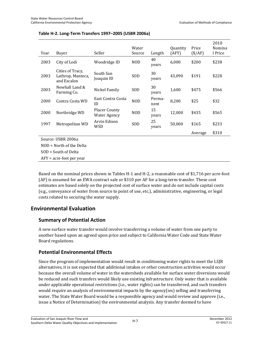|                    |                                                      |                                             | Water      |                | Quantity | Price            | 2010<br>Nomina |
|--------------------|------------------------------------------------------|---------------------------------------------|------------|----------------|----------|------------------|----------------|
| Year               | Buyer                                                | Seller                                      | Source     | Length         | (AFY)    | $(\frac{$}{AF})$ | l Price        |
| 2003               | City of Lodi                                         | Woodridge ID                                | <b>NOD</b> | 40<br>years    | 6,000    | \$200            | \$238          |
| 2003               | Cities of Tracy,<br>Lathrop, Manteca,<br>and Escalon | South San<br>Joaquin ID                     | <b>SOD</b> | 30<br>years    | 43,090   | \$191            | \$228          |
| 2003               | Newhall Land &<br>Farming Co.                        | Nickel Family                               | <b>SOD</b> | 30<br>years    | 1,600    | \$475            | \$566          |
| 2000               | Contra Costa WD                                      | East Contra Costa<br>ID                     | <b>NOD</b> | Perma-<br>nent | 8,200    | \$25             | \$32           |
| 2000               | Northridge WD                                        | <b>Placer County</b><br><b>Water Agency</b> | <b>NOD</b> | 15<br>years    | 12,000   | \$435            | \$565          |
| 1997               | Metropolitan WD                                      | Arvin Edison<br>WSD                         | SOD        | 25<br>years    | 50,000   | \$165            | \$233          |
|                    |                                                      |                                             |            |                |          | Average          | \$310          |
| Source: USBR 2006a |                                                      |                                             |            |                |          |                  |                |
|                    | $NOD = North$ of the Delta                           |                                             |            |                |          |                  |                |
|                    | $SOD = South of Delta$                               |                                             |            |                |          |                  |                |
|                    | $AFY = acre-freet per year$                          |                                             |            |                |          |                  |                |

#### **Table H-2. Long-Term Transfers 1997–2005 (USBR 2006a)**

Based on the nominal prices shown in Tables H-1 and H-2, a reasonable cost of \$1,716 per acre-foot (AF) is assumed for an EWA contract sale or \$310 per AF for a long-term transfer. These cost estimates are based solely on the projected cost of surface water and do not include capital costs (e.g., conveyance of water from source to point of use, etc.), administrative, engineering, or legal costs related to securing the water supply.

## **Environmental Evaluation**

#### **Summary of Potential Action**

A new surface water transfer would involve transferring a volume of water from one party to another based upon an agreed upon price and subject to California Water Code and State Water Board regulations.

## **Potential Environmental Effects**

Since the program of implementation would result in conditioning water rights to meet the LSJR alternatives, it is not expected that additional intakes or other construction activities would occur because the overall volume of water in the watersheds available for surface water diversions would be reduced and such transfers would likely use existing infrastructure. Only water that is available under applicable operational restrictions (i.e., water rights) can be transferred, and such transfers would require an analysis of environmental impacts by the agency(ies) selling and transferring water. The State Water Board would be a responsible agency and would review and approve (i.e., issue a Notice of Determination) the environmental analysis. Any transfer deemed to have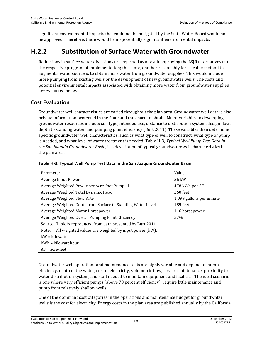significant environmental impacts that could not be mitigated by the State Water Board would not be approved. Therefore, there would be no potentially significant environmental impacts.

## **H.2.2 Substitution of Surface Water with Groundwater**

Reductions in surface water diversions are expected as a result approving the LSJR alternatives and the respective program of implementation; therefore, another reasonably foreseeable method to augment a water source is to obtain more water from groundwater supplies. This would include more pumping from existing wells or the development of new groundwater wells. The costs and potential environmental impacts associated with obtaining more water from groundwater supplies are evaluated below.

### **Cost Evaluation**

Groundwater well characteristics are varied throughout the plan area. Groundwater well data is also private information protected in the State and thus hard to obtain. Major variables in developing groundwater resources include: soil type, intended use, distance to distribution system, design flow, depth to standing water, and pumping plant efficiency (Burt 2011). These variables then determine specific groundwater well characteristics, such as what type of well to construct, what type of pump is needed, and what level of water treatment is needed. Table H-3, *Typical Well Pump Test Data in the San Joaquin Groundwater Basin*, is a description of typical groundwater well characteristics in the plan area.

| Parameter                                                      | Value                    |  |
|----------------------------------------------------------------|--------------------------|--|
| Average Input Power                                            | 56 kW                    |  |
| Average Weighted Power per Acre-foot Pumped                    | 478 kWh per AF           |  |
| Average Weighted Total Dynamic Head                            | 260 feet                 |  |
| Average Weighted Flow Rate                                     | 1,099 gallons per minute |  |
| Average Weighted Depth from Surface to Standing Water Level    | 189 feet                 |  |
| Average Weighted Motor Horsepower                              | 116 horsepower           |  |
| Average Weighted Overall Pumping Plant Efficiency              | 57%                      |  |
| Source: Table is reproduced from data presented by Burt 2011.  |                          |  |
| All weighted values are weighted by input power (kW).<br>Note: |                          |  |
| $kW = kilowatt$                                                |                          |  |
| kWh = kilowatt hour                                            |                          |  |
| $AF = acre-free$                                               |                          |  |

#### **Table H-3. Typical Well Pump Test Data in the San Joaquin Groundwater Basin**

Groundwater well operations and maintenance costs are highly variable and depend on pump efficiency, depth of the water, cost of electricity, volumetric flow, cost of maintenance, proximity to water distribution system, and staff needed to maintain equipment and facilities. The ideal scenario is one where very efficient pumps (above 70 percent efficiency), require little maintenance and pump from relatively shallow wells.

One of the dominant cost categories in the operations and maintenance budget for groundwater wells is the cost for electricity. Energy costs in the plan area are published annually by the California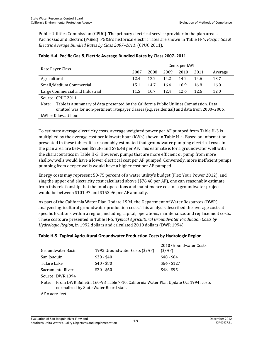Public Utilities Commission (CPUC). The primary electrical service provider in the plan area is Pacific Gas and Electric (PG&E). PG&E's historical electric rates are shown in Table H-4, *Pacific Gas & Electric Average Bundled Rates by Class 2007–2011*, (CPUC 2011).

|                                 |      | Cents per kWh |      |      |        |         |
|---------------------------------|------|---------------|------|------|--------|---------|
| Rate Payer Class                | 2007 | 2008          | 2009 | 2010 | - 2011 | Average |
| Agricultural                    | 12.4 | 13.2          | 14.2 | 14.2 | 14.6   | 13.7    |
| Small/Medium Commercial         | 15.1 | 14.7          | 16.4 | 16.9 | 16.8   | 16.0    |
| Large Commercial and Industrial | 11.5 | 10.7          | 124  | 12.6 | 12.6   | 12.0    |
| OMIAA4<br>$\sim$                |      |               |      |      |        |         |

#### **Table H-4. Pacific Gas & Electric Average Bundled Rates by Class 2007–2011**

Source: CPUC 2011

Note: Table is a summary of data presented by the California Public Utilities Commission. Data omitted was for non-pertinent ratepayer classes (e.g. residential) and data from 2000–2006. kWh = Kilowatt hour

To estimate average electricity costs, average weighted power per AF pumped from Table H-3 is multiplied by the average cost per kilowatt hour (kWh) shown in Table H-4. Based on information presented in these tables, it is reasonably estimated that groundwater pumping electrical costs in the plan area are between \$57.36 and \$76.48 per AF. This estimate is for a groundwater well with the characteristics in Table H-3. However, pumps that are more efficient or pump from more shallow wells would have a lower electrical cost per AF pumped. Conversely, more inefficient pumps pumping from deeper wells would have a higher cost per AF pumped.

Energy costs may represent 50-75 percent of a water utility's budget (Flex Your Power 2012), and sing the upper end electricity cost calculated above (\$76.48 per AF), one can reasonably estimate from this relationship that the total operations and maintenance cost of a groundwater project would be between \$101.97 and \$152.96 per AF annually.

As part of the California Water Plan Update 1994, the Department of Water Resources (DWR) analyzed agricultural groundwater production costs. This analysis described the average costs at specific locations within a region, including capital, operations, maintenance, and replacement costs. These costs are presented in Table H-5, *Typical Agricultural Groundwater Production Costs by Hydrologic Region*, in 1992 dollars and calculated 2010 dollars (DWR 1994).

#### **Table H-5. Typical Agricultural Groundwater Production Costs by Hydrologic Region**

| Groundwater Basin                                                                                                                    | 1992 Groundwater Costs (\$/AF) | 2010 Groundwater Costs<br>(S/AF) |  |  |
|--------------------------------------------------------------------------------------------------------------------------------------|--------------------------------|----------------------------------|--|--|
| San Joaquin                                                                                                                          | $$30 - $40$                    | $$48 - $64$                      |  |  |
| Tulare Lake                                                                                                                          | $$40 - $80$                    | $$64 - $127$                     |  |  |
| Sacramento River                                                                                                                     | $$30 - $60$                    | $$48 - $95$                      |  |  |
| Source: DWR 1994                                                                                                                     |                                |                                  |  |  |
| From DWR Bulletin 160-93 Table 7-10, California Water Plan Update Oct 1994; costs<br>Note:<br>normalized by State Water Board staff. |                                |                                  |  |  |
| $AF = acre-free$                                                                                                                     |                                |                                  |  |  |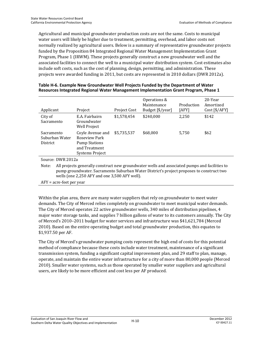Agricultural and municipal groundwater production costs are not the same. Costs to municipal water users will likely be higher due to treatment, permitting, overhead, and labor costs not normally realized by agricultural users. Below is a summary of representative groundwater projects funded by the Proposition 84 Integrated Regional Water Management Implementation Grant Program, Phase 1 (IRWM). These projects generally construct a new groundwater well and the associated facilities to connect the well to a municipal water distribution system. Cost estimates also include soft costs, such as the cost of planning, design, permitting, and administration. These projects were awarded funding in 2011, but costs are represented in 2010 dollars (DWR 2012a).

| Applicant                                       | Project                                                                                       | Project Cost | Operations &<br>Maintenance<br>Budget [\$/year] | Production<br>[AFY] | 20-Year<br>Amortized<br>Cost [\$(AFY] |
|-------------------------------------------------|-----------------------------------------------------------------------------------------------|--------------|-------------------------------------------------|---------------------|---------------------------------------|
| City of<br>Sacramento                           | E.A. Fairbairn<br>Groundwater<br>Well Project                                                 | \$1,578,454  | \$240,000                                       | 2,250               | \$142                                 |
| Sacramento<br>Suburban Water<br><b>District</b> | Coyle Avenue and<br>Roseview Park<br><b>Pump Stations</b><br>and Treatment<br>Systems Project | \$5,735,537  | \$68,000                                        | 5,750               | \$62                                  |
| $C_{\text{OMR}}$ DMD $2012$                     |                                                                                               |              |                                                 |                     |                                       |

#### **Table H-6. Example New Groundwater Well Projects Funded by the Department of Water Resources Integrated Regional Water Management Implementation Grant Program, Phase 1**

Source: DWR 2012a

Note: All projects generally construct new groundwater wells and associated pumps and facilities to pump groundwater. Sacramento Suburban Water District's project proposes to construct two wells (one 2,250 AFY and one 3,500 AFY well).

AFY = acre-feet per year

Within the plan area, there are many water suppliers that rely on groundwater to meet water demands. The City of Merced relies completely on groundwater to meet municipal water demands. The City of Merced operates 22 active groundwater wells, 340 miles of distribution pipelines, 4 major water storage tanks, and supplies 7 billion gallons of water to its customers annually. The City of Merced's 2010–2011 budget for water services and infrastructure was \$41,621,784 (Merced 2010). Based on the entire operating budget and total groundwater production, this equates to \$1,937.50 per AF.

The City of Merced's groundwater pumping costs represent the high end of costs for this potential method of compliance because these costs include water treatment, maintenance of a significant transmission system, funding a significant capital improvement plan, and 29 staff to plan, manage, operate, and maintain the entire water infrastructure for a city of more than 80,000 people (Merced 2010). Smaller water systems, such as those operated by smaller water suppliers and agricultural users, are likely to be more efficient and cost less per AF produced.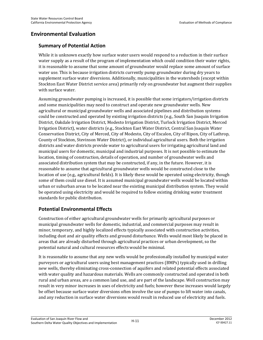## **Environmental Evaluation**

#### **Summary of Potential Action**

While it is unknown exactly how surface water users would respond to a reduction in their surface water supply as a result of the program of implementation which could condition their water rights, it is reasonable to assume that some amount of groundwater would replace some amount of surface water use. This is because irrigation districts currently pump groundwater during dry years to supplement surface water diversions. Additionally, municipalities in the watersheds (except within Stockton East Water District service area) primarily rely on groundwater but augment their supplies with surface water.

Assuming groundwater pumping is increased, it is possible that some irrigators/irrigation districts and some municipalities may need to construct and operate new groundwater wells. New agricultural or municipal groundwater wells and associated pipelines and distribution systems could be constructed and operated by existing irrigation districts (e.g., South San Joaquin Irrigation District, Oakdale Irrigation District, Modesto Irrigation District, Turlock Irrigation District, Merced Irrigation District), water districts (e.g., Stockton East Water District, Central San Joaquin Water Conservation District, City of Merced, City of Modesto, City of Escalon, City of Ripon, City of Lathrop, County of Stockton, Stevinson Water District), or individual agricultural users. Both the irrigation districts and water districts provide water to agricultural users for irrigating agricultural land and municipal users for domestic, municipal and industrial purposes. It is not possible to estimate the location, timing of construction, details of operation, and number of groundwater wells and associated distribution system that may be constructed, if any, in the future. However, it is reasonable to assume that agricultural groundwater wells would be constructed close to the location of use (e.g., agricultural fields). It is likely these would be operated using electricity, though some of them could use diesel. It is assumed municipal groundwater wells would be located within urban or suburban areas to be located near the existing municipal distribution system. They would be operated using electricity and would be required to follow existing drinking water treatment standards for public distribution.

#### **Potential Environmental Effects**

Construction of either agricultural groundwater wells for primarily agricultural purposes or municipal groundwater wells for domestic, industrial, and commercial purposes may result in minor, temporary, and highly localized effects typically associated with construction activities, including dust and air quality effects and ground disturbance. Wells would most likely be placed in areas that are already disturbed through agricultural practices or urban development, so the potential natural and cultural resources effects would be minimal.

It is reasonable to assume that any new wells would be professionally installed by municipal water purveyors or agricultural users using best management practices (BMPs) typically used in drilling new wells, thereby eliminating cross-connection of aquifers and related potential effects associated with water quality and hazardous materials. Wells are commonly constructed and operated in both rural and urban areas, are a common land use, and are part of the landscape. Well construction may result in very minor increases in uses of electricity and fuels; however these increases would largely be offset because surface water diversions often involve the use of pumps to lift water into canals, and any reduction in surface water diversions would result in reduced use of electricity and fuels.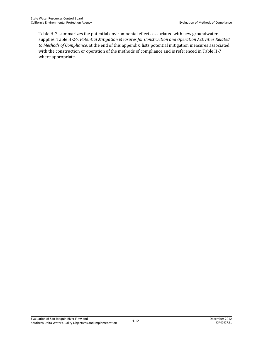Table H-7 summarizes the potential environmental effects associated with new groundwater supplies. Table H-24, *Potential Mitigation Measures for Construction and Operation Activities Related to Methods of Compliance*, at the end of this appendix, lists potential mitigation measures associated with the construction or operation of the methods of compliance and is referenced in Table H-7 where appropriate.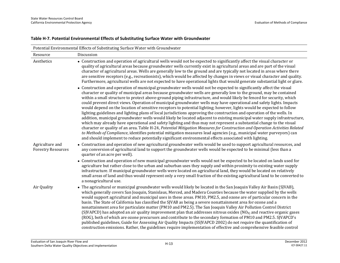| Resource                  | Discussion                                                                                                                                                                                                                                                                                                                                                                                                                                                                                                                                                                                                                                                                                                                                                                                                                                                                                                                                                                                                                                                                                                                                                                                                                                                                                                                                                                                                                                                                                             |
|---------------------------|--------------------------------------------------------------------------------------------------------------------------------------------------------------------------------------------------------------------------------------------------------------------------------------------------------------------------------------------------------------------------------------------------------------------------------------------------------------------------------------------------------------------------------------------------------------------------------------------------------------------------------------------------------------------------------------------------------------------------------------------------------------------------------------------------------------------------------------------------------------------------------------------------------------------------------------------------------------------------------------------------------------------------------------------------------------------------------------------------------------------------------------------------------------------------------------------------------------------------------------------------------------------------------------------------------------------------------------------------------------------------------------------------------------------------------------------------------------------------------------------------------|
| Aesthetics                | • Construction and operation of agricultural wells would not be expected to significantly affect the visual character or<br>quality of agricultural areas because groundwater wells currently exist in agricultural areas and are part of the visual<br>character of agricultural areas. Wells are generally low to the ground and are typically not located in areas where there<br>are sensitive receptors (e.g., recreationists), which would be affected by changes in views or visual character and quality.<br>Furthermore, agricultural wells are not expected to have operational lights that would generate substantial light or glare.                                                                                                                                                                                                                                                                                                                                                                                                                                                                                                                                                                                                                                                                                                                                                                                                                                                       |
| Agriculture and           | • Construction and operation of municipal groundwater wells would not be expected to significantly affect the visual<br>character or quality of municipal areas because groundwater wells are generally low to the ground, may be contained<br>within a small structure to protect above-ground piping infrastructure, and would likely be fenced for security, which<br>could prevent direct views. Operation of municipal groundwater wells may have operational and safety lights. Impacts<br>would depend on the location of sensitive receptors to potential lighting; however, lights would be expected to follow<br>lighting guidelines and lighting plans of local jurisdictions approving the construction and operation of the wells. In<br>addition, municipal groundwater wells would likely be located adjacent to existing municipal water supply infrastructure,<br>which may already have operational and safety lighting and thus may not represent a substantial change to the visual<br>character or quality of an area. Table H-24, Potential Mitigation Measures for Construction and Operation Activities Related<br>to Methods of Compliance, identifies potential mitigation measures lead agencies (e.g., municipal water purveyors) can<br>and should implement to reduce potentially significant environmental effects associated with lighting.<br>• Construction and operation of new agricultural groundwater wells would be used to support agricultural resources, and |
| <b>Forestry Resources</b> | any conversion of agricultural land to support the groundwater wells would be expected to be minimal (less than a<br>quarter of an acre per well).<br>• Construction and operation of new municipal groundwater wells would not be expected to be located on lands used for                                                                                                                                                                                                                                                                                                                                                                                                                                                                                                                                                                                                                                                                                                                                                                                                                                                                                                                                                                                                                                                                                                                                                                                                                            |
|                           | agriculture but rather close to the urban and suburban uses they supply and within proximity to existing water supply<br>infrastructure. If municipal groundwater wells were located on agricultural land, they would be located on relatively<br>small areas of land and thus would represent only a very small fraction of the existing agricultural land to be converted to<br>a nonagricultural use.                                                                                                                                                                                                                                                                                                                                                                                                                                                                                                                                                                                                                                                                                                                                                                                                                                                                                                                                                                                                                                                                                               |
| Air Quality               | • The agricultural or municipal groundwater wells would likely be located in the San Joaquin Valley Air Basin (SJVAB),<br>which generally covers San Joaquin, Stanislaus, Merced, and Madera Counties because the water supplied by the wells<br>would support agricultural and municipal uses in these areas. PM10, PM2.5, and ozone are of particular concern in the<br>basin. The State of California has classified the SJVAB as being a severe nonattainment area for ozone and a<br>nonattainment area for particulate matter (PM10 and PM2.5). The San Joaquin Valley Air Pollution Control District<br>(SJVAPCD) has adopted an air quality improvement plan that addresses nitrous oxides ( $NOX$ ) and reactive organic gases<br>(ROG), both of which are ozone precursors and contribute to the secondary formation of PM10 and PM2.5. SJVAPCD's<br>published guidelines, Guide for Assessing Air Quality Impacts (SSJVAPCD 2002) do not require the quantification of<br>construction emissions. Rather, the guidelines require implementation of effective and comprehensive feasible control                                                                                                                                                                                                                                                                                                                                                                                             |

#### **Table H-7. Potential Environmental Effects of Substituting Surface Water with Groundwater**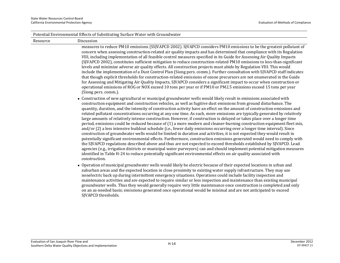|          | Potential Environmental Effects of Substituting Surface Water with Groundwater                                                                                                                                                                                                                                                                                                                                                                                                                                                                                                                                                                                                                                                                                                                                                                                                                                                                                                                                                                                                                                                                                                                                                                                                                                                                                                                                                                                                                                                |
|----------|-------------------------------------------------------------------------------------------------------------------------------------------------------------------------------------------------------------------------------------------------------------------------------------------------------------------------------------------------------------------------------------------------------------------------------------------------------------------------------------------------------------------------------------------------------------------------------------------------------------------------------------------------------------------------------------------------------------------------------------------------------------------------------------------------------------------------------------------------------------------------------------------------------------------------------------------------------------------------------------------------------------------------------------------------------------------------------------------------------------------------------------------------------------------------------------------------------------------------------------------------------------------------------------------------------------------------------------------------------------------------------------------------------------------------------------------------------------------------------------------------------------------------------|
| Resource | Discussion                                                                                                                                                                                                                                                                                                                                                                                                                                                                                                                                                                                                                                                                                                                                                                                                                                                                                                                                                                                                                                                                                                                                                                                                                                                                                                                                                                                                                                                                                                                    |
|          | measures to reduce PM10 emissions (SSJVAPCD 2002). SJVAPCD considers PM10 emissions to be the greatest pollutant of<br>concern when assessing construction-related air quality impacts and has determined that compliance with its Regulation<br>VIII, including implementation of all feasible control measures specified in its Guide for Assessing Air Quality Impacts<br>(SJVAPCD 2002), constitutes sufficient mitigation to reduce construction-related PM10 emissions to less-than-significant<br>levels and minimize adverse air quality effects. All construction projects must abide by Regulation VIII. This would<br>include the implementation of a Dust Control Plan (Siong pers. comm.). Further consultation with SJVAPCD staff indicates<br>that though explicit thresholds for construction-related emissions of ozone precursors are not enumerated in the Guide<br>for Assessing and Mitigating Air Quality Impacts, SJVAPCD considers a significant impact to occur when construction or<br>operational emissions of ROG or NOX exceed 10 tons per year or if PM10 or PM2.5 emissions exceed 15 tons per year<br>(Siong pers. comm.).                                                                                                                                                                                                                                                                                                                                                                    |
|          | • Construction of new agricultural or municipal groundwater wells would likely result in emissions associated with<br>construction equipment and construction vehicles, as well as fugitive dust emissions from ground disturbance. The<br>quantity, duration, and the intensity of construction activity have an effect on the amount of construction emissions and<br>related pollutant concentrations occurring at any one time. As such, more emissions are typically generated by relatively<br>large amounts of relatively intense construction. However, if construction is delayed or takes place over a longer time<br>period, emissions could be reduced because of (1) a more modern and cleaner-burning construction equipment fleet mix,<br>and/or (2) a less intensive buildout schedule (i.e., fewer daily emissions occurring over a longer time interval). Since<br>construction of groundwater wells would be limited in duration and activities, it is not expected they would result in<br>potentially significant environmental effects. Furthermore, construction emissions generated would need to comply with<br>the SJVAPCD regulations described above and thus are not expected to exceed thresholds established by SJVAPCD. Lead<br>agencies (e.g., irrigation districts or municipal water purveyors) can and should implement potential mitigation measures<br>identified in Table H-24 to reduce potentially significant environmental effects on air quality associated with<br>construction. |
|          | • Operation of municipal groundwater wells would likely be electric because of their expected locations in urban and<br>suburban areas and the expected location in close proximity to existing water supply infrastructure. They may use<br>nonelectric back up during intermittent emergency situations. Operations could include facility inspection and<br>maintenance activities and are expected to require similar or less inspection and maintenance than existing municipal<br>الالتانية والمستحدث والمواردة والمستحدث المستقات المستقاة والمستقاة والمستقاة والمستقاة والمستقاة والمستقاة والمستقاة                                                                                                                                                                                                                                                                                                                                                                                                                                                                                                                                                                                                                                                                                                                                                                                                                                                                                                                 |

groundwater wells. Thus they would generally require very little maintenance once construction is completed and only on an as-needed basis; emissions generated once operational would be minimal and are not anticipated to exceed SJVAPCD thresholds.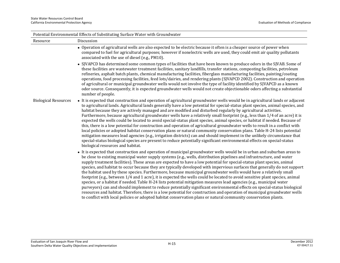| Potential Environmental Effects of Substituting Surface Water with Groundwater |                                                                                                                                                                                                                                                                                                                                                                                                                                                                                                                                                                                                                                                                                                                                                                                                                                                                                                                                                                                                                                                                                                                                                                                                           |  |  |  |
|--------------------------------------------------------------------------------|-----------------------------------------------------------------------------------------------------------------------------------------------------------------------------------------------------------------------------------------------------------------------------------------------------------------------------------------------------------------------------------------------------------------------------------------------------------------------------------------------------------------------------------------------------------------------------------------------------------------------------------------------------------------------------------------------------------------------------------------------------------------------------------------------------------------------------------------------------------------------------------------------------------------------------------------------------------------------------------------------------------------------------------------------------------------------------------------------------------------------------------------------------------------------------------------------------------|--|--|--|
| Resource                                                                       | Discussion                                                                                                                                                                                                                                                                                                                                                                                                                                                                                                                                                                                                                                                                                                                                                                                                                                                                                                                                                                                                                                                                                                                                                                                                |  |  |  |
|                                                                                | • Operation of agricultural wells are also expected to be electric because it often is a cheaper source of power when<br>compared to fuel for agricultural purposes; however if nonelectric wells are used, they could emit air quality pollutants<br>associated with the use of diesel (e.g., PM10).                                                                                                                                                                                                                                                                                                                                                                                                                                                                                                                                                                                                                                                                                                                                                                                                                                                                                                     |  |  |  |
|                                                                                | • SJVAPCD has determined some common types of facilities that have been known to produce odors in the SJVAB. Some of<br>these facilities are wastewater treatment facilities, sanitary landfills, transfer stations, composting facilities, petroleum<br>refineries, asphalt batch plants, chemical manufacturing facilities, fiberglass manufacturing facilities, painting/coating<br>operations, food processing facilities, feed lots/dairies, and rendering plants (SJVAPCD 2002). Construction and operation<br>of agricultural or municipal groundwater wells would not involve the type of facility identified by SJVAPCD as a known<br>odor source. Consequently, it is expected groundwater wells would not create objectionable odors affecting a substantial<br>number of people.                                                                                                                                                                                                                                                                                                                                                                                                              |  |  |  |
| <b>Biological Resources</b>                                                    | • It is expected that construction and operation of agricultural groundwater wells would be in agricultural lands or adjacent<br>to agricultural lands. Agricultural lands generally have a low potential for special-status plant species, animal species, and<br>habitat because they are actively managed and are modified and disturbed regularly by agricultural activities.<br>Furthermore, because agricultural groundwater wells have a relatively small footprint (e.g., less than 1/4 of an acre) it is<br>expected the wells could be located to avoid special-status plant species, animal species, or habitat if needed. Because of<br>this, there is a low potential for construction and operation of agricultural groundwater wells to result in a conflict with<br>local policies or adopted habitat conservation plans or natural community conservation plans. Table H-24 lists potential<br>mitigation measures lead agencies (e.g., irrigation districts) can and should implement in the unlikely circumstance that<br>special-status biological species are present to reduce potentially significant environmental effects on special-status<br>biological resources and habitat. |  |  |  |
|                                                                                | • It is expected that construction and operation of municipal groundwater wells would be in urban and suburban areas to<br>be close to existing municipal water supply systems (e.g., wells, distribution pipelines and infrastructure, and water<br>supply treatment facilities). These areas are expected to have a low potential for special-status plant species, animal<br>species, and habitat to occur because they are typically developed with impervious surfaces that generally do not support<br>the habitat used by these species. Furthermore, because municipal groundwater wells would have a relatively small<br>footprint (e.g., between 1/4 and 1 acre), it is expected the wells could be located to avoid sensitive plant species, animal<br>species, or a habitat if needed. Table H-24 lists potential mitigation measures lead agencies (e.g., municipal water<br>purveyors) can and should implement to reduce potentially significant environmental effects on special-status biological<br>resources and habitat. Therefore, there is a low potential for construction and operation of municipal groundwater wells                                                            |  |  |  |

to conflict with local policies or adopted habitat conservation plans or natural community conservation plants.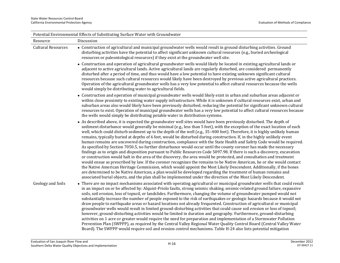|                           | Potential Environmental Effects of Substituting Surface Water with Groundwater                                                                                                                                                                                                                                                                                                                                                                                                                                                                                                                                                                                                                                                                                                                                                                                                                                                                                                                                                                                                                                                                                                                                                                                                                                                                                                                                                                                                                   |
|---------------------------|--------------------------------------------------------------------------------------------------------------------------------------------------------------------------------------------------------------------------------------------------------------------------------------------------------------------------------------------------------------------------------------------------------------------------------------------------------------------------------------------------------------------------------------------------------------------------------------------------------------------------------------------------------------------------------------------------------------------------------------------------------------------------------------------------------------------------------------------------------------------------------------------------------------------------------------------------------------------------------------------------------------------------------------------------------------------------------------------------------------------------------------------------------------------------------------------------------------------------------------------------------------------------------------------------------------------------------------------------------------------------------------------------------------------------------------------------------------------------------------------------|
| Resource                  | Discussion                                                                                                                                                                                                                                                                                                                                                                                                                                                                                                                                                                                                                                                                                                                                                                                                                                                                                                                                                                                                                                                                                                                                                                                                                                                                                                                                                                                                                                                                                       |
| <b>Cultural Resources</b> | • Construction of agricultural and municipal groundwater wells would result in ground disturbing activities. Ground<br>disturbing activities have the potential to affect significant unknown cultural resources (e.g., buried archeological<br>resources or paleontological resources) if they exist at the groundwater well site.                                                                                                                                                                                                                                                                                                                                                                                                                                                                                                                                                                                                                                                                                                                                                                                                                                                                                                                                                                                                                                                                                                                                                              |
|                           | • Construction and operation of agricultural groundwater wells would likely be located in existing agricultural lands or<br>adjacent to active agricultural lands. Active agricultural lands are regularly disturbed, are considered permanently<br>disturbed after a period of time, and thus would have a low potential to have existing unknown significant cultural<br>resources because such cultural resources would likely have been destroyed by previous active agricultural practices.<br>Operation of the agricultural groundwater wells has a very low potential to affect cultural resources because the wells<br>would simply be distributing water to agricultural fields.                                                                                                                                                                                                                                                                                                                                                                                                                                                                                                                                                                                                                                                                                                                                                                                                        |
|                           | • Construction and operation of municipal groundwater wells would likely exist in urban and suburban areas adjacent or<br>within close proximity to existing water supply infrastructure. While it is unknown if cultural resources exist, urban and<br>suburban areas also would likely have been previously disturbed, reducing the potential for significant unknown cultural<br>resources to exist. Operation of municipal groundwater wells has a very low potential to affect cultural resources because<br>the wells would simply be distributing potable water in distribution systems.                                                                                                                                                                                                                                                                                                                                                                                                                                                                                                                                                                                                                                                                                                                                                                                                                                                                                                  |
|                           | • As described above, it is expected the groundwater well sites would have been previously disturbed. The depth of<br>sediment disturbance would generally be minimal (e.g., less than 5 feet), with the exception of the exact location of each<br>well, which could disturb sediment up to the depth of the well (e.g., 35-400 feet). Therefore, it is highly unlikely human<br>remains, typically buried at depths of 6 feet, would be disturbed during construction. If, in the highly unlikely event<br>human remains are uncovered during construction, compliance with the State Health and Safety Code would be required.<br>As specified by Section 7050.5, no further disturbance would occur until the county coroner has made the necessary<br>findings as to origin and disposition pursuant to Public Resources Code 5097.98. If there is such a discovery, excavation<br>or construction would halt in the area of the discovery, the area would be protected, and consultation and treatment<br>would ensue as prescribed by law. If the coroner recognizes the remains to be Native American, he or she would contact<br>the Native American Heritage Commission, which would appoint the Most Likely Descendent. Additionally, if the bones<br>are determined to be Native American, a plan would be developed regarding the treatment of human remains and<br>associated burial objects, and the plan shall be implemented under the direction of the Most Likely Descendent. |
| Geology and Soils         | • There are no impact mechanisms associated with operating agricultural or municipal groundwater wells that could result<br>in an impact on or be affected by: Alquist-Priolo faults, strong seismic shaking, seismic-related ground failure, expansive<br>soils, soil erosion, loss of topsoil, or landslides. Furthermore, changing the volume of groundwater pumped would not<br>substantially increase the number of people exposed to the risk of earthquakes or geologic hazards because it would not<br>draw people to earthquake areas or hazard locations not already frequented. Construction of agricultural or municipal<br>groundwater wells would result in limited ground-disturbing activities that could cause soil erosion or loss of topsoil;<br>however, ground-disturbing activities would be limited in duration and geography. Furthermore, ground-disturbing<br>activities on 1 acre or greater would require the need for preparation and implementation of a Stormwater Pollution<br>Prevention Plan (SWPPP), as required by the Central Valley Regional Water Quality Control Board (Central Valley Water<br>Board). The SWPPP would require soil and erosion control mechanisms. Table H-24 also lists potential mitigation                                                                                                                                                                                                                                          |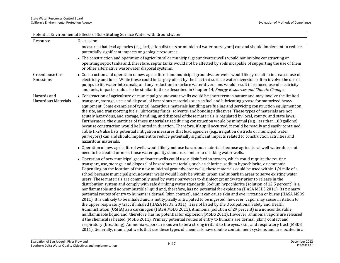| Potential Environmental Effects of Substituting Surface Water with Groundwater |                                                                                                                                                                                                                                                                                                                                                                                                                                                                                                                                                                                                                                                                                                                                                                                                                                                                                                                                                                                                                                                                                                                                                                                                                                                                                                                                                                                                                                                                                                                                                                                                                                                                                                                                                                                                                                                          |  |  |
|--------------------------------------------------------------------------------|----------------------------------------------------------------------------------------------------------------------------------------------------------------------------------------------------------------------------------------------------------------------------------------------------------------------------------------------------------------------------------------------------------------------------------------------------------------------------------------------------------------------------------------------------------------------------------------------------------------------------------------------------------------------------------------------------------------------------------------------------------------------------------------------------------------------------------------------------------------------------------------------------------------------------------------------------------------------------------------------------------------------------------------------------------------------------------------------------------------------------------------------------------------------------------------------------------------------------------------------------------------------------------------------------------------------------------------------------------------------------------------------------------------------------------------------------------------------------------------------------------------------------------------------------------------------------------------------------------------------------------------------------------------------------------------------------------------------------------------------------------------------------------------------------------------------------------------------------------|--|--|
| Resource                                                                       | Discussion                                                                                                                                                                                                                                                                                                                                                                                                                                                                                                                                                                                                                                                                                                                                                                                                                                                                                                                                                                                                                                                                                                                                                                                                                                                                                                                                                                                                                                                                                                                                                                                                                                                                                                                                                                                                                                               |  |  |
|                                                                                | measures that lead agencies (e.g., irrigation districts or municipal water purveyors) can and should implement to reduce<br>potentially significant impacts on geologic resources.                                                                                                                                                                                                                                                                                                                                                                                                                                                                                                                                                                                                                                                                                                                                                                                                                                                                                                                                                                                                                                                                                                                                                                                                                                                                                                                                                                                                                                                                                                                                                                                                                                                                       |  |  |
|                                                                                | • The construction and operation of agricultural or municipal groundwater wells would not involve constructing or<br>operating septic tanks and, therefore, septic tanks would not be affected by soils incapable of supporting the use of them<br>or other alternative wastewater disposal systems.                                                                                                                                                                                                                                                                                                                                                                                                                                                                                                                                                                                                                                                                                                                                                                                                                                                                                                                                                                                                                                                                                                                                                                                                                                                                                                                                                                                                                                                                                                                                                     |  |  |
| Greenhouse Gas<br>Emissions                                                    | • Construction and operation of new agricultural and municipal groundwater wells would likely result in increased use of<br>electricity and fuels. While these could be largely offset by the fact that surface water diversions often involve the use of<br>pumps to lift water into canals, and any reduction in surface water diversions would result in reduced use of electricity<br>and fuels, impacts could also be similar to those described in Chapter 14, Energy Resources and Climate Change.                                                                                                                                                                                                                                                                                                                                                                                                                                                                                                                                                                                                                                                                                                                                                                                                                                                                                                                                                                                                                                                                                                                                                                                                                                                                                                                                                |  |  |
| Hazards and<br><b>Hazardous Materials</b>                                      | • Construction of agriculture or municipal groundwater wells would be short term in nature and may involve the limited<br>transport, storage, use, and disposal of hazardous materials such as fuel and lubricating grease for motorized heavy<br>equipment. Some examples of typical hazardous materials handling are fueling and servicing construction equipment on<br>the site, and transporting fuels, lubricating fluids, solvents, and bonding adhesives. These types of materials are not<br>acutely hazardous, and storage, handling, and disposal of these materials is regulated by local, county, and state laws.<br>Furthermore, the quantities of these materials used during construction would be minimal (e.g., less than 100 gallons)<br>because construction would be limited in duration. Therefore, if a spill occurred, it could be readily and easily contained.<br>Table H-24 also lists potential mitigation measures that lead agencies (e.g., irrigation districts or municipal water<br>purveyors) can and should implement to reduce potentially significant impacts related to construction activities and<br>hazardous materials.                                                                                                                                                                                                                                                                                                                                                                                                                                                                                                                                                                                                                                                                                         |  |  |
|                                                                                | • Operation of new agricultural wells would likely not use hazardous materials because agricultural well water does not<br>need to be treated or meet those water quality standards similar to drinking water wells.                                                                                                                                                                                                                                                                                                                                                                                                                                                                                                                                                                                                                                                                                                                                                                                                                                                                                                                                                                                                                                                                                                                                                                                                                                                                                                                                                                                                                                                                                                                                                                                                                                     |  |  |
|                                                                                | • Operation of new municipal groundwater wells could use a disinfection system, which could require the routine<br>transport, use, storage, and disposal of hazardous materials, such as chlorine, sodium hypochlorite, or ammonia.<br>Depending on the location of the new municipal groundwater wells, these materials could be used within 1/4 mile of a<br>school because municipal groundwater wells would likely be within urban and suburban areas to serve existing water<br>users. These materials are commonly used by water purveyors to disinfect groundwater prior to release in the<br>distribution system and comply with safe drinking water standards. Sodium hypochlorite (solution of 12.5 percent) is a<br>nonflammable and noncombustible liquid and, therefore, has no potential for explosion (HASA MSDS 2011). Its primary<br>potential routes of entry to humans is dermal (skin contact), and it can cause skin and eye irritation or burns (HASA MSDS<br>2011). It is unlikely to be inhaled and is not typically anticipated to be ingested; however, vapor may cause irritation to<br>the upper respiratory tract if inhaled (HASA MSDS. 2011). It is not listed by the Occupational Safety and Health<br>Administration (OSHA) as a carcinogen (HASA MSDS 2011). Ammonia (solution of 29 percent) is a noncombustible,<br>nonflammable liquid and, therefore, has no potential for explosion (MSDS 2011). However, ammonia vapors are released<br>if the chemical is heated (MSDS 2011). Primary potential routes of entry to humans are dermal (skin) contact and<br>respiratory (breathing). Ammonia vapors are known to be a strong irritant to the eyes, skin, and respiratory tract (MSDS<br>2011). Generally, municipal wells that use these types of chemicals have double containment systems and are located in a |  |  |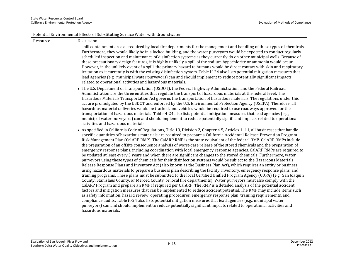| Potential Environmental Effects of Substituting Surface Water with Groundwater |                                                                                                                                                                                                                                                                                                                                                                                                                                                                                                                                                                                                                                                                                                                                                                                                                                                                                                                                                                                                                                                                                                                                                                                                                                                                                                                                                                                                                                                                                                                                                                                                                                                                                                                                                                                                                                                                                                                                                                                                                        |  |
|--------------------------------------------------------------------------------|------------------------------------------------------------------------------------------------------------------------------------------------------------------------------------------------------------------------------------------------------------------------------------------------------------------------------------------------------------------------------------------------------------------------------------------------------------------------------------------------------------------------------------------------------------------------------------------------------------------------------------------------------------------------------------------------------------------------------------------------------------------------------------------------------------------------------------------------------------------------------------------------------------------------------------------------------------------------------------------------------------------------------------------------------------------------------------------------------------------------------------------------------------------------------------------------------------------------------------------------------------------------------------------------------------------------------------------------------------------------------------------------------------------------------------------------------------------------------------------------------------------------------------------------------------------------------------------------------------------------------------------------------------------------------------------------------------------------------------------------------------------------------------------------------------------------------------------------------------------------------------------------------------------------------------------------------------------------------------------------------------------------|--|
| Resource                                                                       | Discussion                                                                                                                                                                                                                                                                                                                                                                                                                                                                                                                                                                                                                                                                                                                                                                                                                                                                                                                                                                                                                                                                                                                                                                                                                                                                                                                                                                                                                                                                                                                                                                                                                                                                                                                                                                                                                                                                                                                                                                                                             |  |
|                                                                                | spill containment area as required by local fire departments for the management and handling of these types of chemicals.<br>Furthermore, they would likely be in a locked building, and the water purveyors would be expected to conduct regularly<br>scheduled inspection and maintenance of disinfection systems as they currently do on other municipal wells. Because of<br>these precautionary design features, it is highly unlikely a spill of the sodium hypochlorite or ammonia would occur.<br>However, in the unlikely event of a spill, the primary hazard to humans would be direct contact with skin and respiratory<br>irritation as it currently is with the existing disinfection system. Table H-24 also lists potential mitigation measures that<br>lead agencies (e.g., municipal water purveyors) can and should implement to reduce potentially significant impacts<br>related to operational activities and hazardous materials.                                                                                                                                                                                                                                                                                                                                                                                                                                                                                                                                                                                                                                                                                                                                                                                                                                                                                                                                                                                                                                                               |  |
|                                                                                | • The U.S. Department of Transportation (USDOT), the Federal Highway Administration, and the Federal Railroad<br>Administration are the three entities that regulate the transport of hazardous materials at the federal level. The<br>Hazardous Materials Transportation Act governs the transportation of hazardous materials. The regulations under this<br>act are promulgated by the USDOT and enforced by the U.S. Environmental Protection Agency (USEPA). Therefore, all<br>hazardous material deliveries would be tracked, and vehicles would be required to use roadways approved for the<br>transportation of hazardous materials. Table H-24 also lists potential mitigation measures that lead agencies (e.g.,<br>municipal water purveyors) can and should implement to reduce potentially significant impacts related to operational<br>activities and hazardous materials.                                                                                                                                                                                                                                                                                                                                                                                                                                                                                                                                                                                                                                                                                                                                                                                                                                                                                                                                                                                                                                                                                                                             |  |
|                                                                                | • As specified in California Code of Regulations, Title 19, Division 2, Chapter 4.5, Articles 1-11, all businesses that handle<br>specific quantities of hazardous materials are required to prepare a California Accidental Release Prevention Program<br>Risk Management Plan (CalARP RMP). The CalARP RMP is the state equivalent of the federal RMP. CalARP RMPs include<br>the preparation of an offsite consequence analysis of worst-case release of the stored chemicals and the preparation of<br>emergency response plans, including coordination with local emergency response agencies. CalARP RMPs are required to<br>be updated at least every 5 years and when there are significant changes to the stored chemicals. Furthermore, water<br>purveyors using these types of chemicals for their disinfection systems would be subject to the Hazardous Materials<br>Release Response Plans and Inventory Act (also known as the Business Plan Act), which requires an entity or business<br>using hazardous materials to prepare a business plan describing the facility, inventory, emergency response plans, and<br>training programs. These plans must be submitted to the local Certified Unified Program Agency (CUPA) (e.g., San Joaquin<br>County, Stanislaus County, or Merced County, or local fire departments). Water purveyors must also comply with the<br>CalARP Program and prepare an RMP if required per CalARP. The RMP is a detailed analysis of the potential accident<br>factors and mitigation measures that can be implemented to reduce accident potential. The RMP may include items such<br>as safety information, hazard review, operating procedures, emergency response plan, training requirements, and<br>compliance audits. Table H-24 also lists potential mitigation measures that lead agencies (e.g., municipal water<br>purveyors) can and should implement to reduce potentially significant impacts related to operational activities and<br>hazardous materials. |  |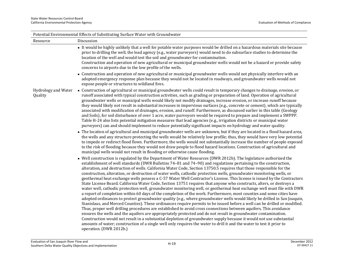| Potential Environmental Effects of Substituting Surface Water with Groundwater |                                                                                                                                                                                                                                                                                                                                                                                                                                                                                                                                                                                                                                                                                                                                                                                                                                                                                                                                                                                                                                                                                                                                                                                                                                                                                                                                                                                                                                                                                                                                                                                                                                                                                                                                                                       |  |  |
|--------------------------------------------------------------------------------|-----------------------------------------------------------------------------------------------------------------------------------------------------------------------------------------------------------------------------------------------------------------------------------------------------------------------------------------------------------------------------------------------------------------------------------------------------------------------------------------------------------------------------------------------------------------------------------------------------------------------------------------------------------------------------------------------------------------------------------------------------------------------------------------------------------------------------------------------------------------------------------------------------------------------------------------------------------------------------------------------------------------------------------------------------------------------------------------------------------------------------------------------------------------------------------------------------------------------------------------------------------------------------------------------------------------------------------------------------------------------------------------------------------------------------------------------------------------------------------------------------------------------------------------------------------------------------------------------------------------------------------------------------------------------------------------------------------------------------------------------------------------------|--|--|
| Resource                                                                       | Discussion                                                                                                                                                                                                                                                                                                                                                                                                                                                                                                                                                                                                                                                                                                                                                                                                                                                                                                                                                                                                                                                                                                                                                                                                                                                                                                                                                                                                                                                                                                                                                                                                                                                                                                                                                            |  |  |
|                                                                                | • It would be highly unlikely that a well for potable water purposes would be drilled on a hazardous materials site because<br>prior to drilling the well, the lead agency (e.g., water purveyors) would need to do subsurface studies to determine the<br>location of the well and would test the soil and groundwater for contamination.<br>Construction and operation of new agricultural or municipal groundwater wells would not be a hazard or provide safety<br>concerns to airports due to the low profile of the wells.                                                                                                                                                                                                                                                                                                                                                                                                                                                                                                                                                                                                                                                                                                                                                                                                                                                                                                                                                                                                                                                                                                                                                                                                                                      |  |  |
|                                                                                | • Construction and operation of new agricultural or municipal groundwater wells would not physically interfere with an<br>adopted emergency response plan because they would not be located in roadways, and groundwater wells would not<br>expose people or structures to wildland fires.                                                                                                                                                                                                                                                                                                                                                                                                                                                                                                                                                                                                                                                                                                                                                                                                                                                                                                                                                                                                                                                                                                                                                                                                                                                                                                                                                                                                                                                                            |  |  |
| Hydrology and Water<br>Quality                                                 | • Construction of agricultural or municipal groundwater wells could result in temporary changes to drainage, erosion, or<br>runoff associated with typical construction activities, such as grading or preparation of land. Operation of agricultural<br>groundwater wells or municipal wells would likely not modify drainages, increase erosion, or increase runoff because<br>they would likely not result in substantial increases in impervious surfaces (e.g., concrete or cement), which are typically<br>associated with modification of drainages, erosion, and runoff. Furthermore, as discussed earlier in this table (Geology<br>and Soils), for soil disturbance of over 1 acre, water purveyors would be required to prepare and implement a SWPPP.<br>Table H-24 also lists potential mitigation measures that lead agencies (e.g., irrigation districts or municipal water<br>purveyors) can and should implement to reduce potentially significant impacts on hydrology and water quality.<br>• The location of agricultural and municipal groundwater wells are unknown, but if they are located in a flood hazard area,<br>the wells and any structure protecting the wells would be relatively low profile; thus, they would have very low potential<br>to impede or redirect flood flows. Furthermore, the wells would not substantially increase the number of people exposed<br>to the risk of flooding because they would not draw people to flood hazard locations. Construction of agricultural and<br>municipal wells would not result in flooding or otherwise cause flooding.                                                                                                                                                            |  |  |
|                                                                                | • Well construction is regulated by the Department of Water Resources (DWR 2012b). The legislature authorized the<br>establishment of well standards (DWR Bulletins 74-81 and 74-90) and regulations pertaining to the construction,<br>alteration, and destruction of wells. California Water Code, Section 13750.5 requires that those responsible for the<br>construction, alteration, or destruction of water wells, cathodic protection wells, groundwater monitoring wells, or<br>geothermal heat exchange wells possess a C-57 Water Well Contractor's License. This license is issued by the Contractors<br>State License Board. California Water Code, Section 13751 requires that anyone who constructs, alters, or destroys a<br>water well, cathodic protection well, groundwater monitoring well, or geothermal heat exchange well must file with DWR<br>a report of completion within 60 days of the completion of the work. Furthermore, most counties and some cities have<br>adopted ordinances to protect groundwater quality (e.g., where groundwater wells would likely be drilled in San Joaquin,<br>Stanislaus, and Merced Counties). These ordinances require permits to be issued before a well can be drilled or modified.<br>Thus, proper well drilling procedures are established to avoid cross connections between aquifers. This avoidance<br>ensures the wells and the aquifers are appropriately protected and do not result in groundwater contamination.<br>Construction would not result in a substantial depletion of groundwater supply because it would not use substantial<br>amounts of water; construction of a single well only requires the water to drill it and the water to test it prior to<br>operation. (DWR 2012b.) |  |  |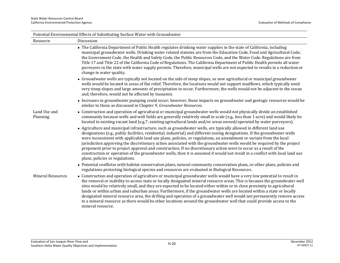| Potential Environmental Effects of Substituting Surface Water with Groundwater |                                                                                                                                                                                                                                                                                                                                                                                                                                                                                                                                                                                                                                                                                                                                                                                           |  |
|--------------------------------------------------------------------------------|-------------------------------------------------------------------------------------------------------------------------------------------------------------------------------------------------------------------------------------------------------------------------------------------------------------------------------------------------------------------------------------------------------------------------------------------------------------------------------------------------------------------------------------------------------------------------------------------------------------------------------------------------------------------------------------------------------------------------------------------------------------------------------------------|--|
| Resource                                                                       | Discussion                                                                                                                                                                                                                                                                                                                                                                                                                                                                                                                                                                                                                                                                                                                                                                                |  |
|                                                                                | • The California Department of Public Health regulates drinking water supplies in the state of California, including<br>municipal groundwater wells. Drinking water related statutes are from the Education Code, Food and Agricultural Code,<br>the Government Code, the Health and Safety Code, the Public Resources Code, and the Water Code. Regulations are from<br>Title 17 and Title 22 of the California Code of Regulations. The California Department of Public Health permits all water<br>purveyors in the state with water supply permits. Therefore, municipal wells are not expected to results in a reduction or<br>change in water quality.                                                                                                                              |  |
|                                                                                | • Groundwater wells are typically not located on the side of steep slopes, so new agricultural or municipal groundwater<br>wells would be located in areas of flat relief. Therefore, the locations would not support mudflows, which typically need<br>very steep slopes and large amounts of precipitation to occur. Furthermore, the wells would not be adjacent to the ocean<br>and, therefore, would not be affected by tsunamis.                                                                                                                                                                                                                                                                                                                                                    |  |
|                                                                                | • Increases in groundwater pumping could occur; however, these impacts on groundwater and geologic resources would be<br>similar to those as discussed in Chapter 9, Groundwater Resources.                                                                                                                                                                                                                                                                                                                                                                                                                                                                                                                                                                                               |  |
| Land Use and<br>Planning                                                       | • Construction and operation of agricultural or municipal groundwater wells would not physically divide an established<br>community because wells and well fields are generally relatively small in scale (e.g., less than 1 acre) and would likely be<br>located in existing vacant land (e.g.7, existing agricultural lands and/or areas owned/operated by water purveyors).                                                                                                                                                                                                                                                                                                                                                                                                            |  |
|                                                                                | • Agriculture and municipal infrastructure, such as groundwater wells, are typically allowed in different land use<br>designations (e.g., public facilities, residential, industrial) and different zoning designations. If the groundwater wells<br>were inconsistent with applicable land use plans, policies, or regulations, an amendment or variant from the local<br>jurisdiction approving the discretionary action associated with the groundwater wells would be required by the project<br>proponent prior to project approval and construction. If no discretionary action were to occur as a result of the<br>construction or operation of the groundwater wells, then it is assumed it would not result in a conflict with local land use<br>plans, policies or regulations. |  |
|                                                                                | • Potential conflictss with habitat conservation plans, natural community conservation plans, or other plans, policies and<br>regulations protecting biological species and resources are evaluated in Biological Resources.                                                                                                                                                                                                                                                                                                                                                                                                                                                                                                                                                              |  |
| <b>Mineral Resources</b>                                                       | • Construction and operation of agriculture or municipal groundwater wells would have a very low potential to result in<br>the removal or inability to access state or locally designated mineral resource areas. This is because the groundwater well<br>sites would be relatively small, and they are expected to be located either within or in close proximity to agricultural<br>lands or within urban and suburban areas. Furthermore, if the groundwater wells are located within a state or locally<br>designated mineral resource area, the drilling and operation of a groundwater well would not permanently remove access<br>to a mineral resource as there would be other locations around the groundwater well that could provide access to the<br>mineral resource.        |  |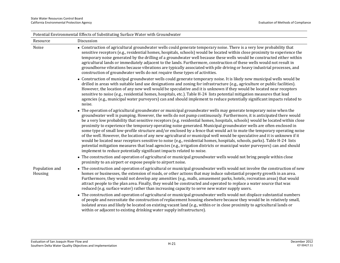| Potential Environmental Effects of Substituting Surface Water with Groundwater |                                                                                                                                                                                                                                                                                                                                                                                                                                                                                                                                                                                                                                                                                                                                                                                                                                                                                                                                                                                                                                                                                             |  |
|--------------------------------------------------------------------------------|---------------------------------------------------------------------------------------------------------------------------------------------------------------------------------------------------------------------------------------------------------------------------------------------------------------------------------------------------------------------------------------------------------------------------------------------------------------------------------------------------------------------------------------------------------------------------------------------------------------------------------------------------------------------------------------------------------------------------------------------------------------------------------------------------------------------------------------------------------------------------------------------------------------------------------------------------------------------------------------------------------------------------------------------------------------------------------------------|--|
| Resource                                                                       | Discussion                                                                                                                                                                                                                                                                                                                                                                                                                                                                                                                                                                                                                                                                                                                                                                                                                                                                                                                                                                                                                                                                                  |  |
| Noise                                                                          | • Construction of agricultural groundwater wells could generate temporary noise. There is a very low probability that<br>sensitive receptors (e.g., residential homes, hospitals, schools) would be located within close proximity to experience the<br>temporary noise generated by the drilling of a groundwater well because these wells would be constructed either within<br>agricultural lands or immediately adjacent to the lands. Furthermore, construction of these wells would not result in<br>groundborne vibrations because vibrations are typically associated with pile driving or heavy industrial processes, and<br>construction of groundwater wells do not require these types of activities.                                                                                                                                                                                                                                                                                                                                                                           |  |
|                                                                                | • Construction of municipal groundwater wells could generate temporary noise. It is likely new municipal wells would be<br>drilled in areas with suitable land use designations and zoning for infrastructure (e.g., agriculture or public facilities).<br>However, the location of any new well would be speculative and it is unknown if they would be located near receptors<br>sensitive to noise (e.g., residential homes, hospitals, etc.). Table H-24 lists potential mitigation measures that lead<br>agencies (e.g., municipal water purveyors) can and should implement to reduce potentially significant impacts related to<br>noise.                                                                                                                                                                                                                                                                                                                                                                                                                                            |  |
|                                                                                | • The operation of agricultural groundwater or municipal groundwater wells may generate temporary noise when the<br>groundwater well is pumping. However, the wells do not pump continuously. Furthermore, it is anticipated there would<br>be a very low probability that sensitive receptors (e.g. residential homes, hospitals, schools) would be located within close<br>proximity to experience the temporary operating noise generated. Municipal groundwater wells are often enclosed in<br>some type of small low-profile structure and/or enclosed by a fence that would act to mute the temporary operating noise<br>of the well. However, the location of any new agricultural or municipal well would be speculative and it is unknown if it<br>would be located near receptors sensitive to noise (e.g., residential homes, hospitals, schools, parks). Table H-24 lists<br>potential mitigation measures that lead agencies (e.g., irrigation districts or municipal water purveyors) can and should<br>implement to reduce potentially significant impacts related to noise. |  |
|                                                                                | • The construction and operation of agricultural or municipal groundwater wells would not bring people within close<br>proximity to an airport or expose people to airport noise.                                                                                                                                                                                                                                                                                                                                                                                                                                                                                                                                                                                                                                                                                                                                                                                                                                                                                                           |  |
| Population and<br>Housing                                                      | • The construction and operation of agricultural or municipal groundwater wells would not involve the construction of new<br>homes or businesses, the extension of roads, or other actions that may induce substantial property growth in an area.<br>Furthermore, they would not develop any amenities (e.g., malls, amusement parks, hotels, recreation areas) that would<br>attract people to the plan area. Finally, they would be constructed and operated to replace a water source that was<br>reduced (e.g. surface water) rather than increasing capacity to serve new water supply users.                                                                                                                                                                                                                                                                                                                                                                                                                                                                                         |  |
|                                                                                | • The construction and operation of agricultural or municipal groundwater wells would not displace substantial numbers<br>of people and necessitate the construction of replacement housing elsewhere because they would be in relatively small,<br>isolated areas and likely be located on existing vacant land (e.g., within or in close proximity to agricultural lands or<br>within or adjacent to existing drinking water supply infrastructure).                                                                                                                                                                                                                                                                                                                                                                                                                                                                                                                                                                                                                                      |  |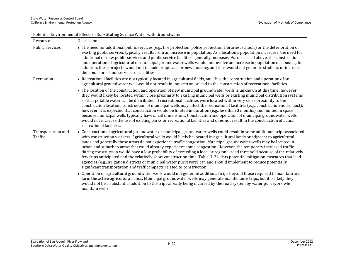| Potential Environmental Effects of Substituting Surface Water with Groundwater |                                                                                                                                                                                                                                                                                                                                                                                                                                                                                                                                                                                                                                                                                                                                                                                                                                                                                                                                                              |  |
|--------------------------------------------------------------------------------|--------------------------------------------------------------------------------------------------------------------------------------------------------------------------------------------------------------------------------------------------------------------------------------------------------------------------------------------------------------------------------------------------------------------------------------------------------------------------------------------------------------------------------------------------------------------------------------------------------------------------------------------------------------------------------------------------------------------------------------------------------------------------------------------------------------------------------------------------------------------------------------------------------------------------------------------------------------|--|
| Resource                                                                       | Discussion                                                                                                                                                                                                                                                                                                                                                                                                                                                                                                                                                                                                                                                                                                                                                                                                                                                                                                                                                   |  |
| <b>Public Services</b>                                                         | • The need for additional public services (e.g., fire protection, police protection, libraries, schools) or the deterioration of<br>existing public services typically results from an increase in population. As a location's population increases, the need for<br>additional or new public services and public service facilities generally increases. As discussed above, the construction<br>and operation of agricultural or municipal groundwater wells would not involve an increase in population or housing. In<br>addition, these projects would not include proposals for new housing, and thus would not generate students or increase<br>demands for school services or facilities.                                                                                                                                                                                                                                                            |  |
| Recreation                                                                     | • Recreational facilities are not typically located in agricultural fields, and thus the construction and operation of an<br>agricultural groundwater well would not result in impacts on or lead to the construction of recreational facilities.                                                                                                                                                                                                                                                                                                                                                                                                                                                                                                                                                                                                                                                                                                            |  |
|                                                                                | • The location of the construction and operation of new municipal groundwater wells is unknown at this time; however,<br>they would likely be located within close proximity to existing municipal wells or existing municipal distribution systems<br>so that potable water can be distributed. If recreational facilities were located within very close proximity to the<br>construction location, construction of municipal wells may affect the recreational facilities (e.g., construction noise, dust);<br>however, it is expected that construction would be limited in duration (e.g., less than 3 months) and limited in space<br>because municipal wells typically have small dimensions. Construction and operation of municipal groundwater wells<br>would not increase the use of existing parks or recreational facilities and does not result in the construction of actual<br>recreational facilities.                                      |  |
| Transportation and<br>Traffic                                                  | • Construction of agricultural groundwater or municipal groundwater wells could result in some additional trips associated<br>with construction workers. Agricultural wells would likely be located in agricultural lands or adjacent to agricultural<br>lands and generally these areas do not experience traffic congestion. Municipal groundwater wells may be located in<br>urban and suburban areas that could already experience some congestion. However, the temporary increased traffic<br>during construction would have a low probability of exceeding a local or regional road threshold because of the relatively<br>few trips anticipated and the relatively short construction time. Table H-24 lists potential mitigation measures that lead<br>agencies (e.g., irrigation districts or municipal water purveyors) can and should implement to reduce potentially<br>significant transportation and traffic impacts related to construction. |  |
|                                                                                | • Operation of agricultural groundwater wells would not generate additional trips beyond those required to maintain and<br>farm the active agricultural lands. Municipal groundwater wells may generate maintenance trips, but it is likely they<br>would not be a substantial addition to the trips already being incurred by the road system by water purveyors who<br>maintain wells.                                                                                                                                                                                                                                                                                                                                                                                                                                                                                                                                                                     |  |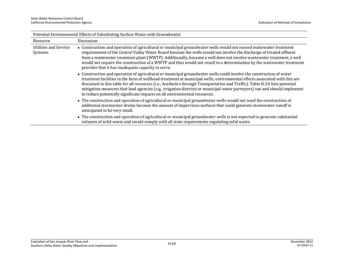| Potential Environmental Effects of Substituting Surface Water with Groundwater |                                                                                                                                                                                                                                                                                                                                                                                                                                                                                                                                                                                           |  |
|--------------------------------------------------------------------------------|-------------------------------------------------------------------------------------------------------------------------------------------------------------------------------------------------------------------------------------------------------------------------------------------------------------------------------------------------------------------------------------------------------------------------------------------------------------------------------------------------------------------------------------------------------------------------------------------|--|
| Resource                                                                       | Discussion                                                                                                                                                                                                                                                                                                                                                                                                                                                                                                                                                                                |  |
| Utilities and Service<br>Systems                                               | • Construction and operation of agricultural or municipal groundwater wells would not exceed wastewater treatment<br>requirements of the Central Valley Water Board because the wells would not involve the discharge of treated effluent<br>from a wastewater treatment plant (WWTP). Additionally, because a well does not involve wastewater treatment, a well<br>would not require the construction of a WWTP and thus would not result in a determination by the wastewater treatment<br>provider that it has inadequate capacity to serve.                                          |  |
|                                                                                | • Construction and operation of agricultural or municipal groundwater wells could involve the construction of water<br>treatment facilities in the form of wellhead treatment at municipal wells; environmental effects associated with this are<br>discussed in this table for all resources (i.e., Aesthetics through Transportation and Traffic). Table H-24 lists potential<br>mitigation measures that lead agencies (e.g., irrigation districts or municipal water purveyors) can and should implement<br>to reduce potentially significant impacts on all environmental resources. |  |
|                                                                                | • The construction and operation of agricultural or municipal groundwater wells would not need the construction of<br>additional stormwater drains because the amount of impervious surfaces that could generate stormwater runoff is<br>anticipated to be very small.                                                                                                                                                                                                                                                                                                                    |  |
|                                                                                | • The construction and operation of agricultural or municipal groundwater wells is not expected to generate substantial<br>volumes of solid waste and would comply with all state requirements regulating solid waste.                                                                                                                                                                                                                                                                                                                                                                    |  |

Potential Environmental Effects of Substituting Surface Water with Groundwater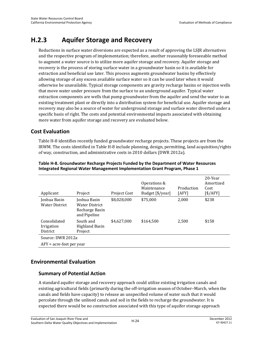## **H.2.3 Aquifer Storage and Recovery**

Reductions in surface water diversions are expected as a result of approving the LSJR alternatives and the respective program of implementation; therefore, another reasonably foreseeable method to augment a water source is to utilize more aquifer storage and recovery. Aquifer storage and recovery is the process of storing surface water in a groundwater basin so it is available for extraction and beneficial use later. This process augments groundwater basins by effectively allowing storage of any excess available surface water so it can be used later when it would otherwise be unavailable. Typical storage components are gravity recharge basins or injection wells that move water under pressure from the surface to an underground aquifer. Typical water extraction components are wells that pump groundwater from the aquifer and send the water to an existing treatment plant or directly into a distribution system for beneficial use. Aquifer storage and recovery may also be a source of water for underground storage and surface water diverted under a specific basis of right. The costs and potential environmental impacts associated with obtaining more water from aquifer storage and recovery are evaluated below.

### **Cost Evaluation**

Table H-8 identifies recently funded groundwater recharge projects. These projects are from the IRWM. The costs identified in Table H-8 include planning, design, permitting, land acquisition/rights of way, construction, and administrative costs in 2010 dollars (DWR 2012a).

| Applicant                                     | Project                                                                 | Project Cost | Operations &<br>Maintenance<br>Budget [\$/year] | Production<br>[AFY] | 20-Year<br>Amortized<br>Cost<br>\$/AFY] |
|-----------------------------------------------|-------------------------------------------------------------------------|--------------|-------------------------------------------------|---------------------|-----------------------------------------|
| Joshua Basin<br><b>Water District</b>         | Joshua Basin<br><b>Water District</b><br>Recharge Basin<br>and Pipeline | \$8,028,000  | \$75,000                                        | 2,000               | \$238                                   |
| Consolidated<br><i>Irrigation</i><br>District | South and<br>Highland Basin<br>Project                                  | \$4.627.000  | \$164.500                                       | 2.500               | \$158                                   |
| Source: DWR 2012a                             |                                                                         |              |                                                 |                     |                                         |
| $AFY = acre-free$ per year                    |                                                                         |              |                                                 |                     |                                         |

**Table H-8. Groundwater Recharge Projects Funded by the Department of Water Resources Integrated Regional Water Management Implementation Grant Program, Phase 1** 

## **Environmental Evaluation**

#### **Summary of Potential Action**

A standard aquifer storage and recovery approach could utilize existing irrigation canals and existing agricultural fields (primarily during the off-irrigation season of October–March, when the canals and fields have capacity) to release an unspecified volume of water such that it would percolate through the unlined canals and soil in the fields to recharge the groundwater. It is expected there would be no construction associated with this type of aquifer storage approach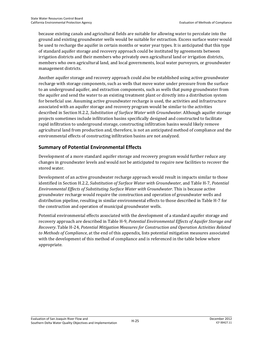because existing canals and agricultural fields are suitable for allowing water to percolate into the ground and existing groundwater wells would be suitable for extraction. Excess surface water would be used to recharge the aquifer in certain months or water year types. It is anticipated that this type of standard aquifer storage and recovery approach could be instituted by agreements between irrigation districts and their members who privately own agricultural land or irrigation districts, members who own agricultural land, and local governments, local water purveyors, or groundwater management districts.

Another aquifer storage and recovery approach could also be established using active groundwater recharge with storage components, such as wells that move water under pressure from the surface to an underground aquifer, and extraction components, such as wells that pump groundwater from the aquifer and send the water to an existing treatment plant or directly into a distribution system for beneficial use. Assuming active groundwater recharge is used, the activities and infrastructure associated with an aquifer storage and recovery program would be similar to the activities described in Section H.2.2, *Substitution of Surface Water with Groundwater*. Although aquifer storage projects sometimes include infiltration basins specifically designed and constructed to facilitate rapid infiltration to underground storage, constructing infiltration basins would likely remove agricultural land from production and, therefore, is not an anticipated method of compliance and the environmental effects of constructing infiltration basins are not analyzed.

#### **Summary of Potential Environmental Effects**

Development of a more standard aquifer storage and recovery program would further reduce any changes in groundwater levels and would not be anticipated to require new facilities to recover the stored water.

Development of an active groundwater recharge approach would result in impacts similar to those identified in Section H.2.2, *Substitution of Surface Water with Groundwater*, and Table H-7, *Potential Environmental Effects of Substituting Surface Water with Groundwater*. This is because active groundwater recharge would require the construction and operation of groundwater wells and distribution pipeline, resulting in similar environmental effects to those described in Table H-7 for the construction and operation of municipal groundwater wells.

Potential environmental effects associated with the development of a standard aquifer storage and recovery approach are described in Table H-9, *Potential Environmental Effects of Aquifer Storage and Recovery*. Table H-24, *Potential Mitigation Measures for Construction and Operation Activities Related to Methods of Compliance*, at the end of this appendix, lists potential mitigation measures associated with the development of this method of compliance and is referenced in the table below where appropriate.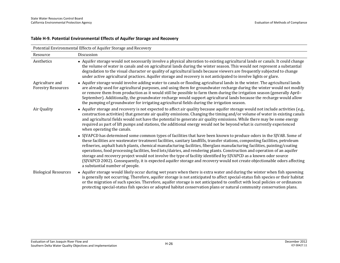#### **Table H-9. Potential Environmental Effects of Aquifer Storage and Recovery**

| Potential Environmental Effects of Aquifer Storage and Recovery |                                                                                                                                                                                                                                                                                                                                                                                                                                                                                                                                                                                                                                                                                                                                                                                                     |  |
|-----------------------------------------------------------------|-----------------------------------------------------------------------------------------------------------------------------------------------------------------------------------------------------------------------------------------------------------------------------------------------------------------------------------------------------------------------------------------------------------------------------------------------------------------------------------------------------------------------------------------------------------------------------------------------------------------------------------------------------------------------------------------------------------------------------------------------------------------------------------------------------|--|
| Resource                                                        | Discussion                                                                                                                                                                                                                                                                                                                                                                                                                                                                                                                                                                                                                                                                                                                                                                                          |  |
| Aesthetics                                                      | • Aquifer storage would not necessarily involve a physical alteration to existing agricultural lands or canals. It could change<br>the volume of water in canals and on agricultural lands during the winter season. This would not represent a substantial<br>degradation to the visual character or quality of agricultural lands because viewers are frequently subjected to change<br>under active agricultural practices. Aquifer storage and recovery is not anticipated to involve lights or glare.                                                                                                                                                                                                                                                                                          |  |
| Agriculture and<br><b>Forestry Resources</b>                    | • Aquifer storage would involve adding water to canals or flooding agricultural lands in the winter. The agricultural lands<br>are already used for agricultural purposes, and using them for groundwater recharge during the winter would not modify<br>or remove them from production as it would still be possible to farm them during the irrigation season (generally April-<br>September). Additionally, the groundwater recharge would support agricultural lands because the recharge would allow<br>the pumping of groundwater for irrigating agricultural fields during the irrigation season.                                                                                                                                                                                            |  |
| Air Quality                                                     | • Aquifer storage and recovery is not expected to affect air quality because aquifer storage would not include activities (e.g.,<br>construction activities) that generate air quality emissions. Changing the timing and/or volume of water in existing canals<br>and agricultural fields would not have the potential to generate air quality emissions. While there may be some energy<br>required as part of lift pumps and stations, the additional energy would not be beyond what is currently experienced<br>when operating the canals.                                                                                                                                                                                                                                                     |  |
|                                                                 | • SJVAPCD has determined some common types of facilities that have been known to produce odors in the SJVAB. Some of<br>these facilities are wastewater treatment facilities, sanitary landfills, transfer stations, composting facilities, petroleum<br>refineries, asphalt batch plants, chemical manufacturing facilities, fiberglass manufacturing facilities, painting/coating<br>operations, food processing facilities, feed lots/dairies, and rendering plants. Construction and operation of an aquifer<br>storage and recovery project would not involve the type of facility identified by SJVAPCD as a known odor source<br>(SJVAPCD 2002). Consequently, it is expected aquifer storage and recovery would not create objectionable odors affecting<br>a substantial number of people. |  |
| <b>Biological Resources</b>                                     | • Aquifer storage would likely occur during wet years when there is extra water and during the winter when fish spawning<br>is generally not occurring. Therefore, aquifer storage is not anticipated to affect special-status fish species or their habitat<br>or the migration of such species. Therefore, aquifer storage is not anticipated to conflict with local policies or ordinances<br>protecting special-status fish species or adopted habitat conservation plans or natural community conservation plans.                                                                                                                                                                                                                                                                              |  |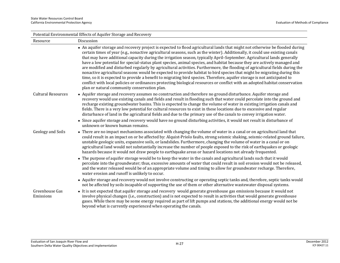| Potential Environmental Effects of Aquifer Storage and Recovery |                                                                                                                                                                                                                                                                                                                                                                                                                                                                                                                                                                                                                                                                                                                                                                                                                                                                                                                                                                                                                                                                                           |  |  |
|-----------------------------------------------------------------|-------------------------------------------------------------------------------------------------------------------------------------------------------------------------------------------------------------------------------------------------------------------------------------------------------------------------------------------------------------------------------------------------------------------------------------------------------------------------------------------------------------------------------------------------------------------------------------------------------------------------------------------------------------------------------------------------------------------------------------------------------------------------------------------------------------------------------------------------------------------------------------------------------------------------------------------------------------------------------------------------------------------------------------------------------------------------------------------|--|--|
| Resource                                                        | Discussion                                                                                                                                                                                                                                                                                                                                                                                                                                                                                                                                                                                                                                                                                                                                                                                                                                                                                                                                                                                                                                                                                |  |  |
|                                                                 | • An aquifer storage and recovery project is expected to flood agricultural lands that might not otherwise be flooded during<br>certain times of year (e.g., nonactive agricultural seasons, such as the winter). Additionally, it could use existing canals<br>that may have additional capacity during the irrigation season, typically April-September. Agricultural lands generally<br>have a low potential for special-status plant species, animal species, and habitat because they are actively managed and<br>are modified and disturbed regularly by agricultural activities. Furthermore, the flooding of agricultural fields during the<br>nonactive agricultural seasons would be expected to provide habitat to bird species that might be migrating during this<br>time, so it is expected to provide a benefit to migrating bird species. Therefore, aquifer storage is not anticipated to<br>conflict with local policies or ordinances protecting biological resources or conflict with an adopted habitat conservation<br>plan or natural community conservation plan. |  |  |
| <b>Cultural Resources</b>                                       | • Aquifer storage and recovery assumes no construction and therefore no ground disturbance. Aquifer storage and<br>recovery would use existing canals and fields and result in flooding such that water could percolate into the ground and<br>recharge existing groundwater basins. This is expected to change the volume of water in existing irrigation canals and<br>fields. There is a very low potential for cultural resources to exist in these locations due to excessive and regular<br>disturbance of land in the agricultural fields and due to the primary use of the canals to convey irrigation water.<br>• Since aquifer storage and recovery would have no ground disturbing activities, it would not result in disturbance of                                                                                                                                                                                                                                                                                                                                           |  |  |
|                                                                 | unknown or known human remains.                                                                                                                                                                                                                                                                                                                                                                                                                                                                                                                                                                                                                                                                                                                                                                                                                                                                                                                                                                                                                                                           |  |  |
| Geology and Soils                                               | • There are no impact mechanisms associated with changing the volume of water in a canal or on agricultural land that<br>could result in an impact on or be affected by: Alquist-Priolo faults, strong seismic shaking, seismic-related ground failure,<br>unstable geologic units, expansive soils, or landslides. Furthermore, changing the volume of water in a canal or on<br>agricultural land would not substantially increase the number of people exposed to the risk of earthquakes or geologic<br>hazards because it would not draw people to earthquake areas or hazard locations not already frequented.                                                                                                                                                                                                                                                                                                                                                                                                                                                                      |  |  |
|                                                                 | • The purpose of aquifer storage would be to keep the water in the canals and agricultural lands such that it would<br>percolate into the groundwater; thus, excessive amounts of water that could result in soil erosion would not be released,<br>and the water released would be of an appropriate volume and timing to allow for groundwater recharge. Therefore,<br>water erosion and runoff is unlikely to occur.                                                                                                                                                                                                                                                                                                                                                                                                                                                                                                                                                                                                                                                                   |  |  |
|                                                                 | • Aquifer storage and recovery would not involve constructing or operating septic tanks and, therefore, septic tanks would<br>not be affected by soils incapable of supporting the use of them or other alternative wastewater disposal systems.                                                                                                                                                                                                                                                                                                                                                                                                                                                                                                                                                                                                                                                                                                                                                                                                                                          |  |  |
| Greenhouse Gas<br>Emissions                                     | • It is not expected that aquifer storage and recovery would generate greenhouse gas emissions because it would not<br>involve physical changes (i.e., construction) and is not expected to result in activities that would generate greenhouse<br>gases. While there may be some energy required as part of lift pumps and stations, the additional energy would not be<br>beyond what is currently experienced when operating the canals.                                                                                                                                                                                                                                                                                                                                                                                                                                                                                                                                                                                                                                               |  |  |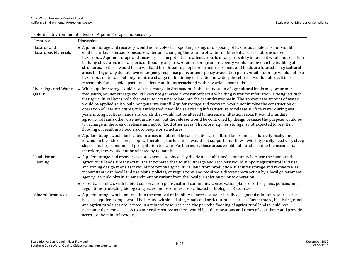| Potential Environmental Effects of Aquifer Storage and Recovery |                                                                                                                                                                                                                                                                                                                                                                                                                                                                                                                                                                                                                                                                                                                                                                                                                                                                                                                                                                                                                                                                               |  |
|-----------------------------------------------------------------|-------------------------------------------------------------------------------------------------------------------------------------------------------------------------------------------------------------------------------------------------------------------------------------------------------------------------------------------------------------------------------------------------------------------------------------------------------------------------------------------------------------------------------------------------------------------------------------------------------------------------------------------------------------------------------------------------------------------------------------------------------------------------------------------------------------------------------------------------------------------------------------------------------------------------------------------------------------------------------------------------------------------------------------------------------------------------------|--|
| Resource                                                        | Discussion                                                                                                                                                                                                                                                                                                                                                                                                                                                                                                                                                                                                                                                                                                                                                                                                                                                                                                                                                                                                                                                                    |  |
| Hazards and<br>Hazardous Materials                              | • Aquifer storage and recovery would not involve transporting, using, or disposing of hazardous materials nor would it<br>emit hazardous emissions because water and changing the volume of water in different areas is not considered<br>hazardous. Aquifer storage and recovery has no potential to affect airports or airport safety because it would not result in<br>building structures near airports or flooding airports. Aquifer storage and recovery would not involve the building of<br>structures, so there would be no wildland fire threat to people or structures. Canals and fields are located in agricultural<br>areas that typically do not have emergency response plans or emergency evacuation plans. Aquifer storage would not use<br>hazardous materials but only require a change in the timing or location of water; therefore, it would not result in the<br>reasonably foreseeable upset or accident conditions associated with hazardous materials.                                                                                             |  |
| Hydrology and Water<br>Quality                                  | • While aquifer storage could result in a change in drainage such that inundation of agricultural lands may occur more<br>frequently, aquifer storage would likely not generate more runoff because holding water for infiltration is designed such<br>that agricultural lands hold the water so it can percolate into the groundwater basin. The appropriate amount of water<br>would be applied so it would not generate runoff. Aquifer storage and recovery would not involve the construction or<br>operation of new structures; it is anticipated it would use existing infrastructure to release surface water during wet<br>years into agricultural lands and canals that would not be altered to increase infiltration rates. It would inundate<br>agricultural lands otherwise not inundated, but the release would be controlled by design because the purpose would be<br>to recharge in the area of release and not to flood other areas. Therefore, aquifer storage is not expected to result in<br>flooding or result in a flood risk to people or structures. |  |
|                                                                 | • Aquifer storage would be located in areas of flat relief because active agricultural lands and canals are typically not<br>located on the side of steep slopes. Therefore, the locations would not support mudflows, which typically need very steep<br>slopes and large amounts of precipitation to occur. Furthermore, these areas would not be adjacent to the ocean and,<br>therefore, they would not be affected by tsunamis.                                                                                                                                                                                                                                                                                                                                                                                                                                                                                                                                                                                                                                          |  |
| Land Use and<br>Planning                                        | • Aquifer storage and recovery is not expected to physically divide an established community because the canals and<br>agricultural lands already exist. It is anticipated that aquifer storage and recovery would support agricultural land use<br>and zoning designations as it would not remove agricultural land from production. If aquifer storage and recovery was<br>inconsistent with local land use plans, policies, or regulations, and required a discretionary action by a local government<br>agency, it would obtain an amendment or variant from the local jurisdiction prior to operation.                                                                                                                                                                                                                                                                                                                                                                                                                                                                   |  |
|                                                                 | • Potential conflicts with habitat conservation plans, natural community conservation plans, or other plans, policies and<br>regulations protecting biological species and resources are evaluated in Biological Resources.                                                                                                                                                                                                                                                                                                                                                                                                                                                                                                                                                                                                                                                                                                                                                                                                                                                   |  |
| <b>Mineral Resources</b>                                        | • Aquifer storage would not result in the removal or inability to access state or locally designated mineral resource areas<br>because aquifer storage would be located within existing canals and agricultural use areas. Furthermore, if existing canals<br>and agricultural uses are located in a mineral resource area, the periodic flooding of agricultural lands would not<br>permanently remove access to a mineral resource as there would be other locations and times of year that could provide<br>access to the mineral resource.                                                                                                                                                                                                                                                                                                                                                                                                                                                                                                                                |  |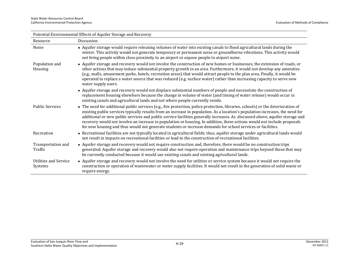| Potential Environmental Effects of Aquifer Storage and Recovery |                                                                                                                                                                                                                                                                                                                                                                                                                                                                                                                                                                                                                                             |  |
|-----------------------------------------------------------------|---------------------------------------------------------------------------------------------------------------------------------------------------------------------------------------------------------------------------------------------------------------------------------------------------------------------------------------------------------------------------------------------------------------------------------------------------------------------------------------------------------------------------------------------------------------------------------------------------------------------------------------------|--|
| Resource                                                        | Discussion                                                                                                                                                                                                                                                                                                                                                                                                                                                                                                                                                                                                                                  |  |
| Noise                                                           | • Aquifer storage would require releasing volumes of water into existing canals to flood agricultural lands during the<br>winter. This activity would not generate temporary or permanent noise or groundborne vibrations. This activity would<br>not bring people within close proximity to an airport or expose people to airport noise.                                                                                                                                                                                                                                                                                                  |  |
| Population and<br>Housing                                       | • Aquifer storage and recovery would not involve the construction of new homes or businesses, the extension of roads, or<br>other actions that may induce substantial property growth in an area. Furthermore, it would not develop any amenities<br>(e.g., malls, amusement parks, hotels, recreation areas) that would attract people to the plan area. Finally, it would be<br>operated to replace a water source that was reduced (e.g. surface water) rather than increasing capacity to serve new<br>water supply users.                                                                                                              |  |
|                                                                 | • Aquifer storage and recovery would not displace substantial numbers of people and necessitate the construction of<br>replacement housing elsewhere because the change in volume of water (and timing of water release) would occur in<br>existing canals and agricultural lands and not where people currently reside.                                                                                                                                                                                                                                                                                                                    |  |
| <b>Public Services</b>                                          | • The need for additional public services (e.g., fire protection, police protection, libraries, schools) or the deterioration of<br>existing public services typically results from an increase in population. As a location's population increases, the need for<br>additional or new public services and public service facilities generally increases. As discussed above, aquifer storage and<br>recovery would not involve an increase in population or housing. In addition, these actions would not include proposals<br>for new housing and thus would not generate students or increase demands for school services or facilities. |  |
| Recreation                                                      | • Recreational facilities are not typically located in agricultural fields; thus, aquifer storage under agricultural lands would<br>not result in impacts on recreational facilities or lead to the construction of recreational facilities.                                                                                                                                                                                                                                                                                                                                                                                                |  |
| Transportation and<br>Traffic                                   | • Aquifer storage and recovery would not require construction and, therefore, there would be no construction trips<br>generated. Aquifer storage and recovery would also not require operation and maintenance trips beyond those that may<br>be currently conducted because it would use existing canals and existing agricultural lands.                                                                                                                                                                                                                                                                                                  |  |
| <b>Utilities and Service</b><br>Systems                         | • Aquifer storage and recovery would not involve the need for utilities or service system because it would not require the<br>construction or operation of wastewater or water supply facilities. It would not result in the generation of solid waste or<br>require energy.                                                                                                                                                                                                                                                                                                                                                                |  |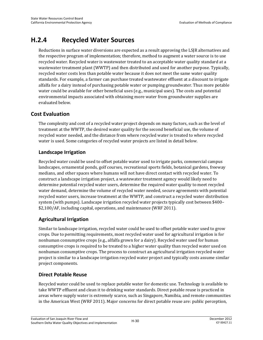## **H.2.4 Recycled Water Sources**

Reductions in surface water diversions are expected as a result approving the LSJR alternatives and the respective program of implementation; therefore, method to augment a water source is to use recycled water. Recycled water is wastewater treated to an acceptable water quality standard at a wastewater treatment plant (WWTP) and then distributed and used for another purpose. Typically, recycled water costs less than potable water because it does not meet the same water quality standards. For example, a farmer can purchase treated wastewater effluent at a discount to irrigate alfalfa for a dairy instead of purchasing potable water or pumping groundwater. Thus more potable water could be available for other beneficial uses (e.g., municipal uses). The costs and potential environmental impacts associated with obtaining more water from groundwater supplies are evaluated below.

### **Cost Evaluation**

The complexity and cost of a recycled water project depends on many factors, such as the level of treatment at the WWTP, the desired water quality for the second beneficial use, the volume of recycled water needed, and the distance from where recycled water is treated to where recycled water is used. Some categories of recycled water projects are listed in detail below.

#### **Landscape Irrigation**

Recycled water could be used to offset potable water used to irrigate parks, commercial campus landscapes, ornamental ponds, golf courses, recreational sports fields, botanical gardens, freeway medians, and other spaces where humans will not have direct contact with recycled water. To construct a landscape irrigation project, a wastewater treatment agency would likely need to determine potential recycled water users, determine the required water quality to meet recycled water demand, determine the volume of recycled water needed, secure agreements with potential recycled water users, increase treatment at the WWTP, and construct a recycled water distribution system (with pumps). Landscape irrigation recycled water projects typically cost between \$400– \$2,100/AF, including capital, operations, and maintenance (WRF 2011).

#### **Agricultural Irrigation**

Similar to landscape irrigation, recycled water could be used to offset potable water used to grow crops. Due to permitting requirements, most recycled water used for agricultural irrigation is for nonhuman consumptive crops (e.g., alfalfa grown for a dairy). Recycled water used for human consumptive crops is required to be treated to a higher water quality than recycled water used on nonhuman consumptive crops. The process to construct an agricultural irrigation recycled water project is similar to a landscape irrigation recycled water project and typically costs assume similar project components.

#### **Direct Potable Reuse**

Recycled water could be used to replace potable water for domestic use. Technology is available to take WWTP effluent and clean it to drinking water standards. Direct potable reuse is practiced in areas where supply water is extremely scarce, such as Singapore, Namibia, and remote communities in the American West (WRF 2011). Major concerns for direct potable reuse are: public perception,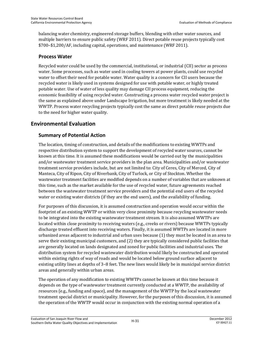balancing water chemistry, engineered storage buffers, blending with other water sources, and multiple barriers to ensure public safety (WRF 2011). Direct potable reuse projects typically cost \$700–\$1,200/AF, including capital, operations, and maintenance (WRF 2011).

#### **Process Water**

Recycled water could be used by the commercial, institutional, or industrial (CII) sector as process water. Some processes, such as water used in cooling towers at power plants, could use recycled water to offset their need for potable water. Water quality is a concern for CII users because the recycled water is likely used in systems designed for use with potable water, or highly treated potable water. Use of water of less quality may damage CII process equipment, reducing the economic feasibility of using recycled water. Constructing a process water recycled water project is the same as explained above under Landscape Irrigation, but more treatment is likely needed at the WWTP. Process water recycling projects typically cost the same as direct potable reuse projects due to the need for higher water quality.

### **Environmental Evaluation**

#### **Summary of Potential Action**

The location, timing of construction, and details of the modifications to existing WWTPs and respective distribution system to support the development of recycled water sources, cannot be known at this time. It is assumed these modifications would be carried out by the municipalities and/or wastewater treatment service providers in the plan area. Municipalities and/or wastewater treatment service providers include, but are not limited to: City of Ceres, City of Merced, City of Manteca, City of Ripon, City of Riverbank, City of Turlock, or City of Stockton. Whether the wastewater treatment facilities are modified depends on a number of variables that are unknown at this time, such as the market available for the use of recycled water, future agreements reached between the wastewater treatment service providers and the potential end users of the recycled water or existing water districts (if they are the end users), and the availability of funding.

For purposes of this discussion, it is assumed construction and operation would occur within the footprint of an existing WWTP or within very close proximity because recycling wastewater needs to be integrated into the existing wastewater treatment stream. It is also assumed WWTPs are located within close proximity to receiving waters (e.g., creeks or rivers) because WWTPs typically discharge treated effluent into receiving waters. Finally, it is assumed WWTPs are located in more urbanized areas adjacent to industrial and urban uses because (1) they must be located in an area to serve their existing municipal customers, and (2) they are typically considered public facilities that are generally located on lands designated and zoned for public facilities and industrial uses. The distribution system for recycled wastewater distribution would likely be constructed and operated within existing rights of way of roads and would be located below ground surface adjacent to existing utility lines at depths of 3–8 feet. The new lines would likely be in municipal service district areas and generally within urban areas.

The operation of any modification to existing WWTPs cannot be known at this time because it depends on the type of wastewater treatment currently conducted at a WWTP, the availability of resources (e.g., funding and space), and the management of the WWTP by the local wastewater treatment special district or municipality. However, for the purposes of this discussion, it is assumed the operation of the WWTP would occur in conjunction with the existing normal operation of a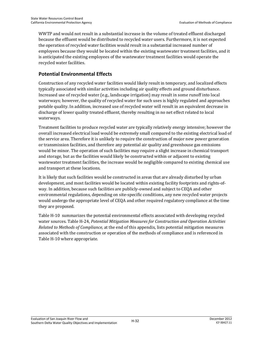WWTP and would not result in a substantial increase in the volume of treated effluent discharged because the effluent would be distributed to recycled water users. Furthermore, it is not expected the operation of recycled water facilities would result in a substantial increased number of employees because they would be located within the existing wastewater treatment facilities, and it is anticipated the existing employees of the wastewater treatment facilities would operate the recycled water facilities.

### **Potential Environmental Effects**

Construction of any recycled water facilities would likely result in temporary, and localized effects typically associated with similar activities including air quality effects and ground disturbance. Increased use of recycled water (e.g., landscape irrigation) may result in some runoff into local waterways; however, the quality of recycled water for such uses is highly regulated and approaches potable quality. In addition, increased use of recycled water will result in an equivalent decrease in discharge of lower quality treated effluent, thereby resulting in no net effect related to local waterways.

Treatment facilities to produce recycled water are typically relatively energy intensive; however the overall increased electrical load would be extremely small compared to the existing electrical load of the service area. Therefore it is unlikely to require the construction of major new power generation or transmission facilities, and therefore any potential air quality and greenhouse gas emissions would be minor. The operation of such facilities may require a slight increase in chemical transport and storage, but as the facilities would likely be constructed within or adjacent to existing wastewater treatment facilities, the increase would be negligible compared to existing chemical use and transport at these locations.

It is likely that such facilities would be constructed in areas that are already disturbed by urban development, and most facilities would be located within existing facility footprints and rights-ofway. In addition, because such facilities are publicly-owned and subject to CEQA and other environmental regulations, depending on site-specific conditions, any new recycled water projects would undergo the appropriate level of CEQA and other required regulatory compliance at the time they are proposed.

Table H-10 summarizes the potential environmental effects associated with developing recycled water sources. Table H-24, *Potential Mitigation Measures for Construction and Operation Activities Related to Methods of Compliance,* at the end of this appendix, lists potential mitigation measures associated with the construction or operation of the methods of compliance and is referenced in Table H-10 where appropriate.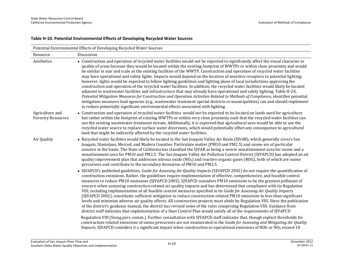| Potential Environmental Effects of Developing Recycled Water Sources |                                                                                                                                                                                                                                                                                                                                                                                                                                                                                                                                                                                                                                                                                                                                                                                                                                                                                                                                                                                                                                                                                                                                                                                                                                                                                                                                                                                                                                                                                                                                                          |  |
|----------------------------------------------------------------------|----------------------------------------------------------------------------------------------------------------------------------------------------------------------------------------------------------------------------------------------------------------------------------------------------------------------------------------------------------------------------------------------------------------------------------------------------------------------------------------------------------------------------------------------------------------------------------------------------------------------------------------------------------------------------------------------------------------------------------------------------------------------------------------------------------------------------------------------------------------------------------------------------------------------------------------------------------------------------------------------------------------------------------------------------------------------------------------------------------------------------------------------------------------------------------------------------------------------------------------------------------------------------------------------------------------------------------------------------------------------------------------------------------------------------------------------------------------------------------------------------------------------------------------------------------|--|
| Resource                                                             | Discussion                                                                                                                                                                                                                                                                                                                                                                                                                                                                                                                                                                                                                                                                                                                                                                                                                                                                                                                                                                                                                                                                                                                                                                                                                                                                                                                                                                                                                                                                                                                                               |  |
| Aesthetics                                                           | • Construction and operation of recycled water facilities would not be expected to significantly affect the visual character or<br>quality of areas because they would be located within the existing footprint of WWTPs or within close proximity and would<br>be similar in size and scale as the existing facilities of the WWTP. Construction and operation of recycled water facilities<br>may have operational and safety lights. Impacts would depend on the location of sensitive receptors to potential lighting;<br>however, lights would be expected to follow lighting guidelines and lighting plans of local jurisdictions approving the<br>construction and operation of the recycled water facilities. In addition, the recycled water facilities would likely be located<br>adjacent to wastewater facilities and infrastructure that may already have operational and safety lighting. Table H-24,<br>Potential Mitigation Measures for Construction and Operation Activities Related to Methods of Compliance, identifies potential<br>mitigation measures lead agencies (e.g., wastewater treatment special districts or municipalities) can and should implement<br>to reduce potentially significant environmental effects associated with lighting.                                                                                                                                                                                                                                                                                |  |
| Agriculture and<br><b>Forestry Resources</b>                         | • Construction and operation of recycled water facilities would not be expected to be located on lands used for agriculture<br>but rather within the footprint of existing WWTPs or within very close proximity such that the recycled water facilities can<br>use the existing wastewater treatment stream. Additionally, it is expected that agricultural uses would be able to use the<br>recycled water source to replace surface water diversions, which would potentially offset any consequence to agricultural<br>land that might be indirectly affected by the recycled water facilities.                                                                                                                                                                                                                                                                                                                                                                                                                                                                                                                                                                                                                                                                                                                                                                                                                                                                                                                                                       |  |
| Air Quality                                                          | • Recycled water facilities would likely be located in the San Joaquin Valley Air Basin (SJVAB), which generally covers San<br>Joaquin, Stanislaus, Merced, and Madera Counties. Particulate matter (PM10 and PM2.5) and ozone are of particular<br>concern in the basin. The State of California has classified the SJVAB as being a severe nonattainment area for ozone and a<br>nonattainment area for PM10 and PM2.5. The San Joaquin Valley Air Pollution Control District (SJVAPCD) has adopted an air<br>quality improvement plan that addresses nitrous oxide $(NOX)$ and reactive organic gases $(ROG)$ , both of which are ozone<br>precursors and contribute to the secondary formation of PM10 and PM2.5.                                                                                                                                                                                                                                                                                                                                                                                                                                                                                                                                                                                                                                                                                                                                                                                                                                    |  |
|                                                                      | • SJVAPCD's published guidelines, Guide for Assessing Air Quality Impacts (SJVAPCD 2002) do not require the quantification of<br>construction emissions. Rather, the guidelines require implementation of effective, comprehensive, and feasible control<br>measures to reduce PM10 emissions (SJVAPCD 2002). SJVAPCD considers PM10 emissions to be the greatest pollutant of<br>concern when assessing construction-related air quality impacts and has determined that compliance with its Regulation<br>VIII, including implementation of all feasible control measures specified in its Guide for Assessing Air Quality Impacts<br>(SJVAPCD 2002), constitutes sufficient mitigation to reduce construction-related PM10 emissions to less-than-significant<br>levels and minimize adverse air quality effects. All construction projects must abide by Regulation VIII. Since the publication<br>of the district's guidance manual, the district has revised some of the rules comprising Regulation VIII. Guidance from<br>district staff indicates that implementation of a Dust Control Plan would satisfy all of the requirements of SJVAPCD<br>Regulation VIII (Siong pers. comm.). Further consultation with SJVAPCD staff indicates that, though explicit thresholds for<br>construction-related emissions of ozone precursors are not enumerated in the Guide for Assessing and Mitigating Air Quality<br><i>Impacts</i> , SJVAPCD considers it a significant impact when construction or operational emissions of ROG or $NQ_x$ exceed 10 |  |

#### **Table H-10. Potential Environmental Effects of Developing Recycled Water Sources**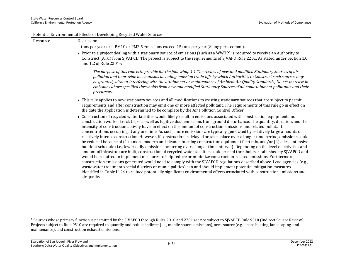| Potential Environmental Effects of Developing Recycled Water Sources |                                                                                                                                                                                                                                                                                                                                                                                                                                                                                                                                                                                                                                                                                                                                                                                                                                                                                                                                                                                                                                                                                                                                                                                                                                                                                                                                                                                                                                                                                                                                                            |  |
|----------------------------------------------------------------------|------------------------------------------------------------------------------------------------------------------------------------------------------------------------------------------------------------------------------------------------------------------------------------------------------------------------------------------------------------------------------------------------------------------------------------------------------------------------------------------------------------------------------------------------------------------------------------------------------------------------------------------------------------------------------------------------------------------------------------------------------------------------------------------------------------------------------------------------------------------------------------------------------------------------------------------------------------------------------------------------------------------------------------------------------------------------------------------------------------------------------------------------------------------------------------------------------------------------------------------------------------------------------------------------------------------------------------------------------------------------------------------------------------------------------------------------------------------------------------------------------------------------------------------------------------|--|
| Resource                                                             | Discussion                                                                                                                                                                                                                                                                                                                                                                                                                                                                                                                                                                                                                                                                                                                                                                                                                                                                                                                                                                                                                                                                                                                                                                                                                                                                                                                                                                                                                                                                                                                                                 |  |
|                                                                      | tons per year or if PM10 or PM2.5 emissions exceed 15 tons per year (Siong pers. comm.).                                                                                                                                                                                                                                                                                                                                                                                                                                                                                                                                                                                                                                                                                                                                                                                                                                                                                                                                                                                                                                                                                                                                                                                                                                                                                                                                                                                                                                                                   |  |
|                                                                      | • Prior to a project dealing with a stationary source of emissions (such as a WWTP) is required to receive an Authority to<br>Construct (ATC) from SJVAPCD. The project is subject to the requirements of SJVAPD Rule 2201. As stated under Section 1.0<br>and 1.2 of Rule 2201 <sup>1</sup> :                                                                                                                                                                                                                                                                                                                                                                                                                                                                                                                                                                                                                                                                                                                                                                                                                                                                                                                                                                                                                                                                                                                                                                                                                                                             |  |
|                                                                      | The purpose of this rule is to provide for the following: 1.1 The review of new and modified Stationary Sources of air<br>pollution and to provide mechanisms including emission trade-offs by which Authorities to Construct such sources may<br>be granted, without interfering with the attainment or maintenance of Ambient Air Quality Standards; No net increase in<br>emissions above specified thresholds from new and modified Stationary Sources of all nonattainment pollutants and their<br>precursors.                                                                                                                                                                                                                                                                                                                                                                                                                                                                                                                                                                                                                                                                                                                                                                                                                                                                                                                                                                                                                                        |  |
|                                                                      | • This rule applies to new stationary sources and all modifications to existing stationary sources that are subject to permit<br>requirements and after construction may emit one or more affected pollutant. The requirements of this rule go in effect on<br>the date the application is determined to be complete by the Air Pollution Control Officer.                                                                                                                                                                                                                                                                                                                                                                                                                                                                                                                                                                                                                                                                                                                                                                                                                                                                                                                                                                                                                                                                                                                                                                                                 |  |
|                                                                      | • Construction of recycled water facilities would likely result in emissions associated with construction equipment and<br>construction worker truck trips, as well as fugitive dust emissions from ground disturbance. The quantity, duration, and the<br>intensity of construction activity have an effect on the amount of construction emissions and related pollutant<br>concentrations occurring at any one time. As such, more emissions are typically generated by relatively large amounts of<br>relatively intense construction. However, if construction is delayed or takes place over a longer time period, emissions could<br>be reduced because of (1) a more modern and cleaner-burning construction equipment fleet mix, and/or (2) a less intensive<br>buildout schedule (i.e., fewer daily emissions occurring over a longer time interval). Depending on the level of activities and<br>amount of infrastructure built, construction of recycled water facilities could exceed thresholds established by SJVAPCD and<br>would be required to implement measures to help reduce or minimize construction-related emissions. Furthermore,<br>construction emissions generated would need to comply with the SJVAPCD regulations described above. Lead agencies (e.g.,<br>wastewater treatment special districts or municipalities) can and should implement potential mitigation measures<br>identified in Table H-24 to reduce potentially significant environmental effects associated with construction emissions and<br>air quality. |  |

<sup>1</sup> Sources whose primary function is permitted by the SJVAPCD through Rules 2010 and 2201 are not subject to SJVAPCD Rule 9510 (Indirect Source Review). Projects subject to Rule 9510 are required to quantify and reduce indirect (i.e., mobile source emissions), area-source (e.g., space heating, landscaping, and maintenance), and construction exhaust emissions.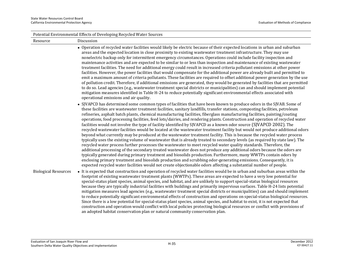| Potential Environmental Effects of Developing Recycled Water Sources |                                                                                                                                                                                                                                                                                                                                                                                                                                                                                                                                                                                                                                                                                                                                                                                                                                                                                                                                                                                                                                                                                                                                                                                                                                                                                                                                                                                                                                                                                                                                                                                                                                               |  |
|----------------------------------------------------------------------|-----------------------------------------------------------------------------------------------------------------------------------------------------------------------------------------------------------------------------------------------------------------------------------------------------------------------------------------------------------------------------------------------------------------------------------------------------------------------------------------------------------------------------------------------------------------------------------------------------------------------------------------------------------------------------------------------------------------------------------------------------------------------------------------------------------------------------------------------------------------------------------------------------------------------------------------------------------------------------------------------------------------------------------------------------------------------------------------------------------------------------------------------------------------------------------------------------------------------------------------------------------------------------------------------------------------------------------------------------------------------------------------------------------------------------------------------------------------------------------------------------------------------------------------------------------------------------------------------------------------------------------------------|--|
| Resource                                                             | Discussion                                                                                                                                                                                                                                                                                                                                                                                                                                                                                                                                                                                                                                                                                                                                                                                                                                                                                                                                                                                                                                                                                                                                                                                                                                                                                                                                                                                                                                                                                                                                                                                                                                    |  |
|                                                                      | • Operation of recycled water facilities would likely be electric because of their expected locations in urban and suburban<br>areas and the expected location in close proximity to existing wastewater treatment infrastructure. They may use<br>nonelectric backup only for intermittent emergency circumstances. Operations could include facility inspection and<br>maintenance activities and are expected to be similar to or less than inspection and maintenance of existing wastewater<br>treatment facilities. The need for additional energy could result in increased criteria pollutant emissions at other power<br>facilities. However, the power facilities that would compensate for the additional power are already built and permitted to<br>emit a maximum amount of criteria pollutants. These facilities are required to offset additional power generation by the use<br>of pollution credit. Therefore, if additional emissions are generated, they would be generated by facilities that are permitted<br>to do so. Lead agencies (e.g., wastewater treatment special districts or municipalities) can and should implement potential<br>mitigation measures identified in Table H-24 to reduce potentially significant environmental effects associated with<br>operational emissions and air quality.                                                                                                                                                                                                                                                                                                             |  |
|                                                                      | • SJVAPCD has determined some common types of facilities that have been known to produce odors in the SJVAB. Some of<br>these facilities are wastewater treatment facilities, sanitary landfills, transfer stations, composting facilities, petroleum<br>refineries, asphalt batch plants, chemical manufacturing facilities, fiberglass manufacturing facilities, painting/coating<br>operations, food processing facilities, feed lots/dairies, and rendering plants. Construction and operation of recycled water<br>facilities would not involve the type of facility identified by SJVAPCD as a known odor source (SJVAPCD 2002). The<br>recycled wastewater facilities would be located at the wastewater treatment facility but would not produce additional odors<br>beyond what currently may be produced at the wastewater treatment facility. This is because the recycled water process<br>typically uses the existing volume of wastewater that is already treated to secondary levels (as required by state law). The<br>recycled water process further processes the wastewater to meet recycled water quality standards. Therefore, the<br>additional processing of the secondary treated wastewater does not produce any additional odors because the odors are<br>typically generated during primary treatment and biosolids production. Furthermore, many WWTPs contain odors by<br>enclosing primary treatment and biosolids production and scrubbing odor-generating emissions. Consequently, it is<br>expected recycled water facilities would not create objectionable odors affecting a substantial number of people. |  |
| <b>Biological Resources</b>                                          | • It is expected that construction and operation of recycled water facilities would be in urban and suburban areas within the<br>footprint of existing wastewater treatment plants (WWTPs). These areas are expected to have a very low potential for<br>special-status plant species, animal species, and habitat, and are unlikely to support special-status biological resources<br>because they are typically industrial facilities with buildings and primarily impervious surfaces. Table H-24 lists potential<br>mitigation measures lead agencies (e.g., wastewater treatment special districts or municipalities) can and should implement<br>to reduce potentially significant environmental effects of construction and operations on special-status biological resources.<br>Since there is a low potential for special-status plant species, animal species, and habitat to exist, it is not expected that<br>construction and operation would conflict with local policies protecting biological resources or conflict with provisions of<br>an adopted habitat conservation plan or natural community conservation plan.                                                                                                                                                                                                                                                                                                                                                                                                                                                                                                       |  |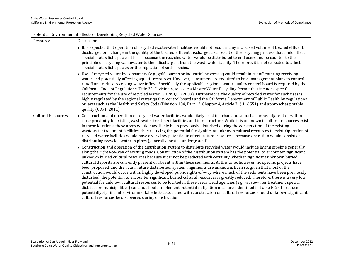| Potential Environmental Effects of Developing Recycled Water Sources |                                                                                                                                                                                                                                                                                                                                                                                                                                                                                                                                                                                                                                                                                                                                                                                                                                                                                                                                                                                                                                                                                                                                                                                                                                                                                                                                                 |  |
|----------------------------------------------------------------------|-------------------------------------------------------------------------------------------------------------------------------------------------------------------------------------------------------------------------------------------------------------------------------------------------------------------------------------------------------------------------------------------------------------------------------------------------------------------------------------------------------------------------------------------------------------------------------------------------------------------------------------------------------------------------------------------------------------------------------------------------------------------------------------------------------------------------------------------------------------------------------------------------------------------------------------------------------------------------------------------------------------------------------------------------------------------------------------------------------------------------------------------------------------------------------------------------------------------------------------------------------------------------------------------------------------------------------------------------|--|
| Resource                                                             | Discussion                                                                                                                                                                                                                                                                                                                                                                                                                                                                                                                                                                                                                                                                                                                                                                                                                                                                                                                                                                                                                                                                                                                                                                                                                                                                                                                                      |  |
|                                                                      | • It is expected that operation of recycled wastewater facilities would not result in any increased volume of treated effluent<br>discharged or a change in the quality of the treated effluent discharged as a result of the recycling process that could affect<br>special-status fish species. This is because the recycled water would be distributed to end users and be counter to the<br>principle of recycling wastewater to then discharge it from the wastewater facility. Therefore, it is not expected to affect<br>special-status fish species or the migration of such species.                                                                                                                                                                                                                                                                                                                                                                                                                                                                                                                                                                                                                                                                                                                                                   |  |
|                                                                      | • Use of recycled water by consumers (e.g., golf courses or industrial processes) could result in runoff entering receiving<br>water and potentially affecting aquatic resources. However, consumers are required to have management plans to control<br>runoff and reduce receiving water inflow. Specifically the applicable regional water quality control board is required by the<br>California Code of Regulations, Title 22, Division 4, to issue a Master Water Recycling Permit that includes specific<br>requirements for the use of recycled water (SDRWQCB 2009). Furthermore, the quality of recycled water for such uses is<br>highly regulated by the regional water quality control boards and the California Department of Public Health by regulations<br>or laws such as the Health and Safety Code (Division 104, Part 12, Chapter 4, Article 7, § 116551) and approaches potable<br>quality (CDPH 2011).                                                                                                                                                                                                                                                                                                                                                                                                                   |  |
| <b>Cultural Resources</b>                                            | • Construction and operation of recycled water facilities would likely exist in urban and suburban areas adjacent or within<br>close proximity to existing wastewater treatment facilities and infrastructure. While it is unknown if cultural resources exist<br>in these locations, these areas would have likely been previously disturbed during the construction of the existing<br>wastewater treatment facilities, thus reducing the potential for significant unknown cultural resources to exist. Operation of<br>recycled water facilities would have a very low potential to affect cultural resources because operation would consist of<br>distributing recycled water in pipes (generally located underground).                                                                                                                                                                                                                                                                                                                                                                                                                                                                                                                                                                                                                   |  |
|                                                                      | • Construction and operation of the distribution system to distribute recycled water would include laying pipeline generally<br>along the rights-of-way of existing roads. Construction of the distribution system has the potential to encounter significant<br>unknown buried cultural resources because it cannot be predicted with certainty whether significant unknown buried<br>cultural deposits are currently present or absent within these sediments. At this time, however, no specific projects have<br>been proposed, and the actual future distribution system alignments are unknown. Even so, given that most of the<br>construction would occur within highly developed public rights-of-way where much of the sediments have been previously<br>disturbed, the potential to encounter significant buried cultural resources is greatly reduced. Therefore, there is a very low<br>potential for unknown cultural resources to be located in these areas. Lead agencies (e.g., wastewater treatment special<br>districts or municipalities) can and should implement potential mitigation measures identified in Table H-24 to reduce<br>potentially significant environmental effects associated with construction on cultural resources should unknown significant<br>cultural resources be discovered during construction. |  |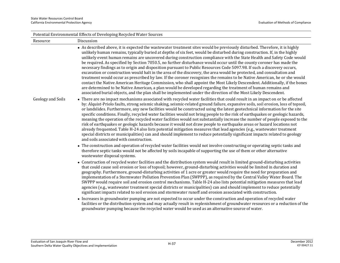|                   | Potential Environmental Effects of Developing Recycled Water Sources                                                                                                                                                                                                                                                                                                                                                                                                                                                                                                                                                                                                                                                                                                                                                                                                                                                                                                                                                                                                                                                                                                                                                                                     |  |  |
|-------------------|----------------------------------------------------------------------------------------------------------------------------------------------------------------------------------------------------------------------------------------------------------------------------------------------------------------------------------------------------------------------------------------------------------------------------------------------------------------------------------------------------------------------------------------------------------------------------------------------------------------------------------------------------------------------------------------------------------------------------------------------------------------------------------------------------------------------------------------------------------------------------------------------------------------------------------------------------------------------------------------------------------------------------------------------------------------------------------------------------------------------------------------------------------------------------------------------------------------------------------------------------------|--|--|
| Resource          | Discussion                                                                                                                                                                                                                                                                                                                                                                                                                                                                                                                                                                                                                                                                                                                                                                                                                                                                                                                                                                                                                                                                                                                                                                                                                                               |  |  |
|                   | • As described above, it is expected the wastewater treatment sites would be previously disturbed. Therefore, it is highly<br>unlikely human remains, typically buried at depths of six feet, would be disturbed during construction. If, in the highly<br>unlikely event human remains are uncovered during construction compliance with the State Health and Safety Code would<br>be required. As specified by Section 7050.5, no further disturbance would occur until the county coroner has made the<br>necessary findings as to origin and disposition pursuant to Public Resources Code 5097.98. If such a discovery occurs,<br>excavation or construction would halt in the area of the discovery, the area would be protected, and consultation and<br>treatment would occur as prescribed by law. If the coroner recognizes the remains to be Native American, he or she would<br>contact the Native American Heritage Commission, who shall appoint the Most Likely Descendent. Additionally, if the bones<br>are determined to be Native American, a plan would be developed regarding the treatment of human remains and<br>associated burial objects, and the plan shall be implemented under the direction of the Most Likely Descendent. |  |  |
| Geology and Soils | • There are no impact mechanisms associated with recycled water facilities that could result in an impact on or be affected<br>by: Alquist-Priolo faults, strong seismic shaking, seismic-related ground failure, expansive soils, soil erosion, loss of topsoil,<br>or landslides. Furthermore, any new facilities would be constructed using the latest geotechnical information for the site<br>specific conditions. Finally, recycled water facilities would not bring people to the risk of earthquakes or geologic hazards,<br>meaning the operation of the recycled water facilities would not substantially increase the number of people exposed to the<br>risk of earthquakes or geologic hazards because it would not draw people to earthquake areas or hazard locations not<br>already frequented. Table H-24 also lists potential mitigation measures that lead agencies (e.g., wastewater treatment<br>special districts or municipalities) can and should implement to reduce potentially significant impacts related to geology<br>and soils associated with construction.                                                                                                                                                              |  |  |
|                   | • The construction and operation of recycled water facilities would not involve constructing or operating septic tanks and<br>therefore septic tanks would not be affected by soils incapable of supporting the use of them or other alternative<br>wastewater disposal systems.                                                                                                                                                                                                                                                                                                                                                                                                                                                                                                                                                                                                                                                                                                                                                                                                                                                                                                                                                                         |  |  |
|                   | • Construction of recycled water facilities and the distribution system would result in limited ground-disturbing activities<br>that could cause soil erosion or loss of topsoil; however, ground-disturbing activities would be limited in duration and<br>geography. Furthermore, ground-disturbing activities of 1 acre or greater would require the need for preparation and<br>implementation of a Stormwater Pollution Prevention Plan (SWPPP), as required by the Central Valley Water Board. The<br>SWPPP would require soil and erosion control mechanisms. Table H-24 also lists potential mitigation measures that lead<br>agencies (e.g., wastewater treatment special districts or municipalities) can and should implement to reduce potentially<br>significant impacts related to soil erosion and stormwater runoff and erosion associated with construction.                                                                                                                                                                                                                                                                                                                                                                            |  |  |
|                   | • Increases in groundwater pumping are not expected to occur under the construction and operation of recycled water<br>facilities or the distribution system and may actually result in replenishment of groundwater resources or a reduction of the<br>groundwater pumping because the recycled water would be used as an alternative source of water.                                                                                                                                                                                                                                                                                                                                                                                                                                                                                                                                                                                                                                                                                                                                                                                                                                                                                                  |  |  |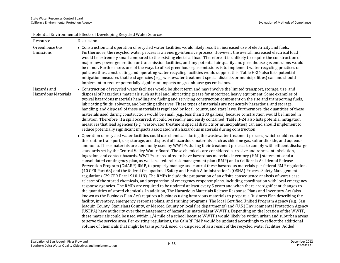| Potential Environmental Effects of Developing Recycled Water Sources |                                                                                                                                                                                                                                                                                                                                                                                                                                                                                                                                                                                                                                                                                                                                                                                                                                                                                                                                                                                                                                                                                                                                                                                                                                                                                                                                                                                                                                                                                                                                                                                                                                                                                                                                                                                                                                                                                            |  |
|----------------------------------------------------------------------|--------------------------------------------------------------------------------------------------------------------------------------------------------------------------------------------------------------------------------------------------------------------------------------------------------------------------------------------------------------------------------------------------------------------------------------------------------------------------------------------------------------------------------------------------------------------------------------------------------------------------------------------------------------------------------------------------------------------------------------------------------------------------------------------------------------------------------------------------------------------------------------------------------------------------------------------------------------------------------------------------------------------------------------------------------------------------------------------------------------------------------------------------------------------------------------------------------------------------------------------------------------------------------------------------------------------------------------------------------------------------------------------------------------------------------------------------------------------------------------------------------------------------------------------------------------------------------------------------------------------------------------------------------------------------------------------------------------------------------------------------------------------------------------------------------------------------------------------------------------------------------------------|--|
| Resource                                                             | Discussion                                                                                                                                                                                                                                                                                                                                                                                                                                                                                                                                                                                                                                                                                                                                                                                                                                                                                                                                                                                                                                                                                                                                                                                                                                                                                                                                                                                                                                                                                                                                                                                                                                                                                                                                                                                                                                                                                 |  |
| Greenhouse Gas<br>Emissions                                          | • Construction and operation of recycled water facilities would likely result in increased use of electricity and fuels.<br>Furthermore, the recycled water process is an energy-intensive process. However, the overall increased electrical load<br>would be extremely small compared to the existing electrical load. Therefore, it is unlikely to require the construction of<br>major new power generation or transmission facilities, and any potential air quality and greenhouse gas emissions would<br>be minor. Furthermore, one of the ways to offset greenhouse gas emissions is to implement water recycling practices or<br>policies; thus, constructing and operating water recycling facilities would support this. Table H-24 also lists potential<br>mitigation measures that lead agencies (e.g., wastewater treatment special districts or municipalities) can and should<br>implement to reduce potentially significant impacts on greenhouse gas emissions.                                                                                                                                                                                                                                                                                                                                                                                                                                                                                                                                                                                                                                                                                                                                                                                                                                                                                                          |  |
| Hazards and<br><b>Hazardous Materials</b>                            | • Construction of recycled water facilities would be short term and may involve the limited transport, storage, use, and<br>disposal of hazardous materials such as fuel and lubricating grease for motorized heavy equipment. Some examples of<br>typical hazardous materials handling are fueling and servicing construction equipment on the site and transporting fuels,<br>lubricating fluids, solvents, and bonding adhesives. These types of materials are not acutely hazardous, and storage,<br>handling, and disposal of these materials is regulated by local, county, and state laws. Furthermore, the quantities of these<br>materials used during construction would be small (e.g., less than 100 gallons) because construction would be limited in<br>duration. Therefore, if a spill occurred, it could be readily and easily contained. Table H-24 also lists potential mitigation<br>measures that lead agencies (e.g., wastewater treatment special districts or municipalities) can and should implement to<br>reduce potentially significant impacts associated with hazardous materials during construction.<br>• Operation of recycled water facilities could use chemicals during the wastewater treatment process, which could require                                                                                                                                                                                                                                                                                                                                                                                                                                                                                                                                                                                                                           |  |
|                                                                      | the routine transport, use, storage, and disposal of hazardous materials, such as chlorine gas, sulfur dioxide, and aqueous<br>ammonia. These materials are commonly used by WWTPs during their treatment process to comply with effluent discharge<br>standards set by the Central Valley Water Board. These chemicals are considered corrosive and represent inhalation,<br>ingestion, and contact hazards. WWTPs are required to have hazardous materials inventory (HMI) statements and a<br>consolidated contingency plan, as well as a federal risk management plan (RMP) and a California Accidental Release<br>Prevention Program (CalARP) RMP, to properly manage and control these hazardous materials per federal RMP regulations<br>(40 CFR Part 68) and the federal Occupational Safety and Health Administration's (OSHA) Process Safety Management<br>regulations (29 CFR Part 1910.119). The RMPs include the preparation of an offsite consequence analysis of worst-case<br>release of the stored chemicals, and preparation of emergency response plans, including coordination with local emergency<br>response agencies. The RMPs are required to be updated at least every 5 years and when there are significant changes to<br>the quantities of stored chemicals. In addition, The Hazardous Materials Release Response Plans and Inventory Act (also<br>known as the Business Plan Act) requires a business using hazardous materials to prepare a Business Plan describing the<br>facility, inventory, emergency response plans, and training programs. The local Certified Unified Program Agency (e.g., San<br>Joaquin County, Stanislaus County, or Merced County or local fire departments) and (U.S.) Environmental Protection Agency<br>(USEPA) have authority over the management of hazardous materials at WWTPs. Depending on the location of the WWTP, |  |
|                                                                      | these materials could be used within 1/4 mile of a school because WWTPs would likely be within urban and suburban areas<br>to serve the service area. Per existing regulations, the CalARP RMP would be updated accordingly to reflect the additional<br>volume of chemicals that might be transported, used, or disposed of as a result of the recycled water facilities. Added                                                                                                                                                                                                                                                                                                                                                                                                                                                                                                                                                                                                                                                                                                                                                                                                                                                                                                                                                                                                                                                                                                                                                                                                                                                                                                                                                                                                                                                                                                           |  |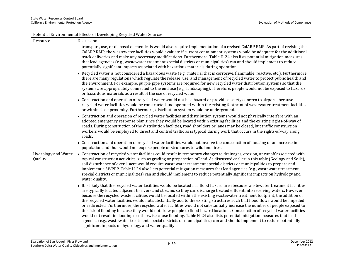|                                | Potential Environmental Effects of Developing Recycled Water Sources                                                                                                                                                                                                                                                                                                                                                                                                                                                                                                                                                                                                                                                                                                                                                                                                                                                                                                                                                                                                                                      |
|--------------------------------|-----------------------------------------------------------------------------------------------------------------------------------------------------------------------------------------------------------------------------------------------------------------------------------------------------------------------------------------------------------------------------------------------------------------------------------------------------------------------------------------------------------------------------------------------------------------------------------------------------------------------------------------------------------------------------------------------------------------------------------------------------------------------------------------------------------------------------------------------------------------------------------------------------------------------------------------------------------------------------------------------------------------------------------------------------------------------------------------------------------|
| Resource                       | Discussion                                                                                                                                                                                                                                                                                                                                                                                                                                                                                                                                                                                                                                                                                                                                                                                                                                                                                                                                                                                                                                                                                                |
|                                | transport, use, or disposal of chemicals would also require implementation of a revised CalARP RMP. As part of revising the<br>CalARP RMP, the wastewater facilities would evaluate if current containment systems would be adequate for the additional<br>truck deliveries and make any necessary modifications. Furthermore, Table H-24 also lists potential mitigation measures<br>that lead agencies (e.g., wastewater treatment special districts or municipalities) can and should implement to reduce<br>potentially significant impacts associated with hazardous materials during operation.                                                                                                                                                                                                                                                                                                                                                                                                                                                                                                     |
|                                | • Recycled water is not considered a hazardous waste (e.g., material that is corrosive, flammable, reactive, etc.). Furthermore,<br>there are many regulations which regulate the release, use, and management of recycled water to protect public health and<br>the environment. For example, purple pipe systems are required for new recycled water distribution systems so that the<br>systems are appropriately connected to the end use (e.g., landscaping). Therefore, people would not be exposed to hazards<br>or hazardous materials as a result of the use of recycled water.                                                                                                                                                                                                                                                                                                                                                                                                                                                                                                                  |
|                                | • Construction and operation of recycled water would not be a hazard or provide a safety concern to airports because<br>recycled water facilities would be constructed and operated within the existing footprint of wastewater treatment facilities<br>or within close proximity. Furthermore, distribution system would be underground.                                                                                                                                                                                                                                                                                                                                                                                                                                                                                                                                                                                                                                                                                                                                                                 |
|                                | • Construction and operation of recycled water facilities and distribution systems would not physically interfere with an<br>adopted emergency response plan since they would be located within existing facilities and the existing rights-of-way of<br>roads. During construction of the distribution facilities, road shoulders or lanes may be closed, but traffic construction<br>workers would be employed to direct and control traffic as is typical during work that occurs in the rights-of-way along<br>roads.                                                                                                                                                                                                                                                                                                                                                                                                                                                                                                                                                                                 |
|                                | • Construction and operation of recycled water facilities would not involve the construction of housing or an increase in<br>population and thus would not expose people or structures to wildland fires.                                                                                                                                                                                                                                                                                                                                                                                                                                                                                                                                                                                                                                                                                                                                                                                                                                                                                                 |
| Hydrology and Water<br>Quality | • Construction of recycled water facilities could result in temporary changes to drainages, erosion, or runoff associated with<br>typical construction activities, such as grading or preparation of land. As discussed earlier in this table (Geology and Soils),<br>soil disturbance of over 1 acre would require wastewater treatment special districts or municipalities to prepare and<br>implement a SWPPP. Table H-24 also lists potential mitigation measures that lead agencies (e.g., wastewater treatment<br>special districts or municipalities) can and should implement to reduce potentially significant impacts on hydrology and<br>water quality.                                                                                                                                                                                                                                                                                                                                                                                                                                        |
|                                | • It is likely that the recycled water facilities would be located in a flood hazard area because wastewater treatment facilities<br>are typically located adjacent to rivers and streams so they can discharge treated effluent into receiving waters. However,<br>because the recycled waste facilities would be located within the existing wastewater treatment footprint, the addition of<br>the recycled water facilities would not substantially add to the existing structures such that flood flows would be impeded<br>or redirected. Furthermore, the recycled water facilities would not substantially increase the number of people exposed to<br>the risk of flooding because they would not draw people to flood hazard locations. Construction of recycled water facilities<br>would not result in flooding or otherwise cause flooding. Table H-24 also lists potential mitigation measures that lead<br>agencies (e.g., wastewater treatment special districts or municipalities) can and should implement to reduce potentially<br>significant impacts on hydrology and water quality. |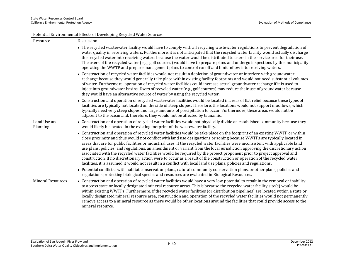| Potential Environmental Effects of Developing Recycled Water Sources |                                                                                                                                                                                                                                                                                                                                                                                                                                                                                                                                                                                                                                                                                                                                                                                                                                                                                                        |  |
|----------------------------------------------------------------------|--------------------------------------------------------------------------------------------------------------------------------------------------------------------------------------------------------------------------------------------------------------------------------------------------------------------------------------------------------------------------------------------------------------------------------------------------------------------------------------------------------------------------------------------------------------------------------------------------------------------------------------------------------------------------------------------------------------------------------------------------------------------------------------------------------------------------------------------------------------------------------------------------------|--|
| Resource                                                             | Discussion                                                                                                                                                                                                                                                                                                                                                                                                                                                                                                                                                                                                                                                                                                                                                                                                                                                                                             |  |
|                                                                      | • The recycled wastewater facility would have to comply with all recycling wastewater regulations to prevent degradation of<br>water quality in receiving waters. Furthermore, it is not anticipated that the recycled water facility would actually discharge<br>the recycled water into receiving waters because the water would be distributed to users in the service area for their use.<br>The users of the recycled water (e.g., golf courses) would have to prepare plans and undergo inspections by the municipality<br>operating the WWTP and prepare management plans to control runoff and limit inflow into receiving waters.                                                                                                                                                                                                                                                             |  |
|                                                                      | • Construction of recycled water facilities would not result in depletion of groundwater or interfere with groundwater<br>recharge because they would generally take place within existing facility footprints and would not need substantial volumes<br>of water. Furthermore, operation of recycled water facilities could increase actual groundwater recharge if it is used to<br>inject into groundwater basins. Users of recycled water (e.g., golf courses) may reduce their use of groundwater because<br>they would have an alternative source of water by using the recycled water.                                                                                                                                                                                                                                                                                                          |  |
|                                                                      | • Construction and operation of recycled wastewater facilities would be located in areas of flat relief because these types of<br>facilities are typically not located on the side of steep slopes. Therefore, the locations would not support mudflows, which<br>typically need very steep slopes and large amounts of precipitation to occur. Furthermore, these areas would not be<br>adjacent to the ocean and, therefore, they would not be affected by tsunamis.                                                                                                                                                                                                                                                                                                                                                                                                                                 |  |
| Land Use and<br>Planning                                             | • Construction and operation of recycled water facilities would not physically divide an established community because they<br>would likely be located in the existing footprint of the wastewater facility.                                                                                                                                                                                                                                                                                                                                                                                                                                                                                                                                                                                                                                                                                           |  |
|                                                                      | • Construction and operation of recycled water facilities would be take place on the footprint of an existing WWTP or within<br>close proximity and thus would not conflict with land use designations or zoning because WWTPs are typically located in<br>areas that are for public facilities or industrial uses. If the recycled water facilities were inconsistent with applicable land<br>use plans, policies, and regulations, an amendment or variant from the local jurisdiction approving the discretionary action<br>associated with the recycled water facilities would be required by the project proponent prior to project approval and<br>construction. If no discretionary action were to occur as a result of the construction or operation of the recycled water<br>facilities, it is assumed it would not result in a conflict with local land use plans, policies and regulations. |  |
|                                                                      | • Potential conflictss with habitat conservation plans, natural community conservation plans, or other plans, policies and<br>regulations protecting biological species and resources are evaluated in Biological Resources.                                                                                                                                                                                                                                                                                                                                                                                                                                                                                                                                                                                                                                                                           |  |
| <b>Mineral Resources</b>                                             | • Construction and operation of recycled water facilities would have a very low potential to result in the removal or inability<br>to access state or locally designated mineral resource areas. This is because the recycled water facility site(s) would be<br>within existing WWTPs. Furthermore, if the recycled water facilities (or distribution pipelines) are located within a state or<br>locally designated mineral resource area, construction and operation of the recycled water facilities would not permanently<br>remove access to a mineral resource as there would be other locations around the facilities that could provide access to the<br>mineral resource.                                                                                                                                                                                                                    |  |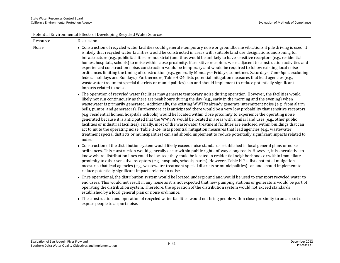|          | Potential Environmental Effects of Developing Recycled Water Sources                                                                                                                                                                                                                                                                                                                                                                                                                                                                                                                                                                                                                                                                                                                                                                                                                                                                                                                                                                                                                                                                                                       |  |  |
|----------|----------------------------------------------------------------------------------------------------------------------------------------------------------------------------------------------------------------------------------------------------------------------------------------------------------------------------------------------------------------------------------------------------------------------------------------------------------------------------------------------------------------------------------------------------------------------------------------------------------------------------------------------------------------------------------------------------------------------------------------------------------------------------------------------------------------------------------------------------------------------------------------------------------------------------------------------------------------------------------------------------------------------------------------------------------------------------------------------------------------------------------------------------------------------------|--|--|
| Resource | Discussion                                                                                                                                                                                                                                                                                                                                                                                                                                                                                                                                                                                                                                                                                                                                                                                                                                                                                                                                                                                                                                                                                                                                                                 |  |  |
| Noise    | • Construction of recycled water facilities could generate temporary noise or groundborne vibrations if pile driving is used. It<br>is likely that recycled water facilities would be constructed in areas with suitable land use designations and zoning for<br>infrastructure (e.g., public facilities or industrial) and thus would be unlikely to have sensitive receptors (e.g., residential<br>homes, hospitals, schools) to noise within close proximity. If sensitive receptors were adjacent to construction activities and<br>experienced construction noise, construction would be temporary and would be required to follow existing local noise<br>ordinances limiting the timing of construction (e.g., generally Mondays-Fridays, sometimes Saturdays, 7am-6pm, excluding<br>federal holidays and Sundays). Furthermore, Table H-24 lists potential mitigation measures that lead agencies (e.g.,<br>wastewater treatment special districts or municipalities) can and should implement to reduce potentially significant<br>impacts related to noise.                                                                                                      |  |  |
|          | • The operation of recycled water facilities may generate temporary noise during operation. However, the facilities would<br>likely not run continuously as there are peak hours during the day (e.g., early in the morning and the evening) when<br>wastewater is primarily generated. Additionally, the existing WWTPs already generate intermittent noise (e.g., from alarm<br>bells, pumps, and generators). Furthermore, it is anticipated there would be a very low probability that sensitive receptors<br>(e.g. residential homes, hospitals, schools) would be located within close proximity to experience the operating noise<br>generated because it is anticipated that the WWTPs would be located in areas with similar land uses (e.g., other public<br>facilities or industrial facilities). Finally, most of the wastewater treatment facilities are enclosed within buildings that can<br>act to mute the operating noise. Table H-24 lists potential mitigation measures that lead agencies (e.g., wastewater<br>treatment special districts or municipalities) can and should implement to reduce potentially significant impacts related to<br>noise. |  |  |
|          | • Construction of the distribution system would likely exceed noise standards established in local general plans or noise<br>ordinances. This construction would generally occur within public rights-of-way along roads. However, it is speculative to<br>know where distribution lines could be located; they could be located in residential neighborhoods or within immediate<br>proximity to other sensitive receptors (e.g., hospitals, schools, parks). However, Table H-24 lists potential mitigation<br>measures that lead agencies (e.g., wastewater treatment special districts or municipalities) can and should implement to<br>reduce potentially significant impacts related to noise.                                                                                                                                                                                                                                                                                                                                                                                                                                                                      |  |  |
|          | • Once operational, the distribution system would be located underground and would be used to transport recycled water to<br>end users. This would not result in any noise as it is not expected that new pumping stations or generators would be part of<br>operating the distribution system. Therefore, the operation of the distribution system would not exceed standards<br>established by a local general plan or noise ordinance.                                                                                                                                                                                                                                                                                                                                                                                                                                                                                                                                                                                                                                                                                                                                  |  |  |

 The construction and operation of recycled water facilities would not bring people within close proximity to an airport or expose people to airport noise.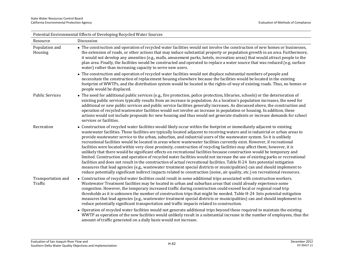| Potential Environmental Effects of Developing Recycled Water Sources |                                                                                                                                                                                                                                                                                                                                                                                                                                                                                                                                                                                                                                                                                                                                                                                                                                                                                                                                                                                                                                                                                                                                                                                                                                                                                                  |  |
|----------------------------------------------------------------------|--------------------------------------------------------------------------------------------------------------------------------------------------------------------------------------------------------------------------------------------------------------------------------------------------------------------------------------------------------------------------------------------------------------------------------------------------------------------------------------------------------------------------------------------------------------------------------------------------------------------------------------------------------------------------------------------------------------------------------------------------------------------------------------------------------------------------------------------------------------------------------------------------------------------------------------------------------------------------------------------------------------------------------------------------------------------------------------------------------------------------------------------------------------------------------------------------------------------------------------------------------------------------------------------------|--|
| Resource                                                             | Discussion                                                                                                                                                                                                                                                                                                                                                                                                                                                                                                                                                                                                                                                                                                                                                                                                                                                                                                                                                                                                                                                                                                                                                                                                                                                                                       |  |
| Population and<br>Housing                                            | • The construction and operation of recycled water facilities would not involve the construction of new homes or businesses,<br>the extension of roads, or other actions that may induce substantial property or population growth in an area. Furthermore,<br>it would not develop any amenities (e.g., malls, amusement parks, hotels, recreation areas) that would attract people to the<br>plan area. Finally, the facilities would be constructed and operated to replace a water source that was reduced (e.g. surface<br>water) rather than increasing capacity to serve new users.                                                                                                                                                                                                                                                                                                                                                                                                                                                                                                                                                                                                                                                                                                       |  |
|                                                                      | • The construction and operation of recycled water facilities would not displace substantial numbers of people and<br>necessitate the construction of replacement housing elsewhere because the facilities would be located in the existing<br>footprint of WWTPs, and the distribution system would be located in the rights-of-way of existing roads. Thus, no homes or<br>people would be displaced.                                                                                                                                                                                                                                                                                                                                                                                                                                                                                                                                                                                                                                                                                                                                                                                                                                                                                          |  |
| <b>Public Services</b>                                               | • The need for additional public services (e.g., fire protection, police protection, libraries, schools) or the deterioration of<br>existing public services typically results from an increase in population. As a location's population increases, the need for<br>additional or new public services and public service facilities generally increases. As discussed above, the construction and<br>operation of recycled wastewater facilities would not involve an increase in population or housing. In addition, these<br>actions would not include proposals for new housing and thus would not generate students or increase demands for school<br>services or facilities.                                                                                                                                                                                                                                                                                                                                                                                                                                                                                                                                                                                                               |  |
| Recreation                                                           | • Construction of recycled water facilities would likely occur within the footprint or immediately adjacent to existing<br>wastewater facilities. These facilities are typically located adjacent to receiving waters and in industrial or urban areas to<br>provide wastewater service to the urban, suburban, and industrial users of the wastewater system. So it is unlikely<br>recreational facilities would be located in areas where wastewater facilities currently exist. However, if recreational<br>facilities were located within very close proximity, construction of recycling facilities may affect them; however, it is<br>unlikely that there would be significant effects on recreational facilities because construction would be temporary and<br>limited. Construction and operation of recycled water facilities would not increase the use of existing parks or recreational<br>facilities and does not result in the construction of actual recreational facilities. Table H-24 lists potential mitigation<br>measures that lead agencies (e.g., wastewater treatment special districts or municipalities) can and should implement to<br>reduce potentially significant indirect impacts related to construction (noise, air quality, etc.) on recreational resources. |  |
| Transportation and<br>Traffic                                        | • Construction of recycled water facilities could result in some additional trips associated with construction workers.<br>Wastewater Treatment facilities may be located in urban and suburban areas that could already experience some<br>congestion. However, the temporary increased traffic during construction could exceed local or regional road trip<br>thresholds as it is unknown the number of construction trips that might be needed. Table H-24 lists potential mitigation<br>measures that lead agencies (e.g., wastewater treatment special districts or municipalities) can and should implement to<br>reduce potentially significant transportation and traffic impacts related to construction.                                                                                                                                                                                                                                                                                                                                                                                                                                                                                                                                                                              |  |
|                                                                      | • Operation of recycled water facilities would not generate additional trips beyond those required to maintain the existing<br>WWTP as operation of the new facilities would unlikely result in a substantial increase in the number of employees, thus the<br>amount of traffic generated on a daily basis would not increase.                                                                                                                                                                                                                                                                                                                                                                                                                                                                                                                                                                                                                                                                                                                                                                                                                                                                                                                                                                  |  |

Evaluation of San Joaquin River Flow and Southern Delta Water Quality Objectives and Implementation H-42 December <sup>2012</sup> ICF 00427.11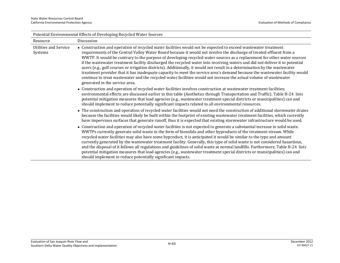| Potential Environmental Effects of Developing Recycled Water Sources |                                                                                                                                                                                                                                                                                                                                                                                                                                                                                                                                                                                                                                                                                                                                                                                                                                                                                                                      |
|----------------------------------------------------------------------|----------------------------------------------------------------------------------------------------------------------------------------------------------------------------------------------------------------------------------------------------------------------------------------------------------------------------------------------------------------------------------------------------------------------------------------------------------------------------------------------------------------------------------------------------------------------------------------------------------------------------------------------------------------------------------------------------------------------------------------------------------------------------------------------------------------------------------------------------------------------------------------------------------------------|
| Resource                                                             | Discussion                                                                                                                                                                                                                                                                                                                                                                                                                                                                                                                                                                                                                                                                                                                                                                                                                                                                                                           |
| <b>Utilities and Service</b><br>Systems                              | • Construction and operation of recycled water facilities would not be expected to exceed wastewater treatment<br>requirements of the Central Valley Water Board because it would not involve the discharge of treated effluent from a<br>WWTP. It would be contrary to the purpose of developing recycled water sources as a replacement for other water sources<br>if the wastewater treatment facility discharged the recycled water into receiving waters and did not deliver it to potential<br>users (e.g., golf courses or irrigation districts). Additionally, it would not result in a determination by the wastewater<br>treatment provider that it has inadequate capacity to meet the service area's demand because the wastewater facility would<br>continue to treat wastewater and the recycled water facilities would not increase the actual volume of wastewater<br>generated in the service area. |
|                                                                      | • Construction and operation of recycled water facilities involves construction at wastewater treatment facilities;<br>environmental effects are discussed earlier in this table (Aesthetics through Transportation and Traffic). Table H-24 lists<br>potential mitigation measures that lead agencies (e.g., wastewater treatment special districts or municipalities) can and<br>should implement to reduce potentially significant impacts related to all environmental resources.                                                                                                                                                                                                                                                                                                                                                                                                                                |
|                                                                      | • The construction and operation of recycled water facilities would not need the construction of additional stormwater drains<br>because the facilities would likely be built within the footprint of existing wastewater treatment facilities, which currently<br>have impervious surfaces that generate runoff, thus it is expected that existing stormwater infrastructure would be used.                                                                                                                                                                                                                                                                                                                                                                                                                                                                                                                         |
|                                                                      | • Construction and operation of recycled water facilities is not expected to generate a substantial increase in solid waste.<br>WWTPs currently generate solid waste in the form of biosolids and other byproducts of the treatment stream. While<br>recycled water facilities may also have some byproduct, it is anticipated it would be similar to the type and amount<br>currently generated by the wastewater treatment facility. Generally, this type of solid waste is not considered hazardous,<br>and the disposal of it follows all regulations and guidelines of solid waste at normal landfills. Furthermore, Table H-24 lists<br>potential mitigation measures that lead agencies (e.g., wastewater treatment special districts or municipalities) can and<br>should implement to reduce potentially significant impacts.                                                                               |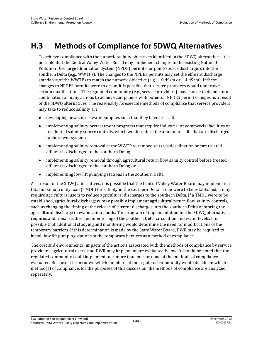# **H.3 Methods of Compliance for SDWQ Alternatives**

To achieve compliance with the numeric salinity objectives identified in the SDWQ alternatives, it is possible that the Central Valley Water Board may implement changes in the existing National Pollution Discharge Elimination System (NPDE) permits for point-source dischargers into the southern Delta (e.g., WWTPs). The changes to the NPDES permits may set the effluent discharge standards of the WWTPs to match the numeric objective (e.g., 1.0 dS/m or 1.4 dS/m). If these changes to NPDES permits were to occur, it is possible that service providers would undertake certain modifications. The regulated community (e.g., service providers) may choose to do one or a combination of many actions to achieve compliance with potential NPDES permit changes as a result of the SDWQ alternatives. The reasonably foreseeable methods of compliance that service providers may take to reduce salinity are:

- developing new source water supplies such that they have less salt;
- implementing salinity pretreatment programs that require industrial or commercial facilities or residential salinity source controls, which would reduce the amount of salts that are discharged to the sewer system;
- implementing salinity removal at the WWTP to remove salts via desalination before treated effluent is discharged to the southern Delta;
- implementing salinity removal through agricultural return flow salinity control before treated effluent is discharged to the southern Delta; or
- implementing low lift pumping stations in the southern Delta.

As a result of the SDWQ alternatives, it is possible that the Central Valley Water Board may implement a total maximum daily load (TMDL) for salinity in the southern Delta. If one were to be established, it may require agricultural users to reduce agricultural discharges to the southern Delta. If a TMDL were to be established, agricultural dischargers may possibly implement agricultural return flow salinity controls, such as changing the timing of the release of current discharges into the southern Delta or storing the agricultural discharge in evaporation ponds. The program of implementation for the SDWQ alternatives requires additional studies and monitoring of the southern Delta circulation and water levels. It is possible that additional studying and monitoring would determine the need for modifications of the temporary barriers. If this determination is made by the State Water Board, DWR may be required to install low lift pumping stations at the temporary barriers as a method of compliance.

The cost and environmental impacts of the actions associated with the methods of compliance by service providers, agricultural users, and DWR may implement are evaluated below. It should be noted that the regulated community could implement one, more than one, or none of the methods of compliance evaluated. Because it is unknown which members of the regulated community would decide on which method(s) of compliance, for the purposes of this discussion, the methods of compliance are analyzed separately.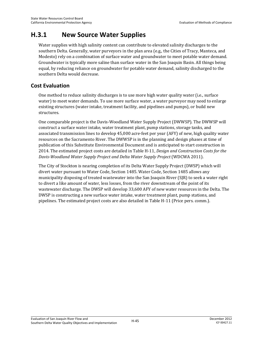# **H.3.1 New Source Water Supplies**

Water supplies with high salinity content can contribute to elevated salinity discharges to the southern Delta. Generally, water purveyors in the plan area (e.g., the Cities of Tracy, Manteca, and Modesto) rely on a combination of surface water and groundwater to meet potable water demand. Groundwater is typically more saline than surface water in the San Joaquin Basin. All things being equal, by reducing reliance on groundwater for potable water demand, salinity discharged to the southern Delta would decrease.

# **Cost Evaluation**

One method to reduce salinity discharges is to use more high water quality water (i.e., surface water) to meet water demands. To use more surface water, a water purveyor may need to enlarge existing structures (water intake, treatment facility, and pipelines and pumps), or build new structures.

One comparable project is the Davis-Woodland Water Supply Project (DWWSP). The DWWSP will construct a surface water intake, water treatment plant, pump stations, storage tanks, and associated transmission lines to develop 45,000 acre-feet per year (AFY) of new, high quality water resources on the Sacramento River. The DWWSP is in the planning and design phases at time of publication of this Substitute Environmental Document and is anticipated to start construction in 2014. The estimated project costs are detailed in Table H-11, *Design and Construction Costs for the Davis-Woodland Water Supply Project and Delta Water Supply Project* (WDCWA 2011).

The City of Stockton is nearing completion of its Delta Water Supply Project (DWSP) which will divert water pursuant to Water Code, Section 1485. Water Code, Section 1485 allows any municipality disposing of treated wastewater into the San Joaquin River (SJR) to seek a water right to divert a like amount of water, less losses, from the river downstream of the point of its wastewater discharge. The DWSP will develop 33,600 AFY of new water resources in the Delta. The DWSP is constructing a new surface water intake, water treatment plant, pump stations, and pipelines. The estimated project costs are also detailed in Table H-11 (Price pers. comm.).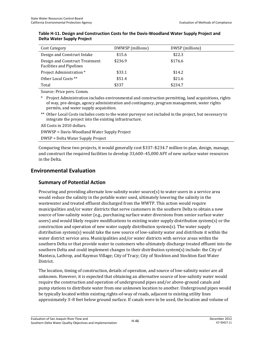| Cost Category                                                     | DWWSP (millions) | DWSP (millions) |
|-------------------------------------------------------------------|------------------|-----------------|
| Design and Construct Intake                                       | \$15.6           | \$22.3          |
| Design and Construct Treatment<br><b>Facilities and Pipelines</b> | \$236.9          | \$176.6         |
| Project Administration *                                          | \$33.1           | \$14.2          |
| Other Local Costs **                                              | \$51.4           | \$21.6          |
| Total                                                             | \$337            | \$234.7         |

#### **Table H-11. Design and Construction Costs for the Davis-Woodland Water Supply Project and Delta Water Supply Project**

Source: Price pers. Comm.

\* Project Administration includes environmental and construction permitting, land acquisitions, rights of way, pre-design, agency administration and contingency, program management, water rights permits, and water supply acquisition.

\*\* Other Local Costs includes costs to the water purveyor not included in the project, but necessary to integrate the project into the existing infrastructure.

All Costs in 2010 dollars.

DWWSP = Davis-Woodland Water Supply Project

DWSP = Delta Water Supply Project

Comparing these two projects, it would generally cost \$337–\$234.7 million to plan, design, manage, and construct the required facilities to develop 33,600–45,000 AFY of new surface water resources in the Delta.

# **Environmental Evaluation**

### **Summary of Potential Action**

Procuring and providing alternate low-salinity water source(s) to water users in a service area would reduce the salinity in the potable water used, ultimately lowering the salinity in the wastewater and treated effluent discharged from the WWTP. This action would require municipalities and/or water districts that serve customers in the southern Delta to obtain a new source of low-salinity water (e.g., purchasing surface water diversions from senior surface water users) and would likely require modifications to existing water supply distribution system(s) or the construction and operation of new water supply distribution system(s). The water supply distribution system(s) would take the new source of low-salinity water and distribute it within the water district service area. Municipalities and/or water districts with service areas within the southern Delta or that provide water to customers who ultimately discharge treated effluent into the southern Delta and could implement changes to their distribution system(s) include: the City of Manteca, Lathrop, and Raymus Village; City of Tracy; City of Stockton and Stockton East Water District.

The location, timing of construction, details of operation, and source of low-salinity water are all unknown. However, it is expected that obtaining an alternative source of low-salinity water would require the construction and operation of underground pipes and/or above-ground canals and pump stations to distribute water from one unknown location to another. Underground pipes would be typically located within existing rights-of-way of roads, adjacent to existing utility lines approximately 3–8 feet below ground surface. If canals were to be used, the location and volume of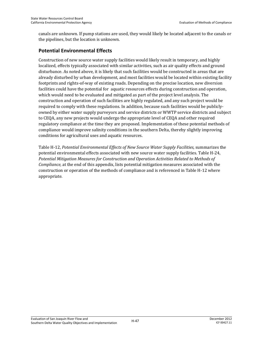canals are unknown. If pump stations are used, they would likely be located adjacent to the canals or the pipelines, but the location is unknown.

# **Potential Environmental Effects**

Construction of new source water supply facilities would likely result in temporary, and highly localized, effects typically associated with similar activities, such as air quality effects and ground disturbance. As noted above, it is likely that such facilities would be constructed in areas that are already disturbed by urban development, and most facilities would be located within existing facility footprints and rights-of-way of existing roads. Depending on the precise location, new diversion facilities could have the potential for aquatic resources effects during construction and operation, which would need to be evaluated and mitigated as part of the project level analysis. The construction and operation of such facilities are highly regulated, and any such project would be required to comply with these regulations. In addition, because such facilities would be publiclyowned by either water supply purveyors and service districts or WWTP service districts and subject to CEQA, any new projects would undergo the appropriate level of CEQA and other required regulatory compliance at the time they are proposed. Implementation of these potential methods of compliance would improve salinity conditions in the southern Delta, thereby slightly improving conditions for agricultural uses and aquatic resources.

Table H-12, *Potential Environmental Effects of New Source Water Supply Facilities*, summarizes the potential environmental effects associated with new source water supply facilities. Table H-24, *Potential Mitigation Measures for Construction and Operation Activities Related to Methods of Compliance,* at the end of this appendix, lists potential mitigation measures associated with the construction or operation of the methods of compliance and is referenced in Table H-12 where appropriate.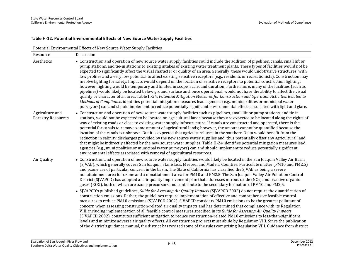### **Table H-12. Potential Environmental Effects of New Source Water Supply Facilities**

| Potential Environmental Effects of New Source Water Supply Facilities |                                                                                                                                                                                                                                                                                                                                                                                                                                                                                                                                                                                                                                                                                                                                                                                                                                                                                                                                                                                                                                                                                                                                                                                                                                                                                                                                                 |  |
|-----------------------------------------------------------------------|-------------------------------------------------------------------------------------------------------------------------------------------------------------------------------------------------------------------------------------------------------------------------------------------------------------------------------------------------------------------------------------------------------------------------------------------------------------------------------------------------------------------------------------------------------------------------------------------------------------------------------------------------------------------------------------------------------------------------------------------------------------------------------------------------------------------------------------------------------------------------------------------------------------------------------------------------------------------------------------------------------------------------------------------------------------------------------------------------------------------------------------------------------------------------------------------------------------------------------------------------------------------------------------------------------------------------------------------------|--|
| Resource                                                              | Discussion                                                                                                                                                                                                                                                                                                                                                                                                                                                                                                                                                                                                                                                                                                                                                                                                                                                                                                                                                                                                                                                                                                                                                                                                                                                                                                                                      |  |
| Aesthetics                                                            | • Construction and operation of new source water supply facilities could include the addition of pipelines, canals, small lift or<br>pump stations, and tie-in stations to existing intakes of existing water treatment plants. These types of facilities would not be<br>expected to significantly affect the visual character or quality of an area. Generally, these would unobtrusive structures, with<br>low profiles and a very low potential to affect existing sensitive receptors (e.g., residents or recreationists). Construction may<br>involve lighting for safety. Impacts would depend on the location of sensitive receptors to potential construction lighting;<br>however, lighting would be temporary and limited in scope, scale, and duration. Furthermore, many of the facilities (such as<br>pipelines) would likely be located below ground surface and, once operational, would not have the ability to affect the visual<br>quality or character of an area. Table H-24, Potential Mitigation Measures for Construction and Operation Activities Related to<br>Methods of Compliance, identifies potential mitigation measures lead agencies (e.g., municipalities or municipal water<br>purveyors) can and should implement to reduce potentially significant environmental effects associated with light and glare. |  |
| Agriculture and<br><b>Forestry Resources</b>                          | • Construction and operation of new source water supply facilities such as pipelines, small lift or pump stations, and tie in<br>stations, would not be expected to be located on agricultural lands because they are expected to be located along the rights of<br>way of existing roads or close to existing water supply infrastructure. If canals are constructed and operated, there is the<br>potential for canals to remove some amount of agricultural lands; however, the amount cannot be quantified because the<br>location of the canals is unknown. But it is expected that agricultural uses in the southern Delta would benefit from the<br>reduction in salinity discharges provided by the new source water supplies and thus potentially offset any agricultural land<br>that might be indirectly affected by the new source water supplies. Table H-24 identifies potential mitigation measures lead<br>agencies (e.g., municipalities or municipal water purveyors) can and should implement to reduce potentially significant<br>environmental effects associated with removal of agricultural resources.                                                                                                                                                                                                                  |  |
| Air Quality                                                           | • Construction and operation of new source water supply facilities would likely be located in the San Joaquin Valley Air Basin<br>(SJVAB), which generally covers San Joaquin, Stanislaus, Merced, and Madera Counties. Particulate matter (PM10 and PM2.5)<br>and ozone are of particular concern in the basin. The State of California has classified the SJVAB as being a severe<br>nonattainment area for ozone and a nonattainment area for PM10 and PM2.5. The San Joaquin Valley Air Pollution Control<br>District (SJVAPCD) has adopted an air quality improvement plan that addresses nitrous oxide ( $NOX$ ) and reactive organic<br>gases (ROG), both of which are ozone precursors and contribute to the secondary formation of PM10 and PM2.5.                                                                                                                                                                                                                                                                                                                                                                                                                                                                                                                                                                                     |  |
|                                                                       | • SJVAPCD's published guidelines, Guide for Assessing Air Quality Impacts (SJVAPCD 2002) do not require the quantification of<br>construction emissions. Rather, the guidelines require implementation of effective and comprehensive feasible control<br>measures to reduce PM10 emissions (SJVAPCD 2002). SJVAPCD considers PM10 emissions to be the greatest pollutant of<br>concern when assessing construction-related air quality impacts and has determined that compliance with its Regulation<br>VIII, including implementation of all feasible control measures specified in its Guide for Assessing Air Quality Impacts<br>(SJVAPCD 2002), constitutes sufficient mitigation to reduce construction-related PM10 emissions to less-than-significant<br>levels and minimize adverse air quality effects. All construction projects must abide by Regulation VIII. Since the publication<br>of the district's guidance manual, the district has revised some of the rules comprising Regulation VIII. Guidance from district                                                                                                                                                                                                                                                                                                           |  |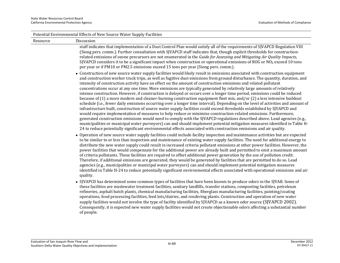|          | Potential Environmental Effects of New Source Water Supply Facilities                                                                                                                                                                                                                                                                                                                                                                                                                                                                                                                                                                                                                                                                                                                                                                                                                                                                                                                                                                                                                                                                                                                                                                                                                                                                                                                                                                                                                                                                |
|----------|--------------------------------------------------------------------------------------------------------------------------------------------------------------------------------------------------------------------------------------------------------------------------------------------------------------------------------------------------------------------------------------------------------------------------------------------------------------------------------------------------------------------------------------------------------------------------------------------------------------------------------------------------------------------------------------------------------------------------------------------------------------------------------------------------------------------------------------------------------------------------------------------------------------------------------------------------------------------------------------------------------------------------------------------------------------------------------------------------------------------------------------------------------------------------------------------------------------------------------------------------------------------------------------------------------------------------------------------------------------------------------------------------------------------------------------------------------------------------------------------------------------------------------------|
| Resource | Discussion                                                                                                                                                                                                                                                                                                                                                                                                                                                                                                                                                                                                                                                                                                                                                                                                                                                                                                                                                                                                                                                                                                                                                                                                                                                                                                                                                                                                                                                                                                                           |
|          | staff indicates that implementation of a Dust Control Plan would satisfy all of the requirements of SJVAPCD Regulation VIII<br>(Siong pers. comm.). Further consultation with SJVAPCD staff indicates that, though explicit thresholds for construction-<br>related emissions of ozone precursors are not enumerated in the Guide for Assessing and Mitigating Air Quality Impacts,<br>SJVAPCD considers it to be a significant impact when construction or operational emissions of ROG or $NOX$ exceed 10 tons<br>per year or if PM10 or PM2.5 emissions exceed 15 tons per year (Siong pers. comm.).                                                                                                                                                                                                                                                                                                                                                                                                                                                                                                                                                                                                                                                                                                                                                                                                                                                                                                                              |
|          | • Construction of new source water supply facilities would likely result in emissions associated with construction equipment<br>and construction worker truck trips, as well as fugitive dust emissions from ground disturbance. The quantity, duration, and<br>intensity of construction activity have an effect on the amount of construction emissions and related pollutant<br>concentrations occur at any one time. More emissions are typically generated by relatively large amounts of relatively<br>intense construction. However, if construction is delayed or occurs over a longer time period, emissions could be reduced<br>because of (1) a more modern and cleaner-burning construction equipment fleet mix, and/or (2) a less intensive buildout<br>schedule (i.e., fewer daily emissions occurring over a longer time interval). Depending on the level of activities and amount of<br>infrastructure built, construction of source water supply facilities could exceed thresholds established by SJVAPCD and<br>would require implementation of measures to help reduce or minimize construction-related emissions. Furthermore,<br>generated construction emissions would need to comply with the SJVAPCD regulations described above. Lead agencies (e.g.,<br>municipalities or municipal water purveyors) can and should implement potential mitigation measures identified in Table H-<br>24 to reduce potentially significant environmental effects associated with construction emissions and air quality. |
|          | • Operation of new source water supply facilities could include facility inspection and maintenance activities but are expected<br>to be similar to or less than inspection and maintenance of existing water supply facilities. The need for additional energy to<br>distribute the new water supply could result in increased criteria pollutant emissions at other power facilities. However, the<br>power facilities that would compensate for the additional power are already built and permitted to emit a maximum amount<br>of criteria pollutants. These facilities are required to offset additional power generation by the use of pollution credit.<br>Therefore, if additional emissions are generated, they would be generated by facilities that are permitted to do so. Lead<br>agencies (e.g., municipalities or municipal water purveyors) can and should implement potential mitigation measures<br>identified in Table H-24 to reduce potentially significant environmental effects associated with operational emissions and air<br>quality.                                                                                                                                                                                                                                                                                                                                                                                                                                                                    |
|          | • SJVAPCD has determined some common types of facilities that have been known to produce odors in the SJVAB. Some of<br>these facilities are wastewater treatment facilities, sanitary landfills, transfer stations, composting facilities, petroleum<br>refineries, asphalt batch plants, chemical manufacturing facilities, fiberglass manufacturing facilities, painting/coating<br>operations, food processing facilities, feed lots/dairies, and rendering plants. Construction and operation of new water<br>supply facilities would not involve the type of facility identified by SJVAPCD as a known odor source (SJVAPCD 2002).<br>Consequently, it is expected new water supply facilities would not create objectionable odors affecting a substantial number<br>of people.                                                                                                                                                                                                                                                                                                                                                                                                                                                                                                                                                                                                                                                                                                                                               |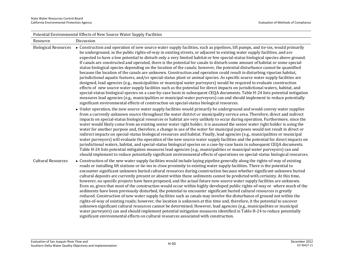| Potential Environmental Effects of New Source Water Supply Facilities |                                                                                                                                                                                                                                                                                                                                                                                                                                                                                                                                                                                                                                                                                                                                                                                                                                                                                                                                                                                                                                                                                                                                                                                                                                                                                                                                                                                                                                                                                                                                                 |  |
|-----------------------------------------------------------------------|-------------------------------------------------------------------------------------------------------------------------------------------------------------------------------------------------------------------------------------------------------------------------------------------------------------------------------------------------------------------------------------------------------------------------------------------------------------------------------------------------------------------------------------------------------------------------------------------------------------------------------------------------------------------------------------------------------------------------------------------------------------------------------------------------------------------------------------------------------------------------------------------------------------------------------------------------------------------------------------------------------------------------------------------------------------------------------------------------------------------------------------------------------------------------------------------------------------------------------------------------------------------------------------------------------------------------------------------------------------------------------------------------------------------------------------------------------------------------------------------------------------------------------------------------|--|
| Resource                                                              | Discussion                                                                                                                                                                                                                                                                                                                                                                                                                                                                                                                                                                                                                                                                                                                                                                                                                                                                                                                                                                                                                                                                                                                                                                                                                                                                                                                                                                                                                                                                                                                                      |  |
| <b>Biological Resources</b>                                           | • Construction and operation of new source water supply facilities, such as pipelines, lift pumps, and tie-ins, would primarily<br>be underground, in the public rights-of-way in existing streets, or adjacent to existing water supply facilities, and are<br>expected to have a low potential to disturb only a very limited habitat or few special-status biological species above ground.<br>If canals are constructed and operated, there is the potential for canals to disturb some amount of habitat or some special-<br>status biological species depending on the location of the canals; however, the potential disturbance cannot be quantified<br>because the location of the canals are unknown. Construction and operation could result in disturbing riparian habitat,<br>jurisdictional aquatic features, and/or special-status plant or animal species. As specific source water supply facilities are<br>designed, lead agencies (e.g., municipalities or municipal water purveyors) would be required to evaluate construction<br>effects of new source water supply facilities such as the potential for direct impacts on jurisdictional waters, habitat, and<br>special-status biological species on a case-by-case basis in subsequent CEQA documents. Table H-24 lists potential mitigation<br>measures lead agencies (e.g., municipalities or municipal water purveyors) can and should implement to reduce potentially<br>significant environmental effects of construction on special-status biological resources. |  |
|                                                                       | • Under operation, the new source water supply facilities would primarily be underground and would convey water supplies<br>from a currently unknown source throughout the water district or municipality service area. Therefore, direct and indirect<br>impacts on special-status biological resources or habitat are very unlikely to occur during operation. Furthermore, since the<br>water would likely come from an existing senior water right holder, it is assumed the senior water right holder is using the<br>water for another purpose and, therefore, a change in use of the water for municipal purposes would not result in direct or<br>indirect impacts on special-status biological resources and habitat. Finally, lead agencies (e.g., municipalities or municipal<br>water purveyors) will evaluate the operation of the new source water supply facilities and the potential for direct impacts on<br>jurisdictional waters, habitat, and special-status biological species on a case-by-case basis in subsequent CEQA documents.<br>Table H-24 lists potential mitigation measures lead agencies (e.g., municipalities or municipal water purveyors) can and<br>should implement to reduce potentially significant environmental effects of operations on special-status biological resources.                                                                                                                                                                                                                         |  |
| <b>Cultural Resources</b>                                             | • Construction of the new water supply facilities would include laying pipeline generally along the rights-of-way of existing<br>roads or installing lift stations or tie-ins in close proximity to existing water supply facilities. There is the potential to<br>encounter significant unknown buried cultural resources during construction because whether significant unknown buried<br>cultural deposits are currently present or absent within these sediments cannot be predicted with certainty. At this time,<br>however, no specific projects have been proposed, and the actual future new source water supply facilities are unknown.<br>Even so, given that most of the construction would occur within highly developed public rights-of-way or where much of the<br>sediments have been previously disturbed, the potential to encounter significant buried cultural resources is greatly<br>reduced. Construction of new water supply facilities such as canals may involve the disturbance of ground not within the<br>rights-of-way of existing roads; however, the location is unknown at this time and, therefore, it the potential to uncover<br>unknown significant cultural resources cannot be determined. However, lead agencies (e.g., municipalities or municipal<br>water purveyors) can and should implement potential mitigation measures identified in Table H-24 to reduce potentially<br>significant environmental effects on cultural resources associated with construction.                                |  |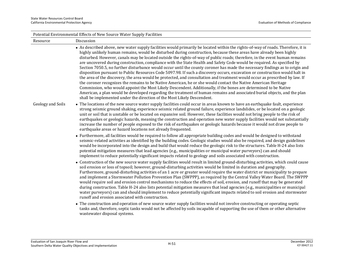| Potential Environmental Effects of New Source Water Supply Facilities |                                                                                                                                                                                                                                                                                                                                                                                                                                                                                                                                                                                                                                                                                                                                                                                                                                                                                                                                                                                                                                                                                                                                                                                                                                                                                                                                                            |  |
|-----------------------------------------------------------------------|------------------------------------------------------------------------------------------------------------------------------------------------------------------------------------------------------------------------------------------------------------------------------------------------------------------------------------------------------------------------------------------------------------------------------------------------------------------------------------------------------------------------------------------------------------------------------------------------------------------------------------------------------------------------------------------------------------------------------------------------------------------------------------------------------------------------------------------------------------------------------------------------------------------------------------------------------------------------------------------------------------------------------------------------------------------------------------------------------------------------------------------------------------------------------------------------------------------------------------------------------------------------------------------------------------------------------------------------------------|--|
| Resource                                                              | Discussion                                                                                                                                                                                                                                                                                                                                                                                                                                                                                                                                                                                                                                                                                                                                                                                                                                                                                                                                                                                                                                                                                                                                                                                                                                                                                                                                                 |  |
|                                                                       | • As described above, new water supply facilities would primarily be located within the rights-of-way of roads. Therefore, it is<br>highly unlikely human remains, would be disturbed during construction, because these areas have already been highly<br>disturbed. However, canals may be located outside the rights-of-way of public roads; therefore, in the event human remains<br>are uncovered during construction, compliance with the State Health and Safety Code would be required. As specified by<br>Section 7050.5, no further disturbance would occur until the county coroner has made the necessary findings as to origin and<br>disposition pursuant to Public Resources Code 5097.98. If such a discovery occurs, excavation or construction would halt in<br>the area of the discovery, the area would be protected, and consultation and treatment would occur as prescribed by law. If<br>the coroner recognizes the remains to be Native American, he or she would contact the Native American Heritage<br>Commission, who would appoint the Most Likely Descendent. Additionally, if the bones are determined to be Native<br>American, a plan would be developed regarding the treatment of human remains and associated burial objects, and the plan<br>shall be implemented under the direction of the Most Likely Descendent. |  |
| Geology and Soils                                                     | • The locations of the new source water supply facilities could occur in areas known to have an earthquake fault, experience<br>strong seismic ground shaking, experience seismic related ground failure, experience landslides, or be located on a geologic<br>unit or soil that is unstable or be located on expansive soil. However, these facilities would not bring people to the risk of<br>earthquakes or geologic hazards, meaning the construction and operation new water supply facilities would not substantially<br>increase the number of people exposed to the risk of earthquakes or geologic hazards because it would not draw people to<br>earthquake areas or hazard locations not already frequented.                                                                                                                                                                                                                                                                                                                                                                                                                                                                                                                                                                                                                                  |  |
|                                                                       | • Furthermore, all facilities would be required to follow all appropriate building codes and would be designed to withstand<br>seismic-related activities as identified by the building codes. Geologic studies would also be required, and design guidelines<br>would be incorporated into the design and build that would reduce the geologic risk to the structures. Table H-24 also lists<br>potential mitigation measures that lead agencies (e.g., municipalities or municipal water purveyors) can and should<br>implement to reduce potentially significant impacts related to geology and soils associated with construction.                                                                                                                                                                                                                                                                                                                                                                                                                                                                                                                                                                                                                                                                                                                     |  |
|                                                                       | • Construction of the new source water supply facilities would result in limited ground-disturbing activities, which could cause<br>soil erosion or loss of topsoil; however, ground-disturbing activities would be limited in duration and geography.<br>Furthermore, ground-disturbing activities of an 1 acre or greater would require the water district or municipality to prepare<br>and implement a Stormwater Pollution Prevention Plan (SWPPP), as required by the Central Valley Water Board. The SWPPP<br>would require soil and erosion control mechanisms to reduce the effects of soil, erosion, and runoff that may be generated<br>during construction. Table H-24 also lists potential mitigation measures that lead agencies (e.g., municipalities or municipal<br>water purveyors) can and should implement to reduce potentially significant impacts related to soil erosion and stormwater<br>runoff and erosion associated with construction.                                                                                                                                                                                                                                                                                                                                                                                        |  |
|                                                                       | • The construction and operation of new source water supply facilities would not involve constructing or operating septic<br>tanks and, therefore, septic tanks would not be affected by soils incapable of supporting the use of them or other alternative<br>wastewater disposal systems.                                                                                                                                                                                                                                                                                                                                                                                                                                                                                                                                                                                                                                                                                                                                                                                                                                                                                                                                                                                                                                                                |  |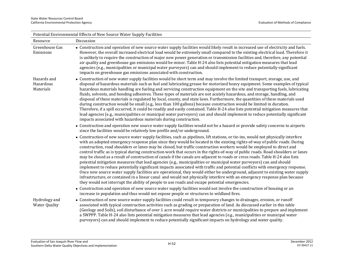| Potential Environmental Effects of New Source Water Supply Facilities |                                                                                                                                                                                                                                                                                                                                                                                                                                                                                                                                                                                                                                                                                                                                                                                                                                                                                                                                                                                                                                                                                                                                                                                                                                                                                    |  |
|-----------------------------------------------------------------------|------------------------------------------------------------------------------------------------------------------------------------------------------------------------------------------------------------------------------------------------------------------------------------------------------------------------------------------------------------------------------------------------------------------------------------------------------------------------------------------------------------------------------------------------------------------------------------------------------------------------------------------------------------------------------------------------------------------------------------------------------------------------------------------------------------------------------------------------------------------------------------------------------------------------------------------------------------------------------------------------------------------------------------------------------------------------------------------------------------------------------------------------------------------------------------------------------------------------------------------------------------------------------------|--|
| Resource                                                              | Discussion                                                                                                                                                                                                                                                                                                                                                                                                                                                                                                                                                                                                                                                                                                                                                                                                                                                                                                                                                                                                                                                                                                                                                                                                                                                                         |  |
| Greenhouse Gas<br>Emissions                                           | • Construction and operation of new source water supply facilities would likely result in increased use of electricity and fuels.<br>However, the overall increased electrical load would be extremely small compared to the existing electrical load. Therefore it<br>is unlikely to require the construction of major new power generation or transmission facilities and, therefore, any potential<br>air quality and greenhouse gas emissions would be minor. Table H-24 also lists potential mitigation measures that lead<br>agencies (e.g., municipalities or municipal water purveyors) can and should implement to reduce potentially significant<br>impacts on greenhouse gas emissions associated with construction.                                                                                                                                                                                                                                                                                                                                                                                                                                                                                                                                                    |  |
| Hazards and<br>Hazardous<br>Materials                                 | • Construction of new water supply facilities would be short term and may involve the limited transport, storage, use, and<br>disposal of hazardous materials such as fuel and lubricating grease for motorized heavy equipment. Some examples of typical<br>hazardous materials handling are fueling and servicing construction equipment on the site and transporting fuels, lubricating<br>fluids, solvents, and bonding adhesives. These types of materials are not acutely hazardous, and storage, handling, and<br>disposal of these materials is regulated by local, county, and state laws. Furthermore, the quantities of these materials used<br>during construction would be small (e.g., less than 100 gallons) because construction would be limited in duration.<br>Therefore, if a spill occurred, it could be readily and easily contained. Table H-24 also lists potential mitigation measures that<br>lead agencies (e.g., municipalities or municipal water purveyors) can and should implement to reduce potentially significant<br>impacts associated with hazardous materials during construction.                                                                                                                                                           |  |
|                                                                       | • Construction and operation new source water supply facilities would not be a hazard or provide safety concerns to airports<br>since the facilities would be relatively low profile and/or underground.                                                                                                                                                                                                                                                                                                                                                                                                                                                                                                                                                                                                                                                                                                                                                                                                                                                                                                                                                                                                                                                                           |  |
|                                                                       | • Construction of new source water supply facilities, such as pipelines, lift stations, or tie-ins, would not physically interfere<br>with an adopted emergency response plan since they would be located in the existing rights-of-way of public roads. During<br>construction, road shoulders or lanes may be closed, but traffic construction workers would be employed to direct and<br>control traffic as is typical during construction work that occurs in the rights-of-way of public roads. Road shoulders or lanes<br>may be closed as a result of construction of canals if the canals are adjacent to roads or cross roads. Table H-24 also lists<br>potential mitigation measures that lead agencies (e.g., municipalities or municipal water purveyors) can and should<br>implement to reduce potentially significant impacts associated with traffic and potential conflicts with emergency response.<br>Once new source water supply facilities are operational, they would either be underground, adjacent to existing water supply<br>infrastructure, or contained in a linear canal and would not physically interfere with an emergency response plan because<br>they would not interrupt the ability of people to use roads and escape potential emergencies. |  |
|                                                                       | • Construction and operation of new source water supply facilities would not involve the construction of housing or an<br>increase in population and thus would not expose people or structures to wildland fires.                                                                                                                                                                                                                                                                                                                                                                                                                                                                                                                                                                                                                                                                                                                                                                                                                                                                                                                                                                                                                                                                 |  |
| Hydrology and<br><b>Water Quality</b>                                 | • Construction of new source water supply facilities could result in temporary changes to drainages, erosion, or runoff<br>associated with typical construction activities such as grading or preparation of land. As discussed earlier in this table<br>(Geology and Soils), soil disturbance of over 1 acre would require water districts or municipalities to prepare and implement<br>a SWPPP. Table H-24 also lists potential mitigation measures that lead agencies (e.g., municipalities or municipal water<br>purveyors) can and should implement to reduce potentially significant impacts on hydrology and water quality.                                                                                                                                                                                                                                                                                                                                                                                                                                                                                                                                                                                                                                                |  |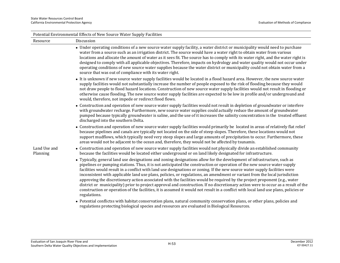| Potential Environmental Effects of New Source Water Supply Facilities |                                                                                                                                                                                                                                                                                                                                                                                                                                                                                                                                                                                                                                                                                                                                                                                                                                                                                                                                         |  |
|-----------------------------------------------------------------------|-----------------------------------------------------------------------------------------------------------------------------------------------------------------------------------------------------------------------------------------------------------------------------------------------------------------------------------------------------------------------------------------------------------------------------------------------------------------------------------------------------------------------------------------------------------------------------------------------------------------------------------------------------------------------------------------------------------------------------------------------------------------------------------------------------------------------------------------------------------------------------------------------------------------------------------------|--|
| Resource                                                              | Discussion                                                                                                                                                                                                                                                                                                                                                                                                                                                                                                                                                                                                                                                                                                                                                                                                                                                                                                                              |  |
|                                                                       | • Under operating conditions of a new source water supply facility, a water district or municipality would need to purchase<br>water from a source such as an irrigation district. The source would have a water right to obtain water from various<br>locations and allocate the amount of water as it sees fit. The source has to comply with its water right, and the water right is<br>designed to comply with all applicable objectives. Therefore, impacts on hydrology and water quality would not occur under<br>operating conditions of new source water supplies because the water district or municipality could not obtain water from a<br>source that was out of compliance with its water right.                                                                                                                                                                                                                          |  |
|                                                                       | • It is unknown if new source water supply facilities would be located in a flood hazard area. However, the new source water<br>supply facilities would not substantially increase the number of people exposed to the risk of flooding because they would<br>not draw people to flood hazard locations. Construction of new source water supply facilities would not result in flooding or<br>otherwise cause flooding. The new source water supply facilities are expected to be low in profile and/or underground and<br>would, therefore, not impede or redirect flood flows.                                                                                                                                                                                                                                                                                                                                                       |  |
|                                                                       | • Construction and operation of new source water supply facilities would not result in depletion of groundwater or interfere<br>with groundwater recharge. Furthermore, new source water supplies could actually reduce the amount of groundwater<br>pumped because typically groundwater is saline, and the use of it increases the salinity concentration in the treated effluent<br>discharged into the southern Delta.                                                                                                                                                                                                                                                                                                                                                                                                                                                                                                              |  |
|                                                                       | • Construction and operation of new source water supply facilities would primarily be located in areas of relatively flat relief<br>because pipelines and canals are typically not located on the side of steep slopes. Therefore, these locations would not<br>support mudflows, which typically need very steep slopes and large amounts of precipitation to occur. Furthermore, these<br>areas would not be adjacent to the ocean and, therefore, they would not be affected by tsunamis.                                                                                                                                                                                                                                                                                                                                                                                                                                            |  |
| Land Use and<br>Planning                                              | • Construction and operation of new source water supply facilities would not physically divide an established community<br>because the facilities would be located either underground or on land likely designated for infrastructure.                                                                                                                                                                                                                                                                                                                                                                                                                                                                                                                                                                                                                                                                                                  |  |
|                                                                       | • Typically, general land use designations and zoning designations allow for the development of infrastructure, such as<br>pipelines or pumping stations. Thus, it is not anticipated the construction or operation of the new source water supply<br>facilities would result in a conflict with land use designations or zoning. If the new source water supply facilities were<br>inconsistent with applicable land use plans, policies, or regulations, an amendment or variant from the local jurisdiction<br>approving the discretionary action associated with the facilities would be required by the project proponent (e.g., water<br>district or municipality) prior to project approval and construction. If no discretionary action were to occur as a result of the<br>construction or operation of the facilities, it is assumed it would not result in a conflict with local land use plans, policies or<br>regulations. |  |
|                                                                       | • Potential conflictss with habitat conservation plans, natural community conservation plans, or other plans, policies and<br>regulations protecting biological species and resources are evaluated in Biological Resources.                                                                                                                                                                                                                                                                                                                                                                                                                                                                                                                                                                                                                                                                                                            |  |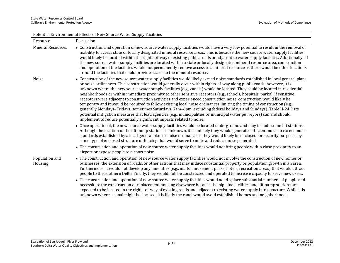| Potential Environmental Effects of New Source Water Supply Facilities |                                                                                                                                                                                                                                                                                                                                                                                                                                                                                                                                                                                                                                                                                                                                                                                                                                                                                                                                                                                                                                                                                           |  |
|-----------------------------------------------------------------------|-------------------------------------------------------------------------------------------------------------------------------------------------------------------------------------------------------------------------------------------------------------------------------------------------------------------------------------------------------------------------------------------------------------------------------------------------------------------------------------------------------------------------------------------------------------------------------------------------------------------------------------------------------------------------------------------------------------------------------------------------------------------------------------------------------------------------------------------------------------------------------------------------------------------------------------------------------------------------------------------------------------------------------------------------------------------------------------------|--|
| Resource                                                              | Discussion                                                                                                                                                                                                                                                                                                                                                                                                                                                                                                                                                                                                                                                                                                                                                                                                                                                                                                                                                                                                                                                                                |  |
| <b>Mineral Resources</b>                                              | • Construction and operation of new source water supply facilities would have a very low potential to result in the removal or<br>inability to access state or locally designated mineral resource areas. This is because the new source water supply facilities<br>would likely be located within the rights-of-way of existing public roads or adjacent to water supply facilities. Additionally, if<br>the new source water supply facilities are located within a state or locally designated mineral resource area, construction<br>and operation of the facilities would not permanently remove access to a mineral resource as there would be other locations<br>around the facilities that could provide access to the mineral resource.                                                                                                                                                                                                                                                                                                                                          |  |
| Noise                                                                 | • Construction of the new source water supply facilities would likely exceed noise standards established in local general plans<br>or noise ordinances. This construction would generally occur within rights-of-way along public roads; however, it is<br>unknown where the new source water supply facilities (e.g., canals) would be located. They could be located in residential<br>neighborhoods or within immediate proximity to other sensitive receptors (e.g., schools, hospitals, parks). If sensitive<br>receptors were adjacent to construction activities and experienced construction noise, construction would likely be<br>temporary and it would be required to follow existing local noise ordinances limiting the timing of construction (e.g.,<br>generally Mondays-Fridays, sometimes Saturdays, 7am-6pm, excluding federal holidays and Sundays). Table H-24 lists<br>potential mitigation measures that lead agencies (e.g., municipalities or municipal water purveyors) can and should<br>implement to reduce potentially significant impacts related to noise. |  |
|                                                                       | • Once operational, the new source water supply facilities would be located underground and may include some lift stations.<br>Although the location of the lift pump stations is unknown, it is unlikely they would generate sufficient noise to exceed noise<br>standards established by a local general plan or noise ordinance as they would likely be enclosed for security purposes by<br>some type of enclosed structure or fencing that would serve to mute and reduce noise generated.                                                                                                                                                                                                                                                                                                                                                                                                                                                                                                                                                                                           |  |
|                                                                       | • The construction and operation of new source water supply facilities would not bring people within close proximity to an<br>airport or expose people to airport noise.                                                                                                                                                                                                                                                                                                                                                                                                                                                                                                                                                                                                                                                                                                                                                                                                                                                                                                                  |  |
| Population and<br>Housing                                             | • The construction and operation of new source water supply facilities would not involve the construction of new homes or<br>businesses, the extension of roads, or other actions that may induce substantial property or population growth in an area.<br>Furthermore, it would not develop any amenities (e.g., malls, amusement parks, hotels, recreation areas) that would attract<br>people to the southern Delta. Finally, they would not be constructed and operated to increase capacity to serve new users.<br>• The construction and operation of new source water supply facilities would not displace substantial numbers of people and<br>necessitate the construction of replacement housing elsewhere because the pipeline facilities and lift pump stations are<br>expected to be located in the rights-of-way of existing roads and adjacent to existing water supply infrastructure. While it is<br>unknown where a canal might be located, it is likely the canal would avoid established homes and neighborhoods.                                                     |  |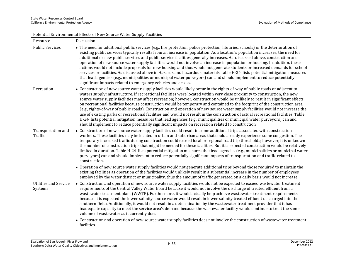| Potential Environmental Effects of New Source Water Supply Facilities |                                                                                                                                                                                                                                                                                                                                                                                                                                                                                                                                                                                                                                                                                                                                                                                                                                                                                                                                                                                                                                   |  |
|-----------------------------------------------------------------------|-----------------------------------------------------------------------------------------------------------------------------------------------------------------------------------------------------------------------------------------------------------------------------------------------------------------------------------------------------------------------------------------------------------------------------------------------------------------------------------------------------------------------------------------------------------------------------------------------------------------------------------------------------------------------------------------------------------------------------------------------------------------------------------------------------------------------------------------------------------------------------------------------------------------------------------------------------------------------------------------------------------------------------------|--|
| Resource                                                              | Discussion                                                                                                                                                                                                                                                                                                                                                                                                                                                                                                                                                                                                                                                                                                                                                                                                                                                                                                                                                                                                                        |  |
| <b>Public Services</b>                                                | • The need for additional public services (e.g., fire protection, police protection, libraries, schools) or the deterioration of<br>existing public services typically results from an increase in population. As a location's population increases, the need for<br>additional or new public services and public service facilities generally increases. As discussed above, construction and<br>operation of new source water supply facilities would not involve an increase in population or housing. In addition, these<br>actions would not include proposals for new housing and thus would not generate students or increased demands for school<br>services or facilities. As discussed above in Hazards and hazardous materials, table H-24 lists potential mitigation measures<br>that lead agencies (e.g., municipalities or municipal water purveyors) can and should implement to reduce potentially<br>significant impacts related to emergency vehicles and access.                                               |  |
| Recreation                                                            | • Construction of new source water supply facilities would likely occur in the rights-of-way of public roads or adjacent to<br>waters supply infrastructure. If recreational facilities were located within very close proximity to construction, the new<br>source water supply facilities may affect recreation; however, construction would be unlikely to result in significant effects<br>on recreational facilities because construction would be temporary and contained to the footprint of the construction area<br>(e.g., rights-of-way of public roads). Construction and operation of new source water supply facilities would not increase the<br>use of existing parks or recreational facilities and would not result in the construction of actual recreational facilities. Table<br>H-24 lists potential mitigation measures that lead agencies (e.g., municipalities or municipal water purveyors) can and<br>should implement to reduce potentially significant impacts on recreation related to construction. |  |
| Transportation and<br>Traffic                                         | • Construction of new source water supply facilities could result in some additional trips associated with construction<br>workers. These facilities may be located in urban and suburban areas that could already experience some congestion. The<br>temporary increased traffic during construction could exceed local or regional road trip thresholds; however, it is unknown<br>the number of construction trips that might be needed for these facilities. But it is expected construction would be relatively<br>limited in duration. Table H-24 lists potential mitigation measures that lead agencies (e.g., municipalities or municipal water<br>purveyors) can and should implement to reduce potentially significant impacts of transportation and traffic related to<br>construction.<br>• Operation of new source water supply facilities would not generate additional trips beyond those required to maintain the                                                                                                 |  |
|                                                                       | existing facilities as operation of the facilities would unlikely result in a substantial increase in the number of employees<br>employed by the water district or municipality, thus the amount of traffic generated on a daily basis would not increase.                                                                                                                                                                                                                                                                                                                                                                                                                                                                                                                                                                                                                                                                                                                                                                        |  |
| <b>Utilities and Service</b><br>Systems                               | • Construction and operation of new source water supply facilities would not be expected to exceed wastewater treatment<br>requirements of the Central Valley Water Board because it would not involve the discharge of treated effluent from a<br>wastewater treatment plant (WWTP). Furthermore, it would actually help achieve wastewater treatment requirements<br>because it is expected the lower-salinity source water would result in lower-salinity treated effluent discharged into the<br>southern Delta. Additionally, it would not result in a determination by the wastewater treatment provider that it has<br>inadequate capacity to meet the service area's demand because the wastewater facility would continue to treat the same<br>volume of wastewater as it currently does.                                                                                                                                                                                                                                |  |
|                                                                       | • Construction and operation of new source water supply facilities does not involve the construction of wastewater treatment<br>facilities.                                                                                                                                                                                                                                                                                                                                                                                                                                                                                                                                                                                                                                                                                                                                                                                                                                                                                       |  |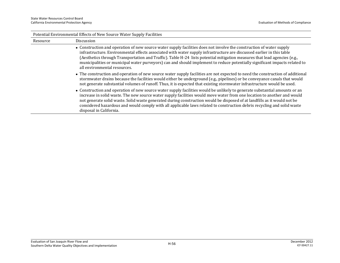| Potential Environmental Effects of New Source Water Supply Facilities |                                                                                                                                                                                                                                                                                                                                                                                                                                                                                                                                          |  |
|-----------------------------------------------------------------------|------------------------------------------------------------------------------------------------------------------------------------------------------------------------------------------------------------------------------------------------------------------------------------------------------------------------------------------------------------------------------------------------------------------------------------------------------------------------------------------------------------------------------------------|--|
| Resource                                                              | Discussion                                                                                                                                                                                                                                                                                                                                                                                                                                                                                                                               |  |
|                                                                       | • Construction and operation of new source water supply facilities does not involve the construction of water supply<br>infrastructure. Environmental effects associated with water supply infrastructure are discussed earlier in this table<br>(Aesthetics through Transportation and Traffic). Table H-24 lists potential mitigation measures that lead agencies (e.g.,<br>municipalities or municipal water purveyors) can and should implement to reduce potentially significant impacts related to<br>all environmental resources. |  |
|                                                                       | • The construction and operation of new source water supply facilities are not expected to need the construction of additional<br>stormwater drains because the facilities would either be underground (e.g., pipelines) or be conveyance canals that would<br>not generate substantial volumes of runoff. Thus, it is expected that existing stormwater infrastructure would be used.                                                                                                                                                   |  |
|                                                                       | • Construction and operation of new source water supply facilities would be unlikely to generate substantial amounts or an<br>increase in solid waste. The new source water supply facilities would move water from one location to another and would<br>not generate solid waste. Solid waste generated during construction would be disposed of at landfills as it would not be<br>considered hazardous and would comply with all applicable laws related to construction debris recycling and solid waste<br>disposal in California.  |  |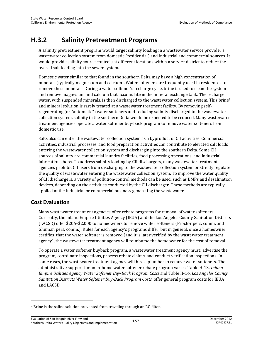# **H.3.2 Salinity Pretreatment Programs**

A salinity pretreatment program would target salinity loading in a wastewater service provider's wastewater collection system from domestic (residential) and industrial and commercial sources. It would provide salinity source controls at different locations within a service district to reduce the overall salt loading into the sewer system.

Domestic water similar to that found in the southern Delta may have a high concentration of minerals (typically magnesium and calcium). Water softeners are frequently used in residences to remove these minerals. During a water softener's recharge cycle, brine is used to clean the system and remove magnesium and calcium that accumulate in the mineral exchange tank. The recharge water, with suspended minerals, is then discharged to the wastewater collection system. This brine<sup>2</sup> and mineral solution is rarely treated at a wastewater treatment facility. By removing selfregenerating (or "automatic") water softeners and reducing salinity discharged to the wastewater collection system, salinity in the southern Delta would be expected to be reduced. Many wastewater treatment agencies operate a water softener buy-back program to remove water softeners from domestic use.

Salts also can enter the wastewater collection system as a byproduct of CII activities. Commercial activities, industrial processes, and food preparation activities can contribute to elevated salt loads entering the wastewater collection system and discharging into the southern Delta. Some CII sources of salinity are commercial laundry facilities, food processing operations, and industrial fabrication shops. To address salinity loading by CII dischargers, many wastewater treatment agencies prohibit CII users from discharging to the wastewater collection system or strictly regulate the quality of wastewater entering the wastewater collection system. To improve the water quality of CII dischargers, a variety of pollution-control methods can be used, such as BMPs and desalination devices, depending on the activities conducted by the CII discharger. These methods are typically applied at the industrial or commercial business generating the wastewater.

# **Cost Evaluation**

l

Many wastewater treatment agencies offer rebate programs for removal of water softeners. Currently, the Inland Empire Utilities Agency (IEUA) and the Los Angeles County Sanitation Districts (LACSD) offer \$206–\$2,000 to homeowners to remove water softeners (Proctor pers. comm. and Ghuman pers. comm.). Rules for each agency's programs differ, but in general, once a homeowner certifies that the water softener is removed (and it is later verified by the wastewater treatment agency), the wastewater treatment agency will reimburse the homeowner for the cost of removal.

To operate a water softener buyback program, a wastewater treatment agency must: advertise the program, coordinate inspections, process rebate claims, and conduct verification inspections. In some cases, the wastewater treatment agency will hire a plumber to remove water softeners. The administrative support for an in-home water softener rebate program varies. Table H-13, *Inland Empire Utilities Agency Water Softener Buy-Back Program Costs* and Table H-14, *Los Angeles County Sanitation Districts Water Softener Buy-Back Program Costs,* offer general program costs for IEUA and LACSD.

<sup>2</sup> Brine is the saline solution prevented from traveling through an RO filter.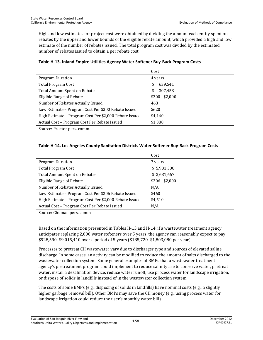High and low estimates for project cost were obtained by dividing the amount each entity spent on rebates by the upper and lower bounds of the eligible rebate amount, which provided a high and low estimate of the number of rebates issued. The total program cost was divided by the estimated number of rebates issued to obtain a per rebate cost.

|                                                        | Cost            |
|--------------------------------------------------------|-----------------|
| <b>Program Duration</b>                                | 4 years         |
| <b>Total Program Cost</b>                              | 639,541<br>\$   |
| <b>Total Amount Spent on Rebates</b>                   | 307,453<br>\$   |
| Eligible Range of Rebate                               | $$300 - $2,000$ |
| Number of Rebates Actually Issued                      | 463             |
| Low Estimate - Program Cost Per \$300 Rebate Issued    | \$620           |
| High Estimate – Program Cost Per \$2,000 Rebate Issued | \$4,160         |
| Actual Cost - Program Cost Per Rebate Issued           | \$1,380         |
| Source: Proctor pers. comm.                            |                 |

#### **Table H-13. Inland Empire Utilities Agency Water Softener Buy-Back Program Costs**

#### **Table H-14. Los Angeles County Sanitation Districts Water Softener Buy-Back Program Costs**

|                                                        | Cost            |
|--------------------------------------------------------|-----------------|
| <b>Program Duration</b>                                | 7 years         |
| <b>Total Program Cost</b>                              | \$5,931,388     |
| <b>Total Amount Spent on Rebates</b>                   | \$2,631,667     |
| Eligible Range of Rebate                               | $$206 - $2,000$ |
| Number of Rebates Actually Issued                      | N/A             |
| Low Estimate - Program Cost Per \$206 Rebate Issued    | \$460           |
| High Estimate – Program Cost Per \$2,000 Rebate Issued | \$4,510         |
| Actual Cost - Program Cost Per Rebate Issued           | N/A             |
| Source: Ghuman pers. comm.                             |                 |

Based on the information presented in Tables H-13 and H-14, if a wastewater treatment agency anticipates replacing 2,000 water softeners over 5 years, the agency can reasonably expect to pay \$928,590–\$9,015,410 over a period of 5 years (\$185,720–\$1,803,080 per year).

Processes to pretreat CII wastewater vary due to discharger type and sources of elevated saline discharge. In some cases, an activity can be modified to reduce the amount of salts discharged to the wastewater collection system. Some general examples of BMPs that a wastewater treatment agency's pretreatment program could implement to reduce salinity are to conserve water, pretreat water, install a desalination device, reduce water runoff, use process water for landscape irrigation, or dispose of solids in landfills instead of in the wastewater collection system.

The costs of some BMPs (e.g., disposing of solids in landfills) have nominal costs (e.g., a slightly higher garbage removal bill). Other BMPs may save the CII money (e.g., using process water for landscape irrigation could reduce the user's monthly water bill).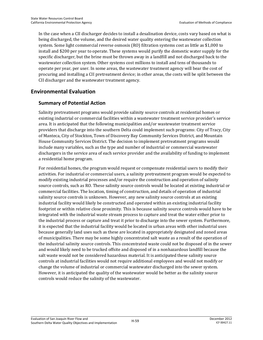In the case when a CII discharger decides to install a desalination device, costs vary based on what is being discharged, the volume, and the desired water quality entering the wastewater collection system. Some light commercial reverse osmosis (RO) filtration systems cost as little as \$1,000 to install and \$200 per year to operate. These systems would purify the domestic water supply for the specific discharger, but the brine must be thrown away in a landfill and not discharged back to the wastewater collection system. Other systems cost millions to install and tens of thousands to operate per year, per user. In some areas, the wastewater treatment agency will bear the cost of procuring and installing a CII pretreatment device; in other areas, the costs will be split between the CII discharger and the wastewater treatment agency.

# **Environmental Evaluation**

# **Summary of Potential Action**

Salinity pretreatment programs would provide salinity source controls at residential homes or existing industrial or commercial facilities within a wastewater treatment service provider's service area. It is anticipated that the following municipalities and/or wastewater treatment service providers that discharge into the southern Delta could implement such programs: City of Tracy, City of Manteca, City of Stockton, Town of Discovery Bay Community Services District, and Mountain House Community Services District. The decision to implement pretreatment programs would include many variables, such as the type and number of industrial or commercial wastewater dischargers in the service area of each service provider and the availability of funding to implement a residential home program.

For residential homes, the program would request or compensate residential users to modify their activities. For industrial or commercial users, a salinity pretreatment program would be expected to modify existing industrial processes and/or require the construction and operation of salinity source controls, such as RO. These salinity source controls would be located at existing industrial or commercial facilities. The location, timing of construction, and details of operation of industrial salinity source controls is unknown. However, any new salinity source controls at an existing industrial facility would likely be constructed and operated within an existing industrial facility footprint or within relative close proximity. This is because salinity source controls would have to be integrated with the industrial waste stream process to capture and treat the water either prior to the industrial process or capture and treat it prior to discharge into the sewer system. Furthermore, it is expected that the industrial facility would be located in urban areas with other industrial uses because generally land uses such as these are located in appropriately designated and zoned areas of municipalities. There may be some highly concentrated salt waste as a result of the operation of the industrial salinity source controls. This concentrated waste could not be disposed of in the sewer and would likely need to be trucked offsite and disposed of in a nonhazardous landfill because the salt waste would not be considered hazardous material. It is anticipated these salinity source controls at industrial facilities would not require additional employees and would not modify or change the volume of industrial or commercial wastewater discharged into the sewer system. However, it is anticipated the quality of the wastewater would be better as the salinity source controls would reduce the salinity of the wastewater.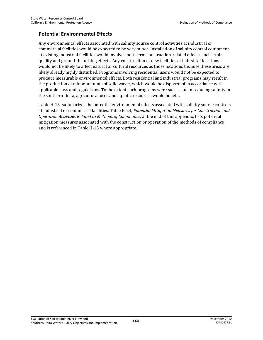### **Potential Environmental Effects**

Any environmental effects associated with salinity source control activities at industrial or commercial facilities would be expected to be very minor. Installation of salinity control equipment at existing industrial facilities would involve short-term construction-related effects, such as air quality and ground-disturbing effects. Any construction of new facilities at industrial locations would not be likely to affect natural or cultural resources as those locations because these areas are likely already highly disturbed. Programs involving residential users would not be expected to produce measurable environmental effects. Both residential and industrial programs may result in the production of minor amounts of solid waste, which would be disposed of in accordance with applicable laws and regulations. To the extent such programs were successful in reducing salinity in the southern Delta, agricultural uses and aquatic resources would benefit.

Table H-15 summarizes the potential environmental effects associated with salinity source controls at industrial or commercial facilities. Table H-24, *Potential Mitigation Measures for Construction and Operation Activities Related to Methods of Compliance*, at the end of this appendix, lists potential mitigation measures associated with the construction or operation of the methods of compliance and is referenced in Table H-15 where appropriate.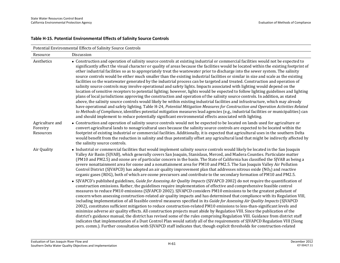### **Table H-15. Potential Environmental Effects of Salinity Source Controls**

| Potential Environmental Effects of Salinity Source Controls |                                                                                                                                                                                                                                                                                                                                                                                                                                                                                                                                                                                                                                                                                                                                                                                                                                                                                                                                                                                                                                                                                                                                                                                                                                                                                                                                                                                                                                                                                                                                                                                                                 |  |
|-------------------------------------------------------------|-----------------------------------------------------------------------------------------------------------------------------------------------------------------------------------------------------------------------------------------------------------------------------------------------------------------------------------------------------------------------------------------------------------------------------------------------------------------------------------------------------------------------------------------------------------------------------------------------------------------------------------------------------------------------------------------------------------------------------------------------------------------------------------------------------------------------------------------------------------------------------------------------------------------------------------------------------------------------------------------------------------------------------------------------------------------------------------------------------------------------------------------------------------------------------------------------------------------------------------------------------------------------------------------------------------------------------------------------------------------------------------------------------------------------------------------------------------------------------------------------------------------------------------------------------------------------------------------------------------------|--|
| Resource                                                    | Discussion                                                                                                                                                                                                                                                                                                                                                                                                                                                                                                                                                                                                                                                                                                                                                                                                                                                                                                                                                                                                                                                                                                                                                                                                                                                                                                                                                                                                                                                                                                                                                                                                      |  |
| Aesthetics                                                  | • Construction and operation of salinity source controls at existing industrial or commercial facilities would not be expected to<br>significantly affect the visual character or quality of areas because the facilities would be located within the existing footprint of<br>other industrial facilities so as to appropriately treat the wastewater prior to discharge into the sewer system. The salinity<br>source controls would be either much smaller than the existing industrial facilities or similar in size and scale as the existing<br>facilities so the wastewater generated by the industrial process can be targeted and treated. Construction and operation of<br>salinity source controls may involve operational and safety lights. Impacts associated with lighting would depend on the<br>location of sensitive receptors to potential lighting; however, lights would be expected to follow lighting guidelines and lighting<br>plans of local jurisdictions approving the construction and operation of the salinity source controls. In addition, as stated<br>above, the salinity source controls would likely be within existing industrial facilities and infrastructure, which may already<br>have operational and safety lighting. Table H-24, Potential Mitigation Measures for Construction and Operation Activities Related<br>to Methods of Compliance, identifies potential mitigation measures lead agencies (e.g., industrial facilities or municipalities) can<br>and should implement to reduce potentially significant environmental effects associated with lighting. |  |
| Agriculture and<br>Forestry<br>Resources                    | • Construction and operation of salinity source controls would not be expected to be located on lands used for agriculture or<br>convert agricultural lands to nonagricultural uses because the salinity source controls are expected to be located within the<br>footprint of existing industrial or commercial facilities. Additionally, it is expected that agricultural uses in the southern Delta<br>would benefit from the reduction in salinity and thus potentially offset any agricultural land that might be indirectly affected by<br>the salinity source controls.                                                                                                                                                                                                                                                                                                                                                                                                                                                                                                                                                                                                                                                                                                                                                                                                                                                                                                                                                                                                                                  |  |
| Air Quality                                                 | • Industrial or commercial facilities that would implement salinity source controls would likely be located in the San Joaquin<br>Valley Air Basin (SJVAB), which generally covers San Joaquin, Stanislaus, Merced, and Madera Counties. Particulate matter<br>(PM10 and PM2.5) and ozone are of particular concern in the basin. The State of California has classified the SJVAB as being a<br>severe nonattainment area for ozone and a nonattainment area for PM10 and PM2.5. The San Joaquin Valley Air Pollution<br>Control District (SJVAPCD) has adopted an air quality improvement plan that addresses nitrous oxide ( $NOx$ ) and reactive<br>organic gases (ROG), both of which are ozone precursors and contribute to the secondary formation of PM10 and PM2.5.                                                                                                                                                                                                                                                                                                                                                                                                                                                                                                                                                                                                                                                                                                                                                                                                                                    |  |
|                                                             | • SJVAPCD's published guidelines, Guide for Assessing Air Quality Impacts (SJVAPCD 2002) do not require the quantification of<br>construction emissions. Rather, the guidelines require implementation of effective and comprehensive feasible control<br>measures to reduce PM10 emissions (SJVAPCD 2002). SJVAPCD considers PM10 emissions to be the greatest pollutant of<br>concern when assessing construction-related air quality impacts and has determined that compliance with its Regulation VIII,<br>including implementation of all feasible control measures specified in its Guide for Assessing Air Quality Impacts (SJVAPCD<br>2002), constitutes sufficient mitigation to reduce construction-related PM10 emissions to less-than-significant levels and<br>minimize adverse air quality effects. All construction projects must abide by Regulation VIII. Since the publication of the<br>district's guidance manual, the district has revised some of the rules comprising Regulation VIII. Guidance from district staff<br>indicates that implementation of a Dust Control Plan would satisfy all of the requirements of SJVAPCD Regulation VIII (Siong<br>pers. comm.). Further consultation with SJVAPCD staff indicates that, though explicit thresholds for construction-related                                                                                                                                                                                                                                                                                                        |  |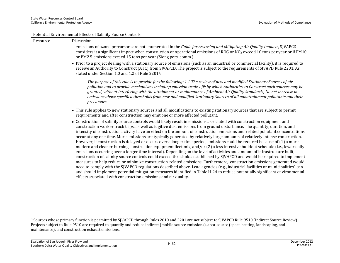|          | Potential Environmental Effects of Salinity Source Controls                                                                                                                                                                                                                                                                                                                                                                                                                                                                                                                                                                                                                                                                                                                                                                                                                                                                                                                                                                                                                                                                                                                                                                                                                                                                                                                                                                                                                                                    |
|----------|----------------------------------------------------------------------------------------------------------------------------------------------------------------------------------------------------------------------------------------------------------------------------------------------------------------------------------------------------------------------------------------------------------------------------------------------------------------------------------------------------------------------------------------------------------------------------------------------------------------------------------------------------------------------------------------------------------------------------------------------------------------------------------------------------------------------------------------------------------------------------------------------------------------------------------------------------------------------------------------------------------------------------------------------------------------------------------------------------------------------------------------------------------------------------------------------------------------------------------------------------------------------------------------------------------------------------------------------------------------------------------------------------------------------------------------------------------------------------------------------------------------|
| Resource | Discussion                                                                                                                                                                                                                                                                                                                                                                                                                                                                                                                                                                                                                                                                                                                                                                                                                                                                                                                                                                                                                                                                                                                                                                                                                                                                                                                                                                                                                                                                                                     |
|          | emissions of ozone precursors are not enumerated in the Guide for Assessing and Mitigating Air Quality Impacts, SJVAPCD<br>considers it a significant impact when construction or operational emissions of ROG or $NOX$ exceed 10 tons per year or if PM10<br>or PM2.5 emissions exceed 15 tons per year (Siong pers. comm.).                                                                                                                                                                                                                                                                                                                                                                                                                                                                                                                                                                                                                                                                                                                                                                                                                                                                                                                                                                                                                                                                                                                                                                                  |
|          | • Prior to a project dealing with a stationary source of emissions (such as an industrial or commercial facility), it is required to<br>receive an Authority to Construct (ATC) from SJVAPCD. The project is subject to the requirements of SJVAPD Rule 2201. As<br>stated under Section 1.0 and 1.2 of Rule 22013:                                                                                                                                                                                                                                                                                                                                                                                                                                                                                                                                                                                                                                                                                                                                                                                                                                                                                                                                                                                                                                                                                                                                                                                            |
|          | The purpose of this rule is to provide for the following: 1.1 The review of new and modified Stationary Sources of air<br>pollution and to provide mechanisms including emission trade-offs by which Authorities to Construct such sources may be<br>granted, without interfering with the attainment or maintenance of Ambient Air Quality Standards; No net increase in<br>emissions above specified thresholds from new and modified Stationary Sources of all nonattainment pollutants and their<br>precursors.                                                                                                                                                                                                                                                                                                                                                                                                                                                                                                                                                                                                                                                                                                                                                                                                                                                                                                                                                                                            |
|          | • This rule applies to new stationary sources and all modifications to existing stationary sources that are subject to permit<br>requirements and after construction may emit one or more affected pollutant.                                                                                                                                                                                                                                                                                                                                                                                                                                                                                                                                                                                                                                                                                                                                                                                                                                                                                                                                                                                                                                                                                                                                                                                                                                                                                                  |
|          | • Construction of salinity source controls would likely result in emissions associated with construction equipment and<br>construction worker truck trips, as well as fugitive dust emissions from ground disturbance. The quantity, duration, and<br>intensity of construction activity have an effect on the amount of construction emissions and related pollutant concentrations<br>occur at any one time. More emissions are typically generated by relatively large amounts of relatively intense construction.<br>However, if construction is delayed or occurs over a longer time period, emissions could be reduced because of (1) a more<br>modern and cleaner-burning construction equipment fleet mix, and/or (2) a less intensive buildout schedule (i.e., fewer daily<br>emissions occurring over a longer time interval). Depending on the level of activities and amount of infrastructure built,<br>construction of salinity source controls could exceed thresholds established by SJVAPCD and would be required to implement<br>measures to help reduce or minimize construction-related emissions. Furthermore, construction emissions generated would<br>need to comply with the SJVAPCD regulations described above. Lead agencies (e.g., industrial facilities or municipalities) can<br>and should implement potential mitigation measures identified in Table H-24 to reduce potentially significant environmental<br>effects associated with construction emissions and air quality. |

<sup>&</sup>lt;sup>3</sup> Sources whose primary function is permitted by SJVAPCD through Rules 2010 and 2201 are not subject to SJVAPCD Rule 9510 (Indirect Source Review). Projects subject to Rule 9510 are required to quantify and reduce indirect (mobile source emissions), area-source (space heating, landscaping, and maintenance), and construction exhaust emissions.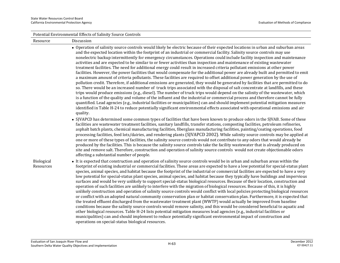|                         | Potential Environmental Effects of Salinity Source Controls                                                                                                                                                                                                                                                                                                                                                                                                                                                                                                                                                                                                                                                                                                                                                                                                                                                                                                                                                                                                                                                                                                                                                                                                                                                                                                                                                                                                                                                                                                                                                                                                                                                                                                                                                                                                                                                                                                                                                              |  |
|-------------------------|--------------------------------------------------------------------------------------------------------------------------------------------------------------------------------------------------------------------------------------------------------------------------------------------------------------------------------------------------------------------------------------------------------------------------------------------------------------------------------------------------------------------------------------------------------------------------------------------------------------------------------------------------------------------------------------------------------------------------------------------------------------------------------------------------------------------------------------------------------------------------------------------------------------------------------------------------------------------------------------------------------------------------------------------------------------------------------------------------------------------------------------------------------------------------------------------------------------------------------------------------------------------------------------------------------------------------------------------------------------------------------------------------------------------------------------------------------------------------------------------------------------------------------------------------------------------------------------------------------------------------------------------------------------------------------------------------------------------------------------------------------------------------------------------------------------------------------------------------------------------------------------------------------------------------------------------------------------------------------------------------------------------------|--|
| Resource                | Discussion                                                                                                                                                                                                                                                                                                                                                                                                                                                                                                                                                                                                                                                                                                                                                                                                                                                                                                                                                                                                                                                                                                                                                                                                                                                                                                                                                                                                                                                                                                                                                                                                                                                                                                                                                                                                                                                                                                                                                                                                               |  |
|                         | • Operation of salinity source controls would likely be electric because of their expected locations in urban and suburban areas<br>and the expected location within the footprint of an industrial or commercial facility. Salinity source controls may use<br>nonelectric backup intermittently for emergency circumstances. Operations could include facility inspection and maintenance<br>activities and are expected to be similar to or fewer activities than inspection and maintenance of existing wastewater<br>treatment facilities. The need for additional energy could result in increased criteria pollutant emissions at other power<br>facilities. However, the power facilities that would compensate for the additional power are already built and permitted to emit<br>a maximum amount of criteria pollutants. These facilities are required to offset additional power generation by the use of<br>pollution credit. Therefore, if additional emissions are generated, they would be generated by facilities that are permitted to do<br>so. There would be an increased number of truck trips associated with the disposal of salt concentrate at landfills, and these<br>trips would produce emissions (e.g., diesel). The number of truck trips would depend on the salinity of the wastewater, which<br>is a function of the quality and volume of the influent and the industrial or commercial process and therefore cannot be fully<br>quantified. Lead agencies (e.g., industrial facilities or municipalities) can and should implement potential mitigation measures<br>identified in Table H-24 to reduce potentially significant environmental effects associated with operational emissions and air<br>quality.<br>• SJVAPCD has determined some common types of facilities that have been known to produce odors in the SJVAB. Some of these<br>facilities are wastewater treatment facilities, sanitary landfills, transfer stations, composting facilities, petroleum refineries, |  |
|                         | asphalt batch plants, chemical manufacturing facilities, fiberglass manufacturing facilities, painting/coating operations, food<br>processing facilities, feed lots/dairies, and rendering plants (SJVAPCD 2002). While salinity source controls may be applied at<br>one or more of these types of facilities, the salinity source controls would not contribute to any odors that would already be<br>produced by the facilities. This is because the salinity source controls take the facility wastewater that is already produced on<br>site and remove salt. Therefore, construction and operation of salinity source controls would not create objectionable odors<br>affecting a substantial number of people.                                                                                                                                                                                                                                                                                                                                                                                                                                                                                                                                                                                                                                                                                                                                                                                                                                                                                                                                                                                                                                                                                                                                                                                                                                                                                                   |  |
| Biological<br>Resources | • It is expected that construction and operation of salinity source controls would be in urban and suburban areas within the<br>footprint of existing industrial or commercial facilities. These areas are expected to have a low potential for special-status plant<br>species, animal species, and habitat because the footprint of the industrial or commercial facilities are expected to have a very<br>low potential for special-status plant species, animal species, and habitat because they typically have buildings and impervious<br>surfaces and would be very unlikely to support special-status biological resources. Because of their location, construction and<br>operation of such facilities are unlikely to interfere with the migration of biological resources. Because of this, it is highly<br>unlikely construction and operation of salinity source controls would conflict with local policies protecting biological resources<br>or conflict with an adopted natural community conservation plan or habitat conservation plan. Furthermore, it is expected that<br>the treated effluent discharged from the wastewater treatment plant (WWTP) would actually be improved from baseline<br>conditions because the salinity source controls would remove salinity, and this would be considered beneficial to aquatic and<br>other biological resources. Table H-24 lists potential mitigation measures lead agencies (e.g., industrial facilities or<br>municipalities) can and should implement to reduce potentially significant environmental impact of construction and<br>operations on special-status biological resources.                                                                                                                                                                                                                                                                                                                                                            |  |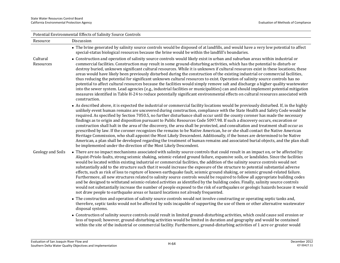| Potential Environmental Effects of Salinity Source Controls |                                                                                                                                                                                                                                                                                                                                                                                                                                                                                                                                                                                                                                                                                                                                                                                                                                                                                                                                                                                                                                                                                                                                                                   |  |
|-------------------------------------------------------------|-------------------------------------------------------------------------------------------------------------------------------------------------------------------------------------------------------------------------------------------------------------------------------------------------------------------------------------------------------------------------------------------------------------------------------------------------------------------------------------------------------------------------------------------------------------------------------------------------------------------------------------------------------------------------------------------------------------------------------------------------------------------------------------------------------------------------------------------------------------------------------------------------------------------------------------------------------------------------------------------------------------------------------------------------------------------------------------------------------------------------------------------------------------------|--|
| Resource                                                    | Discussion                                                                                                                                                                                                                                                                                                                                                                                                                                                                                                                                                                                                                                                                                                                                                                                                                                                                                                                                                                                                                                                                                                                                                        |  |
|                                                             | • The brine generated by salinity source controls would be disposed of at landfills, and would have a very low potential to affect<br>special-status biological resources because the brine would be within the landfill's boundaries.                                                                                                                                                                                                                                                                                                                                                                                                                                                                                                                                                                                                                                                                                                                                                                                                                                                                                                                            |  |
| Cultural<br>Resources                                       | • Construction and operation of salinity source controls would likely exist in urban and suburban areas within industrial or<br>commercial facilities. Construction may result in some ground-disturbing activities, which has the potential to disturb or<br>destroy buried, unknown significant cultural resources. While it is unknown if cultural resources exist in these locations, these<br>areas would have likely been previously disturbed during the construction of the existing industrial or commercial facilities,<br>thus reducing the potential for significant unknown cultural resources to exist. Operation of salinity source controls has no<br>potential to affect cultural resources because the facilities would simply remove salt and discharge a higher quality wastewater<br>into the sewer system. Lead agencies (e.g., industrial facilities or municipalities) can and should implement potential mitigation<br>measures identified in Table H-24 to reduce potentially significant environmental effects on cultural resources associated with<br>construction.                                                                  |  |
|                                                             | • As described above, it is expected the industrial or commercial facility locations would be previously disturbed. If, in the highly<br>unlikely event human remains are uncovered during construction, compliance with the State Health and Safety Code would be<br>required. As specified by Section 7050.5, no further disturbance shall occur until the county coroner has made the necessary<br>findings as to origin and disposition pursuant to Public Resources Code 5097.98. If such a discovery occurs, excavation or<br>construction shall halt in the area of the discovery, the area shall be protected, and consultation and treatment shall occur as<br>prescribed by law. If the coroner recognizes the remains to be Native American, he or she shall contact the Native American<br>Heritage Commission, who shall appoint the Most Likely Descendent. Additionally, if the bones are determined to be Native<br>American, a plan shall be developed regarding the treatment of human remains and associated burial objects, and the plan shall<br>be implemented under the direction of the Most Likely Descendent.                           |  |
| Geology and Soils                                           | • There are no impact mechanisms associated with salinity source controls that could result in an impact on, or be affected by:<br>Alquist-Priolo faults, strong seismic shaking, seismic-related ground failure, expansive soils, or landslides. Since the facilities<br>would be located within existing industrial or commercial facilities, the addition of the salinity source controls would not<br>substantially add to the structure such that it would increase the exposure of the structure to potential substantial adverse<br>effects, such as risk of loss to rupture of known earthquake fault, seismic ground shaking, or seismic ground-related failure.<br>Furthermore, all new structures related to salinity source controls would be required to follow all appropriate building codes<br>and be designed to withstand seismic-related activities as identified by the building codes. Finally, salinity source controls<br>would not substantially increase the number of people exposed to the risk of earthquakes or geologic hazards because it would<br>not draw people to earthquake areas or hazard locations not already frequented. |  |
|                                                             | • The construction and operation of salinity source controls would not involve constructing or operating septic tanks and,<br>therefore, septic tanks would not be affected by soils incapable of supporting the use of them or other alternative wastewater<br>disposal systems.                                                                                                                                                                                                                                                                                                                                                                                                                                                                                                                                                                                                                                                                                                                                                                                                                                                                                 |  |
|                                                             | • Construction of salinity source controls could result in limited ground-disturbing activities, which could cause soil erosion or                                                                                                                                                                                                                                                                                                                                                                                                                                                                                                                                                                                                                                                                                                                                                                                                                                                                                                                                                                                                                                |  |

 Construction of salinity source controls could result in limited ground-disturbing activities, which could cause soil erosion or loss of topsoil; however, ground-disturbing activities would be limited in duration and geography and would be contained within the site of the industrial or commercial facility. Furthermore, ground-disturbing activities of 1 acre or greater would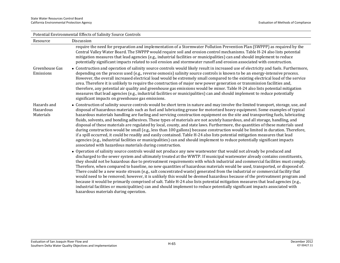| Potential Environmental Effects of Salinity Source Controls |                                                                                                                                                                                                                                                                                                                                                                                                                                                                                                                                                                                                                                                                                                                                                                                                                                                                                                                                                                                                                                                                                                                                  |  |
|-------------------------------------------------------------|----------------------------------------------------------------------------------------------------------------------------------------------------------------------------------------------------------------------------------------------------------------------------------------------------------------------------------------------------------------------------------------------------------------------------------------------------------------------------------------------------------------------------------------------------------------------------------------------------------------------------------------------------------------------------------------------------------------------------------------------------------------------------------------------------------------------------------------------------------------------------------------------------------------------------------------------------------------------------------------------------------------------------------------------------------------------------------------------------------------------------------|--|
| Resource                                                    | Discussion                                                                                                                                                                                                                                                                                                                                                                                                                                                                                                                                                                                                                                                                                                                                                                                                                                                                                                                                                                                                                                                                                                                       |  |
|                                                             | require the need for preparation and implementation of a Stormwater Pollution Prevention Plan (SWPPP) as required by the<br>Central Valley Water Board. The SWPPP would require soil and erosion control mechanisms. Table H-24 also lists potential<br>mitigation measures that lead agencies (e.g., industrial facilities or municipalities) can and should implement to reduce<br>potentially significant impacts related to soil erosion and stormwater runoff and erosion associated with construction.                                                                                                                                                                                                                                                                                                                                                                                                                                                                                                                                                                                                                     |  |
| Greenhouse Gas<br>Emissions                                 | • Construction and operation of salinity source controls would likely result in increased use of electricity and fuels. Furthermore,<br>depending on the process used (e.g., reverse osmosis) salinity source controls is known to be an energy-intensive process.<br>However, the overall increased electrical load would be extremely small compared to the existing electrical load of the service<br>area. Therefore it is unlikely to require the construction of major new power generation or transmission facilities and,<br>therefore, any potential air quality and greenhouse gas emissions would be minor. Table H-24 also lists potential mitigation<br>measures that lead agencies (e.g., industrial facilities or municipalities) can and should implement to reduce potentially<br>significant impacts on greenhouse gas emissions.                                                                                                                                                                                                                                                                              |  |
| Hazards and<br>Hazardous<br>Materials                       | • Construction of salinity source controls would be short term in nature and may involve the limited transport, storage, use, and<br>disposal of hazardous materials such as fuel and lubricating grease for motorized heavy equipment. Some examples of typical<br>hazardous materials handling are fueling and servicing construction equipment on the site and transporting fuels, lubricating<br>fluids, solvents, and bonding adhesives. These types of materials are not acutely hazardous, and all storage, handling, and<br>disposal of these materials are regulated by local, county, and state laws. Furthermore, the quantities of these materials used<br>during construction would be small (e.g., less than 100 gallons) because construction would be limited in duration. Therefore,<br>if a spill occurred, it could be readily and easily contained. Table H-24 also lists potential mitigation measures that lead<br>agencies (e.g., industrial facilities or municipalities) can and should implement to reduce potentially significant impacts<br>associated with hazardous materials during construction. |  |
|                                                             | • Operation of salinity source controls would not produce any new wastewater that would not already be produced and<br>discharged to the sewer system and ultimately treated at the WWTP. If municipal wastewater already contains constituents,<br>they should not be hazardous due to pretreatment requirements with which industrial and commercial facilities must comply.<br>Therefore, when compared to baseline, no new quantities of hazardous materials would be used, transported, or disposed of.<br>There could be a new waste stream (e.g., salt concentrated waste) generated from the industrial or commercial facility that<br>would need to be removed; however, it is unlikely this would be deemed hazardous because of the pretreatment program and<br>because it would be primarily comprised of salt. Table H-24 also lists potential mitigation measures that lead agencies (e.g.,<br>industrial facilities or municipalities) can and should implement to reduce potentially significant impacts associated with                                                                                         |  |

hazardous materials during operation.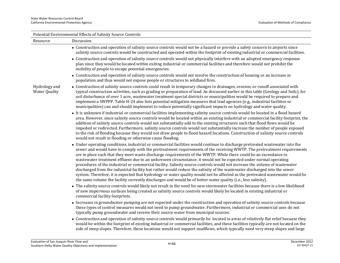| Potential Environmental Effects of Salinity Source Controls |                                                                                                                                                                                                                                                                                                                                                                                                                                                                                                                                                                                                                                                                                                                                                                                                                                                                                                                                                                                                           |  |  |
|-------------------------------------------------------------|-----------------------------------------------------------------------------------------------------------------------------------------------------------------------------------------------------------------------------------------------------------------------------------------------------------------------------------------------------------------------------------------------------------------------------------------------------------------------------------------------------------------------------------------------------------------------------------------------------------------------------------------------------------------------------------------------------------------------------------------------------------------------------------------------------------------------------------------------------------------------------------------------------------------------------------------------------------------------------------------------------------|--|--|
| Resource                                                    | Discussion                                                                                                                                                                                                                                                                                                                                                                                                                                                                                                                                                                                                                                                                                                                                                                                                                                                                                                                                                                                                |  |  |
|                                                             | • Construction and operation of salinity source controls would not be a hazard or provide a safety concern to airports since<br>salinity source controls would be constructed and operated within the footprint of existing industrial or commercial facilities.                                                                                                                                                                                                                                                                                                                                                                                                                                                                                                                                                                                                                                                                                                                                          |  |  |
|                                                             | • Construction and operation of salinity source controls would not physically interfere with an adopted emergency response<br>plan since they would be located within exiting industrial or commercial facilities and therefore would not prohibit the<br>mobility of people to escape potential emergencies.                                                                                                                                                                                                                                                                                                                                                                                                                                                                                                                                                                                                                                                                                             |  |  |
|                                                             | • Construction and operation of salinity source controls would not involve the construction of housing or an increase in<br>population and thus would not expose people or structures to wildland fires.                                                                                                                                                                                                                                                                                                                                                                                                                                                                                                                                                                                                                                                                                                                                                                                                  |  |  |
| Hydrology and<br><b>Water Quality</b>                       | • Construction of salinity source controls could result in temporary changes to drainages, erosion, or runoff associated with<br>typical construction activities, such as grading or preparation of land. As discussed earlier in this table (Geology and Soils), for<br>soil disturbance of over 1 acre, wastewater treatment special districts or municipalities would be required to prepare and<br>implement a SWPPP. Table H-24 also lists potential mitigation measures that lead agencies (e.g., industrial facilities or<br>municipalities) can and should implement to reduce potentially significant impacts on hydrology and water quality.                                                                                                                                                                                                                                                                                                                                                    |  |  |
|                                                             | • It is unknown if industrial or commercial facilities implementing salinity source controls would be located in a flood hazard<br>area. However, since salinity source controls would be located within an existing industrial or commercial facility footprint, the<br>addition of salinity source controls would not substantially add to the existing structures such that flood flows would be<br>impeded or redirected. Furthermore, salinity source controls would not substantially increase the number of people exposed<br>to the risk of flooding because they would not draw people to flood hazard locations. Construction of salinity source controls<br>would not result in flooding or otherwise cause flooding.                                                                                                                                                                                                                                                                          |  |  |
|                                                             | • Under operating conditions, industrial or commercial facilities would continue to discharge pretreated wastewater into the<br>sewer and would have to comply with the pretreatment requirements of the receiving WWTP. The pretreatment requirements<br>are in place such that they meet waste discharge requirements of the WWTP. While there could be an exceedance in<br>wastewater treatment effluent due to an unforeseen circumstance, it would not be expected under normal operating<br>procedures of the industrial or commercial facility. Salinity source controls would not increase the volume of wastewater<br>discharged from the industrial facility but rather would reduce the salinity of the wastewater discharged into the sewer<br>system. Therefore, it is expected that hydrology or water quality would not be affected as the pretreated wastewater would be<br>the same volume the facility currently discharges and would be of better water quality (i.e., less salinity). |  |  |
|                                                             | • The salinity source controls would likely not result in the need for new stormwater facilities because there is a low likelihood<br>of new impervious surfaces being created as salinity source controls would likely be located in existing industrial or<br>commercial facility footprints.                                                                                                                                                                                                                                                                                                                                                                                                                                                                                                                                                                                                                                                                                                           |  |  |
|                                                             | • Increases in groundwater pumping are not expected under the construction and operation of salinity source controls because<br>these types of control measures would not need to pump groundwater. Furthermore, industrial or commercial uses do not<br>typically pump groundwater and receive their source water from municipal sources.                                                                                                                                                                                                                                                                                                                                                                                                                                                                                                                                                                                                                                                                |  |  |
|                                                             | • Construction and operation of salinity source controls would primarily be located in areas of relatively flat relief because they<br>would be within the footprint of existing industrial or commercial facilities, and these facilities typically are not located on the<br>side of steep slopes. Therefore, these locations would not support mudflows, which typically need very steep slopes and large                                                                                                                                                                                                                                                                                                                                                                                                                                                                                                                                                                                              |  |  |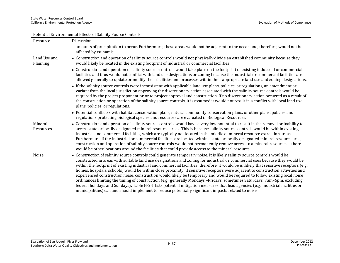| Potential Environmental Effects of Salinity Source Controls |                                                                                                                                                                                                                                                                                                                                                                                                                                                                                                                                                                                                                                                                                                                                                                                                                                                                                                                                                                                                                                               |  |  |
|-------------------------------------------------------------|-----------------------------------------------------------------------------------------------------------------------------------------------------------------------------------------------------------------------------------------------------------------------------------------------------------------------------------------------------------------------------------------------------------------------------------------------------------------------------------------------------------------------------------------------------------------------------------------------------------------------------------------------------------------------------------------------------------------------------------------------------------------------------------------------------------------------------------------------------------------------------------------------------------------------------------------------------------------------------------------------------------------------------------------------|--|--|
| Resource                                                    | Discussion                                                                                                                                                                                                                                                                                                                                                                                                                                                                                                                                                                                                                                                                                                                                                                                                                                                                                                                                                                                                                                    |  |  |
|                                                             | amounts of precipitation to occur. Furthermore, these areas would not be adjacent to the ocean and, therefore, would not be<br>affected by tsunamis.                                                                                                                                                                                                                                                                                                                                                                                                                                                                                                                                                                                                                                                                                                                                                                                                                                                                                          |  |  |
| Land Use and<br>Planning                                    | • Construction and operation of salinity source controls would not physically divide an established community because they<br>would likely be located in the existing footprint of industrial or commercial facilities.                                                                                                                                                                                                                                                                                                                                                                                                                                                                                                                                                                                                                                                                                                                                                                                                                       |  |  |
|                                                             | • Construction and operation of salinity source controls would take place on the footprint of existing industrial or commercial<br>facilities and thus would not conflict with land use designations or zoning because the industrial or commercial facilities are<br>allowed generally to update or modify their facilities and processes within their appropriate land use and zoning designations.                                                                                                                                                                                                                                                                                                                                                                                                                                                                                                                                                                                                                                         |  |  |
|                                                             | • If the salinity source controls were inconsistent with applicable land use plans, policies, or regulations, an amendment or<br>variant from the local jurisdiction approving the discretionary action associated with the salinity source controls would be<br>required by the project proponent prior to project approval and construction. If no discretionary action occurred as a result of<br>the construction or operation of the salinity source controls, it is assumed it would not result in a conflict with local land use<br>plans, policies, or regulations.                                                                                                                                                                                                                                                                                                                                                                                                                                                                   |  |  |
|                                                             | • Potential conflictss with habitat conservation plans, natural community conservation plans, or other plans, policies and<br>regulations protecting biological species and resources are evaluated in Biological Resources.                                                                                                                                                                                                                                                                                                                                                                                                                                                                                                                                                                                                                                                                                                                                                                                                                  |  |  |
| Mineral<br>Resources                                        | • Construction and operation of salinity source controls would have a very low potential to result in the removal or inability to<br>access state or locally designated mineral resource areas. This is because salinity source controls would be within existing<br>industrial and commercial facilities, which are typically not located in the middle of mineral resource extraction areas.<br>Furthermore, if the industrial or commercial facilities are located within a state or locally designated mineral resource area,<br>construction and operation of salinity source controls would not permanently remove access to a mineral resource as there<br>would be other locations around the facilities that could provide access to the mineral resource.                                                                                                                                                                                                                                                                           |  |  |
| Noise                                                       | • Construction of salinity source controls could generate temporary noise. It is likely salinity source controls would be<br>constructed in areas with suitable land use designations and zoning for industrial or commercial uses because they would be<br>within the footprint of existing industrial and commercial facilities; therefore, it would be unlikely that sensitive receptors (e.g.,<br>homes, hospitals, schools) would be within close proximity. If sensitive receptors were adjacent to construction activities and<br>experienced construction noise, construction would likely be temporary and would be required to follow existing local noise<br>ordinances limiting the timing of construction (e.g., generally Mondays -Fridays, sometimes Saturdays, 7am-6pm, excluding<br>federal holidays and Sundays). Table H-24 lists potential mitigation measures that lead agencies (e.g., industrial facilities or<br>municipalities) can and should implement to reduce potentially significant impacts related to noise. |  |  |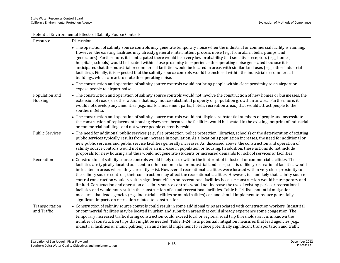| Potential Environmental Effects of Salinity Source Controls |                                                                                                                                                                                                                                                                                                                                                                                                                                                                                                                                                                                                                                                                                                                                                                                                                                                                                                                                                                                                                                                                                                                                                       |  |
|-------------------------------------------------------------|-------------------------------------------------------------------------------------------------------------------------------------------------------------------------------------------------------------------------------------------------------------------------------------------------------------------------------------------------------------------------------------------------------------------------------------------------------------------------------------------------------------------------------------------------------------------------------------------------------------------------------------------------------------------------------------------------------------------------------------------------------------------------------------------------------------------------------------------------------------------------------------------------------------------------------------------------------------------------------------------------------------------------------------------------------------------------------------------------------------------------------------------------------|--|
| Resource                                                    | Discussion                                                                                                                                                                                                                                                                                                                                                                                                                                                                                                                                                                                                                                                                                                                                                                                                                                                                                                                                                                                                                                                                                                                                            |  |
|                                                             | • The operation of salinity source controls may generate temporary noise when the industrial or commercial facility is running.<br>However, the existing facilities may already generate intermittent process noise (e.g., from alarm bells, pumps, and<br>generators). Furthermore, it is anticipated there would be a very low probability that sensitive receptors (e.g., homes,<br>hospitals, schools) would be located within close proximity to experience the operating noise generated because it is<br>anticipated that the industrial or commercial facilities would be located in areas with similar land uses (e.g., other industrial<br>facilities). Finally, it is expected that the salinity source controls would be enclosed within the industrial or commercial<br>buildings, which can act to mute the operating noise.                                                                                                                                                                                                                                                                                                            |  |
|                                                             | • The construction and operation of salinity source controls would not bring people within close proximity to an airport or<br>expose people to airport noise.                                                                                                                                                                                                                                                                                                                                                                                                                                                                                                                                                                                                                                                                                                                                                                                                                                                                                                                                                                                        |  |
| Population and<br>Housing                                   | • The construction and operation of salinity source controls would not involve the construction of new homes or businesses, the<br>extension of roads, or other actions that may induce substantial property or population growth in an area. Furthermore, it<br>would not develop any amenities (e.g., malls, amusement parks, hotels, recreation areas) that would attract people to the<br>southern Delta.                                                                                                                                                                                                                                                                                                                                                                                                                                                                                                                                                                                                                                                                                                                                         |  |
|                                                             | • The construction and operation of salinity source controls would not displace substantial numbers of people and necessitate<br>the construction of replacement housing elsewhere because the facilities would be located in the existing footprint of industrial<br>or commercial buildings and not where people currently reside.                                                                                                                                                                                                                                                                                                                                                                                                                                                                                                                                                                                                                                                                                                                                                                                                                  |  |
| <b>Public Services</b>                                      | • The need for additional public services (e.g., fire protection, police protection, libraries, schools) or the deterioration of existing<br>public services typically results from an increase in population. As a location's population increases, the need for additional or<br>new public services and public service facilities generally increases. As discussed above, the construction and operation of<br>salinity source controls would not involve an increase in population or housing. In addition, these actions do not include<br>proposals for new housing and thus would not generate students or increased demands for school services or facilities.                                                                                                                                                                                                                                                                                                                                                                                                                                                                               |  |
| Recreation                                                  | • Construction of salinity source controls would likely occur within the footprint of industrial or commercial facilities. These<br>facilities are typically located adjacent to other commercial or industrial land uses, so it is unlikely recreational facilities would<br>be located in areas where they currently exist. However, if recreational facilities were located within very close proximity to<br>the salinity source controls, their construction may affect the recreational facilities. However, it is unlikely that salinity source<br>control construction would result in significant effects on recreational facilities because construction would be temporary and<br>limited. Construction and operation of salinity source controls would not increase the use of existing parks or recreational<br>facilities and would not result in the construction of actual recreational facilities. Table H-24 lists potential mitigation<br>measures that lead agencies (e.g., industrial facilities or municipalities) can and should implement to reduce potentially<br>significant impacts on recreation related to construction. |  |
| Transportation<br>and Traffic                               | • Construction of salinity source controls could result in some additional trips associated with construction workers. Industrial<br>or commercial facilities may be located in urban and suburban areas that could already experience some congestion. The<br>temporary increased traffic during construction could exceed local or regional road trip thresholds as it is unknown the<br>number of construction trips that might be needed. Table H-24 lists potential mitigation measures that lead agencies (e.g.,<br>industrial facilities or municipalities) can and should implement to reduce potentially significant transportation and traffic                                                                                                                                                                                                                                                                                                                                                                                                                                                                                              |  |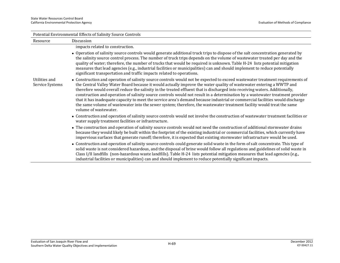| Potential Environmental Effects of Salinity Source Controls |                                                                                                                                                                                                                                                                                                                                                                                                                                                                                                                                                                                                                                                                                                                                                                                                           |  |
|-------------------------------------------------------------|-----------------------------------------------------------------------------------------------------------------------------------------------------------------------------------------------------------------------------------------------------------------------------------------------------------------------------------------------------------------------------------------------------------------------------------------------------------------------------------------------------------------------------------------------------------------------------------------------------------------------------------------------------------------------------------------------------------------------------------------------------------------------------------------------------------|--|
| Resource                                                    | Discussion                                                                                                                                                                                                                                                                                                                                                                                                                                                                                                                                                                                                                                                                                                                                                                                                |  |
|                                                             | impacts related to construction.                                                                                                                                                                                                                                                                                                                                                                                                                                                                                                                                                                                                                                                                                                                                                                          |  |
|                                                             | • Operation of salinity source controls would generate additional truck trips to dispose of the salt concentration generated by<br>the salinity source control process. The number of truck trips depends on the volume of wastewater treated per day and the<br>quality of water; therefore, the number of trucks that would be required is unknown. Table H-24 lists potential mitigation<br>measures that lead agencies (e.g., industrial facilities or municipalities) can and should implement to reduce potentially<br>significant transportation and traffic impacts related to operations.                                                                                                                                                                                                        |  |
| Utilities and<br>Service Systems                            | • Construction and operation of salinity source controls would not be expected to exceed wastewater treatment requirements of<br>the Central Valley Water Board because it would actually improve the water quality of wastewater entering a WWTP and<br>therefore would overall reduce the salinity in the treated effluent that is discharged into receiving waters. Additionally,<br>construction and operation of salinity source controls would not result in a determination by a wastewater treatment provider<br>that it has inadequate capacity to meet the service area's demand because industrial or commercial facilities would discharge<br>the same volume of wastewater into the sewer system; therefore, the wastewater treatment facility would treat the same<br>volume of wastewater. |  |
|                                                             | • Construction and operation of salinity source controls would not involve the construction of wastewater treatment facilities or<br>water supply treatment facilities or infrastructure.                                                                                                                                                                                                                                                                                                                                                                                                                                                                                                                                                                                                                 |  |
|                                                             | • The construction and operation of salinity source controls would not need the construction of additional stormwater drains<br>because they would likely be built within the footprint of the existing industrial or commercial facilities, which currently have<br>impervious surfaces that generate runoff; therefore, it is expected that existing stormwater infrastructure would be used.                                                                                                                                                                                                                                                                                                                                                                                                           |  |
|                                                             | • Construction and operation of salinity source controls could generate solid waste in the form of salt concentrate. This type of<br>solid waste is not considered hazardous, and the disposal of brine would follow all regulations and guidelines of solid waste in<br>Class I/II landfills (non-hazardous waste landfills). Table H-24 lists potential mitigation measures that lead agencies (e.g.,<br>industrial facilities or municipalities) can and should implement to reduce potentially significant impacts.                                                                                                                                                                                                                                                                                   |  |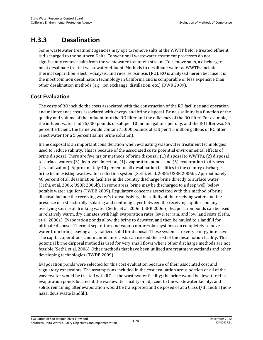# **H.3.3 Desalination**

Some wastewater treatment agencies may opt to remove salts at the WWTP before treated effluent is discharged to the southern Delta. Conventional wastewater treatment processes do not significantly remove salts from the wastewater treatment stream. To remove salts, a discharger must desalinate treated wastewater effluent. Methods to desalinate water at WWTPs include thermal separation, electro-dialysis, and reverse osmosis (RO). RO is analyzed herein because it is the most common desalination technology in California and is comparable or less expensive than other desalination methods (e.g., ion exchange, distillation, etc.) (DWR 2009).

# **Cost Evaluation**

The costs of RO include the costs associated with the construction of the RO facilities and operation and maintenance costs associated with energy and brine disposal. Brine's salinity is a function of the quality and volume of the influent into the RO filter and the efficiency of the RO filter. For example, if the influent water had 75,000 pounds of salt per 10 million gallons per day, and the RO filter was 85 percent efficient, the brine would contain 75,000 pounds of salt per 1.5 million gallons of RO filter reject water (or a 5 percent saline brine solution).

Brine disposal is an important consideration when evaluating wastewater treatment technologies used to reduce salinity. This is because of the associated costs potential environmental effects of brine disposal. There are five major methods of brine disposal: (1) disposal to WWTPs, (2) disposal to surface waters, (3) deep-well injection, (4) evaporation ponds, and (5) evaporation to dryness (crystallization). Approximately 40 percent of all desalination facilities in the country discharge brine to an existing wastewater collection system (Sethi, et al. 2006; USBR 2006b). Approximately 48 percent of all desalination facilities in the country discharge brine directly to surface water (Sethi, et al. 2006; USBR 2006b). In some areas, brine may be discharged to a deep well, below potable water aquifers (TWDB 2009). Regulatory concerns associated with this method of brine disposal include the receiving water's transmissivity, the salinity of the receiving water, and the presence of a structurally isolating and confining layer between the receiving aquifer and any overlying source of drinking water (Sethi, et al. 2006; USBR 2006b). Evaporation ponds can be used in relatively warm, dry climates with high evaporation rates, level terrain, and low land costs (Sethi, et al. 2006a). Evaporation ponds allow the brine to dewater, and then be hauled to a landfill for ultimate disposal. Thermal separators and vapor compression systems can completely remove water from brine, leaving a crystallized solid for disposal. These systems are very energy intensive. The capital, operations, and maintenance costs can exceed the cost of the desalination facility. This potential brine disposal method is used for very small flows where other discharge methods are not feasible (Sethi, et al. 2006). Other methods that have been utilized are treatment wetlands and other developing technologies (TWDB 2009).

Evaporation ponds were selected for this cost evaluation because of their associated cost and regulatory constraints. The assumptions included in the cost evaluation are: a portion or all of the wastewater would be treated with RO at the wastewater facility; the brine would be dewatered in evaporation ponds located at the wastewater facility or adjacent to the wastewater facility; and solids remaining after evaporation would be transported and disposed of at a Class I/II landfill (nonhazardous waste landfill).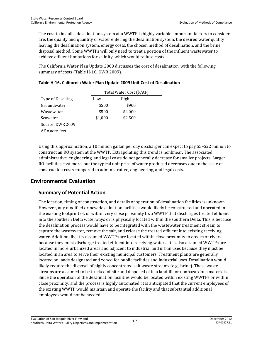The cost to install a desalination system at a WWTP is highly variable. Important factors to consider are: the quality and quantity of water entering the desalination system, the desired water quality leaving the desalination system, energy costs, the chosen method of desalination, and the brine disposal method. Some WWTPs will only need to treat a portion of the influent wastewater to achieve effluent limitations for salinity, which would reduce costs.

The California Water Plan Update 2009 discusses the cost of desalination, with the following summary of costs (Table H-16, DWR 2009).

|                   |         | Total Water Cost (\$/AF) |  |  |
|-------------------|---------|--------------------------|--|--|
| Type of Desalting | Low     | High                     |  |  |
| Groundwater       | \$500   | \$900                    |  |  |
| Wastewater        | \$500   | \$2,000                  |  |  |
| Seawater          | \$1,000 | \$2,500                  |  |  |
| Source: DWR 2009  |         |                          |  |  |
| $AF = acre-free$  |         |                          |  |  |

Using this approximation, a 10 million gallon per day discharger can expect to pay \$5–\$22 million to construct an RO system at the WWTP. Extrapolating this trend is nonlinear. The associated administrative, engineering, and legal costs do not generally decrease for smaller projects. Larger RO facilities cost more, but the typical unit price of water produced decreases due to the scale of construction costs compared to administrative, engineering, and legal costs.

# **Environmental Evaluation**

# **Summary of Potential Action**

The location, timing of construction, and details of operation of desalination facilities is unknown. However, any modified or new desalination facilities would likely be constructed and operated in the existing footprint of, or within very close proximity to, a WWTP that discharges treated effluent into the southern Delta waterways or is physically located within the southern Delta. This is because the desalination process would have to be integrated with the wastewater treatment stream to capture the wastewater, remove the salt, and release the treated effluent into existing receiving water. Additionally, it is assumed WWTPs are located within close proximity to creeks or rivers because they must discharge treated effluent into receiving waters. It is also assumed WWTPs are located in more urbanized areas and adjacent to industrial and urban uses because they must be located in an area to serve their existing municipal customers. Treatment plants are generally located on lands designated and zoned for public facilities and industrial uses. Desalination would likely require the disposal of highly concentrated salt waste streams (e.g., brine). These waste streams are assumed to be trucked offsite and disposed of in a landfill for nonhazardous materials. Since the operation of the desalination facilities would be located within existing WWTPs or within close proximity, and the process is highly automated, it is anticipated that the current employees of the existing WWTP would maintain and operate the facility and that substantial additional employees would not be needed.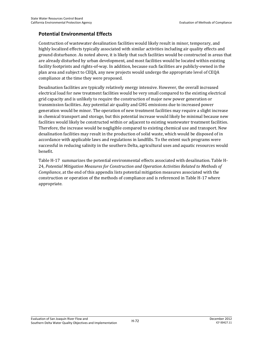### **Potential Environmental Effects**

Construction of wastewater desalination facilities would likely result in minor, temporary, and highly localized effects typically associated with similar activities including air quality effects and ground disturbance. As noted above, it is likely that such facilities would be constructed in areas that are already disturbed by urban development, and most facilities would be located within existing facility footprints and rights-of-way. In addition, because such facilities are publicly-owned in the plan area and subject to CEQA, any new projects would undergo the appropriate level of CEQA compliance at the time they were proposed.

Desalination facilities are typically relatively energy intensive. However, the overall increased electrical load for new treatment facilities would be very small compared to the existing electrical grid capacity and is unlikely to require the construction of major new power generation or transmission facilities. Any potential air quality and GHG emissions due to increased power generation would be minor. The operation of new treatment facilities may require a slight increase in chemical transport and storage, but this potential increase would likely be minimal because new facilities would likely be constructed within or adjacent to existing wastewater treatment facilities. Therefore, the increase would be negligible compared to existing chemical use and transport. New desalination facilities may result in the production of solid waste, which would be disposed of in accordance with applicable laws and regulations in landfills. To the extent such programs were successful in reducing salinity in the southern Delta, agricultural uses and aquatic resources would benefit.

Table H-17 summarizes the potential environmental effects associated with desalination. Table H-24, *Potential Mitigation Measures for Construction and Operation Activities Related to Methods of Compliance*, at the end of this appendix lists potential mitigation measures associated with the construction or operation of the methods of compliance and is referenced in Table H-17 where appropriate.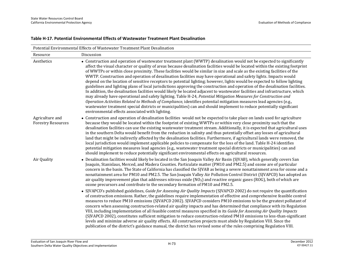#### **Table H-17. Potential Environmental Effects of Wastewater Treatment Plant Desalination**

| Potential Environmental Effects of Wastewater Treatment Plant Desalination |                                                                                                                                                                                                                                                                                                                                                                                                                                                                                                                                                                                                                                                                                                                                                                                                                                                                                                                                                                                                                                                                                                                                                                                                                                                                                                                                |  |
|----------------------------------------------------------------------------|--------------------------------------------------------------------------------------------------------------------------------------------------------------------------------------------------------------------------------------------------------------------------------------------------------------------------------------------------------------------------------------------------------------------------------------------------------------------------------------------------------------------------------------------------------------------------------------------------------------------------------------------------------------------------------------------------------------------------------------------------------------------------------------------------------------------------------------------------------------------------------------------------------------------------------------------------------------------------------------------------------------------------------------------------------------------------------------------------------------------------------------------------------------------------------------------------------------------------------------------------------------------------------------------------------------------------------|--|
| Resource                                                                   | Discussion                                                                                                                                                                                                                                                                                                                                                                                                                                                                                                                                                                                                                                                                                                                                                                                                                                                                                                                                                                                                                                                                                                                                                                                                                                                                                                                     |  |
| Aesthetics                                                                 | • Construction and operation of wastewater treatment plant (WWTP) desalination would not be expected to significantly<br>affect the visual character or quality of areas because desalination facilities would be located within the existing footprint<br>of WWTPs or within close proximity. These facilities would be similar in size and scale as the existing facilities of the<br>WWTP. Construction and operation of desalination facilities may have operational and safety lights. Impacts would<br>depend on the location of sensitive receptors to potential lighting; however, lights would be expected to follow lighting<br>guidelines and lighting plans of local jurisdictions approving the construction and operation of the desalination facilities.<br>In addition, the desalination facilities would likely be located adjacent to wastewater facilities and infrastructure, which<br>may already have operational and safety lighting. Table H-24, Potential Mitigation Measures for Construction and<br>Operation Activities Related to Methods of Compliance, identifies potential mitigation measures lead agencies (e.g.,<br>wastewater treatment special districts or municipalities) can and should implement to reduce potentially significant<br>environmental effects associated with lighting. |  |
| Agriculture and<br><b>Forestry Resources</b>                               | • Construction and operation of desalination facilities would not be expected to take place on lands used for agriculture<br>because they would be located within the footprint of existing WWTPs or within very close proximity such that the<br>desalination facilities can use the existing wastewater treatment stream. Additionally, it is expected that agricultural uses<br>in the southern Delta would benefit from the reduction in salinity and thus potentially offset any losses of agricultural<br>land that might be indirectly affected by the desalination facilities. Furthermore, if agricultural lands were removed, the<br>local jurisdiction would implement applicable policies to compensate for the loss of the land. Table H-24 identifies<br>potential mitigation measures lead agencies (e.g., wastewater treatment special districts or municipalities) can and<br>should implement to reduce potentially significant environmental effects on agricultural resources.                                                                                                                                                                                                                                                                                                                             |  |
| Air Quality                                                                | • Desalination facilities would likely be located in the San Joaquin Valley Air Basin (SJVAB), which generally covers San<br>Joaquin, Stanislaus, Merced, and Madera Counties. Particulate matter (PM10 and PM2.5) and ozone are of particular<br>concern in the basin. The State of California has classified the SJVAB as being a severe nonattainment area for ozone and a<br>nonattainment area for PM10 and PM2.5. The San Joaquin Valley Air Pollution Control District (SJVAPCD) has adopted an<br>air quality improvement plan that addresses nitrous oxide $(NOX)$ and reactive organic gases (ROG), both of which are<br>ozone precursors and contribute to the secondary formation of PM10 and PM2.5.                                                                                                                                                                                                                                                                                                                                                                                                                                                                                                                                                                                                               |  |
|                                                                            | • SJVAPCD's published guidelines, Guide for Assessing Air Quality Impacts (SJVAPCD 2002) do not require the quantification<br>of construction emissions. Rather, the guidelines require implementation of effective and comprehensive feasible control<br>measures to reduce PM10 emissions (SJVAPCD 2002). SJVAPCD considers PM10 emissions to be the greatest pollutant of<br>concern when assessing construction-related air quality impacts and has determined that compliance with its Regulation<br>VIII, including implementation of all feasible control measures specified in its Guide for Assessing Air Quality Impacts<br>(SJVAPCD 2002), constitutes sufficient mitigation to reduce construction-related PM10 emissions to less-than-significant<br>levels and minimize adverse air quality effects. All construction projects must abide by Regulation VIII. Since the<br>publication of the district's guidance manual, the district has revised some of the rules comprising Regulation VIII.                                                                                                                                                                                                                                                                                                                 |  |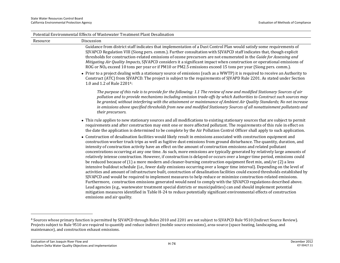|                   | Potential Environmental Effects of Wastewater Treatment Plant Desalination                                                                                                                                                                                                                                                                                                                                                                                                                                                                                                                                                                                                                                                                                                                                                                                                                                                                                                                                                                                                                                                                                                                                                                                                                                                                                                                                                                                                                                                      |
|-------------------|---------------------------------------------------------------------------------------------------------------------------------------------------------------------------------------------------------------------------------------------------------------------------------------------------------------------------------------------------------------------------------------------------------------------------------------------------------------------------------------------------------------------------------------------------------------------------------------------------------------------------------------------------------------------------------------------------------------------------------------------------------------------------------------------------------------------------------------------------------------------------------------------------------------------------------------------------------------------------------------------------------------------------------------------------------------------------------------------------------------------------------------------------------------------------------------------------------------------------------------------------------------------------------------------------------------------------------------------------------------------------------------------------------------------------------------------------------------------------------------------------------------------------------|
| Resource          | Discussion                                                                                                                                                                                                                                                                                                                                                                                                                                                                                                                                                                                                                                                                                                                                                                                                                                                                                                                                                                                                                                                                                                                                                                                                                                                                                                                                                                                                                                                                                                                      |
|                   | Guidance from district staff indicates that implementation of a Dust Control Plan would satisfy some requirements of<br>SJVAPCD Regulation VIII (Siong pers. comm.). Further consultation with SJVAPCD staff indicates that, though explicit<br>thresholds for construction-related emissions of ozone precursors are not enumerated in the Guide for Assessing and<br>Mitigating Air Quality Impacts, SJVAPCD considers it a significant impact when construction or operational emissions of<br>ROG or NO <sub>X</sub> exceed 10 tons per year or if PM10 or PM2.5 emissions exceed 15 tons per year (Siong pers. comm.).<br>• Prior to a project dealing with a stationary source of emissions (such as a WWTP) it is required to receive an Authority to<br>Construct (ATC) from SJVAPCD. The project is subject to the requirements of SJVAPD Rule 2201. As stated under Section<br>1.0 and 1.2 of Rule 2201 <sup>4</sup> :                                                                                                                                                                                                                                                                                                                                                                                                                                                                                                                                                                                                |
| their precursors. | The purpose of this rule is to provide for the following: 1.1 The review of new and modified Stationary Sources of air<br>pollution and to provide mechanisms including emission trade-offs by which Authorities to Construct such sources may<br>be granted, without interfering with the attainment or maintenance of Ambient Air Quality Standards; No net increase<br>in emissions above specified thresholds from new and modified Stationary Sources of all nonattainment pollutants and                                                                                                                                                                                                                                                                                                                                                                                                                                                                                                                                                                                                                                                                                                                                                                                                                                                                                                                                                                                                                                  |
|                   | • This rule applies to new stationary sources and all modifications to existing stationary sources that are subject to permit<br>requirements and after construction may emit one or more affected pollutant. The requirements of this rule in effect on<br>the date the application is determined to be complete by the Air Pollution Control Officer shall apply to such application.                                                                                                                                                                                                                                                                                                                                                                                                                                                                                                                                                                                                                                                                                                                                                                                                                                                                                                                                                                                                                                                                                                                                         |
|                   | • Construction of desalination facilities would likely result in emissions associated with construction equipment and<br>construction worker truck trips as well as fugitive dust emissions from ground disturbance. The quantity, duration, and<br>intensity of construction activity have an effect on the amount of construction emissions and related pollutant<br>concentrations occurring at any one time. As such, more emissions are typically generated by relatively large amounts of<br>relatively intense construction. However, if construction is delayed or occurs over a longer time period, emissions could<br>be reduced because of (1) a more modern and cleaner-burning construction equipment fleet mix, and/or (2) a less<br>intensive buildout schedule (i.e., fewer daily emissions occurring over a longer time interval). Depending on the level of<br>activities and amount of infrastructure built, construction of desalination facilities could exceed thresholds established by<br>SJVAPCD and would be required to implement measures to help reduce or minimize construction-related emissions.<br>Furthermore, construction emissions generated would need to comply with the SJVAPCD regulations described above.<br>Lead agencies (e.g., wastewater treatment special districts or municipalities) can and should implement potential<br>mitigation measures identified in Table H-24 to reduce potentially significant environmental effects of construction<br>emissions and air quality. |

<sup>4</sup> Sources whose primary function is permitted by SJVAPCD through Rules 2010 and 2201 are not subject to SJVAPCD Rule 9510 (Indirect Source Review). Projects subject to Rule 9510 are required to quantify and reduce indirect (mobile source emissions), area-source (space heating, landscaping, and maintenance), and construction exhaust emissions.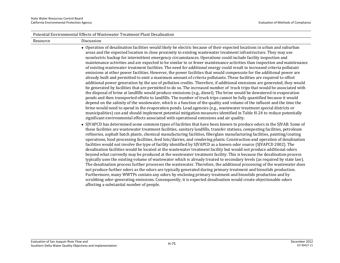| Potential Environmental Effects of Wastewater Treatment Plant Desalination |                                                                                                                                                                                                                                                                                                                                                                                                                                                                                                                                                                                                                                                                                                                                                                                                                                                                                                                                                                                                                                                                                                                                                                                                                                                                                                                                                                                                                                                                                                                                                                                                                                                                                                                                                                                                                                                              |  |
|----------------------------------------------------------------------------|--------------------------------------------------------------------------------------------------------------------------------------------------------------------------------------------------------------------------------------------------------------------------------------------------------------------------------------------------------------------------------------------------------------------------------------------------------------------------------------------------------------------------------------------------------------------------------------------------------------------------------------------------------------------------------------------------------------------------------------------------------------------------------------------------------------------------------------------------------------------------------------------------------------------------------------------------------------------------------------------------------------------------------------------------------------------------------------------------------------------------------------------------------------------------------------------------------------------------------------------------------------------------------------------------------------------------------------------------------------------------------------------------------------------------------------------------------------------------------------------------------------------------------------------------------------------------------------------------------------------------------------------------------------------------------------------------------------------------------------------------------------------------------------------------------------------------------------------------------------|--|
| Resource                                                                   | Discussion                                                                                                                                                                                                                                                                                                                                                                                                                                                                                                                                                                                                                                                                                                                                                                                                                                                                                                                                                                                                                                                                                                                                                                                                                                                                                                                                                                                                                                                                                                                                                                                                                                                                                                                                                                                                                                                   |  |
|                                                                            | • Operation of desalination facilities would likely be electric because of their expected locations in urban and suburban<br>areas and the expected location in close proximity to existing wastewater treatment infrastructure. They may use<br>nonelectric backup for intermittent emergency circumstances. Operations could include facility inspection and<br>maintenance activities and are expected to be similar to or fewer maintenance activities than inspection and maintenance<br>of existing wastewater treatment facilities. The need for additional energy could result in increased criteria pollutant<br>emissions at other power facilities. However, the power facilities that would compensate for the additional power are<br>already built and permitted to emit a maximum amount of criteria pollutants. These facilities are required to offset<br>additional power generation by the use of pollution credits. Therefore, if additional emissions are generated, they would<br>be generated by facilities that are permitted to do so. The increased number of truck trips that would be associated with<br>the disposal of brine at landfills would produce emissions (e.g., diesel). The brine would be dewatered in evaporation<br>ponds and then transported offsite to landfills. The number of truck trips cannot be fully quantified because it would<br>depend on the salinity of the wastewater, which is a function of the quality and volume of the influent and the time the<br>brine would need to spend in the evaporation ponds. Lead agencies (e.g., wastewater treatment special districts or<br>municipalities) can and should implement potential mitigation measures identified in Table H-24 to reduce potentially<br>significant environmental effects associated with operational emissions and air quality. |  |
|                                                                            | • SJVAPCD has determined some common types of facilities that have been known to produce odors in the SJVAB. Some of<br>these facilities are wastewater treatment facilities, sanitary landfills, transfer stations, composting facilities, petroleum<br>refineries, asphalt batch plants, chemical manufacturing facilities, fiberglass manufacturing facilities, painting/coating<br>operations, food processing facilities, feed lots/dairies, and rendering plants. Construction and operation of desalination<br>facilities would not involve the type of facility identified by SJVAPCD as a known odor source (SJVAPCD 2002). The<br>desalination facilities would be located at the wastewater treatment facility but would not produce additional odors<br>beyond what currently may be produced at the wastewater treatment facility. This is because the desalination process<br>typically uses the existing volume of wastewater which is already treated to secondary levels (as required by state law).<br>The desalination process further processes the wastewater. Therefore, the additional processing of the wastewater does<br>not produce further odors as the odors are typically generated during primary treatment and biosolids production.<br>Furthermore, many WWTPs contain any odors by enclosing primary treatment and biosolids production and by<br>scrubbing odor-generating emissions. Consequently, it is expected desalination would create objectionable odors<br>affecting a substantial number of people.                                                                                                                                                                                                                                                                                                             |  |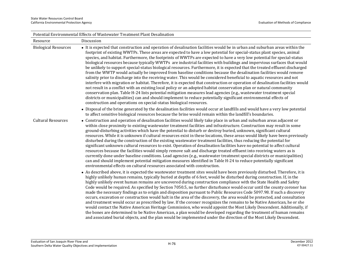| Potential Environmental Effects of Wastewater Treatment Plant Desalination |                                                                                                                                                                                                                                                                                                                                                                                                                                                                                                                                                                                                                                                                                                                                                                                                                                                                                                                                                                                                                                                                                                                                                                                                                                                                                                                                                                                                                                                                         |  |
|----------------------------------------------------------------------------|-------------------------------------------------------------------------------------------------------------------------------------------------------------------------------------------------------------------------------------------------------------------------------------------------------------------------------------------------------------------------------------------------------------------------------------------------------------------------------------------------------------------------------------------------------------------------------------------------------------------------------------------------------------------------------------------------------------------------------------------------------------------------------------------------------------------------------------------------------------------------------------------------------------------------------------------------------------------------------------------------------------------------------------------------------------------------------------------------------------------------------------------------------------------------------------------------------------------------------------------------------------------------------------------------------------------------------------------------------------------------------------------------------------------------------------------------------------------------|--|
| Resource                                                                   | Discussion                                                                                                                                                                                                                                                                                                                                                                                                                                                                                                                                                                                                                                                                                                                                                                                                                                                                                                                                                                                                                                                                                                                                                                                                                                                                                                                                                                                                                                                              |  |
| <b>Biological Resources</b>                                                | • It is expected that construction and operation of desalination facilities would be in urban and suburban areas within the<br>footprint of existing WWTPs. These areas are expected to have a low potential for special-status plant species, animal<br>species, and habitat. Furthermore, the footprints of WWTPs are expected to have a very low potential for special-status<br>biological resources because typically WWTPs are industrial facilities with buildings and impervious surfaces that would<br>be unlikely to support special-status biological resources. Furthermore, it is expected that the treated effluent discharged<br>from the WWTP would actually be improved from baseline conditions because the desalination facilities would remove<br>salinity prior to discharge into the receiving water. This would be considered beneficial to aquatic resources and not<br>interfere with migration or habitat. Therefore, it is expected that construction or operation of desalination facilities would<br>not result in a conflict with an existing local policy or an adopted habitat conservation plan or natural community<br>conservation plan. Table H-24 lists potential mitigation measures lead agencies (e.g., wastewater treatment special<br>districts or municipalities) can and should implement to reduce potentially significant environmental effects of<br>construction and operations on special-status biological resources. |  |
|                                                                            | • Disposal of the brine generated by the desalination facilities would occur at landfills and would have a very low potential<br>to affect sensitive biological resources because the brine would remain within the landfill's boundaries.                                                                                                                                                                                                                                                                                                                                                                                                                                                                                                                                                                                                                                                                                                                                                                                                                                                                                                                                                                                                                                                                                                                                                                                                                              |  |
| <b>Cultural Resources</b>                                                  | • Construction and operation of desalination facilities would likely take place in urban and suburban areas adjacent or<br>within close proximity to existing wastewater treatment facilities and infrastructure. Construction may result in some<br>ground-disturbing activities which have the potential to disturb or destroy buried, unknown, significant cultural<br>resources. While it is unknown if cultural resources exist in these locations, these areas would likely have been previously<br>disturbed during the construction of the existing wastewater treatment facilities, thus reducing the potential for<br>significant unknown cultural resources to exist. Operation of desalination facilities have no potential to affect cultural<br>resources because the facilities would simply remove salt and discharge treated effluent into receiving waters as is<br>currently done under baseline conditions. Lead agencies (e.g., wastewater treatment special districts or municipalities)<br>can and should implement potential mitigation measures identified in Table H-24 to reduce potentially significant<br>environmental effects on cultural resources associated with construction.                                                                                                                                                                                                                                                        |  |
|                                                                            | • As described above, it is expected the wastewater treatment sites would have been previously disturbed. Therefore, it is<br>highly unlikely human remains, typically buried at depths of 6 feet, would be disturbed during construction. If, in the<br>highly unlikely event human remains are uncovered during construction compliance with the State Health and Safety<br>Code would be required. As specified by Section 7050.5, no further disturbance would occur until the county coroner has<br>made the necessary findings as to origin and disposition pursuant to Public Resources Code 5097.98. If such a discovery<br>occurs, excavation or construction would halt in the area of the discovery, the area would be protected, and consultation<br>and treatment would occur as prescribed by law. If the coroner recognizes the remains to be Native American, he or she<br>would contact the Native American Heritage Commission, who would appoint the Most Likely Descendent. Additionally, if<br>the bones are determined to be Native American, a plan would be developed regarding the treatment of human remains                                                                                                                                                                                                                                                                                                                                  |  |

and associated burial objects, and the plan would be implemented under the direction of the Most Likely Descendent.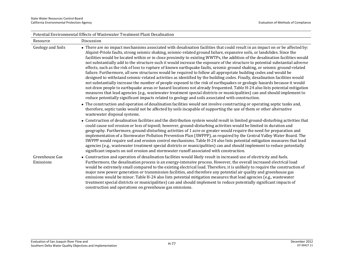|                             | Potential Environmental Effects of Wastewater Treatment Plant Desalination                                                                                                                                                                                                                                                                                                                                                                                                                                                                                                                                                                                                                                                                                                                                                                                                                                                                                                                                                                                                                                                                                                                                                                                                                                                                                                                             |
|-----------------------------|--------------------------------------------------------------------------------------------------------------------------------------------------------------------------------------------------------------------------------------------------------------------------------------------------------------------------------------------------------------------------------------------------------------------------------------------------------------------------------------------------------------------------------------------------------------------------------------------------------------------------------------------------------------------------------------------------------------------------------------------------------------------------------------------------------------------------------------------------------------------------------------------------------------------------------------------------------------------------------------------------------------------------------------------------------------------------------------------------------------------------------------------------------------------------------------------------------------------------------------------------------------------------------------------------------------------------------------------------------------------------------------------------------|
| Resource                    | Discussion                                                                                                                                                                                                                                                                                                                                                                                                                                                                                                                                                                                                                                                                                                                                                                                                                                                                                                                                                                                                                                                                                                                                                                                                                                                                                                                                                                                             |
| <b>Geology and Soils</b>    | • There are no impact mechanisms associated with desalination facilities that could result in an impact on or be affected by:<br>Alquist-Priolo faults, strong seismic shaking, seismic-related ground failure, expansive soils, or landslides. Since the<br>facilities would be located within or in close proximity to existing WWTPs, the addition of the desalination facilities would<br>not substantially add to the structure such it would increase the exposure of the structure to potential substantial adverse<br>effects, such as the risk of loss to rupture of known earthquake faults, seismic ground shaking, or seismic ground-related<br>failure. Furthermore, all new structures would be required to follow all appropriate building codes and would be<br>designed to withstand seismic-related activities as identified by the building codes. Finally, desalination facilities would<br>not substantially increase the number of people exposed to the risk of earthquakes or geologic hazards because it would<br>not draw people to earthquake areas or hazard locations not already frequented. Table H-24 also lists potential mitigation<br>measures that lead agencies (e.g., wastewater treatment special districts or municipalities) can and should implement to<br>reduce potentially significant impacts related to geology and soils associated with construction. |
|                             | • The construction and operation of desalination facilities would not involve constructing or operating septic tanks and,<br>therefore, septic tanks would not be affected by soils incapable of supporting the use of them or other alternative<br>wastewater disposal systems.                                                                                                                                                                                                                                                                                                                                                                                                                                                                                                                                                                                                                                                                                                                                                                                                                                                                                                                                                                                                                                                                                                                       |
|                             | • Construction of desalination facilities and the distribution system would result in limited ground-disturbing activities that<br>could cause soil erosion or loss of topsoil; however, ground-disturbing activities would be limited in duration and<br>geography. Furthermore, ground-disturbing activities of 1 acre or greater would require the need for preparation and<br>implementation of a Stormwater Pollution Prevention Plan (SWPPP), as required by the Central Valley Water Board. The<br>SWPPP would require soil and erosion control mechanisms. Table H-24 also lists potential mitigation measures that lead<br>agencies (e.g., wastewater treatment special districts or municipalities) can and should implement to reduce potentially<br>significant impacts on soil erosion and stormwater runoff associated with construction.                                                                                                                                                                                                                                                                                                                                                                                                                                                                                                                                                |
| Greenhouse Gas<br>Emissions | • Construction and operation of desalination facilities would likely result in increased use of electricity and fuels.<br>Furthermore, the desalination process is an energy-intensive process. However, the overall increased electrical load<br>would be extremely small compared to the existing electrical load. Therefore, it is unlikely to require the construction of<br>major new power generation or transmission facilities, and therefore any potential air quality and greenhouse gas<br>emissions would be minor. Table H-24 also lists potential mitigation measures that lead agencies (e.g., wastewater<br>treatment special districts or municipalities) can and should implement to reduce potentially significant impacts of<br>construction and operations on greenhouse gas emissions.                                                                                                                                                                                                                                                                                                                                                                                                                                                                                                                                                                                           |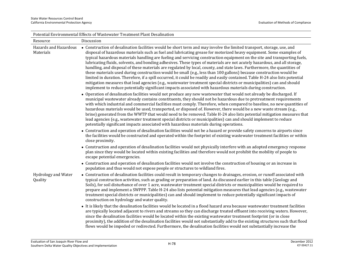|                                    | Potential Environmental Effects of Wastewater Treatment Plant Desalination                                                                                                                                                                                                                                                                                                                                                                                                                                                                                                                                                                                                                                                                                                                                                                                                                                                                                                                                                                                                                                                             |
|------------------------------------|----------------------------------------------------------------------------------------------------------------------------------------------------------------------------------------------------------------------------------------------------------------------------------------------------------------------------------------------------------------------------------------------------------------------------------------------------------------------------------------------------------------------------------------------------------------------------------------------------------------------------------------------------------------------------------------------------------------------------------------------------------------------------------------------------------------------------------------------------------------------------------------------------------------------------------------------------------------------------------------------------------------------------------------------------------------------------------------------------------------------------------------|
| Resource                           | Discussion                                                                                                                                                                                                                                                                                                                                                                                                                                                                                                                                                                                                                                                                                                                                                                                                                                                                                                                                                                                                                                                                                                                             |
| Hazards and Hazardous<br>Materials | • Construction of desalination facilities would be short term and may involve the limited transport, storage, use, and<br>disposal of hazardous materials such as fuel and lubricating grease for motorized heavy equipment. Some examples of<br>typical hazardous materials handling are fueling and servicing construction equipment on the site and transporting fuels,<br>lubricating fluids, solvents, and bonding adhesives. These types of materials are not acutely hazardous, and all storage,<br>handling, and disposal of these materials are regulated by local, county, and state laws. Furthermore, the quantities of<br>these materials used during construction would be small (e.g., less than 100 gallons) because construction would be<br>limited in duration. Therefore, if a spill occurred, it could be readily and easily contained. Table H-24 also lists potential<br>mitigation measures that lead agencies (e.g., wastewater treatment special districts or municipalities) can and should<br>implement to reduce potentially significant impacts associated with hazardous materials during construction. |
|                                    | • Operation of desalination facilities would not produce any new wastewater that would not already be discharged. If<br>municipal wastewater already contains constituents, they should not be hazardous due to pretreatment requirements<br>with which industrial and commercial facilities must comply. Therefore, when compared to baseline, no new quantities of<br>hazardous materials would be used, transported, or disposed of. However, there would be a new waste stream (e.g.,<br>brine) generated from the WWTP that would need to be removed. Table H-24 also lists potential mitigation measures that<br>lead agencies (e.g., wastewater treatment special districts or municipalities) can and should implement to reduce<br>potentially significant impacts associated with hazardous materials during operations.                                                                                                                                                                                                                                                                                                     |
|                                    | • Construction and operation of desalination facilities would not be a hazard or provide safety concerns to airports since<br>the facilities would be constructed and operated within the footprint of existing wastewater treatment facilities or within<br>close proximity.                                                                                                                                                                                                                                                                                                                                                                                                                                                                                                                                                                                                                                                                                                                                                                                                                                                          |
|                                    | • Construction and operation of desalination facilities would not physically interfere with an adopted emergency response<br>plan since they would be located within existing facilities and therefore would not prohibit the mobility of people to<br>escape potential emergencies.                                                                                                                                                                                                                                                                                                                                                                                                                                                                                                                                                                                                                                                                                                                                                                                                                                                   |
|                                    | • Construction and operation of desalination facilities would not involve the construction of housing or an increase in<br>population and thus would not expose people or structures to wildland fires.                                                                                                                                                                                                                                                                                                                                                                                                                                                                                                                                                                                                                                                                                                                                                                                                                                                                                                                                |
| Hydrology and Water<br>Quality     | • Construction of desalination facilities could result in temporary changes to drainages, erosion, or runoff associated with<br>typical construction activities, such as grading or preparation of land. As discussed earlier in this table (Geology and<br>Soils), for soil disturbance of over 1 acre, wastewater treatment special districts or municipalities would be required to<br>prepare and implement a SWPPP. Table H-24 also lists potential mitigation measures that lead agencies (e.g., wastewater<br>treatment special districts or municipalities) can and should implement to reduce potentially significant impacts of<br>construction on hydrology and water quality.                                                                                                                                                                                                                                                                                                                                                                                                                                              |
|                                    | • It is likely that the desalination facilities would be located in a flood hazard area because wastewater treatment facilities<br>are typically located adjacent to rivers and streams so they can discharge treated effluent into receiving waters. However,<br>since the desalination facilities would be located within the existing wastewater treatment footprint (or in close<br>proximity), the addition of the desalination facilities would not substantially add to the existing structures such that flood<br>flows would be impeded or redirected. Furthermore, the desalination facilities would not substantially increase the                                                                                                                                                                                                                                                                                                                                                                                                                                                                                          |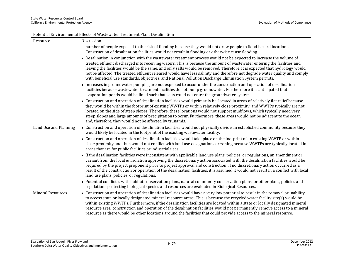| Potential Environmental Effects of Wastewater Treatment Plant Desalination |                                                                                                                                                                                                                                                                                                                                                                                                                                                                                                                                                                                                                                                |  |
|----------------------------------------------------------------------------|------------------------------------------------------------------------------------------------------------------------------------------------------------------------------------------------------------------------------------------------------------------------------------------------------------------------------------------------------------------------------------------------------------------------------------------------------------------------------------------------------------------------------------------------------------------------------------------------------------------------------------------------|--|
| Resource                                                                   | Discussion                                                                                                                                                                                                                                                                                                                                                                                                                                                                                                                                                                                                                                     |  |
|                                                                            | number of people exposed to the risk of flooding because they would not draw people to flood hazard locations.<br>Construction of desalination facilities would not result in flooding or otherwise cause flooding.                                                                                                                                                                                                                                                                                                                                                                                                                            |  |
|                                                                            | • Desalination in conjunction with the wastewater treatment process would not be expected to increase the volume of<br>treated effluent discharged into receiving waters. This is because the amount of wastewater entering the facilities and<br>leaving the facilities would be the same, and only salts would be removed. Therefore, it is expected that hydrology would<br>not be affected. The treated effluent released would have less salinity and therefore not degrade water quality and comply<br>with beneficial use standards, objectives, and National Pollution Discharge Elimination System permits.                           |  |
|                                                                            | • Increases in groundwater pumping are not expected to occur under the construction and operation of desalination<br>facilities because wastewater treatment facilities do not pump groundwater. Furthermore it is anticipated that<br>evaporation ponds would be lined such that salts could not enter the groundwater system.                                                                                                                                                                                                                                                                                                                |  |
|                                                                            | • Construction and operation of desalination facilities would primarily be located in areas of relatively flat relief because<br>they would be within the footprint of existing WWTPs or within relatively close proximity, and WWTPs typically are not<br>located on the side of steep slopes. Therefore, these locations would not support mudflows, which typically need very<br>steep slopes and large amounts of precipitation to occur. Furthermore, these areas would not be adjacent to the ocean<br>and, therefore, they would not be affected by tsunamis.                                                                           |  |
| Land Use and Planning                                                      | • Construction and operation of desalination facilities would not physically divide an established community because they<br>would likely be located in the footprint of the existing wastewater facility.                                                                                                                                                                                                                                                                                                                                                                                                                                     |  |
|                                                                            | • Construction and operation of desalination facilities would take place on the footprint of an existing WWTP or within<br>close proximity and thus would not conflict with land use designations or zoning because WWTPs are typically located in<br>areas that are for public facilities or industrial uses.                                                                                                                                                                                                                                                                                                                                 |  |
|                                                                            | • If the desalination facilities were inconsistent with applicable land use plans, policies, or regulations, an amendment or<br>variant from the local jurisdiction approving the discretionary action associated with the desalination facilities would be<br>required by the project proponent prior to project approval and construction. If no discretionary action occurred as a<br>result of the construction or operation of the desalination facilities, it is assumed it would not result in a conflict with local<br>land use plans, policies, or regulations.                                                                       |  |
|                                                                            | • Potential conflictss with habitat conservation plans, natural community conservation plans, or other plans, policies and<br>regulations protecting biological species and resources are evaluated in Biological Resources.                                                                                                                                                                                                                                                                                                                                                                                                                   |  |
| <b>Mineral Resources</b>                                                   | • Construction and operation of desalination facilities would have a very low potential to result in the removal or inability<br>to access state or locally designated mineral resource areas. This is because the recycled water facility site(s) would be<br>within existing WWTPs. Furthermore, if the desalination facilities are located within a state or locally designated mineral<br>resource area, construction and operation of the desalination facilities would not permanently remove access to a mineral<br>resource as there would be other locations around the facilities that could provide access to the mineral resource. |  |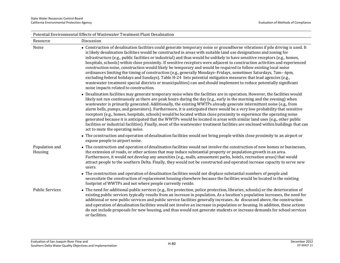|                           | Potential Environmental Effects of Wastewater Treatment Plant Desalination                                                                                                                                                                                                                                                                                                                                                                                                                                                                                                                                                                                                                                                                                                                                                                                                                                                                                                                                                                     |
|---------------------------|------------------------------------------------------------------------------------------------------------------------------------------------------------------------------------------------------------------------------------------------------------------------------------------------------------------------------------------------------------------------------------------------------------------------------------------------------------------------------------------------------------------------------------------------------------------------------------------------------------------------------------------------------------------------------------------------------------------------------------------------------------------------------------------------------------------------------------------------------------------------------------------------------------------------------------------------------------------------------------------------------------------------------------------------|
| Resource                  | Discussion                                                                                                                                                                                                                                                                                                                                                                                                                                                                                                                                                                                                                                                                                                                                                                                                                                                                                                                                                                                                                                     |
| Noise                     | • Construction of desalination facilities could generate temporary noise or groundborne vibrations if pile driving is used. It<br>is likely desalination facilities would be constructed in areas with suitable land use designations and zoning for<br>infrastructure (e.g., public facilities or industrial) and thus would be unlikely to have sensitive receptors (e.g., homes,<br>hospitals, schools) within close proximity. If sensitive receptors were adjacent to construction activities and experienced<br>construction noise, construction would likely be temporary and would be required to follow existing local noise<br>ordinances limiting the timing of construction (e.g., generally Mondays-Fridays, sometimes Saturdays, 7am-6pm,<br>excluding federal holidays and Sundays). Table H-24 lists potential mitigation measures that lead agencies (e.g.,<br>wastewater treatment special districts or municipalities) can and should implement to reduce potentially significant<br>noise impacts related to construction. |
|                           | • Desalination facilities may generate temporary noise when the facilities are in operation. However, the facilities would<br>likely not run continuously as there are peak hours during the day (e.g., early in the morning and the evening) when<br>wastewater is primarily generated. Additionally, the existing WWTPs already generate intermittent noise (e.g., from<br>alarm bells, pumps, and generators). Furthermore, it is anticipated there would be a very low probability that sensitive<br>receptors (e.g., homes, hospitals, schools) would be located within close proximity to experience the operating noise<br>generated because it is anticipated that the WWTPs would be located in areas with similar land uses (e.g., other public<br>facilities or industrial facilities). Finally, most of the wastewater treatment facilities are enclosed within buildings that can<br>act to mute the operating noise.                                                                                                             |
|                           | • The construction and operation of desalination facilities would not bring people within close proximity to an airport or<br>expose people to airport noise.                                                                                                                                                                                                                                                                                                                                                                                                                                                                                                                                                                                                                                                                                                                                                                                                                                                                                  |
| Population and<br>Housing | • The construction and operation of desalination facilities would not involve the construction of new homes or businesses,<br>the extension of roads, or other actions that may induce substantial property or population growth in an area.<br>Furthermore, it would not develop any amenities (e.g., malls, amusement parks, hotels, recreation areas) that would<br>attract people to the southern Delta. Finally, they would not be constructed and operated increase capacity to serve new<br>users.                                                                                                                                                                                                                                                                                                                                                                                                                                                                                                                                      |
|                           | • The construction and operation of desalination facilities would not displace substantial numbers of people and<br>necessitate the construction of replacement housing elsewhere because the facilities would be located in the existing<br>footprint of WWTPs and not where people currently reside.                                                                                                                                                                                                                                                                                                                                                                                                                                                                                                                                                                                                                                                                                                                                         |
| <b>Public Services</b>    | • The need for additional public services (e.g., fire protection, police protection, libraries, schools) or the deterioration of<br>existing public services typically results from an increase in population. As a location's population increases, the need for<br>additional or new public services and public service facilities generally increases. As discussed above, the construction<br>and operation of desalination facilities would not involve an increase in population or housing. In addition, these actions<br>do not include proposals for new housing, and thus would not generate students or increase demands for school services<br>or facilities.                                                                                                                                                                                                                                                                                                                                                                      |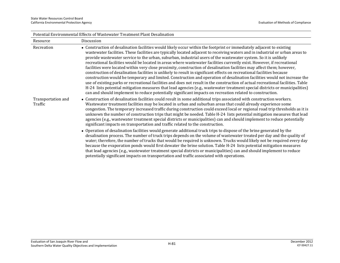| Potential Environmental Effects of Wastewater Treatment Plant Desalination |                                                                                                                                                                                                                                                                                                                                                                                                                                                                                                                                                                                                                                                                                                                                                                                                                                                                                                                                                                                                                                                                                                                                                                                                                                                                           |  |
|----------------------------------------------------------------------------|---------------------------------------------------------------------------------------------------------------------------------------------------------------------------------------------------------------------------------------------------------------------------------------------------------------------------------------------------------------------------------------------------------------------------------------------------------------------------------------------------------------------------------------------------------------------------------------------------------------------------------------------------------------------------------------------------------------------------------------------------------------------------------------------------------------------------------------------------------------------------------------------------------------------------------------------------------------------------------------------------------------------------------------------------------------------------------------------------------------------------------------------------------------------------------------------------------------------------------------------------------------------------|--|
| Resource                                                                   | Discussion                                                                                                                                                                                                                                                                                                                                                                                                                                                                                                                                                                                                                                                                                                                                                                                                                                                                                                                                                                                                                                                                                                                                                                                                                                                                |  |
| Recreation                                                                 | • Construction of desalination facilities would likely occur within the footprint or immediately adjacent to existing<br>wastewater facilities. These facilities are typically located adjacent to receiving waters and in industrial or urban areas to<br>provide wastewater service to the urban, suburban, industrial users of the wastewater system. So it is unlikely<br>recreational facilities would be located in areas where wastewater facilities currently exist. However, if recreational<br>facilities were located within very close proximity, construction of desalination facilities may affect them; however,<br>construction of desalination facilities is unlikely to result in significant effects on recreational facilities because<br>construction would be temporary and limited. Construction and operation of desalination facilities would not increase the<br>use of existing parks or recreational facilities and does not result in the construction of actual recreational facilities. Table<br>H-24 lists potential mitigation measures that lead agencies (e.g., wastewater treatment special districts or municipalities)<br>can and should implement to reduce potentially significant impacts on recreation related to construction. |  |
| Transportation and<br>Traffic                                              | • Construction of desalination facilities could result in some additional trips associated with construction workers.<br>Wastewater treatment facilities may be located in urban and suburban areas that could already experience some<br>congestion. The temporary increased traffic during construction could exceed local or regional road trip thresholds as it is<br>unknown the number of construction trips that might be needed. Table H-24 lists potential mitigation measures that lead<br>agencies (e.g., wastewater treatment special districts or municipalities) can and should implement to reduce potentially<br>significant impacts on transportation and traffic related to the construction.                                                                                                                                                                                                                                                                                                                                                                                                                                                                                                                                                           |  |
|                                                                            | • Operation of desalination facilities would generate additional truck trips to dispose of the brine generated by the<br>desalination process. The number of truck trips depends on the volume of wastewater treated per day and the quality of<br>water; therefore, the number of trucks that would be required is unknown. Trucks would likely not be required every day<br>because the evaporation ponds would first dewater the brine solution. Table H-24 lists potential mitigation measures<br>that lead agencies (e.g., wastewater treatment special districts or municipalities) can and should implement to reduce<br>potentially significant impacts on transportation and traffic associated with operations.                                                                                                                                                                                                                                                                                                                                                                                                                                                                                                                                                 |  |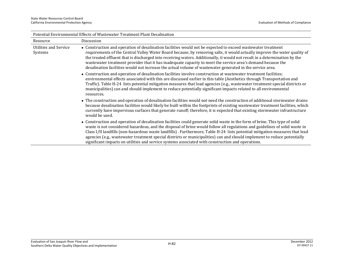| Potential Environmental Effects of Wastewater' Freatment Plant Desailhation |                                                                                                                                                                                                                                                                                                                                                                                                                                                                                                                                                                                                                           |  |
|-----------------------------------------------------------------------------|---------------------------------------------------------------------------------------------------------------------------------------------------------------------------------------------------------------------------------------------------------------------------------------------------------------------------------------------------------------------------------------------------------------------------------------------------------------------------------------------------------------------------------------------------------------------------------------------------------------------------|--|
| Resource                                                                    | Discussion                                                                                                                                                                                                                                                                                                                                                                                                                                                                                                                                                                                                                |  |
| Utilities and Service<br>Systems                                            | • Construction and operation of desalination facilities would not be expected to exceed wastewater treatment<br>requirements of the Central Valley Water Board because, by removing salts, it would actually improve the water quality of<br>the treated effluent that is discharged into receiving waters. Additionally, it would not result in a determination by the<br>wastewater treatment provider that it has inadequate capacity to meet the service area's demand because the<br>desalination facilities would not increase the actual volume of wastewater generated in the service area.                       |  |
|                                                                             | • Construction and operation of desalination facilities involve construction at wastewater treatment facilities;<br>environmental effects associated with this are discussed earlier in this table (Aesthetics through Transportation and<br>Traffic). Table H-24 lists potential mitigation measures that lead agencies (e.g., wastewater treatment special districts or<br>municipalities) can and should implement to reduce potentially significant impacts related to all environmental<br>resources.                                                                                                                |  |
|                                                                             | • The construction and operation of desalination facilities would not need the construction of additional stormwater drains<br>because desalination facilities would likely be built within the footprints of existing wastewater treatment facilities, which<br>currently have impervious surfaces that generate runoff; therefore, it is expected that existing stormwater infrastructure<br>would be used.                                                                                                                                                                                                             |  |
|                                                                             | • Construction and operation of desalination facilities could generate solid waste in the form of brine. This type of solid<br>waste is not considered hazardous, and the disposal of brine would follow all regulations and guidelines of solid waste in<br>Class I/II landfills (non-hazardous waste landfills). Furthermore, Table H-24 lists potential mitigation measures that lead<br>agencies (e.g., wastewater treatment special districts or municipalities) can and should implement to reduce potentially<br>significant impacts on utilities and service systems associated with construction and operations. |  |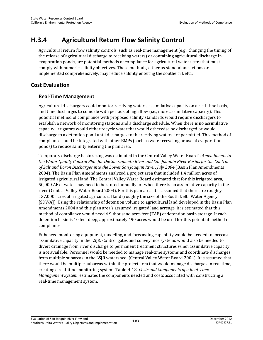## **H.3.4 Agricultural Return Flow Salinity Control**

Agricultural return flow salinity controls, such as real-time management (e.g., changing the timing of the release of agricultural discharge to receiving waters) or containing agricultural discharge in evaporation ponds, are potential methods of compliance for agricultural water users that must comply with numeric salinity objectives. These methods, either as stand-alone actions or implemented comprehensively, may reduce salinity entering the southern Delta.

## **Cost Evaluation**

## **Real-Time Management**

Agricultural dischargers could monitor receiving water's assimilative capacity on a real-time basis, and time discharges to coincide with periods of high flow (i.e., more assimilative capacity). This potential method of compliance with proposed salinity standards would require dischargers to establish a network of monitoring stations and a discharge schedule. When there is no assimilative capacity, irrigators would either recycle water that would otherwise be discharged or would discharge to a detention pond until discharges to the receiving waters are permitted. This method of compliance could be integrated with other BMPs (such as water recycling or use of evaporation ponds) to reduce salinity entering the plan area.

Temporary discharge basin sizing was estimated in the Central Valley Water Board's *Amendments to the Water Quality Control Plan for the Sacramento River and San Joaquin River Basins for the Control of Salt and Boron Discharges into the Lower San Joaquin River, July 2004* (Basin Plan Amendments 2004). The Basin Plan Amendments analyzed a project area that included 1.4 million acres of irrigated agricultural land. The Central Valley Water Board estimated that for this irrigated area, 50,000 AF of water may need to be stored annually for when there is no assimilative capacity in the river (Central Valley Water Board 2004). For this plan area, it is assumed that there are roughly 137,000 acres of irrigated agricultural land (roughly the size of the South Delta Water Agency [SDWA]). Using the relationship of detention volume to agricultural land developed in the Basin Plan Amendments 2004 and this plan area's assumed irrigated land acreage, it is estimated that this method of compliance would need 4.9 thousand acre-feet (TAF) of detention basin storage. If each detention basin is 10 feet deep, approximately 490 acres would be used for this potential method of compliance.

Enhanced monitoring equipment, modeling, and forecasting capability would be needed to forecast assimilative capacity in the LSJR. Control gates and conveyance systems would also be needed to divert drainage from river discharge to permanent treatment structures when assimilative capacity is not available. Personnel would be needed to manage real-time systems and coordinate discharges from multiple subareas in the LSJR watershed. (Central Valley Water Board 2004). It is assumed that there would be multiple subareas within the project area that would manage discharges in real time, creating a real-time monitoring system. Table H-18, *Costs and Components of a Real-Time Management System*, estimates the components needed and costs associated with constructing a real-time management system.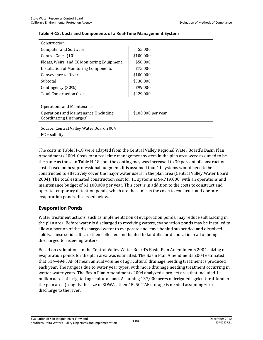| Construction                               |                    |  |
|--------------------------------------------|--------------------|--|
| <b>Computer and Software</b>               | \$5,000            |  |
| Control Gates (10)                         | \$100,000          |  |
| Floats, Weirs, and EC Monitoring Equipment | \$50,000           |  |
| Installation of Monitoring Components      | \$75,000           |  |
| Conveyance to River                        | \$100,000          |  |
| Subtotal                                   | \$330,000          |  |
| Contingency (30%)                          | \$99,000           |  |
| <b>Total Construction Cost</b>             | \$429,000          |  |
|                                            |                    |  |
| <b>Operations and Maintenance</b>          |                    |  |
| Operations and Maintenance (Including      | \$100,000 per year |  |
| Coordinating Discharges)                   |                    |  |
|                                            |                    |  |
| Source: Central Valley Water Board 2004    |                    |  |
| $EC =$ salinity                            |                    |  |

#### **Table H-18. Costs and Components of a Real-Time Management System**

The costs in Table H-18 were adapted from the Central Valley Regional Water Board's Basin Plan Amendments 2004. Costs for a real-time management system in the plan area were assumed to be the same as those in Table H-18 , but the contingency was increased to 30 percent of construction costs based on best professional judgment. It is assumed that 11 systems would need to be constructed to effectively cover the major water users in the plan area (Central Valley Water Board 2004). The total estimated construction cost for 11 systems is \$4,719,000, with an operations and maintenance budget of \$1,100,000 per year. This cost is in addition to the costs to construct and operate temporary detention ponds, which are the same as the costs to construct and operate evaporation ponds, discussed below.

#### **Evaporation Ponds**

Water treatment actions, such as implementation of evaporation ponds, may reduce salt loading in the plan area. Before water is discharged to receiving waters, evaporation ponds may be installed to allow a portion of the discharged water to evaporate and leave behind suspended and dissolved solids. These solid salts are then collected and hauled to landfills for disposal instead of being discharged to receiving waters.

Based on estimations in the Central Valley Water Board's Basin Plan Amendments 2004, sizing of evaporation ponds for the plan area was estimated. The Basin Plan Amendments 2004 estimated that 514–494 TAF of mean annual volume of agricultural drainage needing treatment is produced each year. The range is due to water year types, with more drainage needing treatment occurring in wetter water years. The Basin Plan Amendments 2004 analyzed a project area that included 1.4 million acres of irrigated agricultural land. Assuming 137,000 acres of irrigated agricultural land for the plan area (roughly the size of SDWA), then 48–50 TAF storage is needed assuming zero discharge to the river.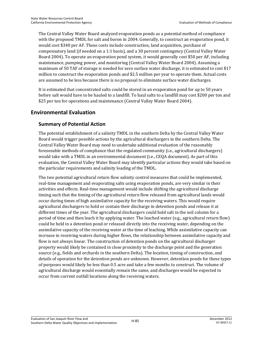The Central Valley Water Board analyzed evaporation ponds as a potential method of compliance with the proposed TMDL for salt and boron in 2004. Generally, to construct an evaporation pond, it would cost \$340 per AF. These costs include construction, land acquisition, purchase of compensatory land (if needed on a 1:1 basis), and a 30 percent contingency (Central Valley Water Board 2004). To operate an evaporation pond system, it would generally cost \$50 per AF, including maintenance, pumping power, and monitoring (Central Valley Water Board 2004). Assuming a maximum of 50 TAF of storage is needed for zero surface water discharge, it is estimated to cost \$17 million to construct the evaporation ponds and \$2.5 million per year to operate them. Actual costs are assumed to be less because there is no proposal to eliminate surface water discharges.

It is estimated that concentrated salts could be stored in an evaporation pond for up to 50 years before salt would have to be hauled to a landfill. To haul salts to a landfill may cost \$200 per ton and \$25 per ton for operations and maintenance (Central Valley Water Board 2004).

## **Environmental Evaluation**

### **Summary of Potential Action**

The potential establishment of a salinity TMDL in the southern Delta by the Central Valley Water Board would trigger possible actions by the agricultural dischargers in the southern Delta. The Central Valley Water Board may need to undertake additional evaluation of the reasonably foreseeable methods of compliance that the regulated community (i.e., agricultural dischargers) would take with a TMDL in an environmental document (i.e., CEQA document). As part of this evaluation, the Central Valley Water Board may identify particular actions they would take based on the particular requirements and salinity loading of the TMDL.

The two potential agricultural return flow salinity control measures that could be implemented, real-time management and evaporating salts using evaporation ponds, are very similar in their activities and effects. Real-time management would include shifting the agricultural discharge timing such that the timing of the agricultural return flow released from agricultural lands would occur during times of high assimilative capacity for the receiving waters. This would require agricultural dischargers to hold or contain their discharge in detention ponds and release it at different times of the year. The agricultural dischargers could hold salt in the soil column for a period of time and then leach it by applying water. The leached water (e.g., agricultural return flow) could be held in a detention pond or released directly into the receiving water, depending on the assimilative capacity of the receiving water at the time of leaching. While assimilative capacity can increase in receiving waters during higher flows, the relationship between assimilative capacity and flow is not always linear. The construction of detention ponds on the agricultural discharger property would likely be contained in close proximity to the discharge point and the generation source (e.g., fields and orchards in the southern Delta). The location, timing of construction, and details of operation for the detention ponds are unknown. However, detention ponds for these types of purposes would likely be less than 0.5 acre and take a few months to construct. The volume of agricultural discharge would essentially remain the same, and discharges would be expected to occur from current outfall locations along the receiving waters.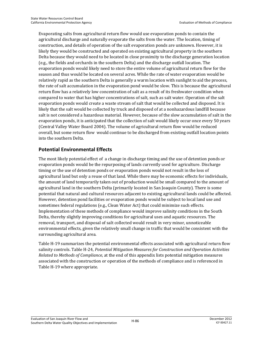Evaporating salts from agricultural return flow would use evaporation ponds to contain the agricultural discharge and naturally evaporate the salts from the water. The location, timing of construction, and details of operation of the salt evaporation ponds are unknown. However, it is likely they would be constructed and operated on existing agricultural property in the southern Delta because they would need to be located in close proximity to the discharge generation location (e.g., the fields and orchards in the southern Delta) and the discharge outfall location. The evaporation ponds would likely need to store the entire volume of agricultural return flow for the season and thus would be located on several acres. While the rate of water evaporation would be relatively rapid as the southern Delta is generally a warm location with sunlight to aid the process, the rate of salt accumulation in the evaporation pond would be slow. This is because the agricultural return flow has a relatively low concentration of salt as a result of its freshwater condition when compared to water that has higher concentrations of salt, such as salt water. Operation of the salt evaporation ponds would create a waste stream of salt that would be collected and disposed. It is likely that the salt would be collected by truck and disposed of at a nonhazardous landfill because salt is not considered a hazardous material. However, because of the slow accumulation of salt in the evaporation ponds, it is anticipated that the collection of salt would likely occur once every 50 years (Central Valley Water Board 2004). The volume of agricultural return flow would be reduced overall, but some return flow would continue to be discharged from existing outfall location points into the southern Delta.

### **Potential Environmental Effects**

The most likely potential effect of a change in discharge timing and the use of detention ponds or evaporation ponds would be the repurposing of lands currently used for agriculture. Discharge timing or the use of detention ponds or evaporation ponds would not result in the loss of agricultural land but only a reuse of that land. While there may be economic effects for individuals, the amount of land temporarily taken out of production would be small compared to the amount of agricultural land in the southern Delta (primarily located in San Joaquin County). There is some potential that natural and cultural resources adjacent to existing agricultural lands could be affected. However, detention pond facilities or evaporation ponds would be subject to local land use and sometimes federal regulations (e.g., Clean Water Act) that could minimize such effects. Implementation of these methods of compliance would improve salinity conditions in the South Delta, thereby slightly improving conditions for agricultural uses and aquatic resources. The removal, transport, and disposal of salt collected would result in very minor, unnoticeable environmental effects, given the relatively small change in traffic that would be consistent with the surrounding agricultural area.

Table H-19 summarizes the potential environmental effects associated with agricultural return flow salinity controls. Table H-24, *Potential Mitigation Measures for Construction and Operation Activities Related to Methods of Compliance*, at the end of this appendix lists potential mitigation measures associated with the construction or operation of the methods of compliance and is referenced in Table H-19 where appropriate.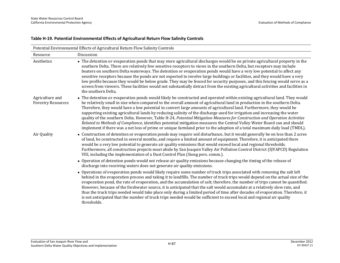| Potential Environmental Effects of Agricultural Return Flow Salinity Controls |                                                                                                                                                                                                                                                                                                                                                                                                                                                                                                                                                                                                                                                                                                                                                                                                                                                                                                       |  |
|-------------------------------------------------------------------------------|-------------------------------------------------------------------------------------------------------------------------------------------------------------------------------------------------------------------------------------------------------------------------------------------------------------------------------------------------------------------------------------------------------------------------------------------------------------------------------------------------------------------------------------------------------------------------------------------------------------------------------------------------------------------------------------------------------------------------------------------------------------------------------------------------------------------------------------------------------------------------------------------------------|--|
| Resource                                                                      | Discussion                                                                                                                                                                                                                                                                                                                                                                                                                                                                                                                                                                                                                                                                                                                                                                                                                                                                                            |  |
| Aesthetics                                                                    | • The detention or evaporation ponds that may store agricultural discharges would be on private agricultural property in the<br>southern Delta. There are relatively few sensitive receptors to views in the southern Delta, but receptors may include<br>boaters on southern Delta waterways. The detention or evaporation ponds would have a very low potential to affect any<br>sensitive receptors because the ponds are not expected to involve large buildings or facilities, and they would have a very<br>low profile because they would be below grade. They may be fenced for security purposes, and this fencing would serve as a<br>screen from viewers. These facilities would not substantially detract from the existing agricultural activities and facilities in<br>the southern Delta.                                                                                              |  |
| Agriculture and<br><b>Forestry Resources</b>                                  | • The detention or evaporation ponds would likely be constructed and operated within existing agricultural land. They would<br>be relatively small in size when compared to the overall amount of agricultural land in production in the southern Delta.<br>Therefore, they would have a low potential to convert large amounts of agricultural land. Furthermore, they would be<br>supporting existing agricultural lands by reducing salinity of the discharge used for irrigation and increasing the water<br>quality of the southern Delta. However, Table H-24, Potential Mitigation Measures for Construction and Operation Activities<br>Related to Methods of Compliance, identifies potential mitigation measures the Central Valley Water Board can and should<br>implement if there was a net loss of prime or unique farmland prior to the adoption of a total maximum daily load (TMDL). |  |
| Air Quality                                                                   | • Construction of detention or evaporation ponds may require soil disturbance, but it would generally be on less than 2 acres<br>of land, be constructed in several months, and require a limited amount of equipment. Therefore, it is anticipated there<br>would be a very low potential to generate air quality emissions that would exceed local and regional thresholds.<br>Furthermore, all construction projects must abide by San Joaquin Valley Air Pollution Control District (SJVAPCD) Regulation<br>VIII, including the implementation of a Dust Control Plan (Siong pers. comm.).                                                                                                                                                                                                                                                                                                        |  |
|                                                                               | • Operation of detention ponds would not release air quality emissions because changing the timing of the release of<br>discharge into receiving waters does not generate air quality emissions.                                                                                                                                                                                                                                                                                                                                                                                                                                                                                                                                                                                                                                                                                                      |  |
|                                                                               | • Operations of evaporation ponds would likely require some number of truck trips associated with removing the salt left<br>behind in the evaporation process and taking it to landfills. The number of truck trips would depend on the actual size of the<br>evaporation pond, the rate of evaporation, and the accumulation of salt; therefore, the number of trips cannot be quantified.<br>However, because of the freshwater source, it is anticipated that the salt would accumulate at a relatively slow rate, and<br>thus the truck trips needed would take place only during a limited period of time after decades of evaporation. Therefore, it<br>is not anticipated that the number of truck trips needed would be sufficient to exceed local and regional air quality<br>thresholds.                                                                                                    |  |

#### **Table H-19. Potential Environmental Effects of Agricultural Return Flow Salinity Controls**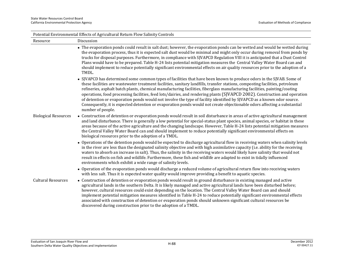| Potential Environmental Effects of Agricultural Return Flow Salinity Controls |                                                                                                                                                                                                                                                                                                                                                                                                                                                                                                                                                                                                                                                                                                                                                                                              |  |  |  |
|-------------------------------------------------------------------------------|----------------------------------------------------------------------------------------------------------------------------------------------------------------------------------------------------------------------------------------------------------------------------------------------------------------------------------------------------------------------------------------------------------------------------------------------------------------------------------------------------------------------------------------------------------------------------------------------------------------------------------------------------------------------------------------------------------------------------------------------------------------------------------------------|--|--|--|
| Resource                                                                      | Discussion                                                                                                                                                                                                                                                                                                                                                                                                                                                                                                                                                                                                                                                                                                                                                                                   |  |  |  |
|                                                                               | • The evaporation ponds could result in salt dust; however, the evaporation ponds can be wetted and would be wetted during<br>the evaporation process, thus it is expected salt dust would be minimal and might only occur during removal from ponds by<br>trucks for disposal purposes. Furthermore, in compliance with SJVAPCD Regulation VIII it is anticipated that a Dust Control<br>Plans would have to be prepared. Table H-24 lists potential mitigation measures the Central Valley Water Board can and<br>should implement to reduce potentially significant environmental effects on air quality resources prior to the adoption of a<br>TMDL.                                                                                                                                    |  |  |  |
|                                                                               | • SJVAPCD has determined some common types of facilities that have been known to produce odors in the SJVAB. Some of<br>these facilities are wastewater treatment facilities, sanitary landfills, transfer stations, composting facilities, petroleum<br>refineries, asphalt batch plants, chemical manufacturing facilities, fiberglass manufacturing facilities, painting/coating<br>operations, food processing facilities, feed lots/dairies, and rendering plants (SJVAPCD 2002). Construction and operation<br>of detention or evaporation ponds would not involve the type of facility identified by SJVAPCD as a known odor source.<br>Consequently, it is expected detention or evaporation ponds would not create objectionable odors affecting a substantial<br>number of people. |  |  |  |
| <b>Biological Resources</b>                                                   | • Construction of detention or evaporation ponds would result in soil disturbance in areas of active agricultural management<br>and land disturbance. There is generally a low potential for special-status plant species, animal species, or habitat in these<br>areas because of the active agriculture and the changing landscape. However, Table H-24 lists potential mitigation measures<br>the Central Valley Water Board can and should implement to reduce potentially significant environmental effects on<br>biological resources prior to the adoption of a TMDL.                                                                                                                                                                                                                 |  |  |  |
|                                                                               | • Operations of the detention ponds would be expected to discharge agricultural flow in receiving waters when salinity levels<br>in the river are less than the designated salinity objective and with high assimilative capacity (i.e. ability for the receiving<br>waters to absorb an increase in salt). Thus, the salinity in the receiving waters would likely have salinity that would not<br>result in effects on fish and wildlife. Furthermore, these fish and wildlife are adapted to exist in tidally influenced<br>environments which exhibit a wide range of salinity levels.                                                                                                                                                                                                   |  |  |  |
|                                                                               | • Operation of the evaporation ponds would discharge a reduced volume of agricultural return flow into receiving waters<br>with less salt. Thus it is expected water quality would improve providing a benefit to aquatic species.                                                                                                                                                                                                                                                                                                                                                                                                                                                                                                                                                           |  |  |  |
| <b>Cultural Resources</b>                                                     | • Construction of detention or evaporation ponds would result in ground disturbance in existing managed and active<br>agricultural lands in the southern Delta. It is likely managed and active agricultural lands have been disturbed before;<br>however, cultural resources could exist depending on the location. The Central Valley Water Board can and should<br>implement potential mitigation measures identified in Table H-24 to reduce potentially significant environmental effects<br>associated with construction of detention or evaporation ponds should unknown significant cultural resources be<br>discovered during construction prior to the adoption of a TMDL.                                                                                                         |  |  |  |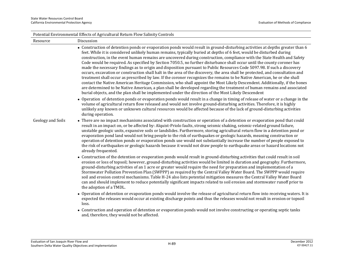|                   | Potential Environmental Effects of Agricultural Return Flow Salinity Controls                                                                                                                                                                                                                                                                                                                                                                                                                                                                                                                                                                                                                                                                                                                                                                                                                                                                                                                                                                                                                                                                                                                                                                                     |
|-------------------|-------------------------------------------------------------------------------------------------------------------------------------------------------------------------------------------------------------------------------------------------------------------------------------------------------------------------------------------------------------------------------------------------------------------------------------------------------------------------------------------------------------------------------------------------------------------------------------------------------------------------------------------------------------------------------------------------------------------------------------------------------------------------------------------------------------------------------------------------------------------------------------------------------------------------------------------------------------------------------------------------------------------------------------------------------------------------------------------------------------------------------------------------------------------------------------------------------------------------------------------------------------------|
| Resource          | Discussion                                                                                                                                                                                                                                                                                                                                                                                                                                                                                                                                                                                                                                                                                                                                                                                                                                                                                                                                                                                                                                                                                                                                                                                                                                                        |
|                   | • Construction of detention ponds or evaporation ponds would result in ground-disturbing activities at depths greater than 6<br>feet. While it is considered unlikely human remains, typically buried at depths of 6 feet, would be disturbed during<br>construction, in the event human remains are uncovered during construction, compliance with the State Health and Safety<br>Code would be required. As specified by Section 7050.5, no further disturbance shall occur until the county coroner has<br>made the necessary findings as to origin and disposition pursuant to Public Resources Code 5097.98. If such a discovery<br>occurs, excavation or construction shall halt in the area of the discovery, the area shall be protected, and consultation and<br>treatment shall occur as prescribed by law. If the coroner recognizes the remains to be Native American, he or she shall<br>contact the Native American Heritage Commission, who shall appoint the Most Likely Descendent. Additionally, if the bones<br>are determined to be Native American, a plan shall be developed regarding the treatment of human remains and associated<br>burial objects, and the plan shall be implemented under the direction of the Most Likely Descendent |
|                   | • Operation of detention ponds or evaporation ponds would result in a change in timing of release of water or a change in the<br>volume of agricultural return flow released and would not involve ground-disturbing activities. Therefore, it is highly<br>unlikely any known or unknown cultural resources would be affected because of the lack of ground-disturbing activities<br>during operation.                                                                                                                                                                                                                                                                                                                                                                                                                                                                                                                                                                                                                                                                                                                                                                                                                                                           |
| Geology and Soils | • There are no impact mechanisms associated with construction or operation of a detention or evaporation pond that could<br>result in an impact on, or be affected by: Alquist-Priolo faults, strong seismic shaking, seismic-related ground failure,<br>unstable geologic units, expansive soils or landslides. Furthermore, storing agricultural return flow in a detention pond or<br>evaporation pond land would not bring people to the risk of earthquakes or geologic hazards, meaning construction or<br>operation of detention ponds or evaporation ponds use would not substantially increase the number of people exposed to<br>the risk of earthquakes or geologic hazards because it would not draw people to earthquake areas or hazard locations not<br>already frequented.                                                                                                                                                                                                                                                                                                                                                                                                                                                                        |
|                   | • Construction of the detention or evaporation ponds would result in ground-disturbing activities that could result in soil<br>erosion or loss of topsoil; however, ground-disturbing activities would be limited in duration and geography. Furthermore,<br>ground-disturbing activities of an 1 acre or greater would require the need for preparation and implementation of a<br>Stormwater Pollution Prevention Plan (SWPPP) as required by the Central Valley Water Board. The SWPPP would require<br>soil and erosion control mechanisms. Table H-24 also lists potential mitigation measures the Central Valley Water Board<br>can and should implement to reduce potentially significant impacts related to soil erosion and stormwater runoff prior to<br>the adoption of a TMDL.                                                                                                                                                                                                                                                                                                                                                                                                                                                                        |
|                   | • Operation of detention or evaporation ponds would involve the release of agricultural return flow into receiving waters. It is<br>expected the releases would occur at existing discharge points and thus the releases would not result in erosion or topsoil<br>loss.                                                                                                                                                                                                                                                                                                                                                                                                                                                                                                                                                                                                                                                                                                                                                                                                                                                                                                                                                                                          |
|                   | • Construction and operation of detention or evaporation ponds would not involve constructing or operating septic tanks                                                                                                                                                                                                                                                                                                                                                                                                                                                                                                                                                                                                                                                                                                                                                                                                                                                                                                                                                                                                                                                                                                                                           |

and, therefore, they would not be affected.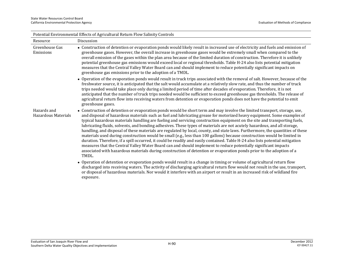|                                    | Potential Environmental Effects of Agricultural Return Flow Salinity Controls                                                                                                                                                                                                                                                                                                                                                                                                                                                                                                                                                                                                                                                                                                                                                                                                                                                                                                                                                                                                                                                                                      |
|------------------------------------|--------------------------------------------------------------------------------------------------------------------------------------------------------------------------------------------------------------------------------------------------------------------------------------------------------------------------------------------------------------------------------------------------------------------------------------------------------------------------------------------------------------------------------------------------------------------------------------------------------------------------------------------------------------------------------------------------------------------------------------------------------------------------------------------------------------------------------------------------------------------------------------------------------------------------------------------------------------------------------------------------------------------------------------------------------------------------------------------------------------------------------------------------------------------|
| Resource                           | Discussion                                                                                                                                                                                                                                                                                                                                                                                                                                                                                                                                                                                                                                                                                                                                                                                                                                                                                                                                                                                                                                                                                                                                                         |
| Greenhouse Gas<br>Emissions        | • Construction of detention or evaporation ponds would likely result in increased use of electricity and fuels and emission of<br>greenhouse gases. However, the overall increase in greenhouse gases would be extremely small when compared to the<br>overall emission of the gases within the plan area because of the limited duration of construction. Therefore it is unlikely<br>potential greenhouse gas emissions would exceed local or regional thresholds. Table H-24 also lists potential mitigation<br>measures that the Central Valley Water Board can and should implement to reduce potentially significant impacts on<br>greenhouse gas emissions prior to the adoption of a TMDL.                                                                                                                                                                                                                                                                                                                                                                                                                                                                 |
|                                    | • Operation of the evaporation ponds would result in truck trips associated with the removal of salt. However, because of the<br>freshwater source, it is anticipated that the salt would accumulate at a relatively slow rate, and thus the number of truck<br>trips needed would take place only during a limited period of time after decades of evaporation. Therefore, it is not<br>anticipated that the number of truck trips needed would be sufficient to exceed greenhouse gas thresholds. The release of<br>agricultural return flow into receiving waters from detention or evaporation ponds does not have the potential to emit<br>greenhouse gases.                                                                                                                                                                                                                                                                                                                                                                                                                                                                                                  |
| Hazards and<br>Hazardous Materials | • Construction of detention or evaporation ponds would be short term and may involve the limited transport, storage, use,<br>and disposal of hazardous materials such as fuel and lubricating grease for motorized heavy equipment. Some examples of<br>typical hazardous materials handling are fueling and servicing construction equipment on the site and transporting fuels,<br>lubricating fluids, solvents, and bonding adhesives. These types of materials are not acutely hazardous, and all storage,<br>handling, and disposal of these materials are regulated by local, county, and state laws. Furthermore, the quantities of these<br>materials used during construction would be small (e.g., less than 100 gallons) because construction would be limited in<br>duration. Therefore, if a spill occurred, it could be readily and easily contained. Table H-24 also lists potential mitigation<br>measures that the Central Valley Water Board can and should implement to reduce potentially significant impacts<br>associated with hazardous materials during construction of detention or evaporation ponds prior to the adoption of a<br>TMDL. |
|                                    | • Operation of detention or evaporation ponds would result in a change in timing or volume of agricultural return flow<br>discharged into receiving waters. The activity of discharging agricultural return flow would not result in the use, transport,<br>or disposal of hazardous materials. Nor would it interfere with an airport or result in an increased risk of wildland fire<br>exposure.                                                                                                                                                                                                                                                                                                                                                                                                                                                                                                                                                                                                                                                                                                                                                                |

Potential Environmental Effects of Agricultural Return Flow Salinity Controls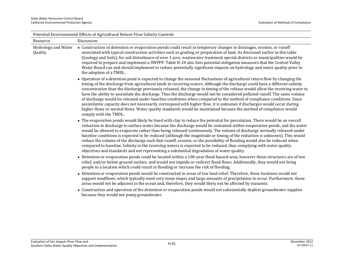|                                       | Potential Environmental Effects of Agricultural Return Flow Salinity Controls                                                                                                                                                                                                                                                                                                                                                                                                                                                                                                                                                                                                                                                                                                                                                                                                                                          |
|---------------------------------------|------------------------------------------------------------------------------------------------------------------------------------------------------------------------------------------------------------------------------------------------------------------------------------------------------------------------------------------------------------------------------------------------------------------------------------------------------------------------------------------------------------------------------------------------------------------------------------------------------------------------------------------------------------------------------------------------------------------------------------------------------------------------------------------------------------------------------------------------------------------------------------------------------------------------|
| Resource                              | Discussion                                                                                                                                                                                                                                                                                                                                                                                                                                                                                                                                                                                                                                                                                                                                                                                                                                                                                                             |
| <b>Hydrology and Water</b><br>Quality | • Construction of detention or evaporation ponds could result in temporary changes to drainages, erosion, or runoff<br>associated with typical construction activities such as grading or preparation of land. As discussed earlier in this table<br>(Geology and Soils), for soil disturbance of over 1 acre, wastewater treatment special districts or municipalities would be<br>required to prepare and implement a SWPPP. Table H-24 also lists potential mitigation measures that the Central Valley<br>Water Board can and should implement to reduce potentially significant impacts on hydrology and water quality prior to<br>the adoption of a TMDL.                                                                                                                                                                                                                                                        |
|                                       | • Operation of a detention pond is expected to change the seasonal fluctuations of agricultural return flow by changing the<br>timing of the discharge from agricultural lands to receiving waters. Although the discharge could have a different salinity<br>concentration than the discharge previously released, the change in timing of the release would allow the receiving water to<br>have the ability to assimilate the discharge. Thus the discharge would not be considered polluted runoff. The same volume<br>of discharge would be released under baseline conditions when compared to the method of compliance conditions. Since<br>assimilative capacity does not necessarily correspond with higher flow, it is unknown if discharges would occur during<br>higher flows or normal flows. Water quality standards would be maintained because the method of compliance would<br>comply with the TMDL. |
|                                       | • The evaporation ponds would likely be lined with clay to reduce the potential for percolation. There would be an overall<br>reduction in discharge to surface water because the discharge would be contained within evaporation ponds, and the water<br>would be allowed to evaporate rather than being released continuously. The volume of discharge normally released under<br>baseline conditions is expected to be reduced (although the magnitude or timing of the reduction is unknown). This would<br>reduce the volume of the discharge such that runoff, erosion, or the possibility of flooding would also be reduced when<br>compared to baseline. Salinity in the receiving waters is expected to be reduced, thus complying with water quality<br>objectives and standards and not representing a substantial degradation of water quality.                                                            |
|                                       | • Detention or evaporation ponds could be located within a 100-year flood hazard area; however these structures are of low<br>relief, and/or below ground surface, and would not impede or redirect flood flows. Additionally, they would not bring<br>people to a location which could result in flooding or increase the risk of flooding.                                                                                                                                                                                                                                                                                                                                                                                                                                                                                                                                                                           |
|                                       | • Detention or evaporation ponds would be constructed in areas of low land relief. Therefore, these locations would not<br>support mudflows, which typically need very steep slopes and large amounts of precipitation to occur. Furthermore, these<br>areas would not be adjacent to the ocean and, therefore, they would likely not be affected by tsunamis.                                                                                                                                                                                                                                                                                                                                                                                                                                                                                                                                                         |
|                                       | • Construction and operation of the detention or evaporation ponds would not substantially deplete groundwater supplies<br>because they would not pump groundwater.                                                                                                                                                                                                                                                                                                                                                                                                                                                                                                                                                                                                                                                                                                                                                    |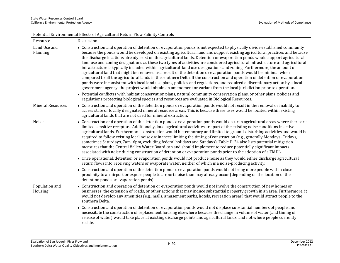|                           | Potential Environmental Effects of Agricultural Return Flow Salinity Controls                                                                                                                                                                                                                                                                                                                                                                                                                                                                                                                                                                                                                                                                                                                                                                                                                                                                                                                                                                                                                                                                           |
|---------------------------|---------------------------------------------------------------------------------------------------------------------------------------------------------------------------------------------------------------------------------------------------------------------------------------------------------------------------------------------------------------------------------------------------------------------------------------------------------------------------------------------------------------------------------------------------------------------------------------------------------------------------------------------------------------------------------------------------------------------------------------------------------------------------------------------------------------------------------------------------------------------------------------------------------------------------------------------------------------------------------------------------------------------------------------------------------------------------------------------------------------------------------------------------------|
| Resource                  | Discussion                                                                                                                                                                                                                                                                                                                                                                                                                                                                                                                                                                                                                                                                                                                                                                                                                                                                                                                                                                                                                                                                                                                                              |
| Land Use and<br>Planning  | • Construction and operation of detention or evaporation ponds is not expected to physically divide established community<br>because the ponds would be developed on existing agricultural land and support existing agricultural practices and because<br>the discharge locations already exist on the agricultural lands. Detention or evaporation ponds would support agricultural<br>land use and zoning designations as these two types of activities are considered agricultural infrastructure and agricultural<br>infrastructure is typically included within agricultural land use designations and zoning. Furthermore, the amount of<br>agricultural land that might be removed as a result of the detention or evaporation ponds would be minimal when<br>compared to all the agricultural lands in the southern Delta. If the construction and operation of detention or evaporation<br>ponds were inconsistent with local land use plans, policies and regulations, and required a discretionary action by a local<br>government agency, the project would obtain an amendment or variant from the local jurisdiction prior to operation. |
|                           | • Potential conflictss with habitat conservation plans, natural community conservation plans, or other plans, policies and<br>regulations protecting biological species and resources are evaluated in Biological Resources.                                                                                                                                                                                                                                                                                                                                                                                                                                                                                                                                                                                                                                                                                                                                                                                                                                                                                                                            |
| <b>Mineral Resources</b>  | • Construction and operation of the detention ponds or evaporation ponds would not result in the removal or inability to<br>access state or locally designated mineral resource areas. This is because these uses would be located within existing<br>agricultural lands that are not used for mineral extraction.                                                                                                                                                                                                                                                                                                                                                                                                                                                                                                                                                                                                                                                                                                                                                                                                                                      |
| Noise                     | • Construction and operation of the detention ponds or evaporation ponds would occur in agricultural areas where there are<br>limited sensitive receptors. Additionally, loud agricultural activities are part of the existing noise conditions in active<br>agricultural lands. Furthermore, construction would be temporary and limited to ground-disturbing activities and would be<br>required to follow existing local noise ordinances limiting the timing of construction (e.g., generally Mondays-Fridays,<br>sometimes Saturdays, 7am-6pm, excluding federal holidays and Sundays). Table H-24 also lists potential mitigation<br>measures that the Central Valley Water Board can and should implement to reduce potentially significant impacts<br>associated with noise during construction of detention or evaporation ponds prior to the adoption of a TMDL.                                                                                                                                                                                                                                                                              |
|                           | • Once operational, detention or evaporation ponds would not produce noise as they would either discharge agricultural<br>return flows into receiving waters or evaporate water, neither of which is a noise-producing activity.                                                                                                                                                                                                                                                                                                                                                                                                                                                                                                                                                                                                                                                                                                                                                                                                                                                                                                                        |
|                           | • Construction and operation of the detention ponds or evaporation ponds would not bring more people within close<br>proximity to an airport or expose people to airport noise than may already occur (depending on the location of the<br>detention ponds or evaporation ponds).                                                                                                                                                                                                                                                                                                                                                                                                                                                                                                                                                                                                                                                                                                                                                                                                                                                                       |
| Population and<br>Housing | • Construction and operation of detention or evaporation ponds would not involve the construction of new homes or<br>businesses, the extension of roads, or other actions that may induce substantial property growth in an area. Furthermore, it<br>would not develop any amenities (e.g., malls, amusement parks, hotels, recreation areas) that would attract people to the<br>southern Delta.                                                                                                                                                                                                                                                                                                                                                                                                                                                                                                                                                                                                                                                                                                                                                       |
|                           | • Construction and operation of detention or evaporation ponds would not displace substantial numbers of people and<br>necessitate the construction of replacement housing elsewhere because the change in volume of water (and timing of<br>release of water) would take place at existing discharge points and agricultural lands, and not where people currently<br>reside.                                                                                                                                                                                                                                                                                                                                                                                                                                                                                                                                                                                                                                                                                                                                                                          |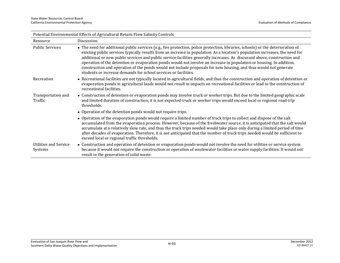|                                         | Potential Environmental Effects of Agricultural Return Flow Salinity Controls                                                                                                                                                                                                                                                                                                                                                                                                                                                                                                                                                                                                                                 |
|-----------------------------------------|---------------------------------------------------------------------------------------------------------------------------------------------------------------------------------------------------------------------------------------------------------------------------------------------------------------------------------------------------------------------------------------------------------------------------------------------------------------------------------------------------------------------------------------------------------------------------------------------------------------------------------------------------------------------------------------------------------------|
| Resource                                | Discussion                                                                                                                                                                                                                                                                                                                                                                                                                                                                                                                                                                                                                                                                                                    |
| <b>Public Services</b>                  | • The need for additional public services (e.g., fire protection, police protection, libraries, schools) or the deterioration of<br>existing public services typically results from an increase in population. As a location's population increases, the need for<br>additional or new public services and public service facilities generally increases. As discussed above, construction and<br>operation of the detention or evaporation ponds would not involve an increase in population or housing. In addition,<br>construction and operation of the ponds would not include proposals for new housing, and thus would not generate<br>students or increase demands for school services or facilities. |
| Recreation                              | • Recreational facilities are not typically located in agricultural fields, and thus the construction and operation of detention or<br>evaporation ponds in agricultural lands would not result in impacts on recreational facilities or lead to the construction of<br>recreational facilities.                                                                                                                                                                                                                                                                                                                                                                                                              |
| Transportation and<br>Traffic           | • Construction of detention or evaporation ponds may involve truck or worker trips. But due to the limited geographic scale<br>and limited duration of construction, it is not expected truck or worker trips would exceed local or regional road trip<br>thresholds.                                                                                                                                                                                                                                                                                                                                                                                                                                         |
|                                         | • Operation of the detention ponds would not require trips.                                                                                                                                                                                                                                                                                                                                                                                                                                                                                                                                                                                                                                                   |
|                                         | • Operation of the evaporation ponds would require a limited number of truck trips to collect and dispose of the salt<br>accumulated from the evaporation process. However, because of the freshwater source, it is anticipated that the salt would<br>accumulate at a relatively slow rate, and thus the truck trips needed would take place only during a limited period of time<br>after decades of evaporation. Therefore, it is not anticipated that the number of truck trips needed would be sufficient to<br>exceed local or regional traffic thresholds.                                                                                                                                             |
| <b>Utilities and Service</b><br>Systems | • Construction and operation of detention or evaporation ponds would not involve the need for utilities or service system<br>because it would not require the construction or operation of wastewater facilities or water supply facilities. It would not<br>result in the generation of solid waste.                                                                                                                                                                                                                                                                                                                                                                                                         |

Potential Environmental Effects of Agricultural Return Flow Salinity Controls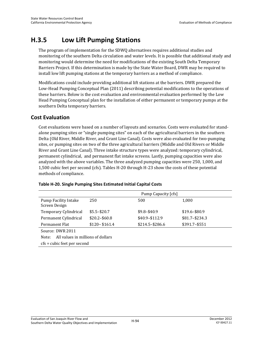## **H.3.5 Low Lift Pumping Stations**

The program of implementation for the SDWQ alternatives requires additional studies and monitoring of the southern Delta circulation and water levels. It is possible that additional study and monitoring would determine the need for modifications of the existing South Delta Temporary Barriers Project. If this determination is made by the State Water Board, DWR may be required to install low lift pumping stations at the temporary barriers as a method of compliance.

Modifications could include providing additional lift stations at the barriers. DWR prepared the Low-Head Pumping Conceptual Plan (2011) describing potential modifications to the operations of these barriers. Below is the cost evaluation and environmental evaluation performed by the Low Head Pumping Conceptual plan for the installation of either permanent or temporary pumps at the southern Delta temporary barriers.

## **Cost Evaluation**

Cost evaluations were based on a number of layouts and scenarios. Costs were evaluated for standalone pumping sites or "single pumping sites" on each of the agricultural barriers in the southern Delta (Old River, Middle River, and Grant Line Canal). Costs were also evaluated for two-pumping sites, or pumping sites on two of the three agricultural barriers (Middle and Old Rivers or Middle River and Grant Line Canal). Three intake structure types were analyzed: temporary cylindrical, permanent cylindrical, and permanent flat intake screens. Lastly, pumping capacities were also analyzed with the above variables. The three analyzed pumping capacities were 250, 1,000, and 1,500 cubic feet per second (cfs). Tables H-20 through H-23 show the costs of these potential methods of compliance.

|                                              | Pump Capacity [cfs] |                   |                  |  |  |  |
|----------------------------------------------|---------------------|-------------------|------------------|--|--|--|
| <b>Pump Facility Intake</b><br>Screen Design | 250                 | 500               | 1,000            |  |  |  |
| Temporary Cylindrical                        | $$5.5 - $20.7$      | $$9.8 - $40.9$    | $$19.6 - $80.9$  |  |  |  |
| Permanent Cylindrical                        | $$20.2 - $60.8$     | \$40.9-\$112.9    | $$81.7 - $234.3$ |  |  |  |
| Permanent Flat                               | $$120 - $161.4$     | $$214.5 - $286.6$ | \$391.7-\$551    |  |  |  |
| Source: DWR 2011                             |                     |                   |                  |  |  |  |
| All values in millions of dollars<br>Note:   |                     |                   |                  |  |  |  |
| cfs = cubic feet per second                  |                     |                   |                  |  |  |  |

#### **Table H-20. Single Pumping Sites Estimated Initial Capital Costs**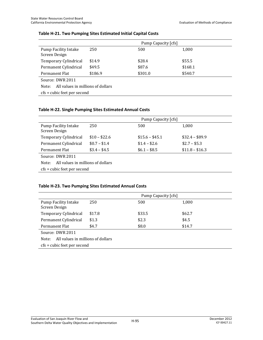|                                              | Pump Capacity [cfs]         |         |         |  |  |
|----------------------------------------------|-----------------------------|---------|---------|--|--|
| <b>Pump Facility Intake</b><br>Screen Design | 250                         | 500     | 1,000   |  |  |
| Temporary Cylindrical                        | \$14.9                      | \$28.4  | \$55.5  |  |  |
| Permanent Cylindrical                        | \$49.5                      | \$87.6  | \$168.1 |  |  |
| Permanent Flat                               | \$186.9                     | \$301.0 | \$540.7 |  |  |
| Source: DWR 2011                             |                             |         |         |  |  |
| All values in millions of dollars<br>Note:   |                             |         |         |  |  |
|                                              | cfs = cubic feet per second |         |         |  |  |

#### **Table H-21. Two Pumping Sites Estimated Initial Capital Costs**

#### **Table H-22. Single Pumping Sites Estimated Annual Costs**

|                                              | Pump Capacity [cfs]           |                 |                 |  |  |  |
|----------------------------------------------|-------------------------------|-----------------|-----------------|--|--|--|
| <b>Pump Facility Intake</b><br>Screen Design | 250                           | 500             | 1,000           |  |  |  |
| Temporary Cylindrical                        | $$10 - $22.6$                 | $$15.6 - $45.1$ | $$32.4 - $89.9$ |  |  |  |
| Permanent Cylindrical                        | $$0.7 - $1.4$                 | $$1.4 - $2.6$   | $$2.7 - $5.3$   |  |  |  |
| Permanent Flat                               | $$3.4 - $4.5$                 | $$6.1 - $8.5$   | $$11.8 - $16.3$ |  |  |  |
| Source: DWR 2011                             |                               |                 |                 |  |  |  |
| All values in millions of dollars<br>Note:   |                               |                 |                 |  |  |  |
|                                              | $cfs = cubic feet per second$ |                 |                 |  |  |  |

#### **Table H-23. Two Pumping Sites Estimated Annual Costs**

|                                              | Pump Capacity [cfs]         |        |        |  |  |
|----------------------------------------------|-----------------------------|--------|--------|--|--|
| <b>Pump Facility Intake</b><br>Screen Design | 250                         | 500    | 1,000  |  |  |
| Temporary Cylindrical                        | \$17.8                      | \$33.5 | \$62.7 |  |  |
| Permanent Cylindrical                        | \$1.3                       | \$2.3  | \$4.5  |  |  |
| Permanent Flat                               | \$4.7                       | \$8.0  | \$14.7 |  |  |
| Source: DWR 2011                             |                             |        |        |  |  |
| All values in millions of dollars<br>Note:   |                             |        |        |  |  |
|                                              | cfs = cubic feet per second |        |        |  |  |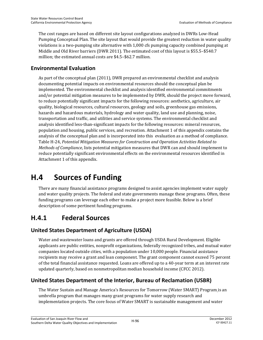The cost ranges are based on different site layout configurations analyzed in DWRs Low-Head Pumping Conceptual Plan. The site layout that would provide the greatest reduction in water quality violations is a two-pumping site alternative with 1,000 cfs pumping capacity combined pumping at Middle and Old River barriers (DWR 2011). The estimated cost of this layout is \$55.5–\$540.7 million; the estimated annual costs are \$4.5–\$62.7 million.

## **Environmental Evaluation**

As part of the conceptual plan (2011), DWR prepared an environmental checklist and analysis documenting potential impacts on environmental resources should the conceptual plan be implemented. The environmental checklist and analysis identified environmental commitments and/or potential mitigation measures to be implemented by DWR, should the project move forward, to reduce potentially significant impacts for the following resources: aesthetics, agriculture, air quality, biological resources, cultural resources, geology and soils, greenhouse gas emissions, hazards and hazardous materials, hydrology and water quality, land use and planning, noise, transportation and traffic, and utilities and service systems. The environmental checklist and analysis identified less-than-significant impacts for the following resources: mineral resources, population and housing, public services, and recreation. Attachment 1 of this appendix contains the analysis of the conceptual plan and is incorporated into this evaluation as a method of compliance. Table H-24, *Potential Mitigation Measures for Construction and Operation Activities Related to Methods of Compliance*, lists potential mitigation measures that DWR can and should implement to reduce potentially significant environmental effects on the environmental resources identified in Attachment 1 of this appendix.

# **H.4 Sources of Funding**

There are many financial assistance programs designed to assist agencies implement water supply and water quality projects. The federal and state governments manage these programs. Often, these funding programs can leverage each other to make a project more feasible. Below is a brief description of some pertinent funding programs.

## **H.4.1 Federal Sources**

## **United States Department of Agriculture (USDA)**

Water and wastewater loans and grants are offered through USDA Rural Development. Eligible applicants are public entities, nonprofit organizations, federally recognized tribes, and mutual water companies located outside cities, with a population under 10,000 people. Financial assistance recipients may receive a grant and loan component. The grant component cannot exceed 75 percent of the total financial assistance requested. Loans are offered up to a 40-year term at an interest rate updated quarterly, based on nonmetropolitan median household income (CFCC 2012).

## **United States Department of the Interior, Bureau of Reclamation (USBR)**

The Water Sustain and Manage America's Resources for Tomorrow (Water SMART) Program is an umbrella program that manages many grant programs for water supply research and implementation projects. The core focus of Water SMART is sustainable management and water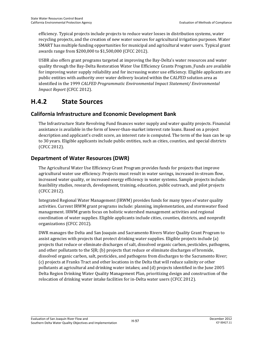efficiency. Typical projects include projects to reduce water losses in distribution systems, water recycling projects, and the creation of new water sources for agricultural irrigation purposes. Water SMART has multiple funding opportunities for municipal and agricultural water users. Typical grant awards range from \$200,000 to \$1,500,000 (CFCC 2012).

USBR also offers grant programs targeted at improving the Bay-Delta's water resources and water quality through the Bay-Delta Restoration Water Use Efficiency Grants Program. Funds are available for improving water supply reliability and for increasing water use efficiency. Eligible applicants are public entities with authority over water delivery located within the CALFED solution area as identified in the 1999 *CALFED Programmatic Environmental Impact Statement/ Environmental Impact Report* (CFCC 2012).

## **H.4.2 State Sources**

## **California Infrastructure and Economic Development Bank**

The Infrastructure State Revolving Fund finances water supply and water quality projects. Financial assistance is available in the form of lower-than-market interest rate loans. Based on a project description and applicant's credit score, an interest rate is computed. The term of the loan can be up to 30 years. Eligible applicants include public entities, such as cities, counties, and special districts (CFCC 2012).

## **Department of Water Resources (DWR)**

The Agricultural Water Use Efficiency Grant Program provides funds for projects that improve agricultural water use efficiency. Projects must result in water savings, increased in-stream flow, increased water quality, or increased energy efficiency in water systems. Sample projects include: feasibility studies, research, development, training, education, public outreach, and pilot projects (CFCC 2012).

Integrated Regional Water Management (IRWM) provides funds for many types of water quality activities. Current IRWM grant programs include: planning, implementation, and stormwater flood management. IRWM grants focus on holistic watershed management activities and regional coordination of water supplies. Eligible applicants include cities, counties, districts, and nonprofit organizations (CFCC 2012).

DWR manages the Delta and San Joaquin and Sacramento Rivers Water Quality Grant Program to assist agencies with projects that protect drinking water supplies. Eligible projects include (a) projects that reduce or eliminate discharges of salt, dissolved organic carbon, pesticides, pathogens, and other pollutants to the SJR; (b) projects that reduce or eliminate discharges of bromide, dissolved organic carbon, salt, pesticides, and pathogens from discharges to the Sacramento River; (c) projects at Franks Tract and other locations in the Delta that will reduce salinity or other pollutants at agricultural and drinking water intakes; and (d) projects identified in the June 2005 Delta Region Drinking Water Quality Management Plan, prioritizing design and construction of the relocation of drinking water intake facilities for in-Delta water users (CFCC 2012).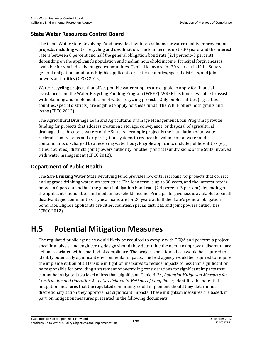## **State Water Resources Control Board**

The Clean Water State Revolving Fund provides low-interest loans for water quality improvement projects, including water recycling and desalination. The loan term is up to 30 years, and the interest rate is between 0 percent and half the general obligation bond rate (2.4 percent–3 percent) depending on the applicant's population and median household income. Principal forgiveness is available for small disadvantaged communities. Typical loans are for 20 years at half the State's general obligation bond rate. Eligible applicants are cities, counties, special districts, and joint powers authorities (CFCC 2012).

Water recycling projects that offset potable water supplies are eligible to apply for financial assistance from the Water Recycling Funding Program (WRFP). WRFP has funds available to assist with planning and implementation of water recycling projects. Only public entities (e.g., cities, counties, special districts) are eligible to apply for these funds. The WRFP offers both grants and loans (CFCC 2012).

The Agricultural Drainage Loan and Agricultural Drainage Management Loan Programs provide funding for projects that address treatment, storage, conveyance, or disposal of agricultural drainage that threatens waters of the State. An example project is the installation of tailwater recirculation systems and drip irrigation systems to reduce the volume of tailwater and contaminants discharged to a receiving water body. Eligible applicants include public entities (e.g., cities, counties), districts, joint powers authority, or other political subdivisions of the State involved with water management (CFCC 2012).

## **Department of Public Health**

The Safe Drinking Water State Revolving Fund provides low-interest loans for projects that correct and upgrade drinking water infrastructure. The loan term is up to 30 years, and the interest rate is between 0 percent and half the general obligation bond rate (2.4 percent–3 percent) depending on the applicant's population and median household income. Principal forgiveness is available for small disadvantaged communities. Typical loans are for 20 years at half the State's general obligation bond rate. Eligible applicants are cities, counties, special districts, and joint powers authorities (CFCC 2012).

# **H.5 Potential Mitigation Measures**

The regulated public agencies would likely be required to comply with CEQA and perform a projectspecific analysis, and engineering design should they determine the need, to approve a discretionary action associated with a method of compliance. The project-specific analysis would be required to identify potentially significant environmental impacts. The lead agency would be required to require the implementation of all feasible mitigation measures to reduce impacts to less than significant or be responsible for providing a statement of overriding considerations for significant impacts that cannot be mitigated to a level of less than significant. Table H-24, *Potential Mitigation Measures for Construction and Operation Activities Related to Methods of Compliance*, identifies the potential mitigation measures that the regulated community could implement should they determine a discretionary action they approve has significant impacts. These mitigation measures are based, in part, on mitigation measures presented in the following documents.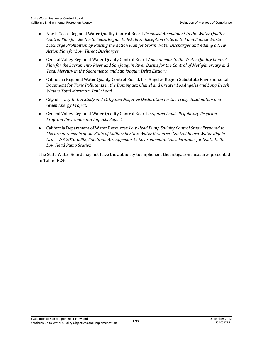- North Coast Regional Water Quality Control Board *Proposed Amendment to the Water Quality Control Plan for the North Coast Region to Establish Exception Criteria to Point Source Waste Discharge Prohibition by Raising the Action Plan for Storm Water Discharges and Adding a New Action Plan for Low Threat Discharges.*
- Central Valley Regional Water Quality Control Board *Amendments to the Water Quality Control Plan for the Sacramento River and San Joaquin River Basins for the Control of Methylmercury and Total Mercury in the Sacramento and San Joaquin Delta Estuary*.
- California Regional Water Quality Control Board, Los Angeles Region Substitute Environmental Document for *Toxic Pollutants in the Dominguez Chanel and Greater Los Angeles and Long Beach Waters Total Maximum Daily Load*.
- City of Tracy *Initial Study and Mitigated Negative Declaration for the Tracy Desalination and Green Energy Project*.
- Central Valley Regional Water Quality Control Board *Irrigated Lands Regulatory Program Program Environmental Impacts Report*.
- California Department of Water Resources *Low Head Pump Salinity Control Study Prepared to Meet requirements of the State of California State Water Resources Control Board Water Rights Order WR 2010-0002, Condition A.7. Appendix C: Environmental Considerations for South Delta Low Head Pump Station*.

The State Water Board may not have the authority to implement the mitigation measures presented in Table H-24.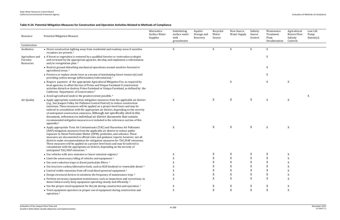| Table H-24. Potential Mitigation Measures for Construction and Operation Activities Related to Methods of Compliance |  |  |  |  |
|----------------------------------------------------------------------------------------------------------------------|--|--|--|--|
|----------------------------------------------------------------------------------------------------------------------|--|--|--|--|

| Resource                                 | <b>Potential Mitigation Measure</b>                                                                                                                                                                                                                                                                                                                                                                                                                                                                                                                                                                                                | Alternative<br>Surface Water<br>Supplies | Substituting<br>surface water<br>with<br>groundwater | Aquifer<br>Storage and<br>Recovery | Recycled<br>Water<br>Source | New Source<br><b>Water Supply</b> | Salinity<br>Source<br>Control | Wastewater<br>Treatment<br>Plant<br>Desalinization | Agricultural<br><b>Return Flow</b><br>Salinity<br>Controls | Low Lift<br>Pump<br>Station(s) |
|------------------------------------------|------------------------------------------------------------------------------------------------------------------------------------------------------------------------------------------------------------------------------------------------------------------------------------------------------------------------------------------------------------------------------------------------------------------------------------------------------------------------------------------------------------------------------------------------------------------------------------------------------------------------------------|------------------------------------------|------------------------------------------------------|------------------------------------|-----------------------------|-----------------------------------|-------------------------------|----------------------------------------------------|------------------------------------------------------------|--------------------------------|
| Construction                             |                                                                                                                                                                                                                                                                                                                                                                                                                                                                                                                                                                                                                                    |                                          |                                                      |                                    |                             |                                   |                               |                                                    |                                                            |                                |
| Aesthetics                               | • Direct construction lighting away from residential and roadway areas if sensitive<br>receptors are present. <sup>2</sup>                                                                                                                                                                                                                                                                                                                                                                                                                                                                                                         |                                          | X                                                    |                                    | X                           | X                                 | X                             | X                                                  |                                                            |                                |
| Agriculture and<br>Forestry<br>Resources | • If forest or vegetation is removed by a qualified forester or restoration ecologist<br>and reviewed by the appropriate agencies, develop and implement a reforestation<br>and/or revegetation plan. <sup>2</sup>                                                                                                                                                                                                                                                                                                                                                                                                                 |                                          |                                                      |                                    |                             |                                   |                               | X                                                  |                                                            |                                |
|                                          | • Restrict ground-disturbing mechanical operations around sensitive forested or<br>agricultural areas. <sup>2</sup>                                                                                                                                                                                                                                                                                                                                                                                                                                                                                                                |                                          |                                                      |                                    |                             |                                   |                               | X                                                  |                                                            |                                |
|                                          | • Preserve or replace onsite trees as a means of maintaining forest resource(s) and<br>providing carbon storage (afforestation/reforestation). <sup>2</sup>                                                                                                                                                                                                                                                                                                                                                                                                                                                                        |                                          |                                                      |                                    |                             |                                   |                               | $\mathbf X$                                        |                                                            |                                |
|                                          | • Require payment of the appropriate Agricultural Mitigation Fee, as required by<br>local agencies, to offset the loss of Prime and Unique Farmland if construction<br>activities disturb or destroy Prime Farmland or Unique Farmland, as defined by the<br>California Department of Conservation. <sup>4</sup>                                                                                                                                                                                                                                                                                                                   |                                          |                                                      |                                    |                             | X                                 |                               | X                                                  | X                                                          |                                |
|                                          | • Avoid agricultural lands to the greatest extent possible. <sup>6</sup>                                                                                                                                                                                                                                                                                                                                                                                                                                                                                                                                                           |                                          |                                                      |                                    |                             |                                   |                               |                                                    |                                                            | X                              |
| Air Quality                              | • Apply appropriate construction mitigation measures from the applicable air district<br>(e.g., San Joaquin Valley Air Pollution Control District) to reduce construction<br>emissions. These measures will be applied on a project-level basis and may be<br>tailored in consultation with the appropriate air district, depending on the severity<br>of anticipated construction emissions. Although not specifically cited in this<br>document, references to individual air district documents that contain<br>recommended mitigation measures are included in the references section of this<br>appendix. <sup>5</sup>        |                                          | X                                                    |                                    | X                           | X                                 | X                             | X                                                  | X                                                          |                                |
|                                          | • Apply appropriate Toxic Air Contaminants (TAC) and Hazardous Air Pollutants<br>(HAP) mitigation measures from the applicable air district to reduce public<br>exposure to Diesel Particulate Matter (DPM), pesticides, and asbestos. These<br>measures are documented in official rules and guidance reports; however, not all<br>districts make recommendations for mitigation measures for TAC/HAP emissions.<br>These measures will be applied on a project-level basis and may be tailored in<br>consultation with the appropriate air district, depending on the severity of<br>anticipated TAC/HAP emissions. <sup>5</sup> |                                          | X                                                    |                                    | X                           | X                                 | X                             | X                                                  | X                                                          |                                |
|                                          | • Use vehicles with zero-emission or lower-emission engines. <sup>2</sup>                                                                                                                                                                                                                                                                                                                                                                                                                                                                                                                                                          |                                          |                                                      |                                    |                             |                                   |                               |                                                    |                                                            |                                |
|                                          | • Limit the unnecessary idling of vehicles and equipment. <sup>2</sup>                                                                                                                                                                                                                                                                                                                                                                                                                                                                                                                                                             |                                          |                                                      |                                    |                             |                                   |                               |                                                    |                                                            |                                |
|                                          | • Use soot-reduction traps or diesel particulate filters. <sup>2</sup>                                                                                                                                                                                                                                                                                                                                                                                                                                                                                                                                                             |                                          |                                                      |                                    |                             |                                   |                               |                                                    |                                                            |                                |
|                                          | • Use low/zero carbon/alternative fuels, such as B20 biodiesel or renewable diesel. <sup>2</sup>                                                                                                                                                                                                                                                                                                                                                                                                                                                                                                                                   |                                          |                                                      |                                    |                             | X                                 |                               | X                                                  |                                                            |                                |
|                                          | • Control visible emissions from off-road diesel powered equipment. <sup>2</sup>                                                                                                                                                                                                                                                                                                                                                                                                                                                                                                                                                   |                                          |                                                      |                                    |                             |                                   |                               |                                                    |                                                            |                                |
|                                          | • Design structural devices to minimize the frequency of maintenance trips. <sup>2</sup>                                                                                                                                                                                                                                                                                                                                                                                                                                                                                                                                           |                                          |                                                      |                                    |                             | X                                 |                               | X                                                  |                                                            |                                |
|                                          | • Perform necessary equipment maintenance, such as inspections and corrections, to<br>detect failures early keep equipment operating cleanly and efficiently. <sup>2</sup>                                                                                                                                                                                                                                                                                                                                                                                                                                                         |                                          | X                                                    |                                    |                             | X                                 | X                             | X                                                  |                                                            |                                |
|                                          | • Use the proper sized equipment for the job during construction and operation. <sup>2</sup>                                                                                                                                                                                                                                                                                                                                                                                                                                                                                                                                       |                                          | X                                                    |                                    |                             | X                                 | X                             | X                                                  | X                                                          |                                |
|                                          | • Train equipment operators in proper use of equipment during construction and<br>operation. <sup>2</sup>                                                                                                                                                                                                                                                                                                                                                                                                                                                                                                                          |                                          | X                                                    |                                    | X                           | X                                 | X                             | $\mathbf X$                                        | X                                                          |                                |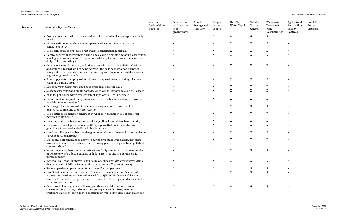| Resource | <b>Potential Mitigation Measure</b>                                                                                                                                                                                                                                                                               | Alternative<br>Surface Water<br>Supplies | Substituting<br>surface water<br>with<br>groundwater | Aquifer<br>Storage and<br>Recovery | Recycled<br>Water<br>Source | New Source<br><b>Water Supply</b> | Salinity<br>Source<br>Control | Wastewater<br>Treatment<br>Plant<br>Desalinization | Agricultural<br><b>Return Flow</b><br>Salinity<br>Controls | Low Lift<br>Pump<br>Station(s) |
|----------|-------------------------------------------------------------------------------------------------------------------------------------------------------------------------------------------------------------------------------------------------------------------------------------------------------------------|------------------------------------------|------------------------------------------------------|------------------------------------|-----------------------------|-----------------------------------|-------------------------------|----------------------------------------------------|------------------------------------------------------------|--------------------------------|
|          | • Produce concrete onsite if determined to be less emissive than transporting ready<br>mix <sup>2</sup>                                                                                                                                                                                                           |                                          | X                                                    |                                    | X                           | X                                 | X                             | X                                                  | X                                                          |                                |
|          | • Minimize the amount of concrete for paved surfaces or utilize a low-carbon<br>concrete option. <sup>2</sup>                                                                                                                                                                                                     |                                          | X                                                    |                                    | X                           | $\mathbf X$                       | X                             | X                                                  | X                                                          |                                |
|          | • Use locally sourced or recycled materials for construction materials. <sup>2</sup>                                                                                                                                                                                                                              |                                          | X                                                    |                                    | X                           | $\mathbf X$                       | X                             | X                                                  | X                                                          |                                |
|          | • Control fugitive dust emissions during land clearing, grubbing, scraping, excavation,<br>leveling, grading, or cut and fill operations with application of water (at least twice<br>daily) or by presoaking. 2,4                                                                                                |                                          | X                                                    |                                    | $\mathbf X$                 | $\mathbf X$                       | $\mathbf X$                   | $\mathbf X$                                        | $\boldsymbol{X}$                                           |                                |
|          | • Cover stockpiles of soil, sand, and other materials, and stabilize all disturbed areas<br>and storage piles that are not being actively utilized for construction purposes<br>using water, chemical stabilizers, or by covering with tarps, other suitable cover, or<br>vegetative ground cover. <sup>2,4</sup> |                                          | X                                                    |                                    | X                           | $\mathbf X$                       | X                             | X                                                  | $\mathbf X$                                                |                                |
|          | • Pave, apply water, or apply soil stabilizers to unpaved areas, including all access<br>roads and parking areas <sup>2,4</sup>                                                                                                                                                                                   |                                          | X                                                    |                                    | X                           | $\mathbf X$                       | X                             | X                                                  | X                                                          |                                |
|          | • Sweep surrounding streets and paved areas (e.g., once per day). $2^{\circ}$                                                                                                                                                                                                                                     |                                          | X                                                    |                                    | X                           | X                                 | X                             | X                                                  | X                                                          |                                |
|          | • Suspend excavation and grading activity when winds (instantaneous gusts) exceed                                                                                                                                                                                                                                 |                                          | X                                                    |                                    | X                           | $\mathbf X$                       | $\mathbf X$                   | $\mathbf X$                                        | X                                                          |                                |
|          | • 25 miles per hour and/or greater than 20 mph over a 1-hour period. <sup>2,4</sup>                                                                                                                                                                                                                               |                                          |                                                      |                                    |                             |                                   |                               |                                                    |                                                            |                                |
|          | • Initiate landscaping and revegetation as soon as construction tasks allow in order<br>to minimize wind erosion. <sup>2</sup>                                                                                                                                                                                    |                                          | X                                                    |                                    | X                           | $\mathbf X$                       | X                             | X                                                  | $\mathbf X$                                                |                                |
|          | • Encourage ride sharing and of use transit transportation for construction<br>employees commuting to the project site. <sup>4</sup>                                                                                                                                                                              |                                          | X                                                    |                                    | X                           | $\mathbf X$                       | X                             | X                                                  | X                                                          |                                |
|          | • Use electric equipment for construction whenever possible in lieu of fossil fuel-<br>powered equipment. 4                                                                                                                                                                                                       |                                          | X                                                    |                                    | X                           | X                                 | X                             | X                                                  | X                                                          |                                |
|          | • Do not operate construction equipment longer than 8 cumulative hours per day. <sup>4</sup>                                                                                                                                                                                                                      |                                          | X                                                    |                                    | X                           | X                                 | X                             | X                                                  | X                                                          |                                |
|          | • Use cooled exhaust gas recirculation (EGR) if permitted under manufacturer's<br>guidelines for on-road and off-road diesel equipment. <sup>4</sup>                                                                                                                                                              |                                          | X                                                    |                                    | X                           | $\mathbf X$                       | X                             | $\mathbf X$                                        | X                                                          |                                |
|          | • Use Caterpillar prechamber diesel engines or equivalent if economical and available<br>to reduce $NOx$ emissions. <sup>4</sup>                                                                                                                                                                                  |                                          | X                                                    |                                    | X                           | $\mathbf X$                       | X                             | X                                                  | X                                                          |                                |
|          | • Discontinue all construction activities during first stage smog alerts, first stage<br>ozone alerts, and/or curtail construction during periods of high ambient pollutant<br>concentrations <sup>4</sup>                                                                                                        |                                          | X                                                    |                                    | X                           | $\mathbf X$                       | X                             | $\boldsymbol{\mathrm{X}}$                          | X                                                          |                                |
|          | • Water previously disturbed exposed surfaces (soil) a minimum of 3 times per day<br>or whenever visible dust is capable of drifting from the site or approaches 20<br>percent opacity. <sup>4</sup>                                                                                                              |                                          | X                                                    |                                    | X                           | X                                 | X                             | X                                                  | X                                                          |                                |
|          | • Water all haul roads (unpaved) a minimum of 3 times per day or whenever visible<br>dust is capable of drifting from the site or approaches 20 percent opacity. <sup>4</sup>                                                                                                                                     |                                          | X                                                    |                                    | X                           | X                                 | X                             | X                                                  | X                                                          |                                |
|          | • Reduce speed on unpaved roads to less than 15 miles per hour. <sup>4</sup>                                                                                                                                                                                                                                      |                                          | X                                                    |                                    | X                           | X                                 | $\boldsymbol{\mathrm{X}}$     | X                                                  | X                                                          |                                |
|          | • Install and maintain a trackout control device that meets the specifications of<br>regional air board requirements if needed (e.g., SJVAPCD Rule 8041 if the site<br>exceeds 150 vehicle trips per day or more than 20 vehicle trips per day by vehicles<br>with three or more axles. <sup>4</sup>              |                                          | X                                                    |                                    | X                           | $\mathbf X$                       | $\mathbf X$                   | $\mathbf X$                                        | $\mathbf X$                                                |                                |
|          | • Cover trucks hauling debris, soil, sand, or other material to reduce dust and<br>suspended air particles, and when transporting materials offsite, maintain a<br>freeboard limit of at least 6 inches or effectively wet to limit visible dust emissions.                                                       |                                          | X                                                    |                                    | X                           | X                                 | X                             | X                                                  | X                                                          |                                |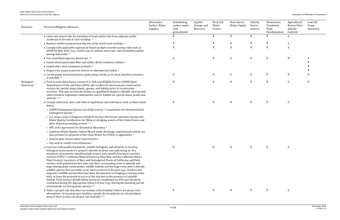| Resource                             | <b>Potential Mitigation Measure</b>                                                                                                                                                                                                                                                                                                                                                                                                                                                                                                                                                                                                                                                                                                                                                                                                                                                                                                                                                                                                                                                                                    | Alternative<br>Surface Water<br>Supplies | Substituting<br>surface water<br>with<br>groundwater | Aquifer<br>Storage and<br>Recovery | Recycled<br>Water<br>Source | New Source<br><b>Water Supply</b> | Salinity<br>Source<br>Control | Wastewater<br>Treatment<br>Plant<br>Desalinization | Agricultural<br>Return Flow<br>Salinity<br>Controls | Low Lift<br>Pump<br>Station(s) |
|--------------------------------------|------------------------------------------------------------------------------------------------------------------------------------------------------------------------------------------------------------------------------------------------------------------------------------------------------------------------------------------------------------------------------------------------------------------------------------------------------------------------------------------------------------------------------------------------------------------------------------------------------------------------------------------------------------------------------------------------------------------------------------------------------------------------------------------------------------------------------------------------------------------------------------------------------------------------------------------------------------------------------------------------------------------------------------------------------------------------------------------------------------------------|------------------------------------------|------------------------------------------------------|------------------------------------|-----------------------------|-----------------------------------|-------------------------------|----------------------------------------------------|-----------------------------------------------------|--------------------------------|
|                                      | • Limit and remove the accumulation of mud and/or dirt from adjacent public<br>roadways at the end of each workday. <sup>4</sup>                                                                                                                                                                                                                                                                                                                                                                                                                                                                                                                                                                                                                                                                                                                                                                                                                                                                                                                                                                                       |                                          | X                                                    |                                    | X                           | X                                 | $\mathbf X$                   | X                                                  | X                                                   |                                |
|                                      | • Remove visible trackout from the site at the end of each workday. <sup>4</sup>                                                                                                                                                                                                                                                                                                                                                                                                                                                                                                                                                                                                                                                                                                                                                                                                                                                                                                                                                                                                                                       |                                          | X                                                    |                                    | X                           | X                                 | X                             | X                                                  | X                                                   |                                |
|                                      | • Comply with applicable regional air board asphalt-concrete paving rules such as<br>SJVAPCD Rule 4641 (e.g., restrict use of cutback, slow-sure, and emulsified asphalt<br>paving materials) 4                                                                                                                                                                                                                                                                                                                                                                                                                                                                                                                                                                                                                                                                                                                                                                                                                                                                                                                        |                                          | $\mathbf X$                                          |                                    | $\mathbf X$                 | $\mathbf X$                       | $\mathbf X$                   | $\mathbf X$                                        | X                                                   |                                |
|                                      | $\bullet$ Use emulsified/aqueous diesel fuel. 2,6                                                                                                                                                                                                                                                                                                                                                                                                                                                                                                                                                                                                                                                                                                                                                                                                                                                                                                                                                                                                                                                                      |                                          | X                                                    |                                    | X                           | X                                 | X                             | X                                                  | X                                                   | X                              |
|                                      | • Install diesel particulate filter and utilize diesel oxidation catalyst. <sup>6</sup>                                                                                                                                                                                                                                                                                                                                                                                                                                                                                                                                                                                                                                                                                                                                                                                                                                                                                                                                                                                                                                |                                          |                                                      |                                    |                             |                                   |                               |                                                    |                                                     | X                              |
|                                      | • Install other after-treatment products. <sup>6</sup>                                                                                                                                                                                                                                                                                                                                                                                                                                                                                                                                                                                                                                                                                                                                                                                                                                                                                                                                                                                                                                                                 |                                          |                                                      |                                    |                             |                                   |                               |                                                    |                                                     | X                              |
|                                      | • Require the pump system be electric or alternatively fueled. <sup>6</sup>                                                                                                                                                                                                                                                                                                                                                                                                                                                                                                                                                                                                                                                                                                                                                                                                                                                                                                                                                                                                                                            |                                          |                                                      |                                    |                             |                                   |                               |                                                    |                                                     | X                              |
|                                      | • Locate pump system/emissions generating activity as far from sensitive receptors<br>as possible. <sup>6</sup>                                                                                                                                                                                                                                                                                                                                                                                                                                                                                                                                                                                                                                                                                                                                                                                                                                                                                                                                                                                                        |                                          | X                                                    |                                    | X                           | $\boldsymbol{\mathrm{X}}$         | X                             | X                                                  | X                                                   | X                              |
| Biological<br>Resources <sup>a</sup> | • Prior to land disturbance, contact U.S. Fish and Wildlife Service (USFWS)and<br>Department of Fish and Game (DFG) and conduct all necessary pre-construction<br>surveys for special-status plants, species, and habitat prior to construction<br>activities. This may include the hiring of a qualified biologist to identify riparian and<br>other sensitive vegetation communities and/or habitat for special-status plants and<br>animals. <sup>1,5, 6</sup>                                                                                                                                                                                                                                                                                                                                                                                                                                                                                                                                                                                                                                                      |                                          | X                                                    |                                    | X                           | X                                 | $\mathbf X$                   | $\mathbf X$                                        | X                                                   | X                              |
|                                      | • Comply with local, state, and federal regulations and ordinances such as those listed<br>below.<br>o USFWS Endangered Species Act (ESA) Section 7 consultation for threatened and<br>endangered species. <sup>2</sup>                                                                                                                                                                                                                                                                                                                                                                                                                                                                                                                                                                                                                                                                                                                                                                                                                                                                                                |                                          | X                                                    |                                    | X                           | X                                 | X                             | X                                                  | X                                                   |                                |
|                                      | o U.S. Army Corps of Engineers (USACE) Section 404 Permit and State Section 401<br>Water Quality Certification for filling or dredging waters of the United States and<br>other federal permitting actions. <sup>2,5</sup>                                                                                                                                                                                                                                                                                                                                                                                                                                                                                                                                                                                                                                                                                                                                                                                                                                                                                             |                                          |                                                      |                                    |                             |                                   |                               |                                                    |                                                     |                                |
|                                      | o DFG 1601 Agreement for Streambed Alteration. <sup>2</sup>                                                                                                                                                                                                                                                                                                                                                                                                                                                                                                                                                                                                                                                                                                                                                                                                                                                                                                                                                                                                                                                            |                                          |                                                      |                                    |                             |                                   |                               |                                                    |                                                     |                                |
|                                      | o California Water Quality Control Board waste discharge requirements (which are<br>also permits for purposes of the Clean Water Act (CWA), if applicable). <sup>2</sup>                                                                                                                                                                                                                                                                                                                                                                                                                                                                                                                                                                                                                                                                                                                                                                                                                                                                                                                                               |                                          |                                                      |                                    |                             |                                   |                               |                                                    |                                                     |                                |
|                                      | o General plan conservation requirements. <sup>2</sup>                                                                                                                                                                                                                                                                                                                                                                                                                                                                                                                                                                                                                                                                                                                                                                                                                                                                                                                                                                                                                                                                 |                                          |                                                      |                                    |                             |                                   |                               |                                                    |                                                     |                                |
|                                      | o City and/or county tree ordinances. <sup>2</sup>                                                                                                                                                                                                                                                                                                                                                                                                                                                                                                                                                                                                                                                                                                                                                                                                                                                                                                                                                                                                                                                                     |                                          |                                                      |                                    |                             |                                   |                               |                                                    |                                                     |                                |
|                                      | • Contract with qualified botanists, wildlife biologists, and arborists to develop<br>biological assessments if a project's specific location warrants doing so. At a<br>minimum, assessments should include project area-specific literature searches,<br>reviews of DFG's California Natural Diversity Data Base and the California Native<br>Plant Society's Inventory of Rare and Endangered Plants of California, and field<br>surveys of all potential project sites and their surrounding areas to identify and<br>map existing plant communities, wildlife habitat, and heritage trees, and to identify<br>wildlife species that currently occur, have occurred in the past (e.g., resident and<br>migratory wildlife species that have been documented as foraging or nesting at the<br>site), or have the potential to occur at the site due to the presence of suitable<br>habitat. Field surveys should follow protocols established by DFG and should be<br>conducted during the appropriate time(s) of year (e.g., during the blooming period<br>of potentially occurring plant species). <sup>2,5</sup> |                                          | X                                                    |                                    | X                           | X                                 | X                             | X                                                  | X                                                   |                                |
|                                      | • Select a project site that does not contain critical habitat if there are project site<br>alternatives. Or locate project facilities outside the boundaries of critical habitat<br>areas if there is only one project site available. <sup>2,5</sup>                                                                                                                                                                                                                                                                                                                                                                                                                                                                                                                                                                                                                                                                                                                                                                                                                                                                 |                                          | X                                                    |                                    | X                           | X                                 | X                             | X                                                  | X                                                   |                                |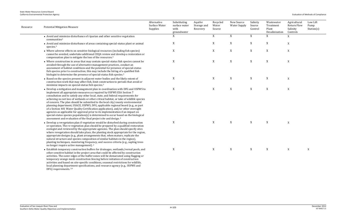| Resource | <b>Potential Mitigation Measure</b>                                                                                                                                                                                                                                                                                                                                                                                                                                                                                                                                                                                                                                                                                                                                                                                                                             | Alternative<br>Surface Water<br>Supplies | Substituting<br>surface water<br>with<br>groundwater | Aquifer<br>Storage and<br>Recovery | Recycled<br>Water<br>Source | New Source<br><b>Water Supply</b> | Salinity<br>Source<br>Control | Wastewater<br>Treatment<br>Plant<br>Desalinization | Agricultural<br><b>Return Flow</b><br>Salinity<br>Controls | Low Lift<br>Pump<br>Station(s) |
|----------|-----------------------------------------------------------------------------------------------------------------------------------------------------------------------------------------------------------------------------------------------------------------------------------------------------------------------------------------------------------------------------------------------------------------------------------------------------------------------------------------------------------------------------------------------------------------------------------------------------------------------------------------------------------------------------------------------------------------------------------------------------------------------------------------------------------------------------------------------------------------|------------------------------------------|------------------------------------------------------|------------------------------------|-----------------------------|-----------------------------------|-------------------------------|----------------------------------------------------|------------------------------------------------------------|--------------------------------|
|          | • Avoid and minimize disturbance of riparian and other sensitive vegetation<br>communities <sup>5</sup>                                                                                                                                                                                                                                                                                                                                                                                                                                                                                                                                                                                                                                                                                                                                                         |                                          | X                                                    |                                    | X                           | X                                 | X                             | X                                                  | $\mathbf X$                                                |                                |
|          | • Avoid and minimize disturbance of areas containing special-status plant or animal<br>species. <sup>5</sup>                                                                                                                                                                                                                                                                                                                                                                                                                                                                                                                                                                                                                                                                                                                                                    |                                          | X                                                    |                                    | X                           | $\mathbf X$                       | X                             | X                                                  | $\mathbf X$                                                |                                |
|          | • Where adverse effects on sensitive biological resources (including fish species)<br>cannot be avoided, undertake additional CEQA review and develop a restoration or<br>compensation plan to mitigate the loss of the resources. <sup>5</sup>                                                                                                                                                                                                                                                                                                                                                                                                                                                                                                                                                                                                                 |                                          | X                                                    |                                    | $\mathbf X$                 | $\mathbf X$                       | $\boldsymbol{\mathrm{X}}$     | $\mathbf X$                                        | $\mathbf X$                                                |                                |
|          | • Where construction in areas that may contain special-status fish species cannot be<br>avoided through the use of alternative management practices, conduct an<br>assessment of habitat conditions and the potential for presence of special-status<br>fish species prior to construction; this may include the hiring of a qualified fish<br>biologist to determine the presence of special-status fish species. <sup>5</sup>                                                                                                                                                                                                                                                                                                                                                                                                                                 |                                          | X                                                    |                                    | X                           | $\mathbf X$                       | X                             | $\mathbf X$                                        | $\mathbf X$                                                |                                |
|          | • Based on the species present in adjacent water bodies and the likely extent of<br>construction work that may affect fish, limit construction to periods that avoid or<br>minimize impacts on special-status fish species. <sup>5</sup>                                                                                                                                                                                                                                                                                                                                                                                                                                                                                                                                                                                                                        |                                          | X                                                    |                                    | X                           | $\mathbf X$                       | X                             | X                                                  | X                                                          |                                |
|          | • Develop a mitigation and management plan in coordination with DFG and USFWS to<br>implement all appropriate measures as required by USFWS ESA Section 7<br>consultation and to satisfy any other local, state, and federal requirements for<br>achieving no net loss of wetlands or other critical habitat, or take of wildlife species<br>of concern. The plan should be submitted to the local city/county environmental<br>planning department, USACE, USFWS, DFG, applicable regional board (e.g., as part<br>of a Section 401 Water Quality Certification application), and/or other oversight<br>agencies as applicable for approval prior to its implementation if an impact on<br>special-status species population(s) is determined to occur based on the biological<br>assessment and evaluation of the final project site and design. <sup>2</sup> |                                          | X                                                    |                                    | X                           | $\mathbf X$                       | X                             | X                                                  | $\mathbf X$                                                |                                |
|          | • Develop a revegetation plan if vegetation would be disturbed during construction<br>or operation. The re-vegetation plan should be prepared by a qualified restoration<br>ecologist and reviewed by the appropriate agencies. The plan should specify sites<br>where revegetation should take place, the planting stock appropriate for the region,<br>appropriate designs (e.g., plant arrangements that, when mature, replicate the<br>natural structure and species composition of similar habitats in the region),<br>planting techniques, monitoring frequency, and success criteria (e.g., sapling trees<br>no longer require active management). <sup>2</sup>                                                                                                                                                                                          |                                          | X                                                    |                                    | X                           | X                                 | X                             | X                                                  | X                                                          |                                |
|          | • Establish temporary construction buffers for drainages, wetlands/vernal pools, and<br>other sensitive habitat in the project area that could be affected by construction<br>activities. The outer edges of the buffer zones will be demarcated using flagging or<br>temporary orange mesh construction fencing before initiation of construction<br>activities and based on site-specific conditions, seasonal restrictions for wildlife,<br>local planning department specifications, and resource agency (e.g., USFWS and<br>DFG) requirements. <sup>2,6</sup>                                                                                                                                                                                                                                                                                              |                                          | X                                                    |                                    | X                           | X                                 | X                             | X                                                  | X                                                          | X                              |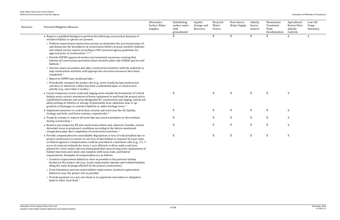Salinity Source Control Wastewater Treatment Plant Desalinization Agricultural Return Flow Salinity Controls Low Lift Pump Station(s)  $X$  $X$  $X$  $X$  $X$ 

| Resource | <b>Potential Mitigation Measure</b>                                                                                                                                                                                                                                                                                                                                                                                                                                                                                                                                                      | Alternative<br>Surface Water<br>Supplies | Substituting<br>surface water<br>with<br>groundwater | Aquifer<br>Storage and<br>Recovery | Recycled<br>Water<br>Source | New Source<br>Water Supply | Salinity<br>Source<br>Control | Wastewater<br>Treatment<br>Plant<br>Desalinization | Agricultural<br>Return Flow<br>Salinity<br>Controls | <sup>St</sup> |
|----------|------------------------------------------------------------------------------------------------------------------------------------------------------------------------------------------------------------------------------------------------------------------------------------------------------------------------------------------------------------------------------------------------------------------------------------------------------------------------------------------------------------------------------------------------------------------------------------------|------------------------------------------|------------------------------------------------------|------------------------------------|-----------------------------|----------------------------|-------------------------------|----------------------------------------------------|-----------------------------------------------------|---------------|
|          | • Require a qualified biologist to perform the following construction functions if<br>sensitive habitat or species are present.                                                                                                                                                                                                                                                                                                                                                                                                                                                          |                                          | X                                                    |                                    | X                           | X                          | X                             | X                                                  | X                                                   | X             |
|          | o Perform required preconstruction surveys to determine the current presence of,<br>and demarcate the boundaries of construction buffers around, sensitive habitats,<br>and submit survey reports according to DFG and local agency guidelines for<br>approval prior to construction. <sup>1,2,5, 6</sup>                                                                                                                                                                                                                                                                                |                                          |                                                      |                                    |                             |                            |                               |                                                    |                                                     |               |
|          | o Provide USFWS-approved worker environmental awareness training that<br>informs all construction personnel about sensitive plant and wildlife species and<br>habitats. <sup>2</sup>                                                                                                                                                                                                                                                                                                                                                                                                     |                                          |                                                      |                                    |                             |                            |                               |                                                    |                                                     |               |
|          | o Oversee major excavation and other construction activities with the authority to<br>stop construction activities until appropriate corrective measures have been<br>completed. <sup>2</sup>                                                                                                                                                                                                                                                                                                                                                                                            |                                          |                                                      |                                    |                             |                            |                               |                                                    |                                                     |               |
|          | o Report to USFWS any incidental take. <sup>2</sup>                                                                                                                                                                                                                                                                                                                                                                                                                                                                                                                                      |                                          |                                                      |                                    |                             |                            |                               |                                                    |                                                     |               |
|          | o Periodically reinspect the project site (e.g., every week) during construction<br>activities or whenever a there has been a substantial lapse in construction<br>activity (e.g., more than 2 weeks). <sup>2</sup>                                                                                                                                                                                                                                                                                                                                                                      |                                          |                                                      |                                    |                             |                            |                               |                                                    |                                                     |               |
|          | • Locate temporary access roads and staging areas outside the boundaries of critical<br>habitat areas, restrict movement of heavy equipment to and from the project site to<br>established roadways and areas designated for construction and staging, and do not<br>allow parking of vehicles or storage of potentially-toxic chemicals near or up-<br>gradient of drainages or sensitive habitats or under heritage trees. <sup>2</sup>                                                                                                                                                |                                          | X                                                    |                                    | X                           | X                          | $\mathbf X$                   | X                                                  | X                                                   |               |
|          | • Implement measures to control dust, erosion and noise (see the Air Quality,<br>Geology and Soils, and Noise sections, respectively). <sup>2</sup>                                                                                                                                                                                                                                                                                                                                                                                                                                      |                                          | X                                                    |                                    | X                           | X                          | $\mathbf X$                   | X                                                  | X                                                   |               |
|          | • Properly contain or remove all trash that may attract predators to the worksite<br>during construction. <sup>2</sup>                                                                                                                                                                                                                                                                                                                                                                                                                                                                   |                                          | X                                                    |                                    | X                           | X                          | $\mathbf X$                   | X                                                  | X                                                   |               |
|          | • Remove any temporary fill and construction debris and, wherever feasible, restore<br>disturbed areas to preproject conditions according to the before-mentioned<br>revegetation plan after completion of construction activities. <sup>2</sup>                                                                                                                                                                                                                                                                                                                                         |                                          | X                                                    |                                    | X                           | X                          | X                             | X                                                  | X                                                   |               |
|          | • Provide compensation for unavoidable degradation or loss of critical habitat due to<br>project construction to ensure no net loss of that habitat as required by local, state,<br>or federal agencies. Compensation could be provided at a minimum ratio (e.g., 3:1, 3<br>acres of restored wetlands for every 1 acre affected, or three native oak trees<br>planted for every native oak tree eliminated) that ensures long-term replacement of<br>habitat functions and values and complies with local, state, and federal<br>requirements. Examples of compensation are as follows. |                                          | X                                                    |                                    | X                           | X                          | X                             | X                                                  | X                                                   |               |
|          | o Construct replacement habitat as close as possible to the previous habitat<br>location at the project site (e.g., locate replacement riparian and wetland habitats<br>along the same drainage affected by the project construction).                                                                                                                                                                                                                                                                                                                                                   |                                          |                                                      |                                    |                             |                            |                               |                                                    |                                                     |               |
|          | o If site limitations prevent onsite habitat replacement, construct replacement<br>habitat as near the project site as possible.                                                                                                                                                                                                                                                                                                                                                                                                                                                         |                                          |                                                      |                                    |                             |                            |                               |                                                    |                                                     |               |
|          | o Provide payment on a per-acre basis to an approved restoration or mitigation<br>bank or other trust fund. <sup>2</sup>                                                                                                                                                                                                                                                                                                                                                                                                                                                                 |                                          |                                                      |                                    |                             |                            |                               |                                                    |                                                     |               |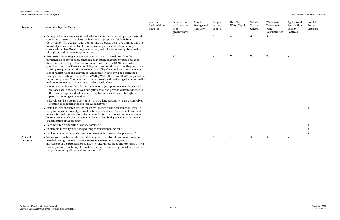Salinity Source Control Wastewater Treatment Plant Desalinization Agricultural Return Flow Salinity Controls Low Lift Pump Station(s)  $X$  $X$  X  $X$  X  $X$  X  $X$ 

| Resource              | <b>Potential Mitigation Measure</b>                                                                                                                                                                                                                                                                                                                                                                                                                                                                                                                                                                                                                                                                                             | Alternative<br>Surface Water<br>Supplies | Substituting<br>surface water<br>with<br>groundwater | Aquifer<br>Storage and<br>Recovery | Recycled<br>Water<br>Source | New Source<br>Water Supply | Salinity<br>Source<br>Control | Wastewater<br>Treatment<br>Plant<br>Desalinization | Agricultural<br>Return Flow<br>Salinity<br>Controls | S۱ |
|-----------------------|---------------------------------------------------------------------------------------------------------------------------------------------------------------------------------------------------------------------------------------------------------------------------------------------------------------------------------------------------------------------------------------------------------------------------------------------------------------------------------------------------------------------------------------------------------------------------------------------------------------------------------------------------------------------------------------------------------------------------------|------------------------------------------|------------------------------------------------------|------------------------------------|-----------------------------|----------------------------|-------------------------------|----------------------------------------------------|-----------------------------------------------------|----|
|                       | • Comply with measures contained within habitat conservation plans or natural<br>community conservation plans, such as the San Joaquin Multiple Habitat<br>Conservation Plan. Consult with appropriate biologists who have training and are<br>knowledgeable about the habitat conservation plan or natural community<br>conservation plan. Monitoring, construction, and relocation surveys by a qualified<br>biologist would be done as appropriate. <sup>4</sup>                                                                                                                                                                                                                                                             |                                          | X                                                    |                                    | X                           | X                          | $\mathbf X$                   | X                                                  | X                                                   |    |
|                       | • Prior to implementing any management practice that would result in the<br>permanent loss of wetlands, conduct a delineation of affected wetland areas to<br>determine the acreage of loss in accordance with current USACE methods. For<br>compliance with the CWA Section 404 permit and Waste Discharge Requirements<br>(WDRs), compensate for the permanent loss (fill) of wetlands and ensure no net<br>loss of habitat functions and values. Compensation ratios will be determined<br>through coordination with the Central Valley Water Board and USACE as part of the<br>permitting process. Compensation may be a combination of mitigation bank credits<br>and restoration/creation of habitat, as described below. |                                          | $\mathbf X$                                          |                                    | X                           | X                          | X                             | X                                                  | $\mathbf X$                                         |    |
|                       | o Purchase credits for the affected wetland type (e.g., perennial marsh, seasonal<br>wetland) at a locally approved mitigation bank and provide written evidence to<br>the resource agencies that compensation has been established through the<br>purchase of mitigation credits.                                                                                                                                                                                                                                                                                                                                                                                                                                              |                                          |                                                      |                                    |                             |                            |                               |                                                    |                                                     |    |
|                       | o Develop and ensure implementation of a wetland restoration plan that involves<br>creating or enhancing the affected wetland type. <sup>5</sup>                                                                                                                                                                                                                                                                                                                                                                                                                                                                                                                                                                                |                                          |                                                      |                                    |                             |                            |                               |                                                    |                                                     |    |
|                       | • Install species exclusion fencing for animal species during construction; install a<br>temporary, plastic mesh-type construction fences at least 1.2 meters tall around<br>any established special-status plant species buffer areas to prevent encroachment<br>by construction vehicles and personnel; a qualified biologist will determine the<br>exact location of the fencing. <sup>6</sup>                                                                                                                                                                                                                                                                                                                               |                                          |                                                      |                                    |                             |                            |                               |                                                    |                                                     | X  |
|                       | • Conduct pile driving with vibratory hammer. <sup>6</sup>                                                                                                                                                                                                                                                                                                                                                                                                                                                                                                                                                                                                                                                                      |                                          |                                                      |                                    |                             |                            |                               |                                                    |                                                     | X  |
|                       | • Implement turbidity monitoring during construction/removal. <sup>6</sup>                                                                                                                                                                                                                                                                                                                                                                                                                                                                                                                                                                                                                                                      |                                          |                                                      |                                    |                             |                            |                               |                                                    |                                                     | X  |
|                       | • Implement environmental awareness program for construction personnel. <sup>6</sup>                                                                                                                                                                                                                                                                                                                                                                                                                                                                                                                                                                                                                                            |                                          |                                                      |                                    |                             |                            |                               |                                                    |                                                     | X  |
| Cultural<br>Resources | • Where construction within areas that may contain cultural resources cannot be<br>avoided through the use of alternative management practices, conduct an<br>assessment of the potential for damage to cultural resources prior to construction;<br>this may require the hiring of a qualified cultural resources specialist to determine<br>the presence of significant cultural resources. <sup>5</sup>                                                                                                                                                                                                                                                                                                                      |                                          |                                                      |                                    | X                           | X                          | X                             | X                                                  | $\boldsymbol{\mathrm{X}}$                           |    |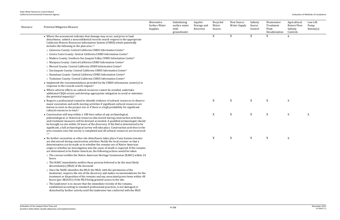| Resource | <b>Potential Mitigation Measure</b>                                                                                                                                                                                                                                                                                                                                                                                                                                                                                                      | Alternative<br>Surface Water<br>Supplies | Substituting<br>surface water<br>with<br>groundwater | Aquifer<br>Storage and<br>Recovery | Recycled<br>Water<br>Source | New Source<br><b>Water Supply</b> | Salinity<br>Source<br>Control | Wastewater<br>Treatment<br>Plant<br>Desalinization | Agricultural<br><b>Return Flow</b><br>Salinity<br>Controls | Low Lift<br>Pump<br>Station(s) |
|----------|------------------------------------------------------------------------------------------------------------------------------------------------------------------------------------------------------------------------------------------------------------------------------------------------------------------------------------------------------------------------------------------------------------------------------------------------------------------------------------------------------------------------------------------|------------------------------------------|------------------------------------------------------|------------------------------------|-----------------------------|-----------------------------------|-------------------------------|----------------------------------------------------|------------------------------------------------------------|--------------------------------|
|          | • Where the assessment indicates that damage may occur, and prior to land<br>disturbance, submit a nonconfidential records search request to the appropriate<br>California Historic Resources Information System (CHRIS) which potentially<br>includes the following in the plan area. <sup>1,5</sup>                                                                                                                                                                                                                                    |                                          |                                                      |                                    | X                           | X                                 | X                             | X                                                  | X                                                          |                                |
|          | o Calaveras County: Central California CHRIS Information Center <sup>5</sup>                                                                                                                                                                                                                                                                                                                                                                                                                                                             |                                          |                                                      |                                    |                             |                                   |                               |                                                    |                                                            |                                |
|          | o Contra Costa County: Central California CHRIS Information Center <sup>5</sup>                                                                                                                                                                                                                                                                                                                                                                                                                                                          |                                          |                                                      |                                    |                             |                                   |                               |                                                    |                                                            |                                |
|          | o Madera County: Southern San Joaquin Valley CHRIS Information Center <sup>5</sup>                                                                                                                                                                                                                                                                                                                                                                                                                                                       |                                          |                                                      |                                    |                             |                                   |                               |                                                    |                                                            |                                |
|          | o Mariposa County: Central California CHRIS Information Center <sup>5</sup>                                                                                                                                                                                                                                                                                                                                                                                                                                                              |                                          |                                                      |                                    |                             |                                   |                               |                                                    |                                                            |                                |
|          | o Merced County: Central California CHRIS Information Center <sup>5</sup>                                                                                                                                                                                                                                                                                                                                                                                                                                                                |                                          |                                                      |                                    |                             |                                   |                               |                                                    |                                                            |                                |
|          | o San Joaquin County: Central California CHRIS Information Center <sup>5</sup>                                                                                                                                                                                                                                                                                                                                                                                                                                                           |                                          |                                                      |                                    |                             |                                   |                               |                                                    |                                                            |                                |
|          | o Stanislaus County: Central California CHRIS Information Center <sup>5</sup>                                                                                                                                                                                                                                                                                                                                                                                                                                                            |                                          |                                                      |                                    |                             |                                   |                               |                                                    |                                                            |                                |
|          | o Tuolumne County: Central California CHRIS Information Center <sup>5</sup>                                                                                                                                                                                                                                                                                                                                                                                                                                                              |                                          |                                                      |                                    |                             |                                   |                               |                                                    |                                                            |                                |
|          | $\bullet$ Implement the recommendations provided by the CHRIS information center(s) in<br>response to the records search request. <sup>5</sup>                                                                                                                                                                                                                                                                                                                                                                                           |                                          |                                                      |                                    |                             |                                   |                               |                                                    |                                                            |                                |
|          | • Where adverse effects on cultural resources cannot be avoided, undertake<br>additional CEQA review and develop appropriate mitigation to avoid or minimize<br>the potential impact(s). $5$                                                                                                                                                                                                                                                                                                                                             |                                          |                                                      |                                    |                             |                                   |                               |                                                    |                                                            |                                |
|          | • Require a professional trained to identify evidence of cultural resources to observe<br>major excavation and earth-moving activities if significant cultural resources are<br>known to exist on the project site or if there is a high probability for significant<br>cultural resources to exist. <sup>2</sup>                                                                                                                                                                                                                        |                                          |                                                      |                                    | X                           | X                                 | X                             | $\mathbf X$                                        | $\mathbf X$                                                |                                |
|          | • Construction will stop within a 100-foot radius of any archaeological,<br>paleontological, or historical resources discovered during construction activities,<br>and treatment measures will be devised as needed. A qualified archaeologist should<br>be brought on site within 24 hours of the discovery. If the find is determined to be<br>significant, a full archaeological survey will take place. Construction activities in the<br>area resumes once the survey is completed and all cultural resources are recovered.<br>2.6 |                                          |                                                      |                                    | X                           | X                                 | X                             | X                                                  | X                                                          | X                              |
|          | • No further excavation or other site disturbance takes place if any human remains<br>are discovered during construction activities. Notify the local coroner so that a<br>determination can be made as to whether the remains are of Native American<br>origin or whether an investigation into the cause of death is required. If the remains<br>are determined to be Native American, the following actions would be taken.                                                                                                           |                                          |                                                      |                                    | X                           | X                                 | X                             | X                                                  | $\mathbf X$                                                |                                |
|          | o The coroner notifies the Native American Heritage Commission (NAHC) within 24<br>hours                                                                                                                                                                                                                                                                                                                                                                                                                                                 |                                          |                                                      |                                    |                             |                                   |                               |                                                    |                                                            |                                |
|          | o The NAHC immediately notifies those persons believed to be the most likely<br>descendant(s) (MLD) of the deceased                                                                                                                                                                                                                                                                                                                                                                                                                      |                                          |                                                      |                                    |                             |                                   |                               |                                                    |                                                            |                                |
|          | o Once the NAHC identifies the MLD, the MLD, with the permission of the<br>landowner, inspects the site of the discovery and makes recommendations for the<br>treatment or disposition of the remains and any associated grave items within 48<br>hours (per AB2641) of the MLD being granted access to the site.                                                                                                                                                                                                                        |                                          |                                                      |                                    |                             |                                   |                               |                                                    |                                                            |                                |
|          | o The landowner is to ensure that the immediate vicinity of the remains,<br>established according to standard professional practices, is not damaged or<br>disturbed by further activity until the landowner has conferred with the MLD.                                                                                                                                                                                                                                                                                                 |                                          |                                                      |                                    |                             |                                   |                               |                                                    |                                                            |                                |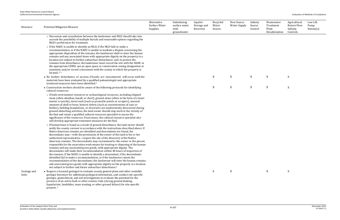| Resource             | <b>Potential Mitigation Measure</b>                                                                                                                                                                                                                                                                                                                                                                                                                                                                                                                                                                                                                                                                                                                                                                                                                                                                                                                                                                                                                                                                                                                  | Alternative<br>Surface Water<br>Supplies | Substituting<br>surface water<br>with<br>groundwater | Aquifer<br>Storage and<br>Recovery | Recycled<br>Water<br>Source | New Source<br><b>Water Supply</b> | Salinity<br>Source<br>Control | Wastewater<br>Treatment<br>Plant<br>Desalinization | Agricultural<br><b>Return Flow</b><br>Salinity<br>Controls | Low Lift<br>Pump<br>Station(s) |
|----------------------|------------------------------------------------------------------------------------------------------------------------------------------------------------------------------------------------------------------------------------------------------------------------------------------------------------------------------------------------------------------------------------------------------------------------------------------------------------------------------------------------------------------------------------------------------------------------------------------------------------------------------------------------------------------------------------------------------------------------------------------------------------------------------------------------------------------------------------------------------------------------------------------------------------------------------------------------------------------------------------------------------------------------------------------------------------------------------------------------------------------------------------------------------|------------------------------------------|------------------------------------------------------|------------------------------------|-----------------------------|-----------------------------------|-------------------------------|----------------------------------------------------|------------------------------------------------------------|--------------------------------|
|                      | o Discussion and consultation between the landowner and MLD should take into<br>account the possibility of multiple burials and reasonable options regarding the<br>MLD's preferences for treatment.                                                                                                                                                                                                                                                                                                                                                                                                                                                                                                                                                                                                                                                                                                                                                                                                                                                                                                                                                 |                                          |                                                      |                                    |                             |                                   |                               |                                                    |                                                            |                                |
|                      | o If the NAHC is unable to identify an MLD, if the MLD fails to make a<br>recommendation, or if the NAHC is unable to mediate a dispute concerning the<br>appropriate disposition of the remains, the landowner shall re-inter the human<br>remains and any associated items with appropriate dignity on the property in a<br>location not subject to further subsurface disturbance; and, to protect the<br>remains from disturbance, the landowner must record the site with the NAHC or<br>the appropriate CHRIS, use an open space or conservation zoning designation or<br>easement, and/or record a document with the county in which the property is<br>located. <sup>2,5</sup>                                                                                                                                                                                                                                                                                                                                                                                                                                                               |                                          |                                                      |                                    |                             |                                   |                               |                                                    |                                                            |                                |
|                      | • No further disturbance of an area, if fossils are encountered, will occur until the<br>materials have been evaluated by a qualified paleontologist and appropriate<br>treatment measures have been identified. <sup>4</sup>                                                                                                                                                                                                                                                                                                                                                                                                                                                                                                                                                                                                                                                                                                                                                                                                                                                                                                                        |                                          |                                                      |                                    | X                           | X                                 | X                             | $\mathbf X$                                        | X                                                          |                                |
|                      | • Construction workers should be aware of the following protocols for identifying<br>cultural resources:                                                                                                                                                                                                                                                                                                                                                                                                                                                                                                                                                                                                                                                                                                                                                                                                                                                                                                                                                                                                                                             |                                          |                                                      |                                    | X                           | X                                 | X                             | X                                                  | X                                                          |                                |
|                      | o If built environment resources or archaeological resources, including chipped<br>stone (often obsidian, basalt, or chert), ground stone (often in the form of a bowl<br>mortar or pestle), stone tools (such as projectile points or scrapers), unusual<br>amounts of shell or bone, historic debris (such as concentrations of cans or<br>bottles), building foundations, or structures are inadvertently discovered during<br>ground-disturbing activities, the land owner should stop work in the vicinity of<br>the find and retain a qualified cultural resources specialist to assess the<br>significance of the resources. If necessary, the cultural resource specialist also<br>will develop appropriate treatment measures for the find.                                                                                                                                                                                                                                                                                                                                                                                                 |                                          |                                                      |                                    |                             |                                   |                               |                                                    |                                                            |                                |
|                      | o If human bone is found as a result of ground disturbance, the land owner should<br>notify the county coroner in accordance with the instructions described above. If<br>Native American remains are identified and descendants are found, the<br>descendants may—with the permission of the owner of the land or his or her<br>authorized representative-inspect the site of the discovery of the Native<br>American remains. The descendants may recommend to the owner or the person<br>responsible for the excavation work means for treating or disposing of the human<br>remains and any associated grave goods, with appropriate dignity. The<br>descendants will make their recommendation within 48 hours of inspection of<br>the remains. If the NAHC is unable to identify a descendant, if the descendants<br>identified fail to make a recommendation, or if the landowner rejects the<br>recommendation of the descendants, the landowner will inter the human remains<br>and associated grave goods with appropriate dignity on the property in a location<br>not subject to further and future subsurface disturbance. <sup>5</sup> |                                          |                                                      |                                    |                             |                                   |                               |                                                    |                                                            |                                |
| Geology and<br>Soils | • Require a licensed geologist to evaluate county general plans and other available<br>geologic literature for additional geological information, and conduct site-specific<br>geologic, geotechnical, and soil investigations to evaluate the potential for the<br>presence of an active fault or other seismic risks (strong ground shaking,<br>liquefaction, landslides, mass wasting, or other ground failure) for site-specific<br>projects. <sup>2</sup>                                                                                                                                                                                                                                                                                                                                                                                                                                                                                                                                                                                                                                                                                       |                                          |                                                      |                                    | X                           | X                                 |                               | X                                                  | X                                                          |                                |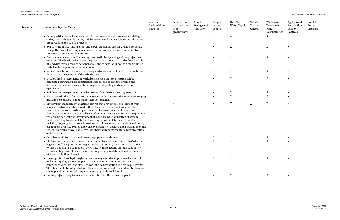| Resource | <b>Potential Mitigation Measure</b>                                                                                                                                                                                                                                                                                                                                                                                                                                                                                                                                                                                                                                                                                                                                                                          | Alternative<br>Surface Water<br>Supplies | Substituting<br>surface water<br>with<br>groundwater | Aquifer<br>Storage and<br>Recovery | Recycled<br>Water<br>Source | New Source<br><b>Water Supply</b> | Salinity<br>Source<br>Control | Wastewater<br>Treatment<br>Plant<br>Desalinization | Agricultural<br>Return Flow<br>Salinity<br>Controls | Low Lift<br>Pump<br>Station(s) |
|----------|--------------------------------------------------------------------------------------------------------------------------------------------------------------------------------------------------------------------------------------------------------------------------------------------------------------------------------------------------------------------------------------------------------------------------------------------------------------------------------------------------------------------------------------------------------------------------------------------------------------------------------------------------------------------------------------------------------------------------------------------------------------------------------------------------------------|------------------------------------------|------------------------------------------------------|------------------------------------|-----------------------------|-----------------------------------|-------------------------------|----------------------------------------------------|-----------------------------------------------------|--------------------------------|
|          | • Comply with existing local, state, and federal geotechnical regulations, building<br>codes, standards specifications, and the recommendations of geotechnical studies<br>prepared for site-specific projects. <sup>2,4</sup>                                                                                                                                                                                                                                                                                                                                                                                                                                                                                                                                                                               |                                          |                                                      |                                    | X                           | X                                 |                               | X                                                  | X                                                   |                                |
|          | • Evaluate the project site, and up- and down-gradient areas, for erosion potential.<br>Design the project and implement construction and maintenance activities to<br>prevent erosion and sedimentation. <sup>2</sup>                                                                                                                                                                                                                                                                                                                                                                                                                                                                                                                                                                                       |                                          |                                                      |                                    | $\boldsymbol{X}$            | X                                 |                               | X                                                  | $\mathbf X$                                         |                                |
|          | • Design stormwater runoff control systems to fit the hydrology of the project area<br>once it is fully developed, to have adequate capacity to transport the flow from all<br>upland/upstream areas, to be nonerosive, and to conduct runoff to a stable outlet.<br>Install systems prior to the rainy season. <sup>2</sup>                                                                                                                                                                                                                                                                                                                                                                                                                                                                                 |                                          |                                                      |                                    | X                           | X                                 |                               | X                                                  | X                                                   |                                |
|          | • Remove vegetation only when necessary and make every effort to conserve topsoil<br>for reuse in re-vegetation of disturbed areas. <sup>2</sup>                                                                                                                                                                                                                                                                                                                                                                                                                                                                                                                                                                                                                                                             |                                          |                                                      |                                    | X                           | X                                 |                               | X                                                  | X                                                   |                                |
|          | • Develop land in increments of workable size such that construction can be<br>completed during a single construction season, and coordinate erosion and<br>sediment control measures with the sequence of grading and construction<br>operations. <sup>2</sup>                                                                                                                                                                                                                                                                                                                                                                                                                                                                                                                                              |                                          |                                                      |                                    | X                           | X                                 |                               | $\boldsymbol{\mathrm{X}}$                          | X                                                   |                                |
|          | • Stabilize and revegetate all disturbed soil surfaces before the rainy season. <sup>2</sup>                                                                                                                                                                                                                                                                                                                                                                                                                                                                                                                                                                                                                                                                                                                 |                                          |                                                      |                                    | X                           | X                                 |                               | X                                                  | X                                                   |                                |
|          | • Restrict stockpiling of construction materials to the designated construction staging<br>areas and exclusive of habitats and their buffer zones. <sup>2</sup>                                                                                                                                                                                                                                                                                                                                                                                                                                                                                                                                                                                                                                              |                                          |                                                      |                                    | $\mathbf X$                 | X                                 |                               | X                                                  | X                                                   |                                |
|          | • Employ best management practices (BMPs) that prevent soil or sediment from<br>leaving construction sites, monitor them for effectiveness, and maintain them<br>throughout the construction operations and between construction seasons.<br>Standard measures include installation of sediment basins and traps in conjunction<br>with grading operations; development of slope drains; stabilization of stream<br>banks; use of hydraulic mulch, hydroseeding, straw, mulch anchored with a<br>tackifier, polyacrylamide, rolled erosion control products (e.g., blankets and mats),<br>earth dikes, drainage swales, and velocity dissipation devices; and installation of silt<br>fences, fiber rolls, gravel bag berms, sandbag barriers, storm drain inlet protection,<br>and check dams. <sup>2</sup> |                                          | X                                                    |                                    | X                           | X                                 | X                             | $\mathbf X$                                        | X                                                   |                                |
|          | • Contain runoff from truck and cement equipment washdown. <sup>2</sup>                                                                                                                                                                                                                                                                                                                                                                                                                                                                                                                                                                                                                                                                                                                                      |                                          |                                                      |                                    | X                           | X                                 |                               | X                                                  | X                                                   |                                |
|          | • Limit to the dry season any construction activities within an area of the Ordinary<br>High Water (OHW) line of drainages and lakes. Limit any construction activities<br>within a floodplain, but above an OHW line, to those actions that can adequately<br>withstand high river flows without resulting in the inundation of and entrainment<br>of materials in flood flows. <sup>2</sup>                                                                                                                                                                                                                                                                                                                                                                                                                |                                          |                                                      |                                    | $\mathbf X$                 | X                                 |                               | X                                                  | $\mathbf X$                                         |                                |
|          | • Have a professional hydrologist or licensed engineer develop an erosion control<br>and water quality protection plan to avoid habitat degradation and ensure<br>compliance with local and state erosion- and sedimentation-related requirements.<br>The plan should be integrated into the construction schedule and describe how site<br>cleanup and regrading will impact current physical conditions. <sup>2</sup>                                                                                                                                                                                                                                                                                                                                                                                      |                                          |                                                      |                                    | X                           | X                                 |                               | X                                                  | X                                                   |                                |
|          | • Locate projects away from areas with unsuitable soils or steep slopes. <sup>2</sup>                                                                                                                                                                                                                                                                                                                                                                                                                                                                                                                                                                                                                                                                                                                        |                                          |                                                      |                                    | X                           | X                                 |                               | X                                                  | X                                                   |                                |
|          |                                                                                                                                                                                                                                                                                                                                                                                                                                                                                                                                                                                                                                                                                                                                                                                                              |                                          |                                                      |                                    |                             |                                   |                               |                                                    |                                                     |                                |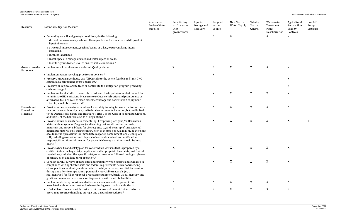| Resource                              | <b>Potential Mitigation Measure</b>                                                                                                                                                                                                                                                                                                                                                                                                                                                                                                                                                                                         | Alternative<br>Surface Water<br>Supplies | Substituting<br>surface water<br>with<br>groundwater | Aquifer<br>Storage and<br>Recovery | Recycled<br>Water<br>Source | New Source<br><b>Water Supply</b> | Salinity<br>Source<br>Control | Wastewater<br>Treatment<br>Plant<br>Desalinization | Agricultural<br><b>Return Flow</b><br>Salinity<br>Controls | Low Lift<br>Pump<br>Station(s) |
|---------------------------------------|-----------------------------------------------------------------------------------------------------------------------------------------------------------------------------------------------------------------------------------------------------------------------------------------------------------------------------------------------------------------------------------------------------------------------------------------------------------------------------------------------------------------------------------------------------------------------------------------------------------------------------|------------------------------------------|------------------------------------------------------|------------------------------------|-----------------------------|-----------------------------------|-------------------------------|----------------------------------------------------|------------------------------------------------------------|--------------------------------|
|                                       | • Depending on soil and geologic conditions, do the following.                                                                                                                                                                                                                                                                                                                                                                                                                                                                                                                                                              |                                          |                                                      |                                    | X                           | X                                 |                               | X                                                  | X                                                          |                                |
|                                       | o Ground improvements, such as soil compaction and excavation and disposal of<br>liquefiable soils.                                                                                                                                                                                                                                                                                                                                                                                                                                                                                                                         |                                          |                                                      |                                    |                             |                                   |                               |                                                    |                                                            |                                |
|                                       | o Structural improvements, such as berms or dikes, to prevent large lateral<br>spreading.                                                                                                                                                                                                                                                                                                                                                                                                                                                                                                                                   |                                          |                                                      |                                    |                             |                                   |                               |                                                    |                                                            |                                |
|                                       | o Buttress landslides.                                                                                                                                                                                                                                                                                                                                                                                                                                                                                                                                                                                                      |                                          |                                                      |                                    |                             |                                   |                               |                                                    |                                                            |                                |
|                                       | o Install special drainage devices and water injection wells.                                                                                                                                                                                                                                                                                                                                                                                                                                                                                                                                                               |                                          |                                                      |                                    |                             |                                   |                               |                                                    |                                                            |                                |
|                                       | o Monitor groundwater level to ensure stable conditions. <sup>2</sup>                                                                                                                                                                                                                                                                                                                                                                                                                                                                                                                                                       |                                          |                                                      |                                    |                             |                                   |                               |                                                    |                                                            |                                |
| Greenhouse Gas<br>Emissions           | • Implement all requirements under Air Quality, above.                                                                                                                                                                                                                                                                                                                                                                                                                                                                                                                                                                      |                                          | X                                                    |                                    | X                           | X                                 | X                             | X                                                  | X                                                          |                                |
|                                       | • Implement water recycling practices or policies. <sup>2</sup>                                                                                                                                                                                                                                                                                                                                                                                                                                                                                                                                                             |                                          |                                                      |                                    | X                           |                                   |                               |                                                    |                                                            |                                |
|                                       | • Preserve known greenhouse gas (GHG) sinks to the extent feasible and limit GHG<br>sources as a component of project design. <sup>2</sup>                                                                                                                                                                                                                                                                                                                                                                                                                                                                                  |                                          |                                                      |                                    |                             |                                   |                               |                                                    | X                                                          |                                |
|                                       | • Preserve or replace onsite trees or contribute to a mitigation program providing<br>carbon storage. <sup>2</sup>                                                                                                                                                                                                                                                                                                                                                                                                                                                                                                          |                                          |                                                      |                                    |                             |                                   |                               |                                                    | X                                                          |                                |
|                                       | • Implement local air district controls to reduce criteria pollutant emissions and help<br>to minimize GHG emissions. Measures to reduce vehicle trips and promote use of<br>alternative fuels, as well as clean diesel technology and construction equipment<br>retrofits, should be considered. <sup>5</sup>                                                                                                                                                                                                                                                                                                              |                                          | X                                                    |                                    | $\boldsymbol{\mathrm{X}}$   | $\mathbf X$                       | X                             | X                                                  | X                                                          |                                |
| Hazards and<br>Hazardous<br>Materials | • Provide hazardous materials and worksite safety training for construction workers<br>in accordance with local, state, and federal requirements including, but not limited<br>to the Occupational Safety and Health Act, Title 9 of the Code of Federal Regulations,<br>and Title 8 of the California Code of Regulations. <sup>2</sup>                                                                                                                                                                                                                                                                                    |                                          | X                                                    |                                    | $\mathbf X$                 | X                                 | X                             | $\boldsymbol{\mathrm{X}}$                          | X                                                          |                                |
|                                       | • Provide hazardous materials accidental spill response plans (and/or Hazardous<br>Materials Management Program) and training that would outline methods,<br>materials, and responsibilities for the response to, and clean-up of, an accidental<br>hazardous material spill during construction of the project. At a minimum, the plans<br>should include provisions for immediate response, containment, and cleanup of a<br>spill, including excavation and disposal of contaminated soil and notification<br>responsibilities. Materials needed for potential cleanup activities should be kept<br>onsite. <sup>2</sup> |                                          | X                                                    |                                    | X                           | X                                 | X                             | X                                                  | X                                                          | X                              |
|                                       | • Provide a health and safety plan for construction workers that is prepared by a<br>certified industrial hygienist; complies with all appropriate local, state, and federal<br>regulations; and identifies specific safety measures to be followed during all phases<br>of construction and long-term operation. <sup>2</sup>                                                                                                                                                                                                                                                                                              |                                          | X                                                    |                                    | X                           | X                                 | X                             | X                                                  | X                                                          |                                |
|                                       | • Conduct careful surveys of mine sites and prepare written reports and guidance in<br>compliance with applicable state and federal requirements before commencing<br>cleanup actions to identify and characterize safety concerns; potential for erosion<br>during and after cleanup actions; potentially recyclable materials (e.g.,<br>sediment/soil for fill, scrap steel, processing equipment, brick, wood, mercury, and<br>gold); and major waste streams for disposal in onsite or offsite landfills. <sup>2</sup>                                                                                                  |                                          | X                                                    |                                    | X                           | X                                 | $\mathbf X$                   | X                                                  | X                                                          |                                |
|                                       | • Implement dust-suppression and other measures available to prevent risks<br>associated with inhaling dust and exhaust during construction activities. <sup>2</sup>                                                                                                                                                                                                                                                                                                                                                                                                                                                        |                                          | X                                                    |                                    | X                           | X                                 | X                             | X                                                  | X                                                          |                                |
|                                       | • Label all hazardous materials onsite to inform users of potential risks and train<br>users in appropriate handling, storage, and disposal procedures. <sup>2</sup>                                                                                                                                                                                                                                                                                                                                                                                                                                                        |                                          | X                                                    |                                    | X                           | X                                 | X                             | $\boldsymbol{\mathrm{X}}$                          | X                                                          |                                |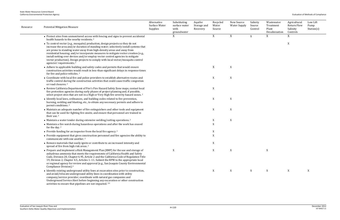| Resource | <b>Potential Mitigation Measure</b>                                                                                                                                                                                                                                                                                                                                                                                                                                                                                                                     | Alternative<br>Surface Water<br>Supplies | Substituting<br>surface water<br>with<br>groundwater | Aquifer<br>Storage and<br>Recovery | Recycled<br>Water<br>Source | New Source<br><b>Water Supply</b> | Salinity<br>Source<br>Control | Wastewater<br>Treatment<br>Plant<br>Desalinization | Agricultural<br><b>Return Flow</b><br>Salinity<br>Controls | Low Lift<br>Pump<br>Station(s) |
|----------|---------------------------------------------------------------------------------------------------------------------------------------------------------------------------------------------------------------------------------------------------------------------------------------------------------------------------------------------------------------------------------------------------------------------------------------------------------------------------------------------------------------------------------------------------------|------------------------------------------|------------------------------------------------------|------------------------------------|-----------------------------|-----------------------------------|-------------------------------|----------------------------------------------------|------------------------------------------------------------|--------------------------------|
|          | • Protect sites from unmonitored access with fencing and signs to prevent accidental<br>health hazards to the nearby residents. <sup>2</sup>                                                                                                                                                                                                                                                                                                                                                                                                            |                                          | X                                                    |                                    | X                           | X                                 | X                             | X                                                  | X                                                          |                                |
|          | • To control vector (e.g., mosquito) production, design projects so they do not<br>increase the area and/or duration of standing water; selectively install systems that<br>are prone to standing water away from high-density areas and away from<br>residential housing; and/or incorporate measures to mitigate vector creation (e.g.,<br>install netting over devices and/or employ vector control agencies to mitigate<br>vector production). Design projects to comply with local vector/mosquito control<br>agencies' requirements. <sup>2</sup> |                                          |                                                      |                                    |                             |                                   |                               |                                                    | X                                                          |                                |
|          | • Adhere to applicable building and safety codes and permits that would ensure<br>construction activities would result in less-than-significant delays in response times<br>for fire and police vehicles. <sup>2</sup>                                                                                                                                                                                                                                                                                                                                  |                                          |                                                      |                                    | X                           | X                                 |                               |                                                    |                                                            |                                |
|          | • Coordinate with local fire and police providers to establish alternative routes and<br>traffic control during the construction activities that could cause traffic congestion<br>or road closures. <sup>2</sup>                                                                                                                                                                                                                                                                                                                                       |                                          |                                                      |                                    | X                           | X                                 |                               |                                                    |                                                            |                                |
|          | • Review California Department of Fire's Fire Hazard Safety Zone maps, contact local<br>fire protection agencies during early phases of project planning and, if possible,<br>select project sites that are not in a High or Very High fire severity hazard zones. <sup>2</sup>                                                                                                                                                                                                                                                                         |                                          |                                                      |                                    | X                           |                                   |                               |                                                    |                                                            |                                |
|          | • Identify local laws, ordinances, and building codes related to fire prevention,<br>burning, welding and blasting, etc., to obtain any necessary permits and adhere to<br>permit conditions. <sup>2</sup>                                                                                                                                                                                                                                                                                                                                              |                                          |                                                      |                                    | X                           | X                                 |                               |                                                    |                                                            |                                |
|          | • Maintain an adequate number of fire extinguishers and other tools and equipment<br>that can be used for fighting fire onsite, and ensure that personnel are trained in<br>their use. <sup>2</sup>                                                                                                                                                                                                                                                                                                                                                     |                                          |                                                      |                                    | X                           | $\mathbf X$                       |                               |                                                    |                                                            |                                |
|          | $\bullet$ Maintain a water tender during extensive welding/cutting operations. <sup>2</sup>                                                                                                                                                                                                                                                                                                                                                                                                                                                             |                                          |                                                      |                                    | X                           | X                                 |                               |                                                    |                                                            |                                |
|          | • Maintain a fire watch during hazardous operations and after the work has ceased<br>for the day. <sup>2</sup>                                                                                                                                                                                                                                                                                                                                                                                                                                          |                                          |                                                      |                                    | $\mathbf X$                 |                                   |                               |                                                    |                                                            |                                |
|          | • Provide funding for an inspector from the local fire agency. <sup>2</sup>                                                                                                                                                                                                                                                                                                                                                                                                                                                                             |                                          |                                                      |                                    | X                           |                                   |                               |                                                    |                                                            |                                |
|          | • Provide equipment that gives construction personnel and fire agencies the ability to<br>communicate with one another. <sup>2</sup>                                                                                                                                                                                                                                                                                                                                                                                                                    |                                          |                                                      |                                    | $\boldsymbol{X}$            |                                   |                               |                                                    |                                                            |                                |
|          | • Remove materials that easily ignite or contribute to an increased intensity and<br>spread of fire from high risk areas. <sup>2</sup>                                                                                                                                                                                                                                                                                                                                                                                                                  |                                          |                                                      |                                    | X                           |                                   |                               |                                                    |                                                            |                                |
|          | • Prepare and implement a Risk Management Plan (RMP) for the use and storage of<br>anhydrous ammonia that meets the requirements of California Health and Safety<br>Code, Division 20, Chapter 6.95, Article 2 and the California Code of Regulation Title<br>19, Division 2, Chapter 4.5, Articles 1-11. Submit the RPM to the appropriate local<br>or regional agency for review and approval (e.g., San Joaquin County Environmental<br>Compliance Division). <sup>4</sup>                                                                           |                                          | X                                                    |                                    | X                           | X                                 |                               | X                                                  |                                                            |                                |
|          | • Identify existing underground utility lines at excavation sites prior to construction,<br>and avoid/relocate underground utility lines in coordination with utility<br>company/service provider; coordinate with natural gas companies and<br>Underground Service Alert before beginning any excavation or other construction<br>activities to ensure that pipelines are not impacted. <sup>2,6</sup>                                                                                                                                                 |                                          |                                                      |                                    | $\boldsymbol{\mathrm{X}}$   | X                                 | X                             | $\mathbf X$                                        | X                                                          | X                              |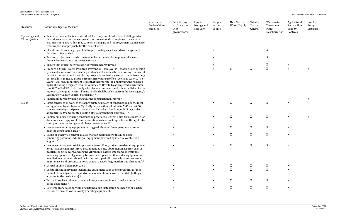| Resource                              | <b>Potential Mitigation Measure</b>                                                                                                                                                                                                                                                                                                                                                                                                                                                                                                                                                                                                                                                                                                                       | Alternative<br>Surface Water<br>Supplies | Substituting<br>surface water<br>with<br>groundwater | Aquifer<br>Storage and<br>Recovery | Recycled<br>Water<br>Source | New Source<br><b>Water Supply</b> | Salinity<br>Source<br>Control | Wastewater<br>Treatment<br>Plant<br>Desalinization | Agricultural<br>Return Flow<br>Salinity<br>Controls | Low Lift<br>Pump<br>Station(s) |
|---------------------------------------|-----------------------------------------------------------------------------------------------------------------------------------------------------------------------------------------------------------------------------------------------------------------------------------------------------------------------------------------------------------------------------------------------------------------------------------------------------------------------------------------------------------------------------------------------------------------------------------------------------------------------------------------------------------------------------------------------------------------------------------------------------------|------------------------------------------|------------------------------------------------------|------------------------------------|-----------------------------|-----------------------------------|-------------------------------|----------------------------------------------------|-----------------------------------------------------|--------------------------------|
| Hydrology and<br><b>Water Quality</b> | • Evaluate site-specific tsunami and seiche risks, comply with local building codes<br>that address tsunami and seiche risk, and consult with an engineer to ensure that<br>critical structures are designed to resist strong ground motion, tsunami, and seiche<br>wave impact if appropriate for the project site. <sup>2</sup>                                                                                                                                                                                                                                                                                                                                                                                                                         |                                          |                                                      |                                    |                             |                                   |                               |                                                    |                                                     |                                |
|                                       | • Elevate and brace any project buildings if buildings are located in areas prone to<br>flooding or tsunamis. <sup>2</sup>                                                                                                                                                                                                                                                                                                                                                                                                                                                                                                                                                                                                                                |                                          |                                                      |                                    | $\mathbf X$                 |                                   |                               | X                                                  |                                                     |                                |
|                                       | • Position project roads and structures to be perpendicular to potential waves so<br>there is less resistance and erosive force. <sup>2</sup>                                                                                                                                                                                                                                                                                                                                                                                                                                                                                                                                                                                                             |                                          |                                                      |                                    | X                           |                                   |                               | X                                                  |                                                     |                                |
|                                       | • Ensure that project activities do not weaken nearby levees. <sup>2</sup>                                                                                                                                                                                                                                                                                                                                                                                                                                                                                                                                                                                                                                                                                |                                          |                                                      |                                    | X                           |                                   |                               | X                                                  | X                                                   |                                |
|                                       | • Prepare a Storm Water Pollution Prevention Plan (SWPPP) that includes specific<br>types and sources of stormwater pollutants, determines the location and nature of<br>potential impacts, and specifies appropriate control measures to eliminate any<br>potentially significant impacts from stormwater runoff on receiving waters. The<br>SWPPP will require treatment BMPs that incorporate, at a minimum, the required<br>hydraulic sizing design criteria for volume and flow to treat projected stormwater<br>runoff. The SWPPP shall comply with the most current standards established by the<br>regional water quality control board. BMPs shall be selected from the local agency's<br>Stormwater Quality Control Standards. <sup>4., 6</sup> |                                          | $\mathbf X$                                          |                                    | X                           | X                                 | X                             | X                                                  | $\boldsymbol{X}$                                    | X                              |
|                                       | • Implement turbidity monitoring during construction/removal. <sup>6</sup>                                                                                                                                                                                                                                                                                                                                                                                                                                                                                                                                                                                                                                                                                |                                          |                                                      |                                    |                             |                                   |                               |                                                    |                                                     | X                              |
| Noise                                 | • Limit construction work to the appropriate windows of construction per the local<br>or regional noise ordinances. Typically construction is limited to 7:00 a.m.-6:00<br>p.m. on weekdays and permit no work on Saturdays, Sundays, or holidays unless<br>appropriate city and county building officials grant prior approval. 2,3                                                                                                                                                                                                                                                                                                                                                                                                                      |                                          | $\mathbf X$                                          |                                    | X                           | X                                 | X                             | $\boldsymbol{\mathrm{X}}$                          | $\mathbf X$                                         |                                |
|                                       | • Implement noise-reducing construction practices such that noise from construction<br>does not exceed applicable local noise standards or limits specified in the applicable<br>county ordinances and general plan noise elements. <sup>5,6</sup>                                                                                                                                                                                                                                                                                                                                                                                                                                                                                                        |                                          | $\mathbf X$                                          |                                    | X                           | X                                 | X                             | X                                                  | $\boldsymbol{\mathrm{X}}$                           | $\mathbf X$                    |
|                                       | • Use noise-generating equipment during periods when fewer people are present<br>near the construction area. <sup>2</sup>                                                                                                                                                                                                                                                                                                                                                                                                                                                                                                                                                                                                                                 |                                          | X                                                    |                                    | X                           | X                                 | X                             | X                                                  | X                                                   |                                |
|                                       | • Muffle or otherwise control all construction equipment with a high noise-<br>generating potential, including all equipment powered by internal combustion<br>engines. <sup>2</sup>                                                                                                                                                                                                                                                                                                                                                                                                                                                                                                                                                                      |                                          | X                                                    |                                    | X                           | X                                 | X                             | $\boldsymbol{\mathrm{X}}$                          | X                                                   |                                |
|                                       | • Use newer equipment with improved noise muffling, and ensure that all equipment<br>items have the manufacturers' recommended noise abatement measures, such as<br>mufflers, engine covers, and engine vibration isolators, intact and operational.<br>Newer equipment will generally be quieter in operation than older equipment. All<br>installation equipment should be inspected at periodic intervals to ensure proper<br>maintenance and presence of noise control devices (e.g., mufflers and shrouding). <sup>3</sup>                                                                                                                                                                                                                           |                                          | $\mathbf{X}$                                         |                                    | X                           | X                                 | X                             | X                                                  | X                                                   |                                |
|                                       | • Shroud or shield all impact tools. <sup>2</sup>                                                                                                                                                                                                                                                                                                                                                                                                                                                                                                                                                                                                                                                                                                         |                                          | X                                                    |                                    | X                           | X                                 | X                             | X                                                  | X                                                   |                                |
|                                       | • Locate all stationary noise-generating equipment, such as compressors, as far as<br>possible from adjacent occupied offices, residents, or sensitive habitats (if they are<br>adjacent to the project site). <sup>2</sup>                                                                                                                                                                                                                                                                                                                                                                                                                                                                                                                               |                                          | $\mathbf X$                                          |                                    | X                           | $\mathbf X$                       | X                             | $\mathbf X$                                        | X                                                   |                                |
|                                       | • Turn off mobile equipment and machinery when not in use to reduce noise from<br>idling equipment. <sup>2</sup>                                                                                                                                                                                                                                                                                                                                                                                                                                                                                                                                                                                                                                          |                                          | X                                                    |                                    | X                           | X                                 | X                             | X                                                  | X                                                   |                                |
|                                       | • Use temporary noise barriers or curtains along installation boundaries or partial<br>enclosures around continuously operating equipment. <sup>2</sup>                                                                                                                                                                                                                                                                                                                                                                                                                                                                                                                                                                                                   |                                          | X                                                    |                                    | X                           | X                                 | X                             | X                                                  | X                                                   |                                |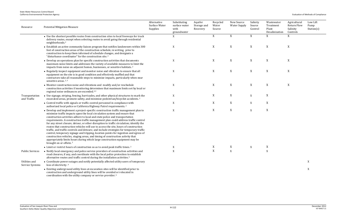| Resource                         | <b>Potential Mitigation Measure</b>                                                                                                                                                                                                                                                                                                                                                                                                                                                                                                                                                                                                                                                                                                                                                                                                                                                                                  | Alternative<br>Surface Water<br>Supplies | Substituting<br>surface water<br>with<br>groundwater | Aquifer<br>Storage and<br>Recovery | Recycled<br>Water<br>Source | New Source<br><b>Water Supply</b> | Salinity<br>Source<br>Control | Wastewater<br>Treatment<br>Plant<br>Desalinization | Agricultural<br><b>Return Flow</b><br>Salinity<br>Controls | Low Lift<br>Pump<br>Station(s) |
|----------------------------------|----------------------------------------------------------------------------------------------------------------------------------------------------------------------------------------------------------------------------------------------------------------------------------------------------------------------------------------------------------------------------------------------------------------------------------------------------------------------------------------------------------------------------------------------------------------------------------------------------------------------------------------------------------------------------------------------------------------------------------------------------------------------------------------------------------------------------------------------------------------------------------------------------------------------|------------------------------------------|------------------------------------------------------|------------------------------------|-----------------------------|-----------------------------------|-------------------------------|----------------------------------------------------|------------------------------------------------------------|--------------------------------|
|                                  | • Use the shortest possible routes from construction sites to local freeways for truck<br>delivery routes, except when selecting routes to avoid going through residential<br>neighborhoods. <sup>2</sup>                                                                                                                                                                                                                                                                                                                                                                                                                                                                                                                                                                                                                                                                                                            |                                          | X                                                    |                                    | X                           | $\mathbf X$                       | X                             | X                                                  | $\boldsymbol{\mathrm{X}}$                                  |                                |
|                                  | • Establish an active community liaison program that notifies landowners within 300<br>feet of construction areas of the construction schedule, in writing, prior to<br>construction to keep them informed of schedule changes, and designate a<br>"disturbance coordinator" for the construction site. <sup>2</sup>                                                                                                                                                                                                                                                                                                                                                                                                                                                                                                                                                                                                 |                                          | X                                                    |                                    | X                           | X                                 | X                             | X                                                  | X                                                          |                                |
|                                  | • Develop an operations plan for specific construction activities that documents<br>maximum noise limits and addresses the variety of available measures to limit the<br>impacts from noise on adjacent homes, businesses, or sensitive habitats. <sup>2</sup>                                                                                                                                                                                                                                                                                                                                                                                                                                                                                                                                                                                                                                                       |                                          | X                                                    |                                    | X                           | $\mathbf X$                       | X                             | $\mathbf X$                                        | $\mathbf X$                                                |                                |
|                                  | • Regularly inspect equipment and monitor noise and vibration to ensure that all<br>equipment on the site is in good condition and effectively muffled and that<br>contractors take all reasonable steps to minimize impacts, particularly when near<br>sensitive areas. <sup>2,3</sup>                                                                                                                                                                                                                                                                                                                                                                                                                                                                                                                                                                                                                              |                                          | X                                                    |                                    | X                           | X                                 | X                             | X                                                  | X                                                          |                                |
|                                  | • Monitor construction noise and vibrations and modify and/or reschedule<br>construction activities if monitoring determines that maximum limits set by local or<br>regional noise ordinances are exceeded. <sup>2,3</sup>                                                                                                                                                                                                                                                                                                                                                                                                                                                                                                                                                                                                                                                                                           |                                          | X                                                    |                                    | X                           | $\boldsymbol{\mathrm{X}}$         | X                             | X                                                  | X                                                          |                                |
| Transportation<br>and Traffic    | • Use signage, striping, fencing, barricades, and other physical structures to mark the<br>excavated areas, promote safety, and minimize pedestrian/bicyclist accidents. <sup>2</sup>                                                                                                                                                                                                                                                                                                                                                                                                                                                                                                                                                                                                                                                                                                                                |                                          | X                                                    |                                    | X                           | $\boldsymbol{\mathrm{X}}$         | X                             | X                                                  |                                                            |                                |
|                                  | • Control traffic with signals or traffic control personnel in compliance with<br>authorized local police or California Highway Patrol requirements. <sup>2</sup>                                                                                                                                                                                                                                                                                                                                                                                                                                                                                                                                                                                                                                                                                                                                                    |                                          | X                                                    |                                    | X                           | X                                 | $\mathbf X$                   | $\mathbf X$                                        |                                                            |                                |
|                                  | • Develop and implement a project-specific construction traffic management plan to<br>minimize traffic impacts upon the local circulation system and ensure that<br>construction activities adhere to local and state police and transportation<br>requirements. A construction traffic management plan could address traffic control<br>for any street closure, detour, or other disruption to traffic circulation; identify the<br>routes that construction vehicles will use to access the site, hours of construction<br>traffic, and traffic controls and detours; and include strategies for temporary traffic<br>control, temporary signage and tripping, location points for ingestion and egress of<br>construction vehicles, staging areas, and timing of construction activity that<br>appropriately limits hours during which large construction equipment may be<br>brought on or offsite. <sup>2</sup> |                                          | X                                                    |                                    | X                           | X                                 | $\mathbf X$                   | $\mathbf X$                                        |                                                            |                                |
|                                  | • Limit or restrict hours of construction so as to avoid peak traffic times. <sup>2</sup>                                                                                                                                                                                                                                                                                                                                                                                                                                                                                                                                                                                                                                                                                                                                                                                                                            |                                          | X                                                    |                                    | X                           | X                                 | X                             | X                                                  |                                                            |                                |
| <b>Public Services</b>           | • Notify local emergency and police service providers of construction activities and<br>road closures, if any, and coordinate with the local police protection to establish<br>alternative routes and traffic control during the installation activities. <sup>3</sup>                                                                                                                                                                                                                                                                                                                                                                                                                                                                                                                                                                                                                                               |                                          | X                                                    |                                    | X                           | X                                 |                               | X                                                  |                                                            |                                |
| Utilities and<br>Service Systems | • Coordinate power outages and notify potentially affected utility users of temporary<br>loss of electricity. <sup>6</sup>                                                                                                                                                                                                                                                                                                                                                                                                                                                                                                                                                                                                                                                                                                                                                                                           |                                          |                                                      |                                    |                             |                                   |                               |                                                    |                                                            | X                              |
|                                  | • Existing underground utility lines at excavation sites will be identified prior to<br>construction and underground utility lines will be avoided or relocated in<br>coordination with the utility company or service provider. <sup>6</sup>                                                                                                                                                                                                                                                                                                                                                                                                                                                                                                                                                                                                                                                                        |                                          |                                                      |                                    |                             |                                   |                               |                                                    |                                                            | X                              |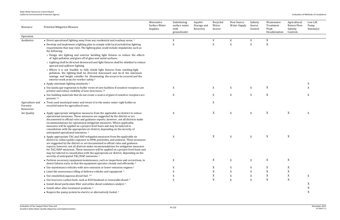Low Lift Pump Station(s)

| $rac{1}{2}$ | $\cdots$<br>Desalinization | Controls    | $rac{1}{2}$ |  |
|-------------|----------------------------|-------------|-------------|--|
|             |                            |             |             |  |
| X           | $\overline{\text{X}}$      |             |             |  |
| X           | $\mathbf X$                |             |             |  |
|             |                            |             |             |  |
|             |                            |             |             |  |
|             |                            |             |             |  |
|             |                            |             |             |  |
|             |                            |             |             |  |
|             |                            |             |             |  |
|             |                            |             |             |  |
|             |                            |             |             |  |
|             | $\mathbf X$                |             | $\mathbf X$ |  |
| X           |                            |             | $\mathbf X$ |  |
| X           | $\mathbf X$                |             | $\mathbf X$ |  |
|             |                            |             |             |  |
|             |                            |             |             |  |
|             |                            |             |             |  |
| X           | $\mathbf X$                | $\mathbf X$ | $\mathbf X$ |  |
|             |                            |             |             |  |
|             |                            |             |             |  |
|             |                            |             |             |  |
|             |                            |             |             |  |
| X           | $\mathbf X$                | $\mathbf X$ |             |  |
|             |                            |             |             |  |
|             |                            |             |             |  |
|             |                            |             |             |  |

| Return Flow<br>Salinity<br>Controls | St |
|-------------------------------------|----|
|                                     |    |
|                                     |    |
|                                     |    |
|                                     |    |
|                                     |    |
|                                     |    |
|                                     | X  |
|                                     | X  |
|                                     | X  |
|                                     |    |
|                                     | X  |
|                                     |    |
|                                     |    |
|                                     |    |
|                                     |    |
|                                     |    |
|                                     |    |
|                                     |    |
|                                     |    |
|                                     |    |
|                                     |    |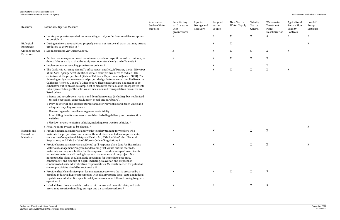| Resource                              | <b>Potential Mitigation Measure</b>                                                                                                                                                                                                                                                                                                                                                                                                                                                                                                                                                                                                     | Alternative<br>Surface Water<br>Supplies | Substituting<br>surface water<br>with<br>groundwater | Aquifer<br>Storage and<br>Recovery | Recycled<br>Water<br>Source | New Source<br><b>Water Supply</b> | Salinity<br>Source<br>Control | Wastewater<br>Treatment<br>Plant<br>Desalinization | Agricultural<br><b>Return Flow</b><br>Salinity<br>Controls | Low Lift<br>Pump<br>Station(s) |
|---------------------------------------|-----------------------------------------------------------------------------------------------------------------------------------------------------------------------------------------------------------------------------------------------------------------------------------------------------------------------------------------------------------------------------------------------------------------------------------------------------------------------------------------------------------------------------------------------------------------------------------------------------------------------------------------|------------------------------------------|------------------------------------------------------|------------------------------------|-----------------------------|-----------------------------------|-------------------------------|----------------------------------------------------|------------------------------------------------------------|--------------------------------|
|                                       | • Locate pump system/emissions generating activity as far from sensitive receptors<br>as possible. 6                                                                                                                                                                                                                                                                                                                                                                                                                                                                                                                                    |                                          | X                                                    |                                    | X                           | X                                 | X                             | X                                                  | X                                                          | X                              |
| Biological<br>Resources               | • During maintenance activities, properly contain or remove all trash that may attract<br>predators to the worksite. <sup>2</sup>                                                                                                                                                                                                                                                                                                                                                                                                                                                                                                       |                                          |                                                      |                                    | X                           | X                                 |                               |                                                    |                                                            | X                              |
| Greenhouse Gas<br>Emissions           | • See measures in Air Quality, above.                                                                                                                                                                                                                                                                                                                                                                                                                                                                                                                                                                                                   |                                          | X                                                    |                                    | X                           | $\mathbf X$                       | X                             | X                                                  | $\mathbf X$                                                |                                |
|                                       | • Perform necessary equipment maintenance, such as inspections and corrections, to<br>detect failures early so that the equipment operates cleanly and efficiently. <sup>2</sup>                                                                                                                                                                                                                                                                                                                                                                                                                                                        |                                          | X                                                    |                                    | X                           | $\mathbf X$                       | X                             | $\mathbf X$                                        |                                                            |                                |
|                                       | • Implement water recycling practices or policies. <sup>2</sup>                                                                                                                                                                                                                                                                                                                                                                                                                                                                                                                                                                         |                                          |                                                      |                                    | $\mathbf X$                 |                                   |                               | X                                                  |                                                            |                                |
|                                       | • The California Attorney General's office report entitled, Addressing Global Warming<br>at the Local Agency Level, identifies various example measures to reduce GHG<br>emissions at the project level (State of California Department of Justice 2008). The<br>following mitigation measures and project design features were compiled from the<br>California Attorney General's Office report. These measures are not meant to be<br>exhaustive but to provide a sample list of measures that could be incorporated into<br>future project design. The solid waste measures and transportation measures are<br>listed below.         |                                          |                                                      |                                    | X                           | $\mathbf X$                       | X                             | $\mathbf X$                                        | $\mathbf X$                                                |                                |
|                                       | o Reuse and recycle construction and demolition waste (including, but not limited<br>to, soil, vegetation, concrete, lumber, metal, and cardboard).<br>o Provide interior and exterior storage areas for recyclables and green waste and                                                                                                                                                                                                                                                                                                                                                                                                |                                          |                                                      |                                    |                             |                                   |                               |                                                    |                                                            |                                |
|                                       | adequate recycling containers.                                                                                                                                                                                                                                                                                                                                                                                                                                                                                                                                                                                                          |                                          |                                                      |                                    |                             |                                   |                               |                                                    |                                                            |                                |
|                                       | o Recover byproduct methane to generate electricity.                                                                                                                                                                                                                                                                                                                                                                                                                                                                                                                                                                                    |                                          |                                                      |                                    |                             |                                   |                               |                                                    |                                                            |                                |
|                                       | o Limit idling time for commercial vehicles, including delivery and construction<br>vehicles.                                                                                                                                                                                                                                                                                                                                                                                                                                                                                                                                           |                                          |                                                      |                                    |                             |                                   |                               |                                                    |                                                            |                                |
|                                       | o Use low- or zero-emission vehicles, including construction vehicles. <sup>5</sup>                                                                                                                                                                                                                                                                                                                                                                                                                                                                                                                                                     |                                          |                                                      |                                    |                             |                                   |                               |                                                    |                                                            |                                |
|                                       | • Require pump system to be electric. <sup>6</sup>                                                                                                                                                                                                                                                                                                                                                                                                                                                                                                                                                                                      |                                          |                                                      |                                    |                             |                                   |                               |                                                    |                                                            | X                              |
| Hazards and<br>Hazardous<br>Materials | • Provide hazardous materials and worksite safety training for workers who<br>maintain the projects in accordance with local, state, and federal requirements,<br>such as the Occupational Safety and Health Act, Title 9 of the Code of Federal<br>Regulations, and Title 8 of the California Code of Regulations. <sup>2</sup>                                                                                                                                                                                                                                                                                                        |                                          | X                                                    |                                    | $\mathbf X$                 |                                   | $\mathbf X$                   | $\mathbf X$                                        |                                                            |                                |
|                                       | • Provide hazardous materials accidental spill response plans (and/or Hazardous<br>Materials Management Program) and training that would outline methods,<br>materials, and responsibilities for the response to, and clean-up of, an accidental<br>hazardous material spill during long-term maintenance of the project. At a<br>minimum, the plans should include provisions for immediate response,<br>containment, and cleanup of a spill, including excavation and disposal of<br>contaminated soil and notification responsibilities. Materials needed for potential<br>clean-up activities should be kept onsite. <sup>2,6</sup> |                                          | X                                                    |                                    | X                           |                                   | X                             | X                                                  |                                                            |                                |
|                                       | • Provide a health and safety plan for maintenance workers that is prepared by a<br>certified industrial hygienist; complies with all appropriate local, state and federal<br>regulations; and identifies specific safety measures to be followed during long-term<br>operation. <sup>2</sup>                                                                                                                                                                                                                                                                                                                                           |                                          | X                                                    |                                    | X                           | X                                 | X                             | X                                                  |                                                            |                                |
|                                       | • Label all hazardous materials onsite to inform users of potential risks, and train<br>users in appropriate handling, storage, and disposal procedures. <sup>2</sup>                                                                                                                                                                                                                                                                                                                                                                                                                                                                   |                                          | $\mathbf X$                                          |                                    | X                           |                                   | X                             | X                                                  |                                                            |                                |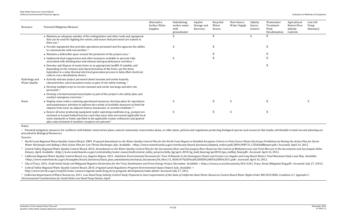- 
- 
- 
- 

| Resource                              | <b>Potential Mitigation Measure</b>                                                                                                                                                                                                                                                                                                        | Alternative<br>Surface Water<br>Supplies | Substituting<br>surface water<br>with<br>groundwater | Aquifer<br>Storage and<br>Recovery | Recycled<br>Water<br>Source | New Source<br><b>Water Supply</b> | Salinity<br>Source<br>Control | Wastewater<br>Treatment<br>Plant<br>Desalinization | Agricultural<br>Return Flow<br>Salinity<br>Controls | Low Lift<br>Pump<br>Station(s) |
|---------------------------------------|--------------------------------------------------------------------------------------------------------------------------------------------------------------------------------------------------------------------------------------------------------------------------------------------------------------------------------------------|------------------------------------------|------------------------------------------------------|------------------------------------|-----------------------------|-----------------------------------|-------------------------------|----------------------------------------------------|-----------------------------------------------------|--------------------------------|
|                                       | • Maintain an adequate number of fire extinguishers and other tools and equipment<br>that can be used for fighting fire onsite, and ensure that personnel are trained in<br>their use. <sup>2</sup>                                                                                                                                        |                                          | $\mathbf X$                                          |                                    | X                           |                                   | X                             | X                                                  |                                                     |                                |
|                                       | • Provide equipment that provides operations personnel and fire agencies the ability<br>to communicate with one another. <sup>2</sup>                                                                                                                                                                                                      |                                          | X                                                    |                                    | X                           |                                   |                               | X                                                  |                                                     |                                |
|                                       | • Maintain a defensible space around the perimeter of the project area. <sup>2</sup>                                                                                                                                                                                                                                                       |                                          |                                                      |                                    | X                           |                                   |                               | X                                                  |                                                     |                                |
|                                       | • Implement dust-suppression and other measures available to prevent risks<br>associated with inhaling dust and exhaust during maintenance activities. <sup>2</sup>                                                                                                                                                                        |                                          | X                                                    |                                    | X                           |                                   |                               | X                                                  |                                                     |                                |
|                                       | • Dewater and dispose of waste brine at an appropriate landfill. If suitable, and<br>depending on the volumes and characterization of the brine, use the brine<br>byproduct in a solar-thermal electrical generation process to help offset electrical<br>costs to run a desalination device.                                              |                                          |                                                      |                                    |                             |                                   |                               | X                                                  |                                                     |                                |
| Hydrology and<br><b>Water Quality</b> | • Actively educate project personnel about tsunami and seiche hazards,<br>characteristics, and evacuation routes as part of site safety training. <sup>2</sup>                                                                                                                                                                             |                                          |                                                      |                                    |                             |                                   |                               |                                                    |                                                     |                                |
|                                       | • Develop multiple ways to receive tsunami and seiche warnings and alert site<br>personnel. <sup>2</sup>                                                                                                                                                                                                                                   |                                          |                                                      |                                    |                             |                                   |                               |                                                    |                                                     |                                |
|                                       | • Develop a formal tsunami hazard plan as part of the project's site safety plan, and<br>conduct emergency exercises. <sup>2</sup>                                                                                                                                                                                                         |                                          |                                                      |                                    |                             |                                   |                               |                                                    |                                                     |                                |
| Noise                                 | • Employ noise reduce-reducing operational measures; develop plans for operations<br>and maintenance activities to address the variety of available measures to limit the<br>impacts from noise on adjacent homes, businesses, or sensitive habitats. <sup>2, 6</sup>                                                                      |                                          | X                                                    |                                    | X                           | X                                 |                               | $\mathbf X$                                        |                                                     | X                              |
|                                       | • Ensure all noise producing equipment under operating conditions (e.g., pumps) are<br>enclosed or located behind barriers such that noise does not exceed applicable local<br>noise standards or limits specified in the applicable county ordinances and general<br>plan noise elements if sensitive receptors are present. <sup>5</sup> |                                          | X                                                    |                                    | X                           | X                                 |                               | X                                                  |                                                     |                                |

<sup>a</sup> Potential mitigation measures for conflictss with habitat conservation plans, natural community conservation plans, or other plans, policies and regulations protecting biological species and resources that maybe attrib presented in Biological Resources.

<sup>2</sup> Central Valley Regional Water Quality Control Board. 2010. Amendments to the Water Quality Control Plan for the Sacramento River and San Joaquin River Basins for the Control of Methylmercury and Total Mercury in the Sa *Estuary*. April. Available: <http://www.waterboards.ca.gov/centralvalley/water\_issues/tmdl/central\_valley\_projects/delta\_hg/april\_2010\_hg\_tmdl\_hearing/apr2010\_bpa\_staffrpt\_final.pdf>. Accessed: April 14, 2012.

<sup>3</sup> California Regional Water Quality Control Board, Los Angeles Region, 2011. Substitute Environmental Document for Toxic Pollutants in the Dominauez Chanel and Greater Los Angeles and Long Beach Waters Total Maximum Dail <http://www.waterboards.ca.gov/losangeles/board\_decisions/basin\_plan\_amendments/technical\_documents/66\_New/11\_0630/07%20Final%20SED%2005%2005%2011.pdf>. Accessed: April 14, 2012.

4 City of Tracy. 2011. Draft Initial Study and Mitigated Negative Declaration for the Tracy Desalination and Green Energy Project. December. Available: < http://ci.tracy.ca.us/documents/20111201\_Tracy\_Desal\_Mitigated\_Neg.p

Notes:

<sup>6</sup> California Department of Water Resources. 2011. Low Head Pump Salinity Control Study Prepared to meet requirements of the State of California State Water Resources Control Board Water Rights Order WR 2010-0002, Conditi *Environmental Considerations for South Delta Low Head Pump Station*. April.

Sources:

<sup>1</sup> North Coast Regional Water Quality Control Board. 2009. Proposed Amendment to the Water Quality Control Plan for the North Coast Region to Establish Exception Criteria to Point Source Waste Discharge Prohibition by Rai Water Discharges and Adding a New Action Plan for Low Threat Discharges. July. Available: <http://www.waterboards.ca.gov/northcoast/board\_decisions/adopted\_orders/pdf/2009/090731\_LTDAStaffReport.pdf.> Accessed: April 14, 2

5 Central Valley Regional Water Quality Control Board. 2010. *Irrigated Lands Regulatory Program Environmental Impact Report*. July. Available: < http://www.swrcb.ca.gov/rwqcb5/water\_issues/irrigated\_lands/long\_term\_program\_development/index.shtml> Accessed: July 27, 2012.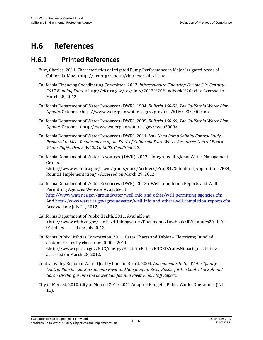# **H.6 References**

## **H.6.1 Printed References**

- Burt, Charles. 2011. Characteristics of Irrigated Pump Performance in Major Irrigated Areas of California. May. <http://itrc.org/reports/characteristics.htm>
- California Financing Coordinating Committee. 2012. *Infrastructure Financing For the 21st Century 2012 Funding Fairs. <* http://cfcc.ca.gov/res/docs/2012%20Handbook%20.pdf > Accessed on March 28, 2012.
- California Department of Water Resources (DWR). 1994. *Bulletin 160-93, The California Water Plan Update*. October. <http://www.waterplan.water.ca.gov/previous/b160-93/TOC.cfm>
- California Department of Water Resources (DWR). 2009. *Bulletin 160-09, The California Water Plan Update.* October. < http://www.waterplan.water.ca.gov/cwpu2009>
- California Department of Water Resources (DWR). 2011. *Low Head Pump Salinity Control Study Prepared to Meet Requirements of the State of California State Water Resources Control Board Water Rights Order WR 2010-0002, Condition A.7.*
- California Department of Water Resources. (DWR). 2012a. Integrated Regional Water Management Grants.

<http://www.water.ca.gov/irwm/grants/docs/Archives/Prop84/Submitted\_Applications/P84\_ Round1\_Implementation/> Accessed on March 29, 2012.

California Department of Water Resources (DWR). 2012b. Well Completion Reports and Well Permitting Agencies Website. Available at:

http://www.water.ca.gov/groundwater/well\_info\_and\_other/well\_permitting\_agencies.cfm. And http://www.water.ca.gov/groundwater/well\_info\_and\_other/well\_completion\_reports.cfm Accessed on: July 21, 2012.

California Department of Public Health. 2011. Available at: <http://www.cdph.ca.gov/certlic/drinkingwater/Documents/Lawbook/RWstatutes2011-01- 01.pdf. Accessed on: July 2012.

California Public Utilities Commission. 2011. Rates Charts and Tables – Electricity; Bundled customer rates by class from 2000 – 2011. <http://www.cpuc.ca.gov/PUC/energy/Electric+Rates/ENGRD/ratesNCharts\_elect.htm>

- Central Valley Regional Water Quality Control Board. 2004. *Amendments to the Water Quality Control Plan for the Sacramento River and San Joaquin River Basins for the Control of Salt and Boron Discharges into the Lower San Joaquin River Final Staff Report.*
- City of Merced. 2010. City of Merced 2010-2011 Adopted Budget Public Works Operations (Tab 11).

accessed on March 28, 2012.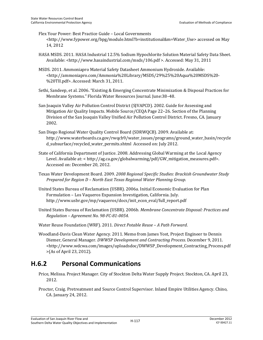Flex Your Power: Best Practice Guide – Local Governments <http://www.fypower.org/bpg/module.html?b=institutional&m=Water\_Use> accessed on May 14, 2012

HASA MSDS. 2011. HASA Industrial 12.5% Sodium Hypochlorite Solution Material Safety Data Sheet. Available: <http://www.hasaindustrial.com/msds/106.pdf >. Accessed: May 31, 2011

- MSDS. 2011. Ammoniapro Material Safety Datasheet Ammonium Hydroxide. Available: <http://ammoniapro.com/Ammonia%20Library/MSDS/29%25%20Aqua%20MSDS%20- %20TII.pdf>. Accessed: March 31, 2011.
- Sethi, Sandeep, et al. 2006. "Existing & Emerging Concentrate Minimization & Disposal Practices for Membrane Systems." Florida Water Resources Journal. June:38–48.
- San Joaquin Valley Air Pollution Control District (SJVAPCD). 2002. Guide for Assessing and Mitigation Air Quality Impacts. Mobile Source/CEQA Page 22–26. Section of the Planning Division of the San Joaquin Valley Unified Air Pollution Control District. Fresno, CA. January 2002.
- San Diego Regional Water Quality Control Board (SDRWQCB). 2009. Available at: http://www.waterboards.ca.gov/rwqcb9/water\_issues/programs/ground\_water\_basin/recycle d subsurface/recycled water permits.shtml Accessed on: July 2012.
- State of California Department of Justice. 2008. Addressing Global Warming at the Local Agency Level. Available at: < http://ag.ca.gov/globalwarming/pdf/GW\_mitigation\_measures.pdf>. Accessed on: December 20, 2012.
- Texas Water Development Board. 2009. *2008 Regional Specific Studies: Brackish Groundwater Study Prepared for Region D – North East Texas Regional Water Planning Group.*
- United States Bureau of Reclamation (USBR). 2006a. Initial Economic Evaluation for Plan Formulation – Los Vaqueros Expansion Investigation, California. July. http://www.usbr.gov/mp/vaqueros/docs/init\_econ\_eval/full\_report.pdf
- United States Bureau of Reclamation (USBR). 2006b. *Membrane Concentrate Disposal: Practices and Regulation – Agreement No. 98-FC-81-0054.*

Water Reuse Foundation (WRF). 2011. *Direct Potable Reuse – A Path Forward*.

Woodland-Davis Clean Water Agency. 2011. Memo from James Yost, Project Engineer to Dennis Diemer, General Manager. *DWWSP Development and Contracting Process*. December 9, 2011. <http://www.wdcwa.com/images/uploadsdoc/DWWSP\_Development\_Contracting\_Process.pdf >(As of April 23, 2012).

## **H.6.2 Personal Communications**

- Price, Melissa. Project Manager. City of Stockton Delta Water Supply Project. Stockton, CA. April 23, 2012.
- Proctor, Craig. Pretreatment and Source Control Supervisor. Inland Empire Utilities Agency. Chino, CA. January 24, 2012.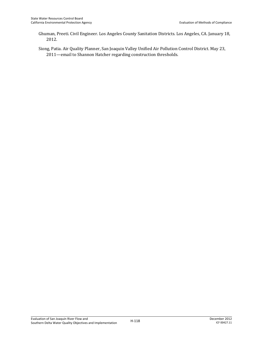Ghuman, Preeti. Civil Engineer. Los Angeles County Sanitation Districts. Los Angeles, CA. January 18, 2012.

Siong, Patia. Air Quality Planner, San Joaquin Valley Unified Air Pollution Control District. May 23, 2011—email to Shannon Hatcher regarding construction thresholds.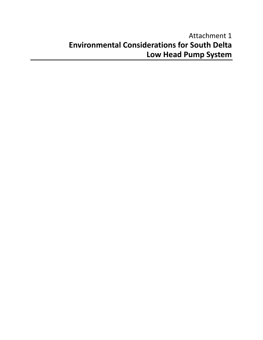# Attachment 1 **Environmental Considerations for South Delta Low Head Pump System**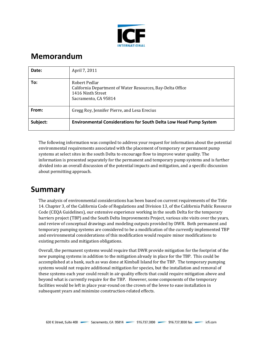

# **Memorandum**

| Date:    | April 7, 2011                                                                                                            |
|----------|--------------------------------------------------------------------------------------------------------------------------|
| To:      | Robert Pedlar<br>California Department of Water Resources, Bay-Delta Office<br>1416 Ninth Street<br>Sacramento, CA 95814 |
| From:    | Gregg Roy, Jennifer Pierre, and Lesa Erecius                                                                             |
| Subject: | <b>Environmental Considerations for South Delta Low Head Pump System</b>                                                 |

The following information was compiled to address your request for information about the potential environmental requirements associated with the placement of temporary or permanent pump systems at select sites in the south Delta to encourage flow to improve water quality. The information is presented separately for the permanent and temporary pump systems and is further divided into an overall discussion of the potential impacts and mitigation, and a specific discussion about permitting approach.

## **Summary**

The analysis of environmental considerations has been based on current requirements of the Title 14. Chapter 3, of the California Code of Regulations and Division 13, of the California Public Resource Code (CEQA Guidelines), our extensive experience working in the south Delta for the temporary barriers project (TBP) and the South Delta Improvements Project, various site visits over the years, and review of conceptual drawings and modeling outputs provided by DWR. Both permanent and temporary pumping systems are considered to be a modification of the currently implemented TBP and environmental considerations of this modification would require minor modifications to existing permits and mitigation obligations.

Overall, the permanent systems would require that DWR provide mitigation for the footprint of the new pumping systems in addition to the mitigation already in place for the TBP. This could be accomplished at a bank, such as was done at Kimball Island for the TBP. The temporary pumping systems would not require additional mitigation for species, but the installation and removal of these systems each year could result in air quality effects that could require mitigation above and beyond what is currently require for the TBP. However, some components of the temporary facilities would be left in place year-round on the crown of the levee to ease installation in subsequent years and minimize construction-related effects.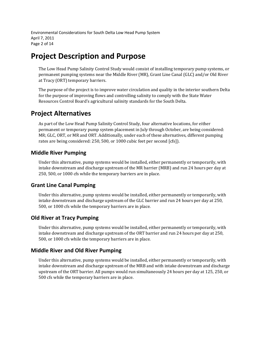Environmental Considerations for South Delta Low Head Pump System April 7, 2011 Page 2 of 14

# **Project Description and Purpose**

The Low Head Pump Salinity Control Study would consist of installing temporary pump systems, or permanent pumping systems near the Middle River (MR), Grant Line Canal (GLC) and/or Old River at Tracy (ORT) temporary barriers.

The purpose of the project is to improve water circulation and quality in the interior southern Delta for the purpose of improving flows and controlling salinity to comply with the State Water Resources Control Board's agricultural salinity standards for the South Delta.

## **Project Alternatives**

As part of the Low Head Pump Salinity Control Study, four alternative locations, for either permanent or temporary pump system placement in July through October, are being considered: MR; GLC, ORT, or MR and ORT. Additionally, under each of these alternatives, different pumping rates are being considered: 250, 500, or 1000 cubic feet per second [cfs]).

### **Middle River Pumping**

Under this alternative, pump systems would be installed, either permanently or temporarily, with intake downstream and discharge upstream of the MR barrier (MRB) and run 24 hours per day at 250, 500, or 1000 cfs while the temporary barriers are in place.

### **Grant Line Canal Pumping**

Under this alternative, pump systems would be installed, either permanently or temporarily, with intake downstream and discharge upstream of the GLC barrier and run 24 hours per day at 250, 500, or 1000 cfs while the temporary barriers are in place.

### **Old River at Tracy Pumping**

Under this alternative, pump systems would be installed, either permanently or temporarily, with intake downstream and discharge upstream of the ORT barrier and run 24 hours per day at 250, 500, or 1000 cfs while the temporary barriers are in place.

## **Middle River and Old River Pumping**

Under this alternative, pump systems would be installed, either permanently or temporarily, with intake downstream and discharge upstream of the MRB and with intake downstream and discharge upstream of the ORT barrier. All pumps would run simultaneously 24 hours per day at 125, 250, or 500 cfs while the temporary barriers are in place.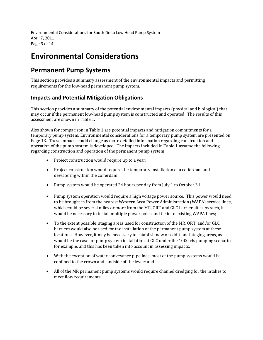Environmental Considerations for South Delta Low Head Pump System April 7, 2011 Page 3 of 14

# **Environmental Considerations**

## **Permanent Pump Systems**

This section provides a summary assessment of the environmental impacts and permitting requirements for the low-head permanent pump system.

## **Impacts and Potential Mitigation Obligations**

This section provides a summary of the potential environmental impacts (physical and biological) that may occur if the permanent low-head pump system is constructed and operated. The results of this assessment are shown in Table 1.

Also shown for comparison in Table 1 are potential impacts and mitigation commitments for a temporary pump system. Environmental considerations for a temporary pump system are presented on Page 13. These impacts could change as more detailed information regarding construction and operation of the pump system is developed. The impacts included in Table 1 assume the following regarding construction and operation of the permanent pump system:

- Project construction would require up to a year;
- Project construction would require the temporary installation of a cofferdam and dewatering within the cofferdam;
- Pump system would be operated 24 hours per day from July 1 to October 31;
- Pump system operation would require a high voltage power source. This power would need to be brought in from the nearest Western Area Power Administration (WAPA) service lines, which could be several miles or more from the MR, ORT and GLC barrier sites. As such, it would be necessary to install multiple power poles and tie in to existing WAPA lines;
- To the extent possible, staging areas used for construction of the MR, ORT, and/or GLC barriers would also be used for the installation of the permanent pump system at these locations. However, it may be necessary to establish new or additional staging areas, as would be the case for pump system installation at GLC under the 1000 cfs pumping scenario, for example, and this has been taken into account in assessing impacts;
- With the exception of water conveyance pipelines, most of the pump systems would be confined to the crown and landside of the levee; and
- All of the MR permanent pump systems would require channel dredging for the intakes to meet flow requirements.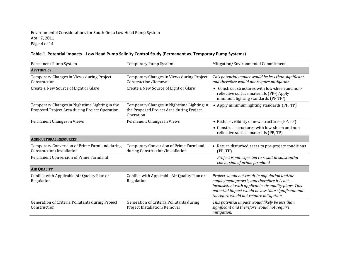Environmental Considerations for South Delta Low Head Pump System April 7, 2011 Page 4 of 14

#### **Table 1. Potential Impacts—Low Head Pump Salinity Control Study (Permanent vs. Temporary Pump Systems)**

| Permanent Pump System<br>Temporary Pump System                                                   |                                                                                                     | Mitigation/Environmental Commitment                                                                                                                                                                                                                   |
|--------------------------------------------------------------------------------------------------|-----------------------------------------------------------------------------------------------------|-------------------------------------------------------------------------------------------------------------------------------------------------------------------------------------------------------------------------------------------------------|
| <b>AESTHETICS</b>                                                                                |                                                                                                     |                                                                                                                                                                                                                                                       |
| Temporary Changes in Views during Project<br>Construction                                        | Temporary Changes in Views during Project<br>Construction/Removal                                   | This potential impact would be less than significant<br>and therefore would not require mitigation.                                                                                                                                                   |
| Create a New Source of Light or Glare                                                            | Create a New Source of Light or Glare                                                               | • Construct structures with low-sheen and non-<br>reflective surface materials (PP1) Apply<br>minimum lighting standards (PP,TP <sup>2</sup> )                                                                                                        |
| Temporary Changes in Nighttime Lighting in the<br>Proposed Project Area during Project Operation | Temporary Changes in Nighttime Lighting in<br>the Proposed Project Area during Project<br>Operation | • Apply minimum lighting standards (PP, TP)                                                                                                                                                                                                           |
| Permanent Changes in Views                                                                       | Permanent Changes in Views                                                                          | • Reduce visibility of new structures (PP, TP)<br>• Construct structures with low-sheen and non-<br>reflective surface materials (PP, TP)                                                                                                             |
| <b>AGRICULTURAL RESOURCES</b>                                                                    |                                                                                                     |                                                                                                                                                                                                                                                       |
| Temporary Conversion of Prime Farmland during<br>Construction/Installation                       | Temporary Conversion of Prime Farmland<br>during Construction/Installation                          | • Return disturbed areas to pre-project conditions<br>(PP, TP)                                                                                                                                                                                        |
| Permanent Conversion of Prime Farmland                                                           |                                                                                                     | Project is not expected to result in substantial<br>conversion of prime farmland                                                                                                                                                                      |
| <b>AIR QUALITY</b>                                                                               |                                                                                                     |                                                                                                                                                                                                                                                       |
| Conflict with Applicable Air Quality Plan or<br>Regulation                                       | Conflict with Applicable Air Quality Plan or<br>Regulation                                          | Project would not result in population and/or<br>employment growth, and therefore it is not<br>inconsistent with applicable air quality plans. This<br>potential impact would be less than significant and<br>therefore would not require mitigation. |
| Generation of Criteria Pollutants during Project<br>Construction                                 | Generation of Criteria Pollutants during<br>Project Installation/Removal                            | This potential impact would likely be less than<br>significant and therefore would not require<br>mitigation.                                                                                                                                         |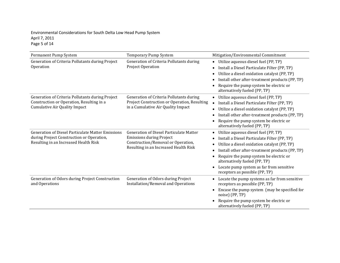#### Environmental Considerations for South Delta Low Head Pump System April 7, 2011 Page 5 of 14

| Permanent Pump System                                                                                                                          | <b>Temporary Pump System</b>                                                                                                                                     | Mitigation/Environmental Commitment                                                                                                                                                                                                                                                                                                                                        |
|------------------------------------------------------------------------------------------------------------------------------------------------|------------------------------------------------------------------------------------------------------------------------------------------------------------------|----------------------------------------------------------------------------------------------------------------------------------------------------------------------------------------------------------------------------------------------------------------------------------------------------------------------------------------------------------------------------|
| Generation of Criteria Pollutants during Project<br>Operation                                                                                  | Generation of Criteria Pollutants during<br>Project Operation                                                                                                    | Utilize aqueous diesel fuel (PP, TP)<br>$\bullet$<br>Install a Diesel Particulate Filter (PP, TP)<br>Utilize a diesel oxidation catalyst (PP, TP)<br>$\bullet$<br>Install other after-treatment products (PP, TP)<br>$\bullet$<br>Require the pump system be electric or<br>alternatively fueled (PP, TP)                                                                  |
| Generation of Criteria Pollutants during Project<br>Construction or Operation, Resulting in a<br><b>Cumulative Air Quality Impact</b>          | Generation of Criteria Pollutants during<br>Project Construction or Operation, Resulting<br>in a Cumulative Air Quality Impact                                   | Utilize aqueous diesel fuel (PP, TP)<br>$\bullet$<br>Install a Diesel Particulate Filter (PP, TP)<br>$\bullet$<br>Utilize a diesel oxidation catalyst (PP, TP)<br>$\bullet$<br>Install other after-treatment products (PP, TP)<br>$\bullet$<br>Require the pump system be electric or<br>alternatively fueled (PP, TP)                                                     |
| <b>Generation of Diesel Particulate Matter Emissions</b><br>during Project Construction or Operation,<br>Resulting in an Increased Health Risk | <b>Generation of Diesel Particulate Matter</b><br><b>Emissions during Project</b><br>Construction/Removal or Operation,<br>Resulting in an Increased Health Risk | Utilize aqueous diesel fuel (PP, TP)<br>$\bullet$<br>Install a Diesel Particulate Filter (PP, TP)<br>Utilize a diesel oxidation catalyst (PP, TP)<br>$\bullet$<br>Install other after-treatment products (PP, TP)<br>Require the pump system be electric or<br>alternatively fueled (PP, TP)<br>Locate pump system as far from sensitive<br>receptors as possible (PP, TP) |
| Generation of Odors during Project Construction<br>and Operations                                                                              | Generation of Odors during Project<br>Installation/Removal and Operations                                                                                        | Locate the pump systems as far from sensitive<br>$\bullet$<br>receptors as possible (PP, TP)<br>Encase the pump system (may be specified for<br>noise) (PP, TP)<br>Require the pump system be electric or<br>alternatively fueled (PP, TP)                                                                                                                                 |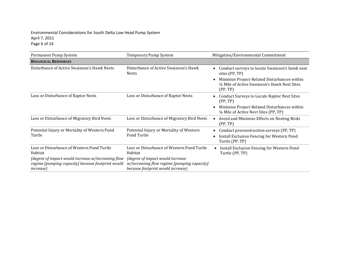#### Environmental Considerations for South Delta Low Head Pump System April 7, 2011 Page 6 of 14

| Permanent Pump System                                                                                                        | Temporary Pump System                                                                                                 | Mitigation/Environmental Commitment                                                                       |
|------------------------------------------------------------------------------------------------------------------------------|-----------------------------------------------------------------------------------------------------------------------|-----------------------------------------------------------------------------------------------------------|
| <b>BIOLOGICAL RESOURCES</b>                                                                                                  |                                                                                                                       |                                                                                                           |
| Disturbance of Active Swainson's Hawk Nests                                                                                  | Disturbance of Active Swainson's Hawk<br><b>Nests</b>                                                                 | Conduct surveys to locate Swainson's hawk nest<br>sites (PP, TP)                                          |
|                                                                                                                              |                                                                                                                       | Minimize Project-Related Disturbances within<br>1/4 Mile of Active Swainson's Hawk Nest Sites<br>(PP, TP) |
| Loss or Disturbance of Raptor Nests                                                                                          | Loss or Disturbance of Raptor Nests                                                                                   | <b>Conduct Surveys to Locate Raptor Nest Sites</b><br>(PP, TP)                                            |
|                                                                                                                              |                                                                                                                       | Minimize Project-Related Disturbances within<br>1/4 Mile of Active Nest Sites (PP, TP)                    |
| Loss or Disturbance of Migratory Bird Nests                                                                                  | Loss or Disturbance of Migratory Bird Nests                                                                           | Avoid and Minimize Effects on Nesting Birds<br>(PP, TP)                                                   |
| Potential Injury or Mortality of Western Pond<br>Turtle                                                                      | Potential Injury or Mortality of Western<br>Pond Turtle                                                               | Conduct preconstruction surveys (PP, TP)<br>٠                                                             |
|                                                                                                                              |                                                                                                                       | Install Exclusion Fencing for Western Pond<br>Turtle (PP, TP)                                             |
| Loss or Disturbance of Western Pond Turtle<br>Habitat                                                                        | Loss or Disturbance of Western Pond Turtle<br>Habitat                                                                 | Install Exclusion Fencing for Western Pond<br>$\bullet$<br>Turtle (PP, TP)                                |
| (degree of impact would increase w/increasing flow<br>regime [pumping capacity] because footprint would<br><i>increase</i> ) | (degree of impact would increase)<br>w/increasing flow regime [pumping capacity]<br>because footprint would increase) |                                                                                                           |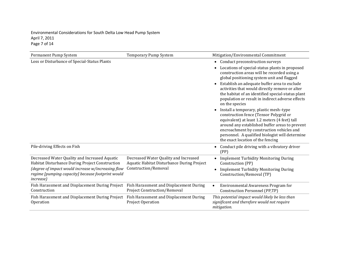#### Environmental Considerations for South Delta Low Head Pump System April 7, 2011 Page 7 of 14

| Permanent Pump System                                                                                                        | Temporary Pump System                                                               | Mitigation/Environmental Commitment                                                                                                                                                                                                                                                                                                   |
|------------------------------------------------------------------------------------------------------------------------------|-------------------------------------------------------------------------------------|---------------------------------------------------------------------------------------------------------------------------------------------------------------------------------------------------------------------------------------------------------------------------------------------------------------------------------------|
| Loss or Disturbance of Special-Status Plants                                                                                 |                                                                                     | Conduct preconstruction surveys<br>$\bullet$<br>Locations of special-status plants in proposed                                                                                                                                                                                                                                        |
|                                                                                                                              |                                                                                     | construction areas will be recorded using a<br>global positioning system unit and flagged                                                                                                                                                                                                                                             |
|                                                                                                                              |                                                                                     | Establish an adequate buffer area to exclude<br>$\bullet$<br>activities that would directly remove or alter<br>the habitat of an identified special-status plant<br>population or result in indirect adverse effects<br>on the species                                                                                                |
|                                                                                                                              |                                                                                     | Install a temporary, plastic mesh-type<br>$\bullet$<br>construction fence (Tensor Polygrid or<br>equivalent) at least 1.2 meters (4 feet) tall<br>around any established buffer areas to prevent<br>encroachment by construction vehicles and<br>personnel. A qualified biologist will determine<br>the exact location of the fencing |
| Pile-driving Effects on Fish                                                                                                 |                                                                                     | Conduct pile driving with a vibratory driver<br>$\bullet$<br>(PP)                                                                                                                                                                                                                                                                     |
| Decreased Water Quality and Increased Aquatic<br>Habitat Disturbance During Project Construction                             | Decreased Water Quality and Increased<br>Aquatic Habitat Disturbance During Project | <b>Implement Turbidity Monitoring During</b><br>Construction (PP)                                                                                                                                                                                                                                                                     |
| (degree of impact would increase w/increasing flow<br>regime [pumping capacity] because footprint would<br><i>increase</i> ) | Construction/Removal                                                                | <b>Implement Turbidity Monitoring During</b><br>Construction/Removal (TP)                                                                                                                                                                                                                                                             |
| Fish Harassment and Displacement During Project<br>Construction                                                              | Fish Harassment and Displacement During<br><b>Project Construction/Removal</b>      | Environmental Awareness Program for<br>Construction Personnel (PP,TP)                                                                                                                                                                                                                                                                 |
| Fish Harassment and Displacement During Project<br>Operation                                                                 | Fish Harassment and Displacement During<br>Project Operation                        | This potential impact would likely be less than<br>significant and therefore would not require<br>mitigation.                                                                                                                                                                                                                         |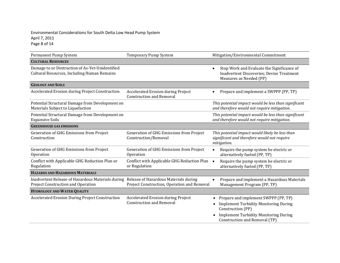#### Environmental Considerations for South Delta Low Head Pump System April 7, 2011 Page 8 of 14

| Permanent Pump System                                                                                                                | Temporary Pump System                                                        | Mitigation/Environmental Commitment                                                                                                                                                             |
|--------------------------------------------------------------------------------------------------------------------------------------|------------------------------------------------------------------------------|-------------------------------------------------------------------------------------------------------------------------------------------------------------------------------------------------|
| <b>CULTURAL RESOURCES</b>                                                                                                            |                                                                              |                                                                                                                                                                                                 |
| Damage to or Destruction of As-Yet-Unidentified<br>Cultural Resources, Including Human Remains                                       |                                                                              | Stop Work and Evaluate the Significance of<br>$\bullet$<br><b>Inadvertent Discoveries; Devise Treatment</b><br>Measures as Needed (PP)                                                          |
| <b>GEOLOGY AND SOILS</b>                                                                                                             |                                                                              |                                                                                                                                                                                                 |
| <b>Accelerated Erosion during Project Construction</b>                                                                               | <b>Accelerated Erosion during Project</b><br><b>Construction and Removal</b> | Prepare and implement a SWPPP (PP, TP)                                                                                                                                                          |
| Potential Structural Damage from Development on<br>Materials Subject to Liquefaction                                                 |                                                                              | This potential impact would be less than significant<br>and therefore would not require mitigation.                                                                                             |
| Potential Structural Damage from Development on<br><b>Expansive Soils</b>                                                            |                                                                              | This potential impact would be less than significant<br>and therefore would not require mitigation.                                                                                             |
| <b>GREENHOUSE GAS EMISSIONS</b>                                                                                                      |                                                                              |                                                                                                                                                                                                 |
| Generation of GHG Emissions from Project<br>Construction                                                                             | <b>Generation of GHG Emissions from Project</b><br>Construction/Removal      | This potential impact would likely be less than<br>significant and therefore would not require<br>mitigation.                                                                                   |
| Generation of GHG Emissions from Project<br>Operation                                                                                | Generation of GHG Emissions from Project<br>Operation                        | Require the pump system be electric or<br>$\bullet$<br>alternatively fueled (PP, TP)                                                                                                            |
| Conflict with Applicable GHG Reduction Plan or<br>Regulation                                                                         | Conflict with Applicable GHG Reduction Plan<br>or Regulation                 | Require the pump system be electric or<br>alternatively fueled (PP, TP)                                                                                                                         |
| <b>HAZARDS AND HAZARDOUS MATERIALS</b>                                                                                               |                                                                              |                                                                                                                                                                                                 |
| Inadvertent Release of Hazardous Materials during Release of Hazardous Materials during<br><b>Project Construction and Operation</b> | Project Construction, Operation and Removal                                  | Prepare and implement a Hazardous Materials<br>Management Program (PP, TP)                                                                                                                      |
| <b>HYDROLOGY AND WATER QUALITY</b>                                                                                                   |                                                                              |                                                                                                                                                                                                 |
| <b>Accelerated Erosion During Project Construction</b>                                                                               | Accelerated Erosion during Project<br><b>Construction and Removal</b>        | Prepare and implement SWPPP (PP, TP)<br><b>Implement Turbidity Monitoring During</b><br>٠<br>Construction (PP)<br><b>Implement Turbidity Monitoring During</b><br>Construction and Removal (TP) |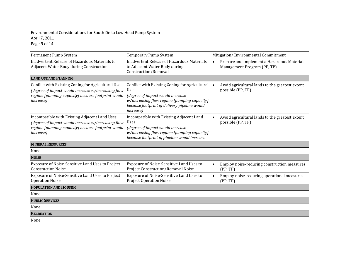#### Environmental Considerations for South Delta Low Head Pump System April 7, 2011 Page  $9$  of 14

| Permanent Pump System                                                                                                                                                              | <b>Temporary Pump System</b>                                                                                                                                                                                    |  | Mitigation/Environmental Commitment                                        |
|------------------------------------------------------------------------------------------------------------------------------------------------------------------------------------|-----------------------------------------------------------------------------------------------------------------------------------------------------------------------------------------------------------------|--|----------------------------------------------------------------------------|
| Inadvertent Release of Hazardous Materials to<br>Adjacent Water Body during Construction                                                                                           | <b>Inadvertent Release of Hazardous Materials</b><br>$\bullet$<br>to Adjacent Water Body during<br>Construction/Removal                                                                                         |  | Prepare and implement a Hazardous Materials<br>Management Program (PP, TP) |
| <b>LAND USE AND PLANNING</b>                                                                                                                                                       |                                                                                                                                                                                                                 |  |                                                                            |
| Conflict with Existing Zoning for Agricultural Use<br>(degree of impact would increase w/increasing flow<br>regime [pumping capacity] because footprint would<br><i>increase</i> ) | Conflict with Existing Zoning for Agricultural •<br>Use<br>(degree of impact would increase<br>w/increasing flow regime [pumping capacity]<br>because footprint of delivery pipeline would<br><i>increase</i> ) |  | Avoid agricultural lands to the greatest extent<br>possible (PP, TP)       |
| Incompatible with Existing Adjacent Land Uses<br>(degree of impact would increase w/increasing flow<br>regime [pumping capacity] because footprint would<br><i>increase</i> )      | Incompatible with Existing Adjacent Land<br>Uses<br>(degree of impact would increase<br>w/increasing flow regime [pumping capacity]<br>because footprint of pipeline would increase                             |  | Avoid agricultural lands to the greatest extent<br>possible (PP, TP)       |
| <b>MINERAL RESOURCES</b>                                                                                                                                                           |                                                                                                                                                                                                                 |  |                                                                            |
| None                                                                                                                                                                               |                                                                                                                                                                                                                 |  |                                                                            |
| <b>NOISE</b>                                                                                                                                                                       |                                                                                                                                                                                                                 |  |                                                                            |
| Exposure of Noise-Sensitive Land Uses to Project<br><b>Construction Noise</b>                                                                                                      | Exposure of Noise-Sensitive Land Uses to<br><b>Project Construction/Removal Noise</b>                                                                                                                           |  | Employ noise-reducing construction measures<br>(PP, TP)                    |
| Exposure of Noise-Sensitive Land Uses to Project<br><b>Operation Noise</b>                                                                                                         | Exposure of Noise-Sensitive Land Uses to<br><b>Project Operation Noise</b>                                                                                                                                      |  | Employ noise-reducing operational measures<br>(PP, TP)                     |
| <b>POPULATION AND HOUSING</b>                                                                                                                                                      |                                                                                                                                                                                                                 |  |                                                                            |
| None                                                                                                                                                                               |                                                                                                                                                                                                                 |  |                                                                            |
| <b>PUBLIC SERVICES</b>                                                                                                                                                             |                                                                                                                                                                                                                 |  |                                                                            |
| None                                                                                                                                                                               |                                                                                                                                                                                                                 |  |                                                                            |
| <b>RECREATION</b>                                                                                                                                                                  |                                                                                                                                                                                                                 |  |                                                                            |
| None                                                                                                                                                                               |                                                                                                                                                                                                                 |  |                                                                            |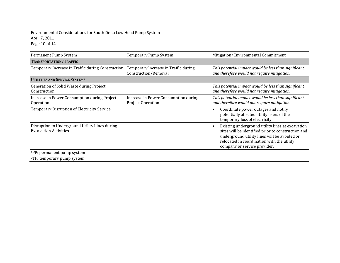#### Environmental Considerations for South Delta Low Head Pump System April 7, 2011 Page 10 of 14

| Permanent Pump System                                                          | Temporary Pump System                                        | Mitigation/Environmental Commitment                                                                                                                                                                                                  |
|--------------------------------------------------------------------------------|--------------------------------------------------------------|--------------------------------------------------------------------------------------------------------------------------------------------------------------------------------------------------------------------------------------|
| TRANSPORTATION/TRAFFIC                                                         |                                                              |                                                                                                                                                                                                                                      |
| Temporary Increase in Traffic during Construction                              | Temporary Increase in Traffic during<br>Construction/Removal | This potential impact would be less than significant<br>and therefore would not require mitigation.                                                                                                                                  |
| <b>UTILITIES AND SERVICE SYSTEMS</b>                                           |                                                              |                                                                                                                                                                                                                                      |
| Generation of Solid Waste during Project<br>Construction                       |                                                              | This potential impact would be less than significant<br>and therefore would not require mitigation.                                                                                                                                  |
| Increase in Power Consumption during Project<br>Operation                      | Increase in Power Consumption during<br>Project Operation    | This potential impact would be less than significant<br>and therefore would not require mitigation.                                                                                                                                  |
| Temporary Disruption of Electricity Service                                    |                                                              | Coordinate power outages and notify<br>potentially affected utility users of the<br>temporary loss of electricity.                                                                                                                   |
| Disruption to Underground Utility Lines during<br><b>Excavation Activities</b> |                                                              | Existing underground utility lines at excavation<br>sites will be identified prior to construction and<br>underground utility lines will be avoided or<br>relocated in coordination with the utility<br>company or service provider. |
| <sup>1</sup> PP: permanent pump system                                         |                                                              |                                                                                                                                                                                                                                      |
| <sup>2</sup> TP: temporary pump system                                         |                                                              |                                                                                                                                                                                                                                      |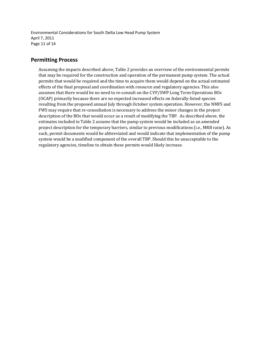Environmental Considerations for South Delta Low Head Pump System April 7, 2011 Page 11 of 14

### **Permitting Process**

Assuming the impacts described above, Table 2 provides an overview of the environmental permits that may be required for the construction and operation of the permanent pump system. The actual permits that would be required and the time to acquire them would depend on the actual estimated effects of the final proposal and coordination with resource and regulatory agencies. This also assumes that there would be no need to re-consult on the CVP/SWP Long Term Operations BOs (OCAP) primarily because there are no expected increased effects on federally-listed species resulting from the proposed annual July through October system operation. However, the NMFS and FWS may require that re-consultation is necessary to address the minor changes in the project description of the BOs that would occur as a result of modifying the TBP. As described above, the estimates included in Table 2 assume that the pump system would be included as an amended project description for the temporary barriers, similar to previous modifications (i.e., MRB raise). As such, permit documents would be abbreviated and would indicate that implementation of the pump system would be a modified component of the overall TBP. Should this be unacceptable to the regulatory agencies, timeline to obtain these permits would likely increase.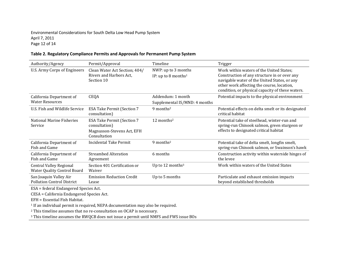#### Environmental Considerations for South Delta Low Head Pump System April 7, 2011 Page 12 of 14

#### **Table 2. Regulatory Compliance Permits and Approvals for Permanent Pump System**

| Authority/Agency                                                     | Permit/Approval                                                                                  | Timeline                                               | Trigger                                                                                                                                                                                                                                    |
|----------------------------------------------------------------------|--------------------------------------------------------------------------------------------------|--------------------------------------------------------|--------------------------------------------------------------------------------------------------------------------------------------------------------------------------------------------------------------------------------------------|
| U.S. Army Corps of Engineers                                         | Clean Water Act Section; 404/<br>Rivers and Harbors Act,<br>Section 10                           | NWP: up to 3 months<br>IP: up to 8 months <sup>1</sup> | Work within waters of the United States;<br>Construction of any structure in or over any<br>navigable water of the United States, or any<br>other work affecting the course, location,<br>condition, or physical capacity of these waters. |
| California Department of<br><b>Water Resources</b>                   | <b>CEQA</b>                                                                                      | Addendum: 1 month<br>Supplemental IS/MND: 4 months     | Potential impacts to the physical environment                                                                                                                                                                                              |
| U.S. Fish and Wildlife Service                                       | <b>ESA Take Permit (Section 7</b><br>consultation)                                               | $9$ months <sup>2</sup>                                | Potential effects on delta smelt or its designated<br>critical habitat                                                                                                                                                                     |
| National Marine Fisheries<br>Service                                 | <b>ESA Take Permit (Section 7</b><br>consultation)<br>Magnusson-Stevens Act, EFH<br>Consultation | 12 months $2$                                          | Potential take of steelhead, winter-run and<br>spring-run Chinook salmon, green sturgeon or<br>effects to designated critical habitat                                                                                                      |
| California Department of<br>Fish and Game                            | Incidental Take Permit                                                                           | $9$ months <sup>2</sup>                                | Potential take of delta smelt, longfin smelt,<br>spring-run Chinook salmon, or Swainson's hawk                                                                                                                                             |
| California Department of<br>Fish and Game                            | <b>Streambed Alteration</b><br>Agreement                                                         | 6 months                                               | Construction activity within waterside hinges of<br>the levee                                                                                                                                                                              |
| <b>Central Valley Regional</b><br><b>Water Quality Control Board</b> | Section 401 Certification or<br>Waiver                                                           | Up to 12 months <sup>3</sup>                           | Work within waters of the United States                                                                                                                                                                                                    |
| San Joaquin Valley Air<br><b>Pollution Control District</b>          | <b>Emission Reduction Credit</b><br>Lease                                                        | Up to 5 months                                         | Particulate and exhaust emission impacts<br>beyond established thresholds                                                                                                                                                                  |

ESA = federal Endangered Species Act.

CESA = California Endangered Species Act.

EFH = Essential Fish Habitat.

<sup>1</sup> If an individual permit is required, NEPA documentation may also be required.

<sup>2</sup> This timeline assumes that no re-consultation on OCAP is necessary.

<sup>3</sup> This timeline assumes the RWQCB does not issue a permit until NMFS and FWS issue BOs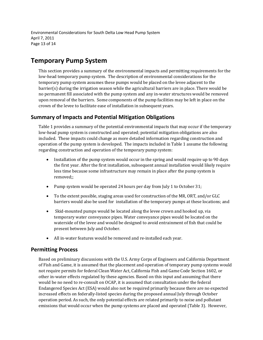Environmental Considerations for South Delta Low Head Pump System April 7, 2011 Page 13 of 14

## **Temporary Pump System**

This section provides a summary of the environmental impacts and permitting requirements for the low-head temporary pump system. The description of environmental considerations for the temporary pump system assumes these pumps would be placed on the levee adjacent to the barrier(s) during the irrigation season while the agricultural barriers are in place. There would be no permanent fill associated with the pump system and any in-water structures would be removed upon removal of the barriers. Some components of the pump facilities may be left in place on the crown of the levee to facilitate ease of installation in subsequent years.

### **Summary of Impacts and Potential Mitigation Obligations**

Table 1 provides a summary of the potential environmental impacts that may occur if the temporary low-head pump system is constructed and operated; potential mitigation obligations are also included. These impacts could change as more detailed information regarding construction and operation of the pump system is developed. The impacts included in Table 1 assume the following regarding construction and operation of the temporary pump system:

- Installation of the pump system would occur in the spring and would require up to 90 days the first year. After the first installation, subsequent annual installation would likely require less time because some infrastructure may remain in place after the pump system is removed;;
- Pump system would be operated 24 hours per day from July 1 to October 31;
- To the extent possible, staging areas used for construction of the MR, ORT, and/or GLC barriers would also be used for installation of the temporary pumps at these locations; and
- Skid-mounted pumps would be located along the levee crown and hooked up, via temporary water conveyance pipes. Water conveyance pipes would be located on the waterside of the levee and would be designed to avoid entrainment of fish that could be present between July and October.
- All in-water features would be removed and re-installed each year.

### **Permitting Process**

Based on preliminary discussions with the U.S. Army Corps of Engineers and California Department of Fish and Game, it is assumed that the placement and operation of temporary pump systems would not require permits for federal Clean Water Act, California Fish and Game Code Section 1602, or other in-water effects regulated by these agencies. Based on this input and assuming that there would be no need to re-consult on OCAP, it is assumed that consultation under the federal Endangered Species Act (ESA) would also not be required primarily because there are no expected increased effects on federally-listed species during the proposed annual July through October operation period. As such, the only potential effects are related primarily to noise and pollutant emissions that would occur when the pump systems are placed and operated (Table 3). However,